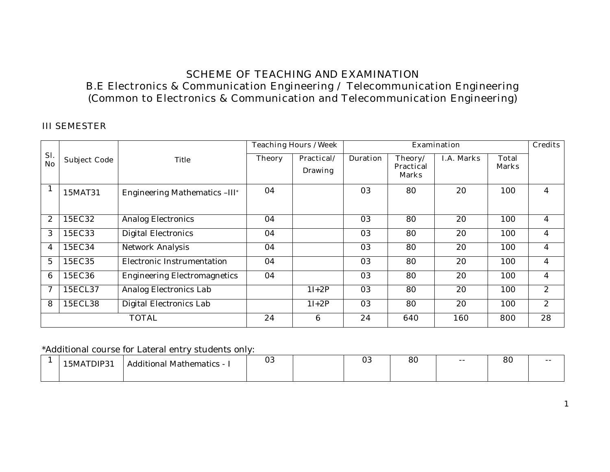## **SCHEME OF TEACHING AND EXAMINATION B.E Electronics & Communication Engineering / Telecommunication Engineering (Common to Electronics & Communication and Telecommunication Engineering)**

#### **III SEMESTER**

|                  |                     |                                     | <b>Teaching Hours /Week</b> |                              |                 |                                             | <b>Examination</b> |                              | <b>Credits</b> |
|------------------|---------------------|-------------------------------------|-----------------------------|------------------------------|-----------------|---------------------------------------------|--------------------|------------------------------|----------------|
| Sl.<br><b>No</b> | <b>Subject Code</b> | Title                               | <b>Theory</b>               | Practical/<br><b>Drawing</b> | <b>Duration</b> | Theory/<br><b>Practical</b><br><b>Marks</b> | <b>I.A. Marks</b>  | <b>Total</b><br><b>Marks</b> |                |
| $\mathbf{1}$     | 15MAT31             | Engineering Mathematics -III*       | 04                          |                              | 03              | 80                                          | 20                 | 100                          | 4              |
| 2                | 15EC32              | <b>Analog Electronics</b>           | 04                          |                              | 03              | 80                                          | 20                 | 100                          | 4              |
| 3                | 15EC33              | Digital Electronics                 | 04                          |                              | 03              | 80                                          | 20                 | 100                          | 4              |
| 4                | 15EC34              | Network Analysis                    | 04                          |                              | 03              | 80                                          | 20                 | 100                          | 4              |
| 5                | 15EC35              | Electronic Instrumentation          | 04                          |                              | 03              | 80                                          | 20                 | 100                          | 4              |
| 6                | 15EC36              | <b>Engineering Electromagnetics</b> | 04                          |                              | 03              | 80                                          | 20                 | 100                          | 4              |
| 7                | 15ECL37             | Analog Electronics Lab              |                             | $1I+2P$                      | 03              | 80                                          | 20                 | 100                          | $\overline{c}$ |
| 8                | 15ECL38             | Digital Electronics Lab             |                             | $1I+2P$                      | 03              | 80                                          | 20                 | 100                          | $\overline{c}$ |
|                  |                     | <b>TOTAL</b>                        | 24                          | $6\phantom{1}6$              | 24              | 640                                         | 160                | 800                          | 28             |

\*Additional course for Lateral entry students only:

| <b>\TDIP31</b><br>.5MA | .<br>. Mathematics - '<br>Additional | 03 | 03 | $\circ$<br>οU | $- -$ | 80 | $- -$ |
|------------------------|--------------------------------------|----|----|---------------|-------|----|-------|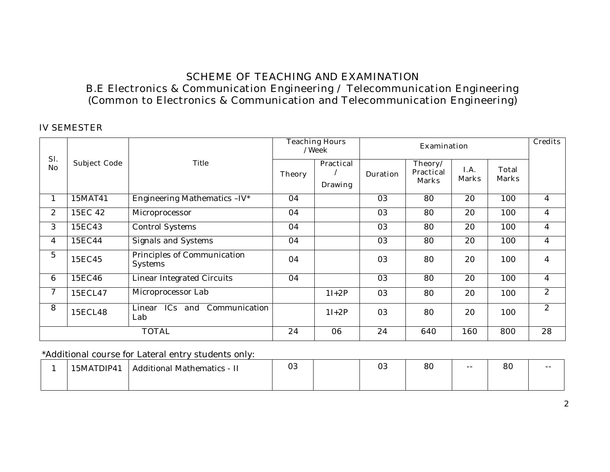## **SCHEME OF TEACHING AND EXAMINATION B.E Electronics & Communication Engineering / Telecommunication Engineering (Common to Electronics & Communication and Telecommunication Engineering)**

#### **IV SEMESTER**

|                  |                     |                                               |               | <b>Teaching Hours</b><br>/Week     |                 | <b>Examination</b>                          |                      |                              |                |  |  |
|------------------|---------------------|-----------------------------------------------|---------------|------------------------------------|-----------------|---------------------------------------------|----------------------|------------------------------|----------------|--|--|
| Sl.<br><b>No</b> | <b>Subject Code</b> | Title                                         | <b>Theory</b> | <b>Practical</b><br><b>Drawing</b> | <b>Duration</b> | Theory/<br><b>Practical</b><br><b>Marks</b> | I.A.<br><b>Marks</b> | <b>Total</b><br><b>Marks</b> |                |  |  |
|                  | 15MAT41             | Engineering Mathematics -IV*                  | 04            |                                    | 03              | 80                                          | 20                   | 100                          | 4              |  |  |
| $\overline{c}$   | 15EC 42             | Microprocessor                                | 04            |                                    | 03              | 80                                          | 20                   | 100                          | $\overline{4}$ |  |  |
| 3                | 15EC43              | <b>Control Systems</b>                        | 04            |                                    | 03              | 80                                          | 20                   | 100                          | $\overline{4}$ |  |  |
| 4                | 15EC44              | Signals and Systems                           | 04            |                                    | 03              | 80                                          | 20                   | 100                          | $\overline{4}$ |  |  |
| 5                | 15EC45              | Principles of Communication<br><b>Systems</b> | 04            |                                    | 03              | 80                                          | 20                   | 100                          | $\overline{4}$ |  |  |
| 6                | 15EC46              | <b>Linear Integrated Circuits</b>             | 04            |                                    | 03              | 80                                          | 20                   | 100                          | $\overline{4}$ |  |  |
| 7                | 15ECL47             | Microprocessor Lab                            |               | $1I+2P$                            | 03              | 80                                          | 20                   | 100                          | $\overline{c}$ |  |  |
| 8                | 15ECL48             | ICs and Communication<br>Linear<br>Lab        |               | $1I+2P$                            | 03              | 80                                          | 20                   | 100                          | $\overline{c}$ |  |  |
|                  |                     | <b>TOTAL</b>                                  | 24            | 06                                 | 24              | 640                                         | 160                  | 800                          | 28             |  |  |

\*Additional course for Lateral entry students only:

| 15MATDIP41 | <b>Additional Mathematics - "</b> | 03 | $\Omega$<br>UU | 80 | -- | $\Omega$<br>ōυ | $ -$ |
|------------|-----------------------------------|----|----------------|----|----|----------------|------|
|            |                                   |    |                |    |    |                |      |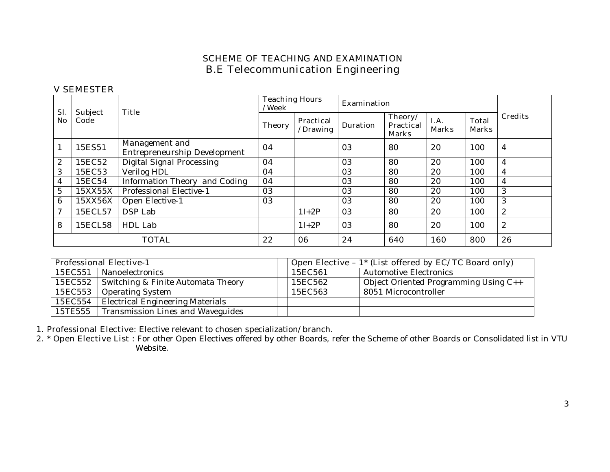#### **V SEMESTER**

| Sl.            | <b>Subject</b> | <b>Title</b>                                          | <b>Teaching Hours</b><br>/Week |                              | <b>Examination</b> |                                             |                      |                              |                  |
|----------------|----------------|-------------------------------------------------------|--------------------------------|------------------------------|--------------------|---------------------------------------------|----------------------|------------------------------|------------------|
| N <sub>o</sub> | Code           |                                                       | <b>Theory</b>                  | <b>Practical</b><br>/Drawing | <b>Duration</b>    | Theory/<br><b>Practical</b><br><b>Marks</b> | I.A.<br><b>Marks</b> | <b>Total</b><br><b>Marks</b> | <b>Credits</b>   |
|                | 15ES51         | Management and<br><b>Entrepreneurship Development</b> | 04                             |                              | 03                 | 80                                          | 20                   | 100                          | $\overline{4}$   |
| 2              | 15EC52         | Digital Signal Processing                             | 04                             |                              | 03                 | 80                                          | 20                   | 100                          | $\overline{4}$   |
| 3              | 15EC53         | Verilog HDL                                           | 04                             |                              | 03                 | 80                                          | 20                   | 100                          | $\overline{4}$   |
| 4              | 15EC54         | Information Theory and Coding                         | 04                             |                              | 03                 | 80                                          | 20                   | 100                          | 4                |
| $\overline{5}$ | 15XX55X        | Professional Elective-1                               | 03                             |                              | 03                 | 80                                          | 20                   | 100                          | 3                |
| 6              | 15XX56X        | Open Elective-1                                       | 03                             |                              | 03                 | 80                                          | 20                   | 100                          | 3                |
| 7              | 15ECL57        | DSP Lab                                               |                                | $1I+2P$                      | 03                 | 80                                          | 20                   | 100                          | 2                |
| 8              | 15ECL58        | HDL Lab                                               |                                | $1I+2P$                      | 03                 | 80                                          | 20                   | 100                          | $\boldsymbol{2}$ |
|                |                | <b>TOTAL</b>                                          | 22                             | 06                           | 24                 | 640                                         | 160                  | 800                          | 26               |

| <b>Professional Elective-1</b> |                                             |  |         | Open Elective - $1$ <sup>*</sup> (List offered by EC/TC Board only) |
|--------------------------------|---------------------------------------------|--|---------|---------------------------------------------------------------------|
|                                | 15EC551 Nanoelectronics                     |  | 15EC561 | <b>Automotive Electronics</b>                                       |
|                                | 15EC552 Switching & Finite Automata Theory  |  | 15EC562 | Object Oriented Programming Using C++                               |
|                                | 15EC553   Operating System                  |  | 15EC563 | 8051 Microcontroller                                                |
|                                | 15EC554   Electrical Engineering Materials  |  |         |                                                                     |
|                                | 15TE555   Transmission Lines and Waveguides |  |         |                                                                     |

**1. Professional Elective:** Elective relevant to chosen specialization/branch.

**2. \* Open Elective List** : For other Open Electives offered by other Boards, refer the Scheme of other Boards or Consolidated list in VTU Website.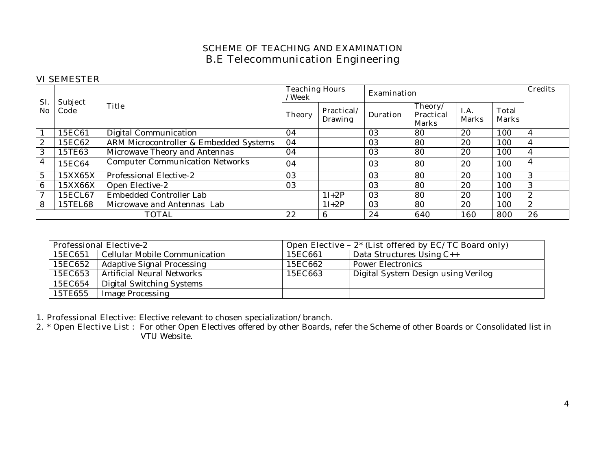#### **VI SEMESTER**

| Sl.          | Subject |                                        | <b>Teaching Hours</b><br>/Week |                              | <b>Examination</b> | <b>Credits</b>                              |                      |                              |              |
|--------------|---------|----------------------------------------|--------------------------------|------------------------------|--------------------|---------------------------------------------|----------------------|------------------------------|--------------|
| No.          | Code    | <b>Title</b>                           | <b>Theory</b>                  | Practical/<br><b>Drawing</b> | <b>Duration</b>    | Theory/<br><b>Practical</b><br><b>Marks</b> | I.A.<br><b>Marks</b> | <b>Total</b><br><b>Marks</b> |              |
|              | 15EC61  | Digital Communication                  | 04                             |                              | 03                 | 80                                          | 20                   | 100                          | 4            |
| $\mathbf{2}$ | 15EC62  | ARM Microcontroller & Embedded Systems | 04                             |                              | 03                 | 80                                          | 20                   | 100                          | 4            |
| 3            | 15TE63  | Microwave Theory and Antennas          | 04                             |                              | 03                 | 80                                          | 20                   | 100                          | 4            |
| 4            | 15EC64  | Computer Communication Networks        | 04                             |                              | 03                 | 80                                          | 20                   | 100                          | 4            |
| 5            | 15XX65X | Professional Elective-2                | 03                             |                              | 03                 | 80                                          | 20                   | 100                          | 3            |
| 6            | 15XX66X | Open Elective-2                        | 03                             |                              | 03                 | 80                                          | 20                   | 100                          | 3            |
| 7            | 15ECL67 | Embedded Controller Lab                |                                | $1I+2P$                      | 03                 | 80                                          | 20                   | 100                          | $\mathbf{2}$ |
| 8            | 15TEL68 | Microwave and Antennas Lab             |                                | $1I+2P$                      | 03                 | 80                                          | 20                   | 100                          | 2            |
|              |         | <b>TOTAL</b>                           | 22                             | 6                            | 24                 | 640                                         | <b>160</b>           | 800                          | 26           |

| <b>Professional Elective-2</b> |                                   |  |         | Open Elective - $2^*$ (List offered by EC/TC Board only) |
|--------------------------------|-----------------------------------|--|---------|----------------------------------------------------------|
| 15EC651                        | Cellular Mobile Communication     |  | 15EC661 | Data Structures Using C++                                |
| 15EC652                        | Adaptive Signal Processing        |  | 15EC662 | <b>Power Electronics</b>                                 |
| 15EC653                        | <b>Artificial Neural Networks</b> |  | 15EC663 | Digital System Design using Verilog                      |
| 15EC654                        | Digital Switching Systems         |  |         |                                                          |
| 15TE655                        | <b>Image Processing</b>           |  |         |                                                          |

**1. Professional Elective:** Elective relevant to chosen specialization/branch.

**2. \* Open Elective List** : For other Open Electives offered by other Boards, refer the Scheme of other Boards or Consolidated list in VTU Website.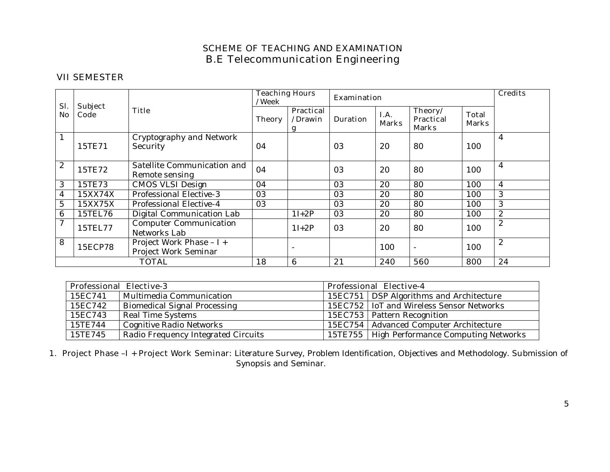#### **VII SEMESTER**

| Sl.            |                        |                                                  | /Week  | <b>Teaching Hours</b>            |                 | <b>Examination</b>   |                                             |                              |                  |  |
|----------------|------------------------|--------------------------------------------------|--------|----------------------------------|-----------------|----------------------|---------------------------------------------|------------------------------|------------------|--|
| <b>No</b>      | <b>Subject</b><br>Code | <b>Title</b>                                     | Theory | <b>Practical</b><br>/Drawin<br>g | <b>Duration</b> | I.A.<br><b>Marks</b> | Theory/<br><b>Practical</b><br><b>Marks</b> | <b>Total</b><br><b>Marks</b> |                  |  |
|                | 15TE71                 | Cryptography and Network<br>Security             | 04     |                                  | 03              | 20                   | 80                                          | 100                          | 4                |  |
| 2              | 15TE72                 | Satellite Communication and<br>Remote sensing    | 04     |                                  | 03              | 20                   | 80                                          | 100                          | 4                |  |
| 3              | 15TE73                 | <b>CMOS VLSI Design</b>                          | 04     |                                  | 03              | 20                   | 80                                          | 100                          | $\overline{4}$   |  |
| 4              | 15XX74X                | Professional Elective-3                          | 03     |                                  | 03              | 20                   | 80                                          | 100                          | 3                |  |
| $\overline{5}$ | 15XX75X                | Professional Elective-4                          | 03     |                                  | 03              | 20                   | 80                                          | 100                          | 3                |  |
| 6              | 15TEL76                | Digital Communication Lab                        |        | $1I+2P$                          | 03              | 20                   | 80                                          | 100                          | $\mathbf{2}$     |  |
| $\overline{7}$ | 15TEL77                | <b>Computer Communication</b><br>Networks Lab    |        | $1I+2P$                          | 03              | 20                   | 80                                          | 100                          | $\boldsymbol{2}$ |  |
| 8              | 15ECP78                | Project Work Phase - I +<br>Project Work Seminar |        |                                  |                 | 100                  | $\overline{\phantom{a}}$                    | 100                          | 2                |  |
|                |                        | <b>TOTAL</b>                                     | 18     | 6                                | 21              | 240                  | 560                                         | 800                          | 24               |  |

| <b>Professional Elective-3</b> |                                     |  | <b>Professional Elective-4</b>                |
|--------------------------------|-------------------------------------|--|-----------------------------------------------|
| 15EC741                        | Multimedia Communication            |  | 15EC751   DSP Algorithms and Architecture     |
| 15EC742                        | Biomedical Signal Processing        |  | 15EC752   IoT and Wireless Sensor Networks    |
| 15EC743                        | <b>Real Time Systems</b>            |  | 15EC753   Pattern Recognition                 |
| 15TE744                        | <b>Cognitive Radio Networks</b>     |  | 15EC754   Advanced Computer Architecture      |
| 15TE745                        | Radio Frequency Integrated Circuits |  | 15TE755   High Performance Computing Networks |

**1. Project Phase –I + Project Work Seminar:** Literature Survey, Problem Identification, Objectives and Methodology. Submission of Synopsis and Seminar.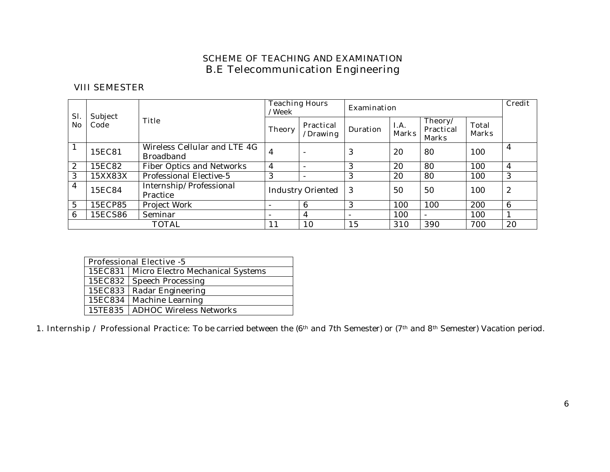#### **VIII SEMESTER**

| SI.            | <b>Subject</b> |                                                  | <b>Teaching Hours</b><br>/Week |                              | <b>Examination</b> | <b>Credit</b>        |                                             |                              |    |
|----------------|----------------|--------------------------------------------------|--------------------------------|------------------------------|--------------------|----------------------|---------------------------------------------|------------------------------|----|
| N <sub>0</sub> | Code           | <b>Title</b>                                     | Theory                         | <b>Practical</b><br>/Drawing | <b>Duration</b>    | I.A.<br><b>Marks</b> | Theory/<br><b>Practical</b><br><b>Marks</b> | <b>Total</b><br><b>Marks</b> |    |
|                | 15EC81         | Wireless Cellular and LTE 4G<br><b>Broadband</b> | 4                              |                              | 3                  | 20                   | 80                                          | 100                          | 4  |
| 2              | 15EC82         | <b>Fiber Optics and Networks</b>                 | 4                              |                              | 3                  | 20                   | 80                                          | 100                          | 4  |
| 3              | 15XX83X        | Professional Elective-5                          | 3                              |                              | 3                  | 20                   | 80                                          | 100                          | 3  |
| $\overline{4}$ | 15EC84         | Internship/Professional<br>Practice              |                                | Industry Oriented   3        |                    | 50                   | 50                                          | 100                          | 2  |
| 5              | 15ECP85        | Project Work                                     |                                | 6                            | 3                  | 100                  | 100                                         | 200                          | 6  |
| 6              | 15ECS86        | Seminar                                          |                                | 4                            |                    | 100                  |                                             | 100                          |    |
|                |                | <b>TOTAL</b>                                     | 11                             | 10                           | 15                 | 310                  | 390                                         | 700                          | 20 |

| <b>Professional Elective -5</b> |                                            |  |  |  |  |  |
|---------------------------------|--------------------------------------------|--|--|--|--|--|
|                                 | 15EC831   Micro Electro Mechanical Systems |  |  |  |  |  |
|                                 | 15EC832   Speech Processing                |  |  |  |  |  |
|                                 | 15EC833   Radar Engineering                |  |  |  |  |  |
|                                 | 15EC834   Machine Learning                 |  |  |  |  |  |
|                                 | 15TE835   ADHOC Wireless Networks          |  |  |  |  |  |

1. Internship / Professional Practice: To be carried between the (6<sup>th</sup> and 7th Semester) or (7<sup>th</sup> and 8<sup>th</sup> Semester) Vacation period.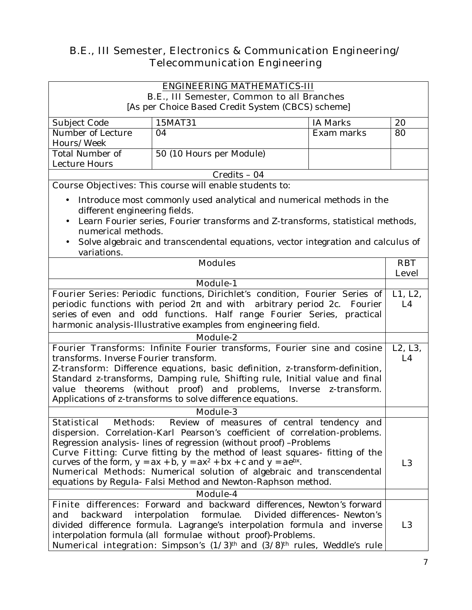# **B.E., III Semester, Electronics & Communication Engineering/ Telecommunication Engineering**

## **ENGINEERING MATHEMATICS-III**

**B.E., III Semester, Common to all Branches**

[As per Choice Based Credit System (CBCS) scheme]

| Subject Code      | 15MAT31                  | IA Marks   | 20 |
|-------------------|--------------------------|------------|----|
| Number of Lecture | 04                       | Exam marks | 80 |
| Hours/Week        |                          |            |    |
| Total Number of   | 50 (10 Hours per Module) |            |    |
| Lecture Hours     |                          |            |    |
| $Credits - 04$    |                          |            |    |

**Course Objectives:** This course will enable students to:

- Introduce most commonly used analytical and numerical methods in the different engineering fields.
- Learn Fourier series, Fourier transforms and Z-transforms, statistical methods, numerical methods.
- Solve algebraic and transcendental equations, vector integration and calculus of variations.

|                                                                                                              | <b>RBT</b>     |
|--------------------------------------------------------------------------------------------------------------|----------------|
| <b>Modules</b>                                                                                               |                |
|                                                                                                              | <b>Level</b>   |
| <b>Module-1</b>                                                                                              |                |
| Fourier Series: Periodic functions, Dirichlet's condition, Fourier Series of                                 | L1, L2,        |
| periodic functions with period $2$ and with arbitrary period $2c$ . Fourier                                  | L4             |
| series of even and odd functions. Half range Fourier Series, practical                                       |                |
| harmonic analysis-Illustrative examples from engineering field.                                              |                |
| Module-2                                                                                                     |                |
| <b>Fourier Transforms:</b> Infinite Fourier transforms, Fourier sine and cosine                              | L2, L3,        |
| transforms. Inverse Fourier transform.                                                                       | L4             |
| <b>Z-transform:</b> Difference equations, basic definition, z-transform-definition,                          |                |
| Standard z-transforms, Damping rule, Shifting rule, Initial value and final                                  |                |
| value theorems (without proof) and problems, Inverse z-transform.                                            |                |
| Applications of z-transforms to solve difference equations.                                                  |                |
|                                                                                                              |                |
| <b>Module-3</b>                                                                                              |                |
| <b>Statistical</b><br>Methods: Review of measures of central tendency and                                    |                |
| dispersion. Correlation-Karl Pearson's coefficient of correlation-problems.                                  |                |
| Regression analysis-lines of regression (without proof) -Problems                                            |                |
| <b>Curve Fitting:</b> Curve fitting by the method of least squares-fitting of the                            |                |
| curves of the form, $y = ax + b$ , $y = ax^2 + bx + c$ and $y = ae^{bx}$ .                                   | L3             |
| Numerical Methods: Numerical solution of algebraic and transcendental                                        |                |
| equations by Regula- Falsi Method and Newton-Raphson method.                                                 |                |
| Module-4                                                                                                     |                |
| Finite differences: Forward and backward differences, Newton's forward                                       |                |
| backward interpolation formulae. Divided differences- Newton's<br>and                                        |                |
| divided difference formula. Lagrange's interpolation formula and inverse                                     | L <sub>3</sub> |
| interpolation formula (all formulae without proof)-Problems.                                                 |                |
| <b>Numerical integration:</b> Simpson's $(1/3)$ <sup>th</sup> and $(3/8)$ <sup>th</sup> rules, Weddle's rule |                |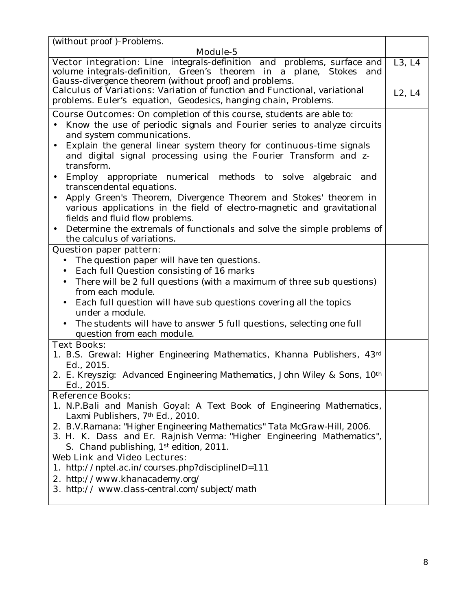| (without proof)-Problems.                                                                                                                                                                                |        |
|----------------------------------------------------------------------------------------------------------------------------------------------------------------------------------------------------------|--------|
| Module-5                                                                                                                                                                                                 |        |
| Vector integration: Line integrals-definition and problems, surface and<br>volume integrals-definition, Green's theorem in a plane, Stokes and<br>Gauss-divergence theorem (without proof) and problems. | L3, L4 |
| <b>Calculus of Variations:</b> Variation of function and Functional, variational<br>problems. Euler's equation, Geodesics, hanging chain, Problems.                                                      | L2, L4 |
| <b>Course Outcomes:</b> On completion of this course, students are able to:                                                                                                                              |        |
| Know the use of periodic signals and Fourier series to analyze circuits<br>and system communications.                                                                                                    |        |
| Explain the general linear system theory for continuous-time signals<br>$\bullet$<br>and digital signal processing using the Fourier Transform and z-<br>transform.                                      |        |
| Employ appropriate numerical methods to solve algebraic<br>and<br>$\bullet$<br>transcendental equations.                                                                                                 |        |
| Apply Green's Theorem, Divergence Theorem and Stokes' theorem in<br>$\bullet$<br>various applications in the field of electro-magnetic and gravitational<br>fields and fluid flow problems.              |        |
| Determine the extremals of functionals and solve the simple problems of<br>$\bullet$<br>the calculus of variations.                                                                                      |        |
| <b>Question paper pattern:</b>                                                                                                                                                                           |        |
| The question paper will have ten questions.<br>$\bullet$                                                                                                                                                 |        |
| Each full Question consisting of 16 marks<br>$\bullet$                                                                                                                                                   |        |
| There will be 2 full questions (with a maximum of three sub questions)<br>from each module.                                                                                                              |        |
| Each full question will have sub questions covering all the topics<br>$\bullet$<br>under a module.                                                                                                       |        |
| The students will have to answer 5 full questions, selecting one full<br>question from each module.                                                                                                      |        |
| <b>Text Books:</b>                                                                                                                                                                                       |        |
| 1. B.S. Grewal: Higher Engineering Mathematics, Khanna Publishers, 43d<br>Ed., 2015.                                                                                                                     |        |
| 2. E. Kreyszig: Advanced Engineering Mathematics, John Wiley & Sons, 10th<br>Ed., 2015.                                                                                                                  |        |
| <b>Reference Books:</b>                                                                                                                                                                                  |        |
| 1. N.P.Bali and Manish Goyal: A Text Book of Engineering Mathematics,<br>Laxmi Publishers, 7th Ed., 2010.                                                                                                |        |
| 2. B.V.Ramana: "Higher Engineering Mathematics" Tata McGraw-Hill, 2006.<br>3. H. K. Dass and Er. Rajnish Verma: "Higher Engineering Mathematics",<br>S. Chand publishing, 1st edition, 2011.             |        |
| <b>Web Link and Video Lectures:</b>                                                                                                                                                                      |        |
| 1. http://nptel.ac.in/courses.php?disciplineID=111                                                                                                                                                       |        |
| <b>2.</b> http://www.khanacademy.org/<br><b>3.</b> http://www.class-central.com/subject/math                                                                                                             |        |
|                                                                                                                                                                                                          |        |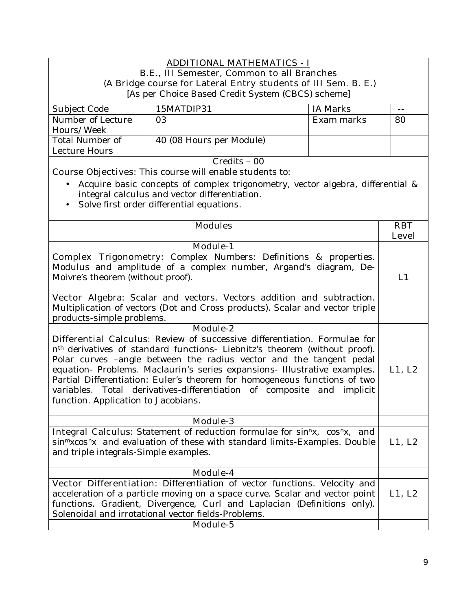#### **ADDITIONAL MATHEMATICS - I B.E., III Semester, Common to all Branches (A Bridge course for Lateral Entry students of III Sem. B. E.)**  [As per Choice Based Credit System (CBCS) scheme] Subject Code 15MATDIP31 1A Marks Number of Lecture Hours/Week 03 Exam marks 80 Total Number of Lecture Hours 40 (08 Hours per Module) Credits – 00 **Course Objectives:** This course will enable students to: • Acquire basic concepts of complex trigonometry, vector algebra, differential & integral calculus and vector differentiation. • Solve first order differential equations. **Modules RBT Level Module-1 Complex Trigonometry**: Complex Numbers: Definitions & properties. Modulus and amplitude of a complex number, Argand's diagram, De-Moivre's theorem (without proof). **Vector Algebra**: Scalar and vectors. Vectors addition and subtraction. Multiplication of vectors (Dot and Cross products). Scalar and vector triple products-simple problems. **L1 Module-2 Differential Calculus**: Review of successive differentiation. Formulae for nth derivatives of standard functions- Liebnitz's theorem (without proof). Polar curves –angle between the radius vector and the tangent pedal equation- Problems. Maclaurin's series expansions- Illustrative examples. Partial Differentiation: Euler's theorem for homogeneous functions of two variables. Total derivatives-differentiation of composite and implicit function. Application to Jacobians. **L1, L2 Module-3 Integral Calculus**: Statement of reduction formulae for *sinnx, cosnx, and sinmxcosnx* and evaluation of these with standard limits-Examples. Double and triple integrals-Simple examples. **L1, L2 Module-4 Vector Differentiation**: Differentiation of vector functions. Velocity and acceleration of a particle moving on a space curve. Scalar and vector point functions. Gradient, Divergence, Curl and Laplacian (Definitions only). Solenoidal and irrotational vector fields-Problems. **L1, L2 Module-5**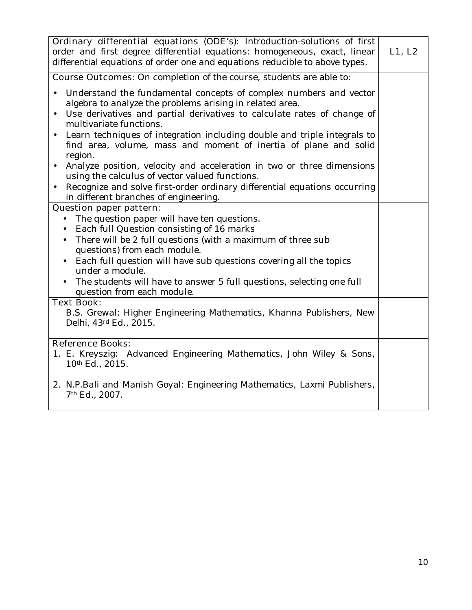| <b>Course Outcomes:</b> On completion of the course, students are able to:<br>Understand the fundamental concepts of complex numbers and vector<br>algebra to analyze the problems arising in related area.<br>Use derivatives and partial derivatives to calculate rates of change of<br>$\bullet$<br>multivariate functions.<br>Learn techniques of integration including double and triple integrals to<br>$\bullet$<br>find area, volume, mass and moment of inertia of plane and solid<br>region.<br>Analyze position, velocity and acceleration in two or three dimensions<br>$\bullet$<br>using the calculus of vector valued functions.<br>Recognize and solve first-order ordinary differential equations occurring<br>in different branches of engineering.<br><b>Question paper pattern:</b><br>The question paper will have ten questions.<br>Each full Question consisting of 16 marks<br>There will be 2 full questions (with a maximum of three sub<br>$\bullet$<br>questions) from each module.<br>Each full question will have sub questions covering all the topics<br>$\bullet$<br>under a module.<br>The students will have to answer 5 full questions, selecting one full<br>question from each module.<br><b>Text Book:</b><br>B.S. Grewal: Higher Engineering Mathematics, Khanna Publishers, New<br>Delhi, 43 <sup>d</sup> Ed., 2015.<br><b>Reference Books:</b><br>1. E. Kreyszig: Advanced Engineering Mathematics, John Wiley & Sons,<br>10th Ed., 2015. | Ordinary differential equations (ODE's): Introduction-solutions of first<br>order and first degree differential equations: homogeneous, exact, linear<br>differential equations of order one and equations reducible to above types. | L1, L2 |
|-------------------------------------------------------------------------------------------------------------------------------------------------------------------------------------------------------------------------------------------------------------------------------------------------------------------------------------------------------------------------------------------------------------------------------------------------------------------------------------------------------------------------------------------------------------------------------------------------------------------------------------------------------------------------------------------------------------------------------------------------------------------------------------------------------------------------------------------------------------------------------------------------------------------------------------------------------------------------------------------------------------------------------------------------------------------------------------------------------------------------------------------------------------------------------------------------------------------------------------------------------------------------------------------------------------------------------------------------------------------------------------------------------------------------------------------------------------------------------------|--------------------------------------------------------------------------------------------------------------------------------------------------------------------------------------------------------------------------------------|--------|
|                                                                                                                                                                                                                                                                                                                                                                                                                                                                                                                                                                                                                                                                                                                                                                                                                                                                                                                                                                                                                                                                                                                                                                                                                                                                                                                                                                                                                                                                                     |                                                                                                                                                                                                                                      |        |
|                                                                                                                                                                                                                                                                                                                                                                                                                                                                                                                                                                                                                                                                                                                                                                                                                                                                                                                                                                                                                                                                                                                                                                                                                                                                                                                                                                                                                                                                                     |                                                                                                                                                                                                                                      |        |
|                                                                                                                                                                                                                                                                                                                                                                                                                                                                                                                                                                                                                                                                                                                                                                                                                                                                                                                                                                                                                                                                                                                                                                                                                                                                                                                                                                                                                                                                                     |                                                                                                                                                                                                                                      |        |
|                                                                                                                                                                                                                                                                                                                                                                                                                                                                                                                                                                                                                                                                                                                                                                                                                                                                                                                                                                                                                                                                                                                                                                                                                                                                                                                                                                                                                                                                                     |                                                                                                                                                                                                                                      |        |
| 7 <sup>th</sup> Ed., 2007.                                                                                                                                                                                                                                                                                                                                                                                                                                                                                                                                                                                                                                                                                                                                                                                                                                                                                                                                                                                                                                                                                                                                                                                                                                                                                                                                                                                                                                                          | 2. N.P.Bali and Manish Goyal: Engineering Mathematics, Laxmi Publishers,                                                                                                                                                             |        |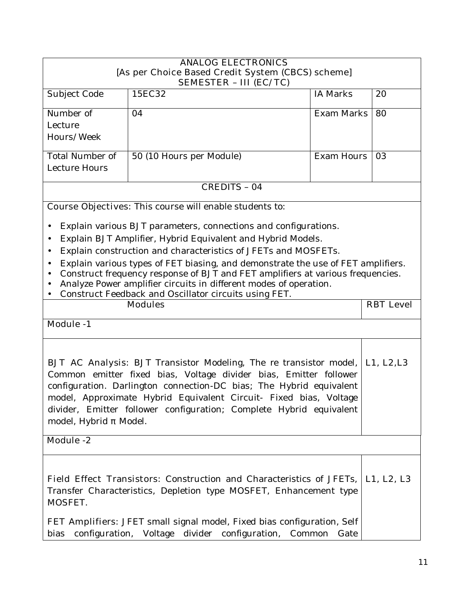| <b>ANALOG ELECTRONICS</b>                                                   |                                                                                            |                   |                  |
|-----------------------------------------------------------------------------|--------------------------------------------------------------------------------------------|-------------------|------------------|
| [As per Choice Based Credit System (CBCS) scheme]                           |                                                                                            |                   |                  |
| <b>SEMESTER - III (EC/TC)</b><br>15EC32<br><b>IA Marks</b><br>20            |                                                                                            |                   |                  |
| Subject Code                                                                |                                                                                            |                   |                  |
| Number of                                                                   | 04                                                                                         | <b>Exam Marks</b> | 80               |
| Lecture                                                                     |                                                                                            |                   |                  |
| Hours/Week                                                                  |                                                                                            |                   |                  |
|                                                                             |                                                                                            |                   |                  |
| <b>Total Number of</b>                                                      | 50 (10 Hours per Module)                                                                   | Exam Hours        | 03               |
| Lecture Hours                                                               |                                                                                            |                   |                  |
|                                                                             | <b>CREDITS - 04</b>                                                                        |                   |                  |
|                                                                             | <b>Course Objectives:</b> This course will enable students to:                             |                   |                  |
|                                                                             |                                                                                            |                   |                  |
|                                                                             | Explain various BJT parameters, connections and configurations.                            |                   |                  |
| $\bullet$                                                                   | Explain BJT Amplifier, Hybrid Equivalent and Hybrid Models.                                |                   |                  |
| $\bullet$                                                                   | Explain construction and characteristics of JFETs and MOSFETs.                             |                   |                  |
| $\bullet$                                                                   | Explain various types of FET biasing, and demonstrate the use of FET amplifiers.           |                   |                  |
| $\bullet$                                                                   | Construct frequency response of BJT and FET amplifiers at various frequencies.             |                   |                  |
|                                                                             | Analyze Power amplifier circuits in different modes of operation.                          |                   |                  |
|                                                                             | Construct Feedback and Oscillator circuits using FET.                                      |                   |                  |
| <b>Modules</b>                                                              |                                                                                            |                   | <b>RBT</b> Level |
| <b>Module -1</b>                                                            |                                                                                            |                   |                  |
|                                                                             |                                                                                            |                   |                  |
|                                                                             |                                                                                            |                   |                  |
|                                                                             | <b>BJT AC Analysis:</b> BJT Transistor Modeling, The re transistor model, <b>L1, L2,L3</b> |                   |                  |
|                                                                             | Common emitter fixed bias, Voltage divider bias, Emitter follower                          |                   |                  |
|                                                                             | configuration. Darlington connection-DC bias; The Hybrid equivalent                        |                   |                  |
|                                                                             | model, Approximate Hybrid Equivalent Circuit- Fixed bias, Voltage                          |                   |                  |
|                                                                             | divider, Emitter follower configuration; Complete Hybrid equivalent                        |                   |                  |
| model, Hybrid<br>Model.                                                     |                                                                                            |                   |                  |
| <b>Module -2</b>                                                            |                                                                                            |                   |                  |
|                                                                             |                                                                                            |                   |                  |
|                                                                             |                                                                                            |                   |                  |
| <b>Field Effect Transistors:</b> Construction and Characteristics of JFETs, |                                                                                            |                   | L1, L2, L3       |
| Transfer Characteristics, Depletion type MOSFET, Enhancement type           |                                                                                            |                   |                  |
| MOSFET.                                                                     |                                                                                            |                   |                  |
|                                                                             |                                                                                            |                   |                  |
|                                                                             | <b>FET Amplifiers:</b> JFET small signal model, Fixed bias configuration, Self             |                   |                  |
|                                                                             | Voltage<br>divider configuration,<br>configuration,<br>Common<br>bias<br>Gate              |                   |                  |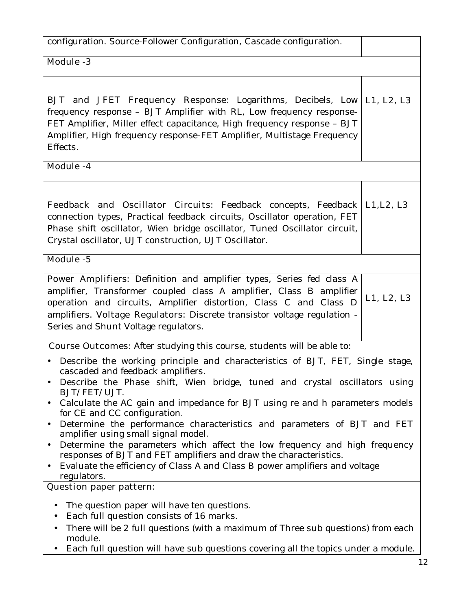| configuration. Source-Follower Configuration, Cascade configuration.                                                                                                                                                                                                                                                                                                                                                                                                                                                                                                                                                                                                                                                                       |            |
|--------------------------------------------------------------------------------------------------------------------------------------------------------------------------------------------------------------------------------------------------------------------------------------------------------------------------------------------------------------------------------------------------------------------------------------------------------------------------------------------------------------------------------------------------------------------------------------------------------------------------------------------------------------------------------------------------------------------------------------------|------------|
| <b>Module -3</b>                                                                                                                                                                                                                                                                                                                                                                                                                                                                                                                                                                                                                                                                                                                           |            |
| <b>BJT</b> and JFET Frequency Response: Logarithms, Decibels, Low   L1, L2, L3<br>frequency response - BJT Amplifier with RL, Low frequency response-<br>FET Amplifier, Miller effect capacitance, High frequency response - BJT<br>Amplifier, High frequency response-FET Amplifier, Multistage Frequency<br>Effects.                                                                                                                                                                                                                                                                                                                                                                                                                     |            |
| Module -4                                                                                                                                                                                                                                                                                                                                                                                                                                                                                                                                                                                                                                                                                                                                  |            |
| <b>Feedback and Oscillator Circuits:</b> Feedback concepts, Feedback   L1, L2, L3<br>connection types, Practical feedback circuits, Oscillator operation, FET<br>Phase shift oscillator, Wien bridge oscillator, Tuned Oscillator circuit,<br>Crystal oscillator, UJT construction, UJT Oscillator.                                                                                                                                                                                                                                                                                                                                                                                                                                        |            |
| Module -5                                                                                                                                                                                                                                                                                                                                                                                                                                                                                                                                                                                                                                                                                                                                  |            |
| Power Amplifiers: Definition and amplifier types, Series fed class A<br>amplifier, Transformer coupled class A amplifier, Class B amplifier<br>operation and circuits, Amplifier distortion, Class C and Class D<br>amplifiers. Voltage Regulators: Discrete transistor voltage regulation -<br>Series and Shunt Voltage regulators.                                                                                                                                                                                                                                                                                                                                                                                                       | L1, L2, L3 |
| <b>Course Outcomes:</b> After studying this course, students will be able to:                                                                                                                                                                                                                                                                                                                                                                                                                                                                                                                                                                                                                                                              |            |
| Describe the working principle and characteristics of BJT, FET, Single stage,<br>cascaded and feedback amplifiers.<br>Describe the Phase shift, Wien bridge, tuned and crystal oscillators using<br>BJT/FET/UJT.<br>Calculate the AC gain and impedance for BJT using re and h parameters models<br>for CE and CC configuration.<br>Determine the performance characteristics and parameters of BJT and FET<br>$\bullet$<br>amplifier using small signal model.<br>Determine the parameters which affect the low frequency and high frequency<br>$\bullet$<br>responses of BJT and FET amplifiers and draw the characteristics.<br>Evaluate the efficiency of Class A and Class B power amplifiers and voltage<br>$\bullet$<br>regulators. |            |
| <b>Question paper pattern:</b>                                                                                                                                                                                                                                                                                                                                                                                                                                                                                                                                                                                                                                                                                                             |            |
| The question paper will have ten questions.<br>$\bullet$<br>Each full question consists of 16 marks.<br>$\bullet$<br>There will be 2 full questions (with a maximum of Three sub questions) from each<br>$\bullet$<br>module.<br>Each full question will have sub questions covering all the topics under a module.                                                                                                                                                                                                                                                                                                                                                                                                                        |            |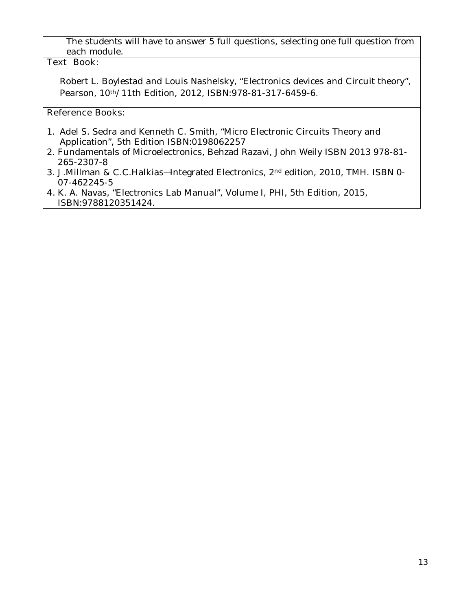The students will have to answer 5 full questions, selecting one full question from each module.

### **Text Book:**

Robert L. Boylestad and Louis Nashelsky, "Electronics devices and Circuit theory", Pearson, 10th/11th Edition, 2012, ISBN:978-81-317-6459-6.

- 1. Adel S. Sedra and Kenneth C. Smith, "Micro Electronic Circuits Theory and Application", 5th Edition ISBN:0198062257
- 2. Fundamentals of Microelectronics, Behzad Razavi, John Weily ISBN 2013 978-81- 265-2307-8
- 3. J.Millman & C.C.Halkias Integrated Electronics, 2<sup>nd</sup> edition, 2010, TMH. ISBN 0-07-462245-5
- **4.** K. A. Navas, "Electronics Lab Manual", Volume I, PHI, 5th Edition, 2015, ISBN:9788120351424.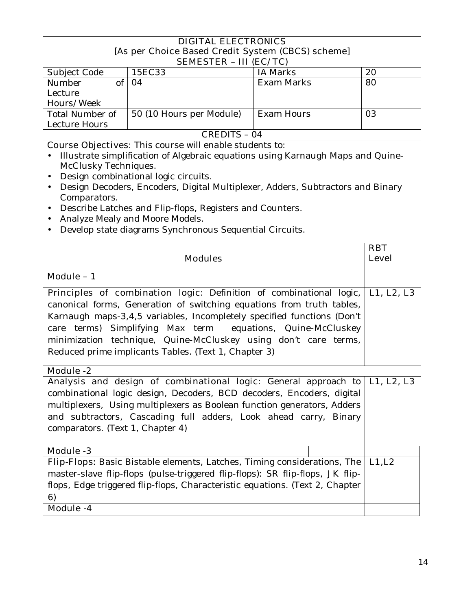| <b>DIGITAL ELECTRONICS</b>                                                                                                                                                                                                                                                                                                                 |                                                                                                                                                                                                                                                                                                                                                                                                                  |                            |            |
|--------------------------------------------------------------------------------------------------------------------------------------------------------------------------------------------------------------------------------------------------------------------------------------------------------------------------------------------|------------------------------------------------------------------------------------------------------------------------------------------------------------------------------------------------------------------------------------------------------------------------------------------------------------------------------------------------------------------------------------------------------------------|----------------------------|------------|
| [As per Choice Based Credit System (CBCS) scheme]<br><b>SEMESTER - III (EC/TC)</b>                                                                                                                                                                                                                                                         |                                                                                                                                                                                                                                                                                                                                                                                                                  |                            |            |
| Subject Code                                                                                                                                                                                                                                                                                                                               | 15EC33                                                                                                                                                                                                                                                                                                                                                                                                           | <b>IA Marks</b>            | 20         |
| $\overline{\text{of}}$<br>Number                                                                                                                                                                                                                                                                                                           | 04                                                                                                                                                                                                                                                                                                                                                                                                               | <b>Exam Marks</b>          | 80         |
| Lecture                                                                                                                                                                                                                                                                                                                                    |                                                                                                                                                                                                                                                                                                                                                                                                                  |                            |            |
| Hours/Week                                                                                                                                                                                                                                                                                                                                 |                                                                                                                                                                                                                                                                                                                                                                                                                  |                            |            |
| <b>Total Number of</b>                                                                                                                                                                                                                                                                                                                     | 50 (10 Hours per Module)                                                                                                                                                                                                                                                                                                                                                                                         | Exam Hours                 | 03         |
| <b>Lecture Hours</b>                                                                                                                                                                                                                                                                                                                       | <b>CREDITS - 04</b>                                                                                                                                                                                                                                                                                                                                                                                              |                            |            |
| McClusky Techniques.<br>$\bullet$<br>$\bullet$                                                                                                                                                                                                                                                                                             | <b>Course Objectives:</b> This course will enable students to:<br>Illustrate simplification of Algebraic equations using Karnaugh Maps and Quine-<br>Design combinational logic circuits.                                                                                                                                                                                                                        |                            |            |
| Comparators.<br>$\bullet$<br>٠                                                                                                                                                                                                                                                                                                             | Design Decoders, Encoders, Digital Multiplexer, Adders, Subtractors and Binary<br>Describe Latches and Flip-flops, Registers and Counters.<br>Analyze Mealy and Moore Models.<br>Develop state diagrams Synchronous Sequential Circuits.                                                                                                                                                                         |                            |            |
| <b>Modules</b>                                                                                                                                                                                                                                                                                                                             |                                                                                                                                                                                                                                                                                                                                                                                                                  | <b>RBT</b><br><b>Level</b> |            |
| Module - 1                                                                                                                                                                                                                                                                                                                                 |                                                                                                                                                                                                                                                                                                                                                                                                                  |                            |            |
| <b>Module -2</b>                                                                                                                                                                                                                                                                                                                           | Principles of combination logic: Definition of combinational logic,<br>canonical forms, Generation of switching equations from truth tables,<br>Karnaugh maps-3,4,5 variables, Incompletely specified functions (Don't<br>care terms) Simplifying Max term equations, Quine-McCluskey<br>minimization technique, Quine-McCluskey using don't care terms,<br>Reduced prime implicants Tables. (Text 1, Chapter 3) |                            | L1, L2, L3 |
| Analysis and design of combinational logic: General approach to $ $ L1, L2, L3<br>combinational logic design, Decoders, BCD decoders, Encoders, digital<br>multiplexers, Using multiplexers as Boolean function generators, Adders<br>and subtractors, Cascading full adders, Look ahead carry, Binary<br>comparators. (Text 1, Chapter 4) |                                                                                                                                                                                                                                                                                                                                                                                                                  |                            |            |
| Module -3                                                                                                                                                                                                                                                                                                                                  |                                                                                                                                                                                                                                                                                                                                                                                                                  |                            |            |
| 6)<br>Module -4                                                                                                                                                                                                                                                                                                                            | Flip-Flops: Basic Bistable elements, Latches, Timing considerations, The<br>master-slave flip-flops (pulse-triggered flip-flops): SR flip-flops, JK flip-<br>flops, Edge triggered flip-flops, Characteristic equations. (Text 2, Chapter                                                                                                                                                                        |                            | L1, L2     |
|                                                                                                                                                                                                                                                                                                                                            |                                                                                                                                                                                                                                                                                                                                                                                                                  |                            |            |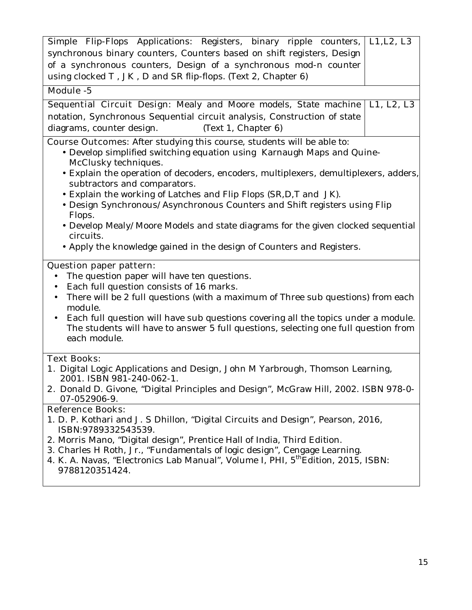| Simple Flip-Flops Applications: Registers, binary ripple counters, L1,L2, L3                                                                                                                                                                                                                                                                                                                                                                                                                                                                                                                                                                   |            |
|------------------------------------------------------------------------------------------------------------------------------------------------------------------------------------------------------------------------------------------------------------------------------------------------------------------------------------------------------------------------------------------------------------------------------------------------------------------------------------------------------------------------------------------------------------------------------------------------------------------------------------------------|------------|
| synchronous binary counters, Counters based on shift registers, Design                                                                                                                                                                                                                                                                                                                                                                                                                                                                                                                                                                         |            |
| of a synchronous counters, Design of a synchronous mod-n counter                                                                                                                                                                                                                                                                                                                                                                                                                                                                                                                                                                               |            |
| using clocked T, JK, D and SR flip-flops. (Text 2, Chapter 6)                                                                                                                                                                                                                                                                                                                                                                                                                                                                                                                                                                                  |            |
| Module -5                                                                                                                                                                                                                                                                                                                                                                                                                                                                                                                                                                                                                                      |            |
| Sequential Circuit Design: Mealy and Moore models, State machine                                                                                                                                                                                                                                                                                                                                                                                                                                                                                                                                                                               | L1, L2, L3 |
| notation, Synchronous Sequential circuit analysis, Construction of state                                                                                                                                                                                                                                                                                                                                                                                                                                                                                                                                                                       |            |
| diagrams, counter design.<br>(Text 1, Chapter 6)                                                                                                                                                                                                                                                                                                                                                                                                                                                                                                                                                                                               |            |
| <b>Course Outcomes:</b> After studying this course, students will be able to:<br>• Develop simplified switching equation using Karnaugh Maps and Quine-<br>McClusky techniques.<br>• Explain the operation of decoders, encoders, multiplexers, demultiplexers, adders,<br>subtractors and comparators.<br>• Explain the working of Latches and Flip Flops (SR, D, T and JK).<br>• Design Synchronous/Asynchronous Counters and Shift registers using Flip<br>Flops.<br>• Develop Mealy/Moore Models and state diagrams for the given clocked sequential<br>circuits.<br>• Apply the knowledge gained in the design of Counters and Registers. |            |
| <b>Question paper pattern:</b><br>The question paper will have ten questions.<br>$\bullet$<br>Each full question consists of 16 marks.<br>$\bullet$<br>There will be 2 full questions (with a maximum of Three sub questions) from each<br>$\bullet$<br>module.<br>Each full question will have sub questions covering all the topics under a module.<br>$\bullet$<br>The students will have to answer 5 full questions, selecting one full question from<br>each module.                                                                                                                                                                      |            |
| <b>Text Books:</b>                                                                                                                                                                                                                                                                                                                                                                                                                                                                                                                                                                                                                             |            |
| 1. Digital Logic Applications and Design, John M Yarbrough, Thomson Learning,                                                                                                                                                                                                                                                                                                                                                                                                                                                                                                                                                                  |            |
| 2001. ISBN 981-240-062-1.<br>2. Donald D. Givone, "Digital Principles and Design", McGraw Hill, 2002. ISBN 978-0-<br>07-052906-9.                                                                                                                                                                                                                                                                                                                                                                                                                                                                                                              |            |
| <b>Reference Books:</b>                                                                                                                                                                                                                                                                                                                                                                                                                                                                                                                                                                                                                        |            |
| 1. D. P. Kothari and J. S Dhillon, "Digital Circuits and Design", Pearson, 2016,                                                                                                                                                                                                                                                                                                                                                                                                                                                                                                                                                               |            |
| ISBN:9789332543539.                                                                                                                                                                                                                                                                                                                                                                                                                                                                                                                                                                                                                            |            |
| 3. Charles H Roth, Jr., "Fundamentals of logic design", Cengage Learning.<br>4. K. A. Navas, "Electronics Lab Manual", Volume I, PHI, 5 <sup>th</sup> Edition, 2015, ISBN:<br>9788120351424.                                                                                                                                                                                                                                                                                                                                                                                                                                                   |            |
| 2. Morris Mano, "Digital design", Prentice Hall of India, Third Edition.                                                                                                                                                                                                                                                                                                                                                                                                                                                                                                                                                                       |            |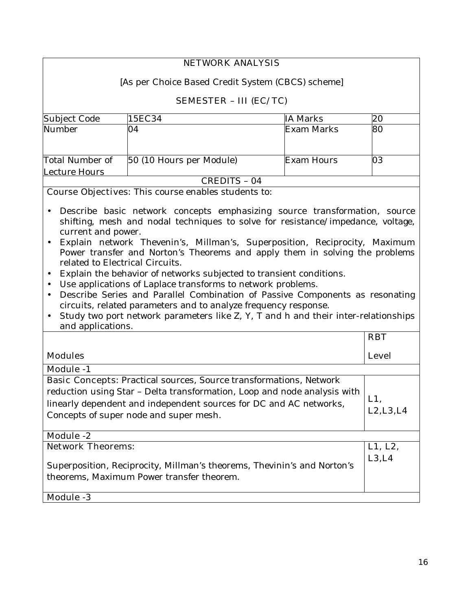| <b>NETWORK ANALYSIS</b>                                                                                                                                                                                                                                                                                                                                                                                                                                                                                                                                                                                                                                                                                                                                                                                                                                 |                                                                                                                      |                   |                   |
|---------------------------------------------------------------------------------------------------------------------------------------------------------------------------------------------------------------------------------------------------------------------------------------------------------------------------------------------------------------------------------------------------------------------------------------------------------------------------------------------------------------------------------------------------------------------------------------------------------------------------------------------------------------------------------------------------------------------------------------------------------------------------------------------------------------------------------------------------------|----------------------------------------------------------------------------------------------------------------------|-------------------|-------------------|
|                                                                                                                                                                                                                                                                                                                                                                                                                                                                                                                                                                                                                                                                                                                                                                                                                                                         |                                                                                                                      |                   |                   |
| [As per Choice Based Credit System (CBCS) scheme]                                                                                                                                                                                                                                                                                                                                                                                                                                                                                                                                                                                                                                                                                                                                                                                                       |                                                                                                                      |                   |                   |
|                                                                                                                                                                                                                                                                                                                                                                                                                                                                                                                                                                                                                                                                                                                                                                                                                                                         | <b>SEMESTER - III (EC/TC)</b>                                                                                        |                   |                   |
| Subject Code                                                                                                                                                                                                                                                                                                                                                                                                                                                                                                                                                                                                                                                                                                                                                                                                                                            | 15EC34                                                                                                               | <b>IA Marks</b>   | 20                |
| Number                                                                                                                                                                                                                                                                                                                                                                                                                                                                                                                                                                                                                                                                                                                                                                                                                                                  | 04                                                                                                                   | Exam Marks        | 80                |
| Total Number of                                                                                                                                                                                                                                                                                                                                                                                                                                                                                                                                                                                                                                                                                                                                                                                                                                         | 50 (10 Hours per Module)                                                                                             | <b>Exam Hours</b> | 03                |
| <b>Lecture Hours</b>                                                                                                                                                                                                                                                                                                                                                                                                                                                                                                                                                                                                                                                                                                                                                                                                                                    |                                                                                                                      |                   |                   |
|                                                                                                                                                                                                                                                                                                                                                                                                                                                                                                                                                                                                                                                                                                                                                                                                                                                         | CREDITS - 04                                                                                                         |                   |                   |
|                                                                                                                                                                                                                                                                                                                                                                                                                                                                                                                                                                                                                                                                                                                                                                                                                                                         | <b>Course Objectives:</b> This course enables students to:                                                           |                   |                   |
| Describe basic network concepts emphasizing source transformation, source<br>shifting, mesh and nodal techniques to solve for resistance/impedance, voltage,<br>current and power.<br>Explain network Thevenin's, Millman's, Superposition, Reciprocity, Maximum<br>$\bullet$<br>Power transfer and Norton's Theorems and apply them in solving the problems<br>related to Electrical Circuits.<br>Explain the behavior of networks subjected to transient conditions.<br>$\bullet$<br>Use applications of Laplace transforms to network problems.<br>$\bullet$<br>Describe Series and Parallel Combination of Passive Components as resonating<br>$\bullet$<br>circuits, related parameters and to analyze frequency response.<br>Study two port network parameters like Z, Y, T and h and their inter-relationships<br>$\bullet$<br>and applications. |                                                                                                                      |                   |                   |
|                                                                                                                                                                                                                                                                                                                                                                                                                                                                                                                                                                                                                                                                                                                                                                                                                                                         | <b>RBT</b>                                                                                                           |                   |                   |
| <b>Modules</b>                                                                                                                                                                                                                                                                                                                                                                                                                                                                                                                                                                                                                                                                                                                                                                                                                                          |                                                                                                                      |                   | <b>Level</b>      |
| <b>Module -1</b>                                                                                                                                                                                                                                                                                                                                                                                                                                                                                                                                                                                                                                                                                                                                                                                                                                        |                                                                                                                      |                   |                   |
| <b>Basic Concepts:</b> Practical sources, Source transformations, Network<br>reduction using Star - Delta transformation, Loop and node analysis with<br>L1,<br>linearly dependent and independent sources for DC and AC networks,<br>L2, L3, L4<br>Concepts of super node and super mesh.                                                                                                                                                                                                                                                                                                                                                                                                                                                                                                                                                              |                                                                                                                      |                   |                   |
| <b>Module -2</b>                                                                                                                                                                                                                                                                                                                                                                                                                                                                                                                                                                                                                                                                                                                                                                                                                                        |                                                                                                                      |                   |                   |
| <b>Network Theorems:</b>                                                                                                                                                                                                                                                                                                                                                                                                                                                                                                                                                                                                                                                                                                                                                                                                                                | Superposition, Reciprocity, Millman's theorems, Thevinin's and Norton's<br>theorems, Maximum Power transfer theorem. |                   | L1, L2,<br>L3, L4 |
| <b>Module -3</b>                                                                                                                                                                                                                                                                                                                                                                                                                                                                                                                                                                                                                                                                                                                                                                                                                                        |                                                                                                                      |                   |                   |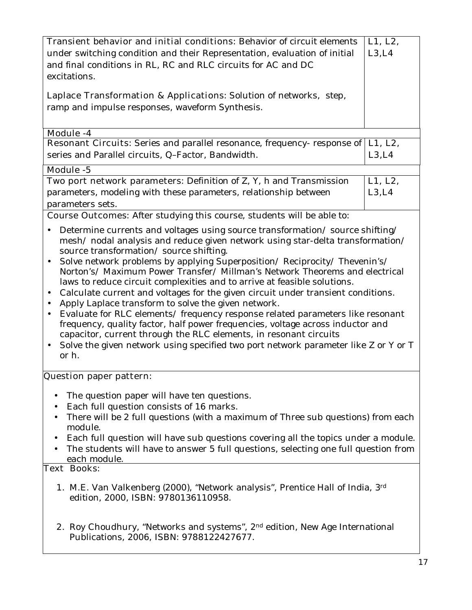| <b>Transient behavior and initial conditions:</b> Behavior of circuit elements<br>under switching condition and their Representation, evaluation of initial<br>and final conditions in RL, RC and RLC circuits for AC and DC<br>excitations.<br>Laplace Transformation & Applications: Solution of networks, step,<br>ramp and impulse responses, waveform Synthesis.<br>Module -4                                                                                                                                                                                                                                                                                                                                                                                                                                                                                                                                                                                                        |                   |  |
|-------------------------------------------------------------------------------------------------------------------------------------------------------------------------------------------------------------------------------------------------------------------------------------------------------------------------------------------------------------------------------------------------------------------------------------------------------------------------------------------------------------------------------------------------------------------------------------------------------------------------------------------------------------------------------------------------------------------------------------------------------------------------------------------------------------------------------------------------------------------------------------------------------------------------------------------------------------------------------------------|-------------------|--|
| Resonant Circuits: Series and parallel resonance, frequency- response of<br>series and Parallel circuits, Q-Factor, Bandwidth.                                                                                                                                                                                                                                                                                                                                                                                                                                                                                                                                                                                                                                                                                                                                                                                                                                                            | L1, L2,<br>L3, L4 |  |
| Module -5                                                                                                                                                                                                                                                                                                                                                                                                                                                                                                                                                                                                                                                                                                                                                                                                                                                                                                                                                                                 |                   |  |
| Two port network parameters: Definition of Z, Y, h and Transmission<br>parameters, modeling with these parameters, relationship between<br>parameters sets.                                                                                                                                                                                                                                                                                                                                                                                                                                                                                                                                                                                                                                                                                                                                                                                                                               | L1, L2,<br>L3, L4 |  |
| <b>Course Outcomes:</b> After studying this course, students will be able to:                                                                                                                                                                                                                                                                                                                                                                                                                                                                                                                                                                                                                                                                                                                                                                                                                                                                                                             |                   |  |
| Determine currents and voltages using source transformation/source shifting/<br>$\bullet$<br>mesh/ nodal analysis and reduce given network using star-delta transformation/<br>source transformation/source shifting.<br>Solve network problems by applying Superposition/ Reciprocity/ Thevenin's/<br>Norton's/ Maximum Power Transfer/ Millman's Network Theorems and electrical<br>laws to reduce circuit complexities and to arrive at feasible solutions.<br>Calculate current and voltages for the given circuit under transient conditions.<br>$\bullet$<br>Apply Laplace transform to solve the given network.<br>$\bullet$<br>Evaluate for RLC elements/ frequency response related parameters like resonant<br>$\bullet$<br>frequency, quality factor, half power frequencies, voltage across inductor and<br>capacitor, current through the RLC elements, in resonant circuits<br>Solve the given network using specified two port network parameter like Z or Y or T<br>or h. |                   |  |
| Question paper pattern:                                                                                                                                                                                                                                                                                                                                                                                                                                                                                                                                                                                                                                                                                                                                                                                                                                                                                                                                                                   |                   |  |
| The question paper will have ten questions.<br>$\bullet$<br>Each full question consists of 16 marks.<br>$\bullet$<br>There will be 2 full questions (with a maximum of Three sub questions) from each<br>module.<br>Each full question will have sub questions covering all the topics under a module.<br>The students will have to answer 5 full questions, selecting one full question from<br><u>each module.</u><br><b>Text Books:</b>                                                                                                                                                                                                                                                                                                                                                                                                                                                                                                                                                |                   |  |
| 1. M.E. Van Valkenberg (2000), "Network analysis", Prentice Hall of India, 3rd<br>edition, 2000, ISBN: 9780136110958.                                                                                                                                                                                                                                                                                                                                                                                                                                                                                                                                                                                                                                                                                                                                                                                                                                                                     |                   |  |
| 2. Roy Choudhury, "Networks and systems", 2 <sup>nd</sup> edition, New Age International<br>Publications, 2006, ISBN: 9788122427677.                                                                                                                                                                                                                                                                                                                                                                                                                                                                                                                                                                                                                                                                                                                                                                                                                                                      |                   |  |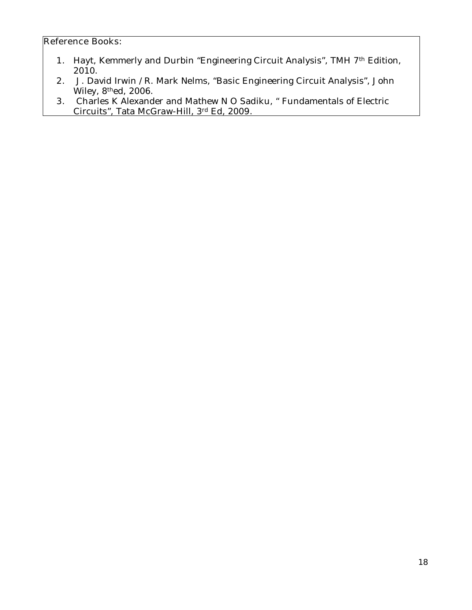- **1.** Hayt, Kemmerly and Durbin "Engineering Circuit Analysis", TMH 7th Edition, 2010.
- **2.** J. David Irwin /R. Mark Nelms, "Basic Engineering Circuit Analysis", John Wiley, 8thed, 2006.
- **3.** Charles K Alexander and Mathew N O Sadiku, " Fundamentals of Electric Circuits", Tata McGraw-Hill, 3rd Ed, 2009.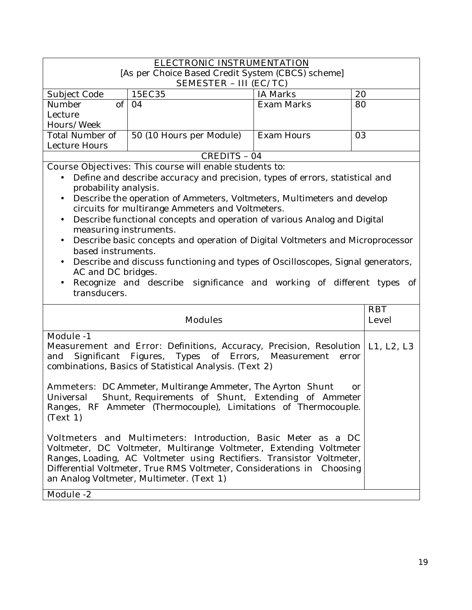| [As per Choice Based Credit System (CBCS) scheme]                                                     |                            |  |  |
|-------------------------------------------------------------------------------------------------------|----------------------------|--|--|
|                                                                                                       | ELECTRONIC INSTRUMENTATION |  |  |
|                                                                                                       |                            |  |  |
| <b>SEMESTER - III (EC/TC)</b>                                                                         |                            |  |  |
| 15EC35<br><b>IA Marks</b><br>Subject Code<br>20<br>of<br>Number<br>04                                 |                            |  |  |
| Exam Marks<br>80                                                                                      |                            |  |  |
| Lecture                                                                                               |                            |  |  |
| Hours/Week<br><b>Total Number of</b>                                                                  |                            |  |  |
| 50 (10 Hours per Module)<br><b>Exam Hours</b><br>03                                                   |                            |  |  |
| Lecture Hours<br><b>CREDITS - 04</b>                                                                  |                            |  |  |
| <b>Course Objectives:</b> This course will enable students to:                                        |                            |  |  |
|                                                                                                       |                            |  |  |
| Define and describe accuracy and precision, types of errors, statistical and<br>probability analysis. |                            |  |  |
| Describe the operation of Ammeters, Voltmeters, Multimeters and develop<br>$\bullet$                  |                            |  |  |
| circuits for multirange Ammeters and Voltmeters.                                                      |                            |  |  |
| Describe functional concepts and operation of various Analog and Digital<br>$\bullet$                 |                            |  |  |
| measuring instruments.                                                                                |                            |  |  |
| Describe basic concepts and operation of Digital Voltmeters and Microprocessor<br>$\bullet$           |                            |  |  |
| based instruments.                                                                                    |                            |  |  |
| Describe and discuss functioning and types of Oscilloscopes, Signal generators,                       |                            |  |  |
| AC and DC bridges.                                                                                    |                            |  |  |
| Recognize and describe significance and working of different types of                                 |                            |  |  |
| transducers.                                                                                          |                            |  |  |
|                                                                                                       |                            |  |  |
| <b>RBT</b><br><b>Modules</b><br><b>Level</b>                                                          |                            |  |  |
|                                                                                                       |                            |  |  |
| <b>Module -1</b>                                                                                      |                            |  |  |
| <b>Measurement and Error:</b> Definitions, Accuracy, Precision, Resolution<br>L1, L2, L3              |                            |  |  |
| Significant Figures, Types of Errors, Measurement<br>and<br>error                                     |                            |  |  |
| combinations, Basics of Statistical Analysis. (Text 2)                                                |                            |  |  |
|                                                                                                       |                            |  |  |
| <b>Ammeters:</b> DC Ammeter, Multirange Ammeter, The Ayrton Shunt<br><sub>or</sub>                    |                            |  |  |
| Shunt, Requirements of Shunt, Extending of Ammeter<br>Universal                                       |                            |  |  |
| Ranges, RF Ammeter (Thermocouple), Limitations of Thermocouple.                                       |                            |  |  |
| (Text 1)                                                                                              |                            |  |  |
|                                                                                                       |                            |  |  |
|                                                                                                       |                            |  |  |
| <b>Voltmeters and Multimeters:</b> Introduction, Basic Meter as a DC                                  |                            |  |  |
| Voltmeter, DC Voltmeter, Multirange Voltmeter, Extending Voltmeter                                    |                            |  |  |
| Ranges, Loading, AC Voltmeter using Rectifiers. Transistor Voltmeter,                                 |                            |  |  |
| Differential Voltmeter, True RMS Voltmeter, Considerations in Choosing                                |                            |  |  |
| an Analog Voltmeter, Multimeter. (Text 1)                                                             |                            |  |  |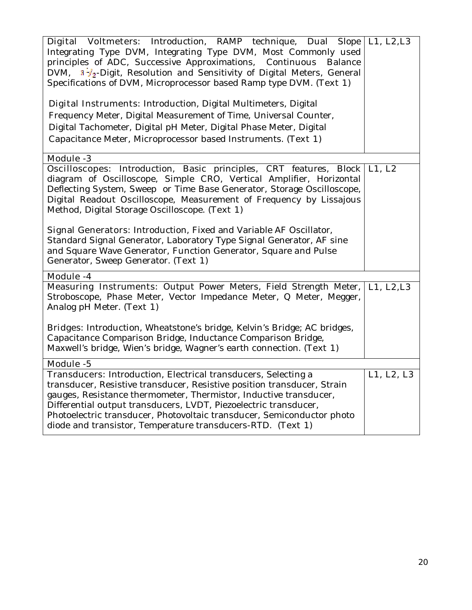| Digital Voltmeters: Introduction, RAMP technique, Dual Slope L1, L2, L3<br>Integrating Type DVM, Integrating Type DVM, Most Commonly used<br>principles of ADC, Successive Approximations, Continuous<br>Balance<br>DVM, $3\frac{1}{2}$ -Digit, Resolution and Sensitivity of Digital Meters, General<br>Specifications of DVM, Microprocessor based Ramp type DVM. (Text 1)<br><b>Digital Instruments:</b> Introduction, Digital Multimeters, Digital<br>Frequency Meter, Digital Measurement of Time, Universal Counter,<br>Digital Tachometer, Digital pH Meter, Digital Phase Meter, Digital<br>Capacitance Meter, Microprocessor based Instruments. (Text 1) |            |
|-------------------------------------------------------------------------------------------------------------------------------------------------------------------------------------------------------------------------------------------------------------------------------------------------------------------------------------------------------------------------------------------------------------------------------------------------------------------------------------------------------------------------------------------------------------------------------------------------------------------------------------------------------------------|------------|
| <b>Module -3</b>                                                                                                                                                                                                                                                                                                                                                                                                                                                                                                                                                                                                                                                  |            |
| <b>Oscilloscopes:</b> Introduction, Basic principles, CRT features, Block   L1, L2<br>diagram of Oscilloscope, Simple CRO, Vertical Amplifier, Horizontal<br>Deflecting System, Sweep or Time Base Generator, Storage Oscilloscope,<br>Digital Readout Oscilloscope, Measurement of Frequency by Lissajous<br>Method, Digital Storage Oscilloscope. (Text 1)                                                                                                                                                                                                                                                                                                      |            |
| Signal Generators: Introduction, Fixed and Variable AF Oscillator,<br>Standard Signal Generator, Laboratory Type Signal Generator, AF sine<br>and Square Wave Generator, Function Generator, Square and Pulse<br>Generator, Sweep Generator. (Text 1)                                                                                                                                                                                                                                                                                                                                                                                                             |            |
| Module -4                                                                                                                                                                                                                                                                                                                                                                                                                                                                                                                                                                                                                                                         |            |
| Measuring Instruments: Output Power Meters, Field Strength Meter,<br>Stroboscope, Phase Meter, Vector Impedance Meter, Q Meter, Megger,<br>Analog pH Meter. (Text 1)<br>Bridges: Introduction, Wheatstone's bridge, Kelvin's Bridge; AC bridges,<br>Capacitance Comparison Bridge, Inductance Comparison Bridge,<br>Maxwell's bridge, Wien's bridge, Wagner's earth connection. (Text 1)                                                                                                                                                                                                                                                                          | L1, L2, L3 |
| Module -5                                                                                                                                                                                                                                                                                                                                                                                                                                                                                                                                                                                                                                                         |            |
| <b>Transducers:</b> Introduction, Electrical transducers, Selecting a<br>transducer, Resistive transducer, Resistive position transducer, Strain<br>gauges, Resistance thermometer, Thermistor, Inductive transducer,<br>Differential output transducers, LVDT, Piezoelectric transducer,<br>Photoelectric transducer, Photovoltaic transducer, Semiconductor photo<br>diode and transistor, Temperature transducers-RTD. (Text 1)                                                                                                                                                                                                                                | L1, L2, L3 |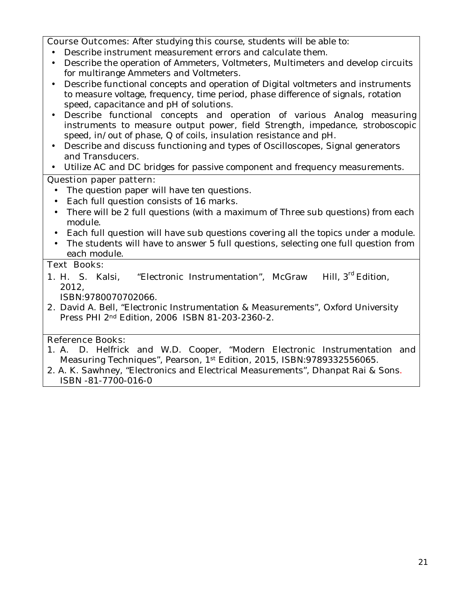**Course Outcomes:** After studying this course, students will be able to:

- Describe instrument measurement errors and calculate them.
- Describe the operation of Ammeters, Voltmeters, Multimeters and develop circuits for multirange Ammeters and Voltmeters.
- Describe functional concepts and operation of Digital voltmeters and instruments to measure voltage, frequency, time period, phase difference of signals, rotation speed, capacitance and pH of solutions.
- Describe functional concepts and operation of various Analog measuring instruments to measure output power, field Strength, impedance, stroboscopic speed, in/out of phase, Q of coils, insulation resistance and pH.
- Describe and discuss functioning and types of Oscilloscopes, Signal generators and Transducers.
- Utilize AC and DC bridges for passive component and frequency measurements.

### **Question paper pattern:**

- The question paper will have ten questions.
- Each full question consists of 16 marks.
- There will be 2 full questions (with a maximum of Three sub questions) from each module.
- Each full question will have sub questions covering all the topics under a module.
- The students will have to answer 5 full questions, selecting one full question from each module.

### **Text Books:**

**1.** H. S. Kalsi, "Electronic Instrumentation", McGraw Hill, 3<sup>rd</sup> Edition. 2012,

ISBN:9780070702066.

**2.** David A. Bell, "Electronic Instrumentation & Measurements", Oxford University Press PHI 2nd Edition, 2006 ISBN 81-203-2360-2.

- 1. A. D. Helfrick and W.D. Cooper, "Modern Electronic Instrumentation and Measuring Techniques", Pearson, 1st Edition, 2015, ISBN:9789332556065.
- 2. A. K. Sawhney, "Electronics and Electrical Measurements", Dhanpat Rai & Sons. ISBN -81-7700-016-0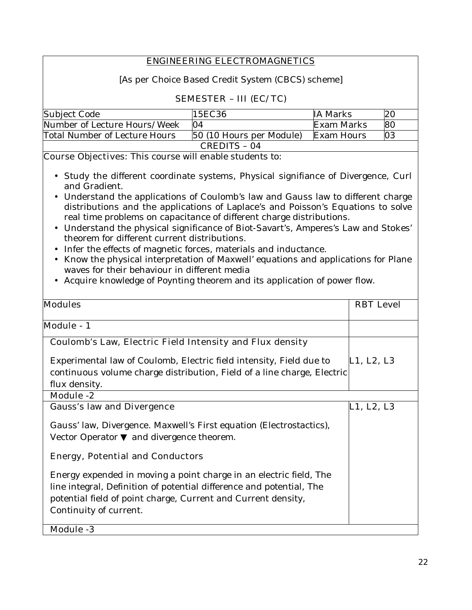### **ENGINEERING ELECTROMAGNETICS**

[As per Choice Based Credit System (CBCS) scheme]

### **SEMESTER – III (EC/TC)**

| Subject Code                  | 15EC36                   | IA Marks   | 20 |
|-------------------------------|--------------------------|------------|----|
| Number of Lecture Hours/Week  | $\Omega$                 | Exam Marks | 80 |
| Total Number of Lecture Hours | 50 (10 Hours per Module) | Exam Hours | 03 |
|                               | CREDITS - 04             |            |    |

**Course Objectives:** This course will enable students to:

- Study the different coordinate systems, Physical signifiance of Divergence, Curl and Gradient.
- Understand the applications of Coulomb's law and Gauss law to different charge distributions and the applications of Laplace's and Poisson's Equations to solve real time problems on capacitance of different charge distributions.
- Understand the physical significance of Biot-Savart's, Amperes's Law and Stokes' theorem for different current distributions.
- Infer the effects of magnetic forces, materials and inductance.
- Know the physical interpretation of Maxwell' equations and applications for Plane waves for their behaviour in different media
- Acquire knowledge of Poynting theorem and its application of power flow.

| <b>Modules</b>                                                                                                                                                                                                                        | <b>RBT</b> Level |
|---------------------------------------------------------------------------------------------------------------------------------------------------------------------------------------------------------------------------------------|------------------|
| <b>Module</b> - 1                                                                                                                                                                                                                     |                  |
| Coulomb's Law, Electric Field Intensity and Flux density                                                                                                                                                                              |                  |
| Experimental law of Coulomb, Electric field intensity, Field due to<br>continuous volume charge distribution, Field of a line charge, Electric<br>flux density.                                                                       | L1, L2, L3       |
| <b>Module -2</b>                                                                                                                                                                                                                      |                  |
| <b>Gauss's law and Divergence</b>                                                                                                                                                                                                     | L1, L2, L3       |
| Gauss' law, Divergence. Maxwell's First equation (Electrostactics),<br>Vector Operator and divergence theorem.                                                                                                                        |                  |
| <b>Energy, Potential and Conductors</b>                                                                                                                                                                                               |                  |
| Energy expended in moving a point charge in an electric field, The<br>line integral, Definition of potential difference and potential, The<br>potential field of point charge, Current and Current density,<br>Continuity of current. |                  |
| <b>Module -3</b>                                                                                                                                                                                                                      |                  |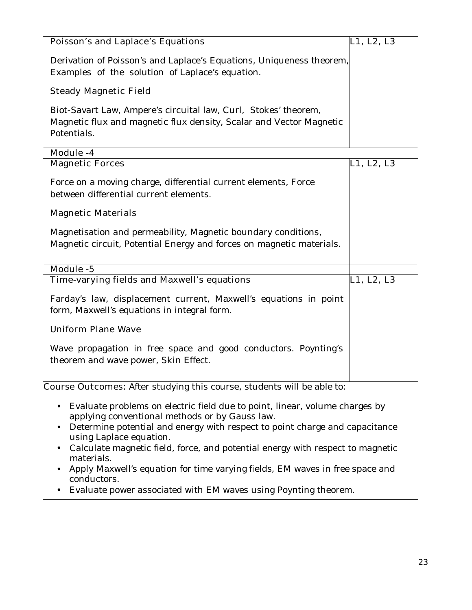| <b>Poisson's and Laplace's Equations</b>                                                                                                                                                                                                                                                                                                                                                                                          | L1, L2, L3 |  |
|-----------------------------------------------------------------------------------------------------------------------------------------------------------------------------------------------------------------------------------------------------------------------------------------------------------------------------------------------------------------------------------------------------------------------------------|------------|--|
| Derivation of Poisson's and Laplace's Equations, Uniqueness theorem,<br>Examples of the solution of Laplace's equation.                                                                                                                                                                                                                                                                                                           |            |  |
| <b>Steady Magnetic Field</b>                                                                                                                                                                                                                                                                                                                                                                                                      |            |  |
| Biot-Savart Law, Ampere's circuital law, Curl, Stokes' theorem,<br>Magnetic flux and magnetic flux density, Scalar and Vector Magnetic<br>Potentials.                                                                                                                                                                                                                                                                             |            |  |
| Module -4                                                                                                                                                                                                                                                                                                                                                                                                                         |            |  |
| <b>Magnetic Forces</b>                                                                                                                                                                                                                                                                                                                                                                                                            | L1, L2, L3 |  |
| Force on a moving charge, differential current elements, Force<br>between differential current elements.                                                                                                                                                                                                                                                                                                                          |            |  |
| <b>Magnetic Materials</b>                                                                                                                                                                                                                                                                                                                                                                                                         |            |  |
| Magnetisation and permeability, Magnetic boundary conditions,<br>Magnetic circuit, Potential Energy and forces on magnetic materials.                                                                                                                                                                                                                                                                                             |            |  |
| Module -5                                                                                                                                                                                                                                                                                                                                                                                                                         |            |  |
| Time-varying fields and Maxwell's equations                                                                                                                                                                                                                                                                                                                                                                                       | L1, L2, L3 |  |
| Farday's law, displacement current, Maxwell's equations in point<br>form, Maxwell's equations in integral form.                                                                                                                                                                                                                                                                                                                   |            |  |
| <b>Uniform Plane Wave</b>                                                                                                                                                                                                                                                                                                                                                                                                         |            |  |
| Wave propagation in free space and good conductors. Poynting's<br>theorem and wave power, Skin Effect.                                                                                                                                                                                                                                                                                                                            |            |  |
| Course Outcomes: After studying this course, students will be able to:                                                                                                                                                                                                                                                                                                                                                            |            |  |
| Evaluate problems on electric field due to point, linear, volume charges by<br>٠<br>applying conventional methods or by Gauss law.<br>Determine potential and energy with respect to point charge and capacitance<br>using Laplace equation.<br>Calculate magnetic field, force, and potential energy with respect to magnetic<br>٠<br>materials.<br>Apply Maxwell's equation for time varying fields, EM waves in free space and |            |  |
| conductors.<br>Evaluate power associated with EM waves using Poynting theorem.                                                                                                                                                                                                                                                                                                                                                    |            |  |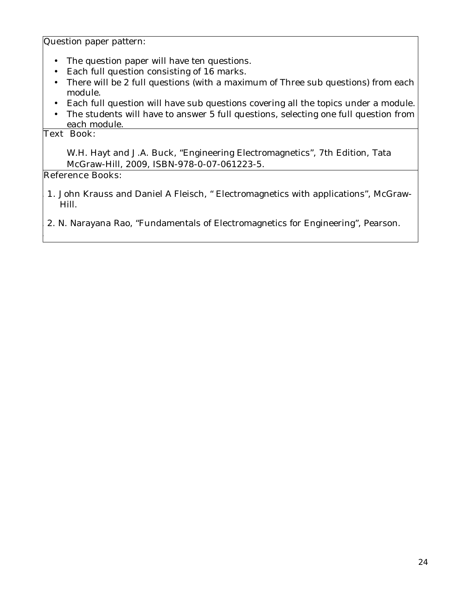Question paper pattern:

- The question paper will have ten questions.
- Each full question consisting of 16 marks.
- There will be 2 full questions (with a maximum of Three sub questions) from each module.
- Each full question will have sub questions covering all the topics under a module.
- The students will have to answer 5 full questions, selecting one full question from each module.

#### **Text Book:**

3.

W.H. Hayt and J.A. Buck, "Engineering Electromagnetics", 7th Edition, Tata McGraw-Hill, 2009, ISBN-978-0-07-061223-5.

- 1. **1.** John Krauss and Daniel A Fleisch, " Electromagnetics with applications", McGraw-Hill.
- 2. 2. N. Narayana Rao, "Fundamentals of Electromagnetics for Engineering", Pearson.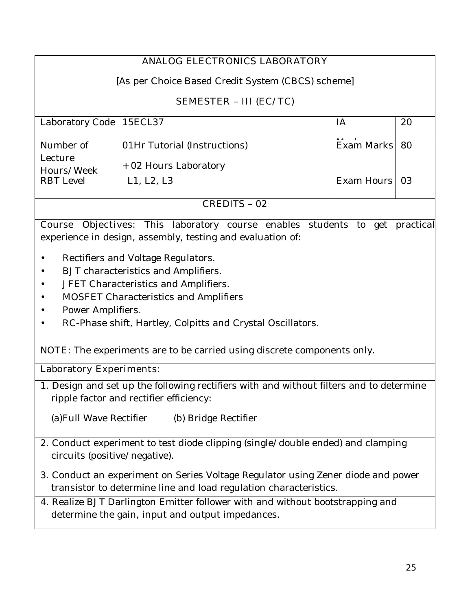# **ANALOG ELECTRONICS LABORATORY**

[As per Choice Based Credit System (CBCS) scheme]

## **SEMESTER – III (EC/TC)**

| Laboratory Code   15ECL37 |                              | 1A            | 20 |
|---------------------------|------------------------------|---------------|----|
|                           |                              |               |    |
|                           |                              |               |    |
| Number of                 | 01Hr Tutorial (Instructions) | Exam Marks 80 |    |
| Lecture                   |                              |               |    |
|                           |                              |               |    |
| Hours/Week                | + 02 Hours Laboratory        |               |    |
| <b>RBT</b> Level          | L1, L2, L3                   | Exam Hours 03 |    |
|                           |                              |               |    |
|                           |                              |               |    |
|                           |                              |               |    |

CREDITS – 02

**Course Objectives:** This laboratory course enables students to get practical experience in design, assembly, testing and evaluation of:

- Rectifiers and Voltage Regulators.
- BJT characteristics and Amplifiers.
- JFET Characteristics and Amplifiers.
- MOSFET Characteristics and Amplifiers
- Power Amplifiers.
- RC-Phase shift, Hartley, Colpitts and Crystal Oscillators.

**NOTE:** The experiments are to be carried using discrete components only.

### **Laboratory Experiments:**

1. Design and set up the following rectifiers with and without filters and to determine ripple factor and rectifier efficiency:

(a)Full Wave Rectifier (b) Bridge Rectifier

- 2. Conduct experiment to test diode clipping (single/double ended) and clamping circuits (positive/negative).
- 3. Conduct an experiment on Series Voltage Regulator using Zener diode and power transistor to determine line and load regulation characteristics.
- 4. Realize BJT Darlington Emitter follower with and without bootstrapping and determine the gain, input and output impedances.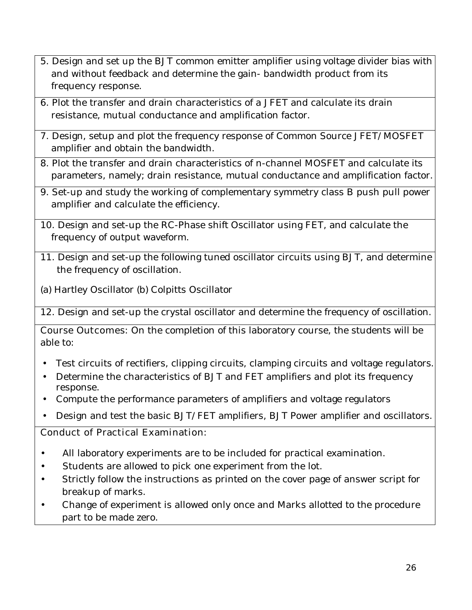- 5. Design and set up the BJT common emitter amplifier using voltage divider bias with and without feedback and determine the gain- bandwidth product from its frequency response.
- 6. Plot the transfer and drain characteristics of a JFET and calculate its drain resistance, mutual conductance and amplification factor.
- 7. Design, setup and plot the frequency response of Common Source JFET/MOSFET amplifier and obtain the bandwidth.
- 8. Plot the transfer and drain characteristics of n-channel MOSFET and calculate its parameters, namely; drain resistance, mutual conductance and amplification factor.
- 9. Set-up and study the working of complementary symmetry class B push pull power amplifier and calculate the efficiency.
- 10. Design and set-up the RC-Phase shift Oscillator using FET, and calculate the frequency of output waveform.
- 11. Design and set-up the following tuned oscillator circuits using BJT, and determine the frequency of oscillation.
- (a) Hartley Oscillator (b) Colpitts Oscillator

12. Design and set-up the crystal oscillator and determine the frequency of oscillation.

**Course Outcomes:** On the completion of this laboratory course, the students will be able to:

- Test circuits of rectifiers, clipping circuits, clamping circuits and voltage regulators.
- Determine the characteristics of BJT and FET amplifiers and plot its frequency response.
- Compute the performance parameters of amplifiers and voltage regulators
- Design and test the basic BJT/FET amplifiers, BJT Power amplifier and oscillators.

## **Conduct of Practical Examination:**

- All laboratory experiments are to be included for practical examination.
- Students are allowed to pick one experiment from the lot.
- Strictly follow the instructions as printed on the cover page of answer script for breakup of marks.
- Change of experiment is allowed only once and Marks allotted to the procedure part to be made zero.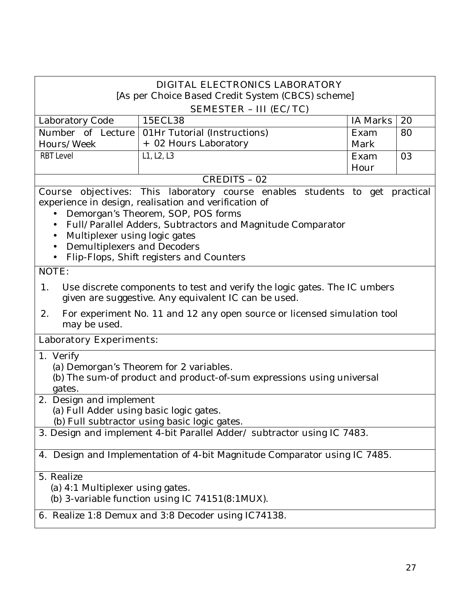| DIGITAL ELECTRONICS LABORATORY<br>[As per Choice Based Credit System (CBCS) scheme]                                                                                                                                                                                                                                                                                                          |                                                                           |                 |    |
|----------------------------------------------------------------------------------------------------------------------------------------------------------------------------------------------------------------------------------------------------------------------------------------------------------------------------------------------------------------------------------------------|---------------------------------------------------------------------------|-----------------|----|
|                                                                                                                                                                                                                                                                                                                                                                                              | <b>SEMESTER - III (EC/TC)</b>                                             |                 |    |
| Laboratory Code                                                                                                                                                                                                                                                                                                                                                                              | 15ECL38                                                                   | <b>IA Marks</b> | 20 |
| Number of Lecture                                                                                                                                                                                                                                                                                                                                                                            | 01Hr Tutorial (Instructions)                                              | Exam            | 80 |
| Hours/Week                                                                                                                                                                                                                                                                                                                                                                                   | + 02 Hours Laboratory                                                     | Mark            |    |
| <b>RBT Level</b>                                                                                                                                                                                                                                                                                                                                                                             | L1, L2, L3                                                                | Exam            | 03 |
|                                                                                                                                                                                                                                                                                                                                                                                              |                                                                           | Hour            |    |
|                                                                                                                                                                                                                                                                                                                                                                                              | <b>CREDITS - 02</b>                                                       |                 |    |
| <b>Course objectives:</b> This laboratory course enables students to get practical<br>experience in design, realisation and verification of<br>Demorgan's Theorem, SOP, POS forms<br>Full/Parallel Adders, Subtractors and Magnitude Comparator<br>$\bullet$<br>Multiplexer using logic gates<br>$\bullet$<br><b>Demultiplexers and Decoders</b><br>Flip-Flops, Shift registers and Counters |                                                                           |                 |    |
| NOTE:                                                                                                                                                                                                                                                                                                                                                                                        |                                                                           |                 |    |
| 1.<br>Use discrete components to test and verify the logic gates. The IC umbers<br>given are suggestive. Any equivalent IC can be used.<br>2.<br>For experiment No. 11 and 12 any open source or licensed simulation tool                                                                                                                                                                    |                                                                           |                 |    |
| may be used.                                                                                                                                                                                                                                                                                                                                                                                 |                                                                           |                 |    |
| <b>Laboratory Experiments:</b>                                                                                                                                                                                                                                                                                                                                                               |                                                                           |                 |    |
| 1. Verify<br>(a) Demorgan's Theorem for 2 variables.<br>(b) The sum-of product and product-of-sum expressions using universal<br>gates.                                                                                                                                                                                                                                                      |                                                                           |                 |    |
| 2. Design and implement<br>(a) Full Adder using basic logic gates.<br>(b) Full subtractor using basic logic gates.                                                                                                                                                                                                                                                                           |                                                                           |                 |    |
| 3. Design and implement 4-bit Parallel Adder/ subtractor using IC 7483.                                                                                                                                                                                                                                                                                                                      |                                                                           |                 |    |
|                                                                                                                                                                                                                                                                                                                                                                                              | 4. Design and Implementation of 4-bit Magnitude Comparator using IC 7485. |                 |    |
| 5. Realize<br>(a) 4:1 Multiplexer using gates.                                                                                                                                                                                                                                                                                                                                               | (b) 3-variable function using IC $74151(8:1MUX)$ .                        |                 |    |
|                                                                                                                                                                                                                                                                                                                                                                                              |                                                                           |                 |    |

**6.** Realize 1:8 Demux and 3:8 Decoder using IC74138.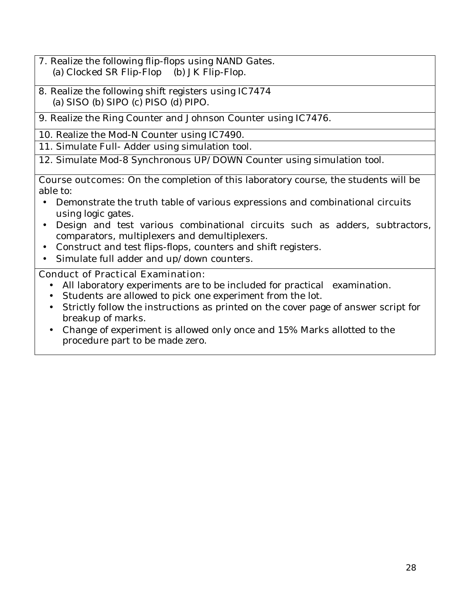- **7.** Realize the following flip-flops using NAND Gates. (a) Clocked SR Flip-Flop (b) JK Flip-Flop.
- 8. Realize the following shift registers using IC7474 (a) SISO (b) SIPO (c) PISO (d) PIPO.
- 9. Realize the Ring Counter and Johnson Counter using IC7476.
- 10. Realize the Mod-N Counter using IC7490.
- 11. Simulate Full- Adder using simulation tool.
- 12. Simulate Mod-8 Synchronous UP/DOWN Counter using simulation tool.

**Course outcomes:** On the completion of this laboratory course, the students will be able to:

- Demonstrate the truth table of various expressions and combinational circuits using logic gates.
- Design and test various combinational circuits such as adders, subtractors, comparators, multiplexers and demultiplexers.
- Construct and test flips-flops, counters and shift registers.
- Simulate full adder and up/down counters.

## **Conduct of Practical Examination:**

- All laboratory experiments are to be included for practical examination.
- Students are allowed to pick one experiment from the lot.
- Strictly follow the instructions as printed on the cover page of answer script for breakup of marks.
- Change of experiment is allowed only once and 15% Marks allotted to the procedure part to be made zero.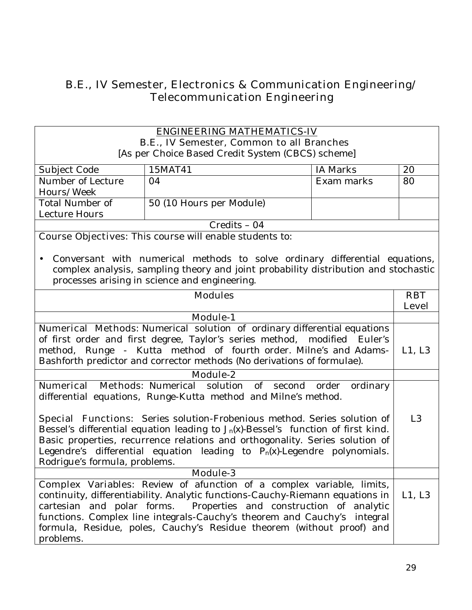# **B.E., IV Semester, Electronics & Communication Engineering/ Telecommunication Engineering**

| <b>ENGINEERING MATHEMATICS-IV</b>                                                    |                                                                                     |                 |                |
|--------------------------------------------------------------------------------------|-------------------------------------------------------------------------------------|-----------------|----------------|
| <b>B.E., IV Semester, Common to all Branches</b>                                     |                                                                                     |                 |                |
|                                                                                      | [As per Choice Based Credit System (CBCS) scheme]                                   |                 |                |
| Subject Code                                                                         | 15MAT41                                                                             | <b>IA Marks</b> | 20             |
| Number of Lecture                                                                    | 04                                                                                  | Exam marks      | 80             |
| Hours/Week                                                                           |                                                                                     |                 |                |
| <b>Total Number of</b>                                                               | 50 (10 Hours per Module)                                                            |                 |                |
| Lecture Hours                                                                        |                                                                                     |                 |                |
|                                                                                      | $Credits - 04$                                                                      |                 |                |
|                                                                                      | <b>Course Objectives:</b> This course will enable students to:                      |                 |                |
|                                                                                      |                                                                                     |                 |                |
|                                                                                      | Conversant with numerical methods to solve ordinary differential equations,         |                 |                |
|                                                                                      | complex analysis, sampling theory and joint probability distribution and stochastic |                 |                |
|                                                                                      | processes arising in science and engineering.                                       |                 |                |
|                                                                                      | <b>Modules</b>                                                                      |                 | <b>RBT</b>     |
|                                                                                      |                                                                                     |                 | <b>Level</b>   |
| <b>Module-1</b>                                                                      |                                                                                     |                 |                |
| Numerical Methods: Numerical solution of ordinary differential equations             |                                                                                     |                 |                |
| of first order and first degree, Taylor's series method, modified Euler's            |                                                                                     |                 |                |
| method, Runge - Kutta method of fourth order. Milne's and Adams-                     |                                                                                     |                 | L1, L3         |
| Bashforth predictor and corrector methods (No derivations of formulae).              |                                                                                     |                 |                |
| <b>Module-2</b>                                                                      |                                                                                     |                 |                |
| <b>Numerical</b><br>Methods: Numerical solution of second order ordinary             |                                                                                     |                 |                |
| differential equations, Runge-Kutta method and Milne's method.                       |                                                                                     |                 |                |
|                                                                                      |                                                                                     |                 |                |
|                                                                                      | Special Functions: Series solution-Frobenious method. Series solution of            |                 | L <sub>3</sub> |
| Bessel's differential equation leading to $J_n(x)$ -Bessel's function of first kind. |                                                                                     |                 |                |
| Basic properties, recurrence relations and orthogonality. Series solution of         |                                                                                     |                 |                |
| Legendre's differential equation leading to $P_n(x)$ -Legendre polynomials.          |                                                                                     |                 |                |
| Rodrigue's formula, problems.                                                        |                                                                                     |                 |                |
|                                                                                      | <b>Module-3</b>                                                                     |                 |                |
|                                                                                      | <b>Complex Variables:</b> Review of afunction of a complex variable, limits,        |                 |                |
|                                                                                      | continuity, differentiability. Analytic functions-Cauchy-Riemann equations in       |                 | L1, L3         |
| cartesian and polar forms. Properties and construction of analytic                   |                                                                                     |                 |                |
| functions. Complex line integrals-Cauchy's theorem and Cauchy's integral             |                                                                                     |                 |                |
| formula, Residue, poles, Cauchy's Residue theorem (without proof) and                |                                                                                     |                 |                |
| problems.                                                                            |                                                                                     |                 |                |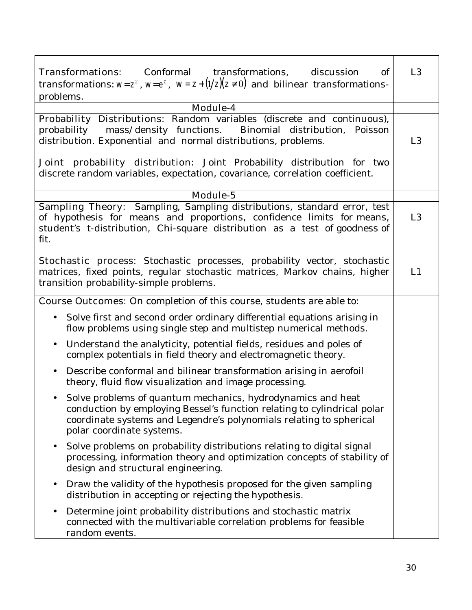| Conformal transformations,<br><b>Transformations:</b><br>discussion<br>of<br>transformations: $w=z^2$ , $w=e^z$ , $w=z+(1/z)(z\neq 0)$ and bilinear transformations-                                                                         | L <sub>3</sub> |
|----------------------------------------------------------------------------------------------------------------------------------------------------------------------------------------------------------------------------------------------|----------------|
| problems.                                                                                                                                                                                                                                    |                |
| Module-4                                                                                                                                                                                                                                     |                |
| Probability Distributions: Random variables (discrete and continuous),<br>mass/density functions.<br>Binomial distribution, Poisson<br>probability<br>distribution. Exponential and normal distributions, problems.                          | L <sub>3</sub> |
| Joint probability distribution: Joint Probability distribution for two<br>discrete random variables, expectation, covariance, correlation coefficient.                                                                                       |                |
| Module-5                                                                                                                                                                                                                                     |                |
| Sampling Theory: Sampling, Sampling distributions, standard error, test<br>of hypothesis for means and proportions, confidence limits for means,<br>student's t-distribution, Chi-square distribution as a test of goodness of<br>fit.       | L <sub>3</sub> |
| Stochastic process: Stochastic processes, probability vector, stochastic<br>matrices, fixed points, regular stochastic matrices, Markov chains, higher<br>transition probability-simple problems.                                            | L1             |
| <b>Course Outcomes:</b> On completion of this course, students are able to:                                                                                                                                                                  |                |
| Solve first and second order ordinary differential equations arising in<br>flow problems using single step and multistep numerical methods.                                                                                                  |                |
| Understand the analyticity, potential fields, residues and poles of<br>$\bullet$<br>complex potentials in field theory and electromagnetic theory.                                                                                           |                |
| Describe conformal and bilinear transformation arising in aerofoil<br>$\bullet$<br>theory, fluid flow visualization and image processing.                                                                                                    |                |
| • Solve problems of quantum mechanics, hydrodynamics and heat<br>conduction by employing Bessel's function relating to cylindrical polar<br>coordinate systems and Legendre's polynomials relating to spherical<br>polar coordinate systems. |                |
| Solve problems on probability distributions relating to digital signal<br>processing, information theory and optimization concepts of stability of<br>design and structural engineering.                                                     |                |
| Draw the validity of the hypothesis proposed for the given sampling<br>distribution in accepting or rejecting the hypothesis.                                                                                                                |                |
| Determine joint probability distributions and stochastic matrix<br>connected with the multivariable correlation problems for feasible<br>random events.                                                                                      |                |

٦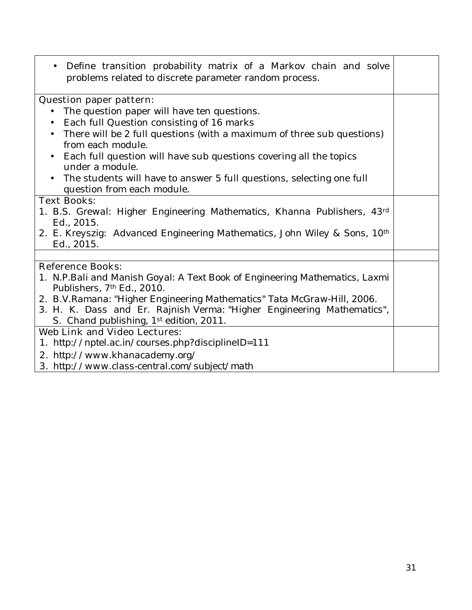• Define transition probability matrix of a Markov chain and solve problems related to discrete parameter random process. **Question paper pattern:**  • The question paper will have ten questions. • Each full Question consisting of 16 marks • There will be 2 full questions (with a maximum of three sub questions) from each module. • Each full question will have sub questions covering all the topics under a module. • The students will have to answer 5 full questions, selecting one full question from each module. **Text Books:**  *1. B.S. Grewal: Higher Engineering Mathematics, Khanna Publishers, 43rd Ed., 2015. 2. E. Kreyszig: Advanced Engineering Mathematics, John Wiley & Sons, 10th Ed., 2015.*  **Reference Books:**  *1. N.P.Bali and Manish Goyal: A Text Book of Engineering Mathematics, Laxmi Publishers, 7th Ed., 2010. 2. B.V.Ramana: "Higher Engineering Mathematics" Tata McGraw-Hill, 2006. 3. H. K. Dass and Er. Rajnish Verma: "Higher Engineering Mathematics", S. Chand publishing, 1st edition, 2011.* **Web Link and Video Lectures:**  *1. http://nptel.ac.in/courses.php?disciplineID=111*  **2.** *http://www.khanacademy.org/* **3.** *http://www.class-central.com/subject/math*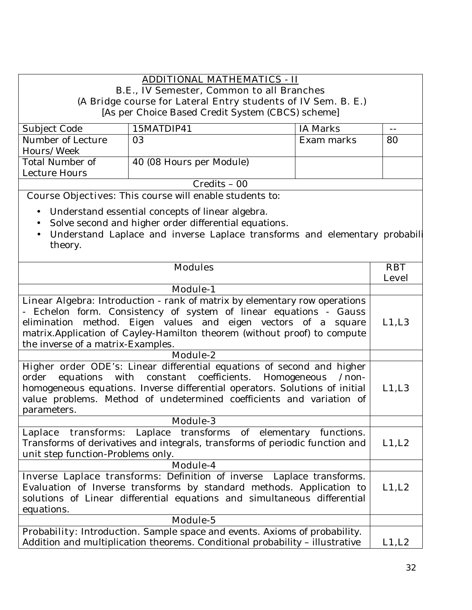## **ADDITIONAL MATHEMATICS - II**

## **B.E., IV Semester, Common to all Branches**

# **(A Bridge course for Lateral Entry students of IV Sem. B. E.)**

[As per Choice Based Credit System (CBCS) scheme]

| Subject Code      | 15MATDIP41               | IA Marks   |    |
|-------------------|--------------------------|------------|----|
|                   |                          |            |    |
| Number of Lecture | 03                       | Exam marks | 80 |
| Hours/Week        |                          |            |    |
| Total Number of   | 40 (08 Hours per Module) |            |    |
| Lecture Hours     |                          |            |    |
| $Credits - 00$    |                          |            |    |

 **Course Objectives:** This course will enable students to:

- Understand essential concepts of linear algebra.
- Solve second and higher order differential equations.
- Understand Laplace and inverse Laplace transforms and elementary probabili theory.

| <b>Modules</b>                                                                    | <b>RBT</b>   |
|-----------------------------------------------------------------------------------|--------------|
|                                                                                   | <b>Level</b> |
| <b>Module-1</b>                                                                   |              |
| Linear Algebra: Introduction - rank of matrix by elementary row operations        |              |
| - Echelon form. Consistency of system of linear equations - Gauss                 |              |
| elimination method. Eigen values and eigen vectors of a square                    | L1,L3        |
| matrix. Application of Cayley-Hamilton theorem (without proof) to compute         |              |
| the inverse of a matrix-Examples.                                                 |              |
| Module-2                                                                          |              |
| Higher order ODE's: Linear differential equations of second and higher            |              |
| order equations with constant coefficients. Homogeneous<br>$/$ non-               |              |
| homogeneous equations. Inverse differential operators. Solutions of initial       | L1,L3        |
| value problems. Method of undetermined coefficients and variation of              |              |
| parameters.                                                                       |              |
| <b>Module-3</b>                                                                   |              |
| Laplace transforms: Laplace transforms of elementary functions.                   |              |
| Transforms of derivatives and integrals, transforms of periodic function and      | L1, L2       |
| unit step function-Problems only.                                                 |              |
| Module-4                                                                          |              |
| Inverse Laplace transforms: Definition of inverse Laplace transforms.             |              |
| Evaluation of Inverse transforms by standard methods. Application to              | L1, L2       |
| solutions of Linear differential equations and simultaneous differential          |              |
| equations.                                                                        |              |
| Module-5                                                                          |              |
| <b>Probability:</b> Introduction. Sample space and events. Axioms of probability. |              |
| Addition and multiplication theorems. Conditional probability - illustrative      | L1, L2       |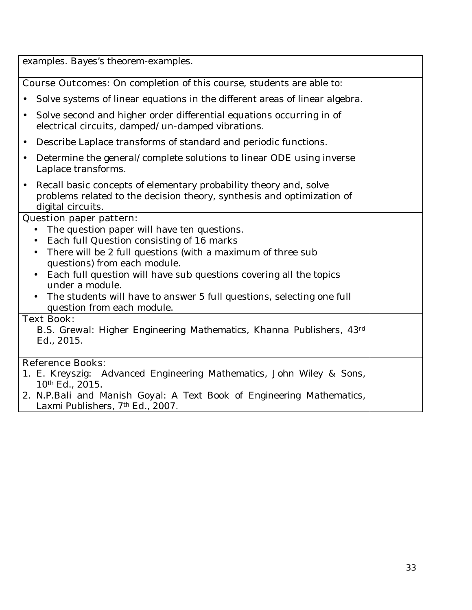|           | examples. Bayes's theorem-examples.                                                                                                                              |  |
|-----------|------------------------------------------------------------------------------------------------------------------------------------------------------------------|--|
|           | <b>Course Outcomes:</b> On completion of this course, students are able to:                                                                                      |  |
|           | Solve systems of linear equations in the different areas of linear algebra.                                                                                      |  |
| $\bullet$ | Solve second and higher order differential equations occurring in of<br>electrical circuits, damped/un-damped vibrations.                                        |  |
| $\bullet$ | Describe Laplace transforms of standard and periodic functions.                                                                                                  |  |
| $\bullet$ | Determine the general/complete solutions to linear ODE using inverse<br>Laplace transforms.                                                                      |  |
| $\bullet$ | Recall basic concepts of elementary probability theory and, solve<br>problems related to the decision theory, synthesis and optimization of<br>digital circuits. |  |
|           | <b>Question paper pattern:</b>                                                                                                                                   |  |
|           | The question paper will have ten questions.                                                                                                                      |  |
|           | Each full Question consisting of 16 marks                                                                                                                        |  |
|           | There will be 2 full questions (with a maximum of three sub<br>$\bullet$                                                                                         |  |
|           | questions) from each module.                                                                                                                                     |  |
|           | Each full question will have sub questions covering all the topics<br>under a module.                                                                            |  |
|           | The students will have to answer 5 full questions, selecting one full                                                                                            |  |
|           | question from each module.                                                                                                                                       |  |
|           | <b>Text Book:</b>                                                                                                                                                |  |
|           | B.S. Grewal: Higher Engineering Mathematics, Khanna Publishers, 43d                                                                                              |  |
|           | Ed., 2015.                                                                                                                                                       |  |
|           |                                                                                                                                                                  |  |
|           | <b>Reference Books:</b>                                                                                                                                          |  |
|           | 1. E. Kreyszig: Advanced Engineering Mathematics, John Wiley & Sons,                                                                                             |  |
|           | 10th Ed., 2015.                                                                                                                                                  |  |
|           | 2. N.P.Bali and Manish Goyal: A Text Book of Engineering Mathematics,<br>Laxmi Publishers, 7th Ed., 2007.                                                        |  |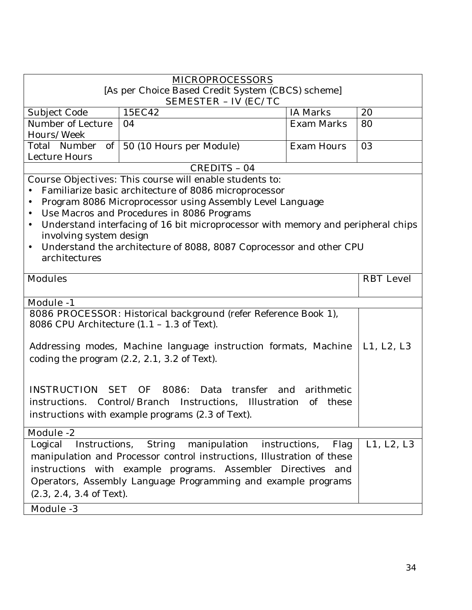| <b>MICROPROCESSORS</b>                                                                                                        |                                                                                  |                       |                  |
|-------------------------------------------------------------------------------------------------------------------------------|----------------------------------------------------------------------------------|-----------------------|------------------|
|                                                                                                                               | [As per Choice Based Credit System (CBCS) scheme]                                |                       |                  |
|                                                                                                                               | <b>SEMESTER - IV (EC/TC</b>                                                      |                       |                  |
| Subject Code                                                                                                                  | 15EC42                                                                           | <b>IA Marks</b>       | 20               |
| Number of Lecture<br>Hours/Week                                                                                               | 04                                                                               | <b>Exam Marks</b>     | 80               |
| Total Number                                                                                                                  |                                                                                  | <b>Exam Hours</b>     | 03               |
| Lecture Hours                                                                                                                 | of 50 (10 Hours per Module)                                                      |                       |                  |
|                                                                                                                               | <b>CREDITS - 04</b>                                                              |                       |                  |
|                                                                                                                               | <b>Course Objectives:</b> This course will enable students to:                   |                       |                  |
|                                                                                                                               | Familiarize basic architecture of 8086 microprocessor                            |                       |                  |
| $\bullet$                                                                                                                     | Program 8086 Microprocessor using Assembly Level Language                        |                       |                  |
| $\bullet$                                                                                                                     | Use Macros and Procedures in 8086 Programs                                       |                       |                  |
| $\bullet$                                                                                                                     | Understand interfacing of 16 bit microprocessor with memory and peripheral chips |                       |                  |
| involving system design                                                                                                       |                                                                                  |                       |                  |
| $\bullet$                                                                                                                     | Understand the architecture of 8088, 8087 Coprocessor and other CPU              |                       |                  |
| architectures                                                                                                                 |                                                                                  |                       |                  |
|                                                                                                                               |                                                                                  |                       |                  |
| <b>Modules</b>                                                                                                                |                                                                                  |                       | <b>RBT</b> Level |
|                                                                                                                               |                                                                                  |                       |                  |
| <b>Module -1</b>                                                                                                              |                                                                                  |                       |                  |
|                                                                                                                               | 8086 PROCESSOR: Historical background (refer Reference Book 1),                  |                       |                  |
|                                                                                                                               | 8086 CPU Architecture $(1.1 - 1.3$ of Text).                                     |                       |                  |
|                                                                                                                               |                                                                                  |                       |                  |
|                                                                                                                               | Addressing modes, Machine language instruction formats, Machine                  |                       | L1, L2, L3       |
|                                                                                                                               | coding the program $(2.2, 2.1, 3.2)$ of Text).                                   |                       |                  |
|                                                                                                                               |                                                                                  |                       |                  |
|                                                                                                                               |                                                                                  |                       |                  |
| <b>INSTRUCTION</b>                                                                                                            | SET OF 8086: Data<br>transfer and                                                | arithmetic            |                  |
|                                                                                                                               | instructions. Control/Branch Instructions, Illustration                          | of these              |                  |
|                                                                                                                               | instructions with example programs (2.3 of Text).                                |                       |                  |
| Module <sub>-2</sub>                                                                                                          |                                                                                  |                       |                  |
| Instructions,<br>Logical                                                                                                      | manipulation<br><b>String</b>                                                    | instructions,<br>Flag | L1, L2, L3       |
|                                                                                                                               |                                                                                  |                       |                  |
| manipulation and Processor control instructions, Illustration of these                                                        |                                                                                  |                       |                  |
| instructions with example programs. Assembler Directives and<br>Operators, Assembly Language Programming and example programs |                                                                                  |                       |                  |
|                                                                                                                               |                                                                                  |                       |                  |
| $(2.3, 2.4, 3.4$ of Text).                                                                                                    |                                                                                  |                       |                  |
| <b>Module -3</b>                                                                                                              |                                                                                  |                       |                  |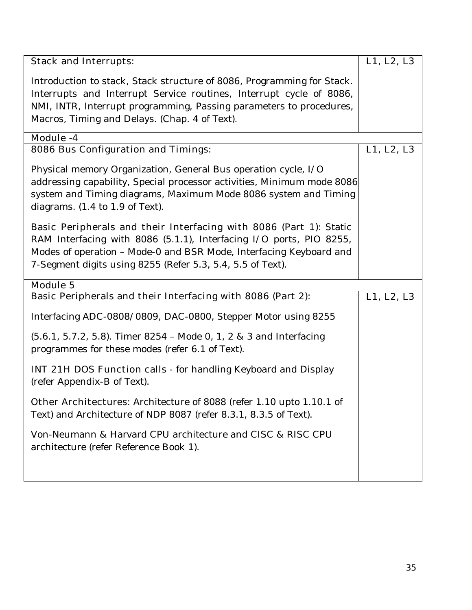| <b>Stack and Interrupts:</b>                                                                                                                                                                                                                                          | L1, L2, L3 |
|-----------------------------------------------------------------------------------------------------------------------------------------------------------------------------------------------------------------------------------------------------------------------|------------|
| Introduction to stack, Stack structure of 8086, Programming for Stack.<br>Interrupts and Interrupt Service routines, Interrupt cycle of 8086,<br>NMI, INTR, Interrupt programming, Passing parameters to procedures,<br>Macros, Timing and Delays. (Chap. 4 of Text). |            |
| Module -4                                                                                                                                                                                                                                                             |            |
| <b>8086 Bus Configuration and Timings:</b>                                                                                                                                                                                                                            | L1, L2, L3 |
| Physical memory Organization, General Bus operation cycle, I/O<br>addressing capability, Special processor activities, Minimum mode 8086<br>system and Timing diagrams, Maximum Mode 8086 system and Timing<br>diagrams. $(1.4 \text{ to } 1.9 \text{ of } Text)$ .   |            |
| Basic Peripherals and their Interfacing with 8086 (Part 1): Static                                                                                                                                                                                                    |            |
| RAM Interfacing with 8086 (5.1.1), Interfacing I/O ports, PIO 8255,<br>Modes of operation - Mode-0 and BSR Mode, Interfacing Keyboard and<br>7-Segment digits using 8255 (Refer 5.3, 5.4, 5.5 of Text).                                                               |            |
| <b>Module 5</b>                                                                                                                                                                                                                                                       |            |
| Basic Peripherals and their Interfacing with 8086 (Part 2):                                                                                                                                                                                                           | L1, L2, L3 |
| Interfacing ADC-0808/0809, DAC-0800, Stepper Motor using 8255                                                                                                                                                                                                         |            |
| $(5.6.1, 5.7.2, 5.8)$ . Timer 8254 - Mode 0, 1, 2 & 3 and Interfacing<br>programmes for these modes (refer 6.1 of Text).                                                                                                                                              |            |
| <b>INT 21H DOS Function calls</b> - for handling Keyboard and Display<br>(refer Appendix-B of Text).                                                                                                                                                                  |            |
| <b>Other Architectures:</b> Architecture of 8088 (refer 1.10 upto 1.10.1 of<br>Text) and Architecture of NDP 8087 (refer 8.3.1, 8.3.5 of Text).                                                                                                                       |            |
| Von-Neumann & Harvard CPU architecture and CISC & RISC CPU<br>architecture (refer Reference Book 1).                                                                                                                                                                  |            |
|                                                                                                                                                                                                                                                                       |            |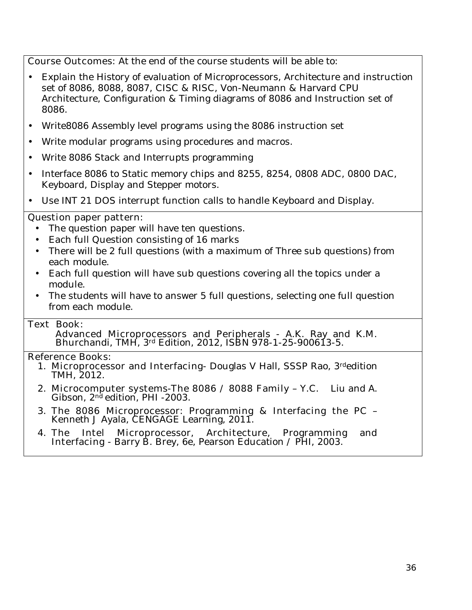**Course Outcomes:** At the end of the course students will be able to:

- Explain the History of evaluation of Microprocessors, Architecture and instruction set of 8086, 8088, 8087, CISC & RISC, Von-Neumann & Harvard CPU Architecture, Configuration & Timing diagrams of 8086 and Instruction set of 8086.
- Write8086 Assembly level programs using the 8086 instruction set
- Write modular programs using procedures and macros.
- Write 8086 Stack and Interrupts programming
- Interface 8086 to Static memory chips and 8255, 8254, 0808 ADC, 0800 DAC, Keyboard, Display and Stepper motors.
- Use INT 21 DOS interrupt function calls to handle Keyboard and Display.

### **Question paper pattern:**

- The question paper will have ten questions.
- Each full Question consisting of 16 marks
- There will be 2 full questions (with a maximum of Three sub questions) from each module.
- Each full question will have sub questions covering all the topics under a module.
- The students will have to answer 5 full questions, selecting one full question from each module.

### **Text Book:**

**Advanced Microprocessors and Peripherals** - A.K. Ray and K.M. Bhurchandi, TMH, 3rd Edition, 2012, ISBN 978-1-25-900613-5.

- 1. **Microprocessor and Interfacing** Douglas V Hall, SSSP Rao, 3rdedition TMH, 2012.
- 2. **Microcomputer systems-The 8086 / 8088 Family** Y.C. Liu and A. Gibson,  $2<sup>nd</sup>$  edition, PHI -2003.
- 3. **The 8086 Microprocessor: Programming & Interfacing the PC**  Kenneth J Ayala, CENGAGE Learning, 2011.
- 4. **The Intel Microprocessor, Architecture, Programming and Interfacing** - Barry B. Brey, 6e, Pearson Education / PHI, 2003.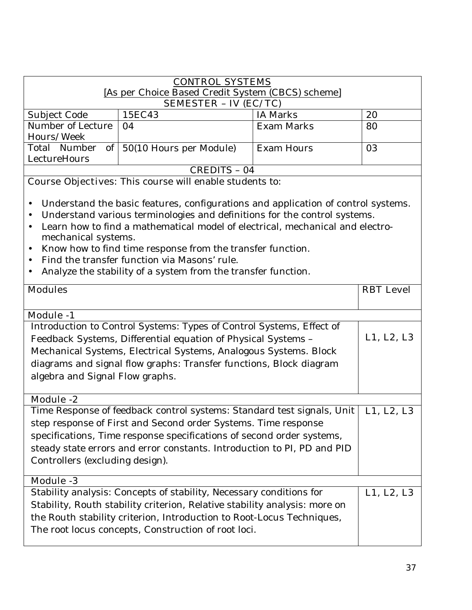| <b>CONTROL SYSTEMS</b> |                                                   |                 |    |  |
|------------------------|---------------------------------------------------|-----------------|----|--|
|                        | [As per Choice Based Credit System (CBCS) scheme] |                 |    |  |
|                        | <b>SEMESTER - IV (EC/TC)</b>                      |                 |    |  |
| Subject Code           | 15EC43                                            | <b>IA Marks</b> | 20 |  |
| Number of Lecture      | 04                                                | Exam Marks      | 80 |  |
| Hours/Week             |                                                   |                 |    |  |
| Total Number           | of 50(10 Hours per Module)                        | Exam Hours      | 03 |  |
| LectureHours           |                                                   |                 |    |  |
| CREDITS - 04           |                                                   |                 |    |  |

- Understand the basic features, configurations and application of control systems.
- Understand various terminologies and definitions for the control systems.
- Learn how to find a mathematical model of electrical, mechanical and electromechanical systems.
- Know how to find time response from the transfer function.
- Find the transfer function via Masons' rule.
- Analyze the stability of a system from the transfer function.

| <b>Modules</b>                                                             | <b>RBT</b> Level |
|----------------------------------------------------------------------------|------------------|
|                                                                            |                  |
|                                                                            |                  |
| <b>Module -1</b>                                                           |                  |
| Introduction to Control Systems: Types of Control Systems, Effect of       |                  |
| Feedback Systems, Differential equation of Physical Systems -              | L1, L2, L3       |
| Mechanical Systems, Electrical Systems, Analogous Systems. Block           |                  |
| diagrams and signal flow graphs: Transfer functions, Block diagram         |                  |
| algebra and Signal Flow graphs.                                            |                  |
|                                                                            |                  |
| <b>Module -2</b>                                                           |                  |
| Time Response of feedback control systems: Standard test signals, Unit     | L1, L2, L3       |
| step response of First and Second order Systems. Time response             |                  |
| specifications, Time response specifications of second order systems,      |                  |
| steady state errors and error constants. Introduction to PI, PD and PID    |                  |
| Controllers (excluding design).                                            |                  |
|                                                                            |                  |
| <b>Module -3</b>                                                           |                  |
| Stability analysis: Concepts of stability, Necessary conditions for        | L1, L2, L3       |
| Stability, Routh stability criterion, Relative stability analysis: more on |                  |
| the Routh stability criterion, Introduction to Root-Locus Techniques,      |                  |
| The root locus concepts, Construction of root loci.                        |                  |
|                                                                            |                  |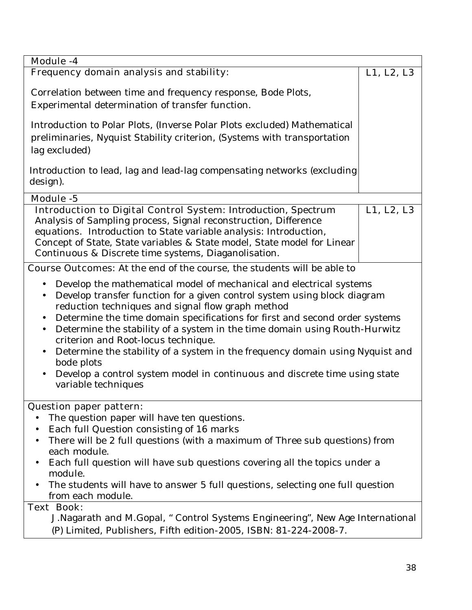| <b>Module -4</b>                                                                                                                                                                                                                                                                                                                                                                                                                                                                                                                                                                                                                                                              |            |  |
|-------------------------------------------------------------------------------------------------------------------------------------------------------------------------------------------------------------------------------------------------------------------------------------------------------------------------------------------------------------------------------------------------------------------------------------------------------------------------------------------------------------------------------------------------------------------------------------------------------------------------------------------------------------------------------|------------|--|
| Frequency domain analysis and stability:                                                                                                                                                                                                                                                                                                                                                                                                                                                                                                                                                                                                                                      | L1, L2, L3 |  |
| Correlation between time and frequency response, Bode Plots,<br>Experimental determination of transfer function.                                                                                                                                                                                                                                                                                                                                                                                                                                                                                                                                                              |            |  |
| Introduction to Polar Plots, (Inverse Polar Plots excluded) Mathematical<br>preliminaries, Nyquist Stability criterion, (Systems with transportation<br>lag excluded)                                                                                                                                                                                                                                                                                                                                                                                                                                                                                                         |            |  |
| Introduction to lead, lag and lead-lag compensating networks (excluding<br>design).                                                                                                                                                                                                                                                                                                                                                                                                                                                                                                                                                                                           |            |  |
| Module -5                                                                                                                                                                                                                                                                                                                                                                                                                                                                                                                                                                                                                                                                     |            |  |
| <b>Introduction to Digital Control System: Introduction, Spectrum</b><br>Analysis of Sampling process, Signal reconstruction, Difference<br>equations. Introduction to State variable analysis: Introduction,<br>Concept of State, State variables & State model, State model for Linear<br>Continuous & Discrete time systems, Diaganolisation.                                                                                                                                                                                                                                                                                                                              | L1, L2, L3 |  |
| <b>Course Outcomes:</b> At the end of the course, the students will be able to                                                                                                                                                                                                                                                                                                                                                                                                                                                                                                                                                                                                |            |  |
| Develop the mathematical model of mechanical and electrical systems<br>$\bullet$<br>Develop transfer function for a given control system using block diagram<br>$\bullet$<br>reduction techniques and signal flow graph method<br>Determine the time domain specifications for first and second order systems<br>$\bullet$<br>Determine the stability of a system in the time domain using Routh-Hurwitz<br>$\bullet$<br>criterion and Root-locus technique.<br>Determine the stability of a system in the frequency domain using Nyquist and<br>$\bullet$<br>bode plots<br>Develop a control system model in continuous and discrete time using state<br>variable techniques |            |  |
| <b>Question paper pattern:</b><br>The question paper will have ten questions.<br>Each full Question consisting of 16 marks<br>There will be 2 full questions (with a maximum of Three sub questions) from<br>each module.<br>Each full question will have sub questions covering all the topics under a<br>module.<br>The students will have to answer 5 full questions, selecting one full question<br>from each module.                                                                                                                                                                                                                                                     |            |  |
| <b>Text Book:</b><br>J. Nagarath and M. Gopal, " Control Systems Engineering", New Age International<br>(P) Limited, Publishers, Fifth edition-2005, ISBN: 81-224-2008-7.                                                                                                                                                                                                                                                                                                                                                                                                                                                                                                     |            |  |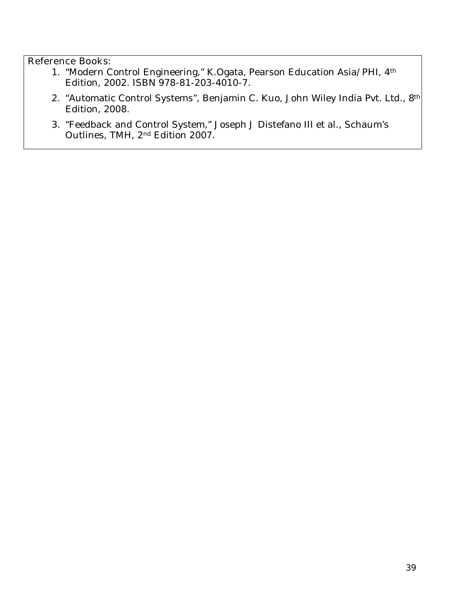- 1. "Modern Control Engineering," K.Ogata, Pearson Education Asia/PHI, 4th Edition, 2002. ISBN 978-81-203-4010-7.
- 2. "Automatic Control Systems", Benjamin C. Kuo, John Wiley India Pvt. Ltd., 8th Edition, 2008.
- 3. "Feedback and Control System," Joseph J Distefano III et al., Schaum's Outlines, TMH, 2nd Edition 2007.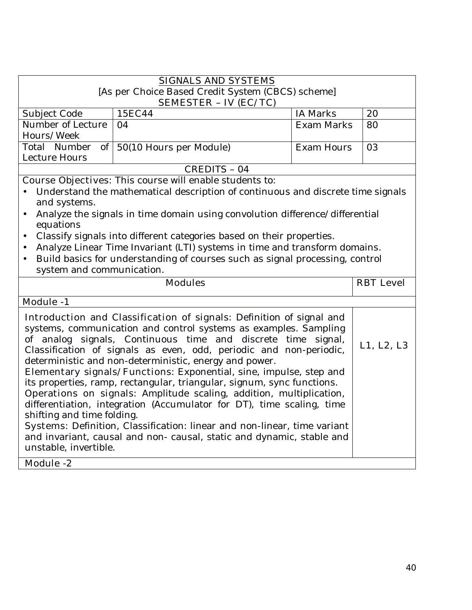| <b>SIGNALS AND SYSTEMS</b><br>[As per Choice Based Credit System (CBCS) scheme]                                                                                                                                                                                                                                                                                                                                                                                                                                                                                                                                                                                                                                                                                                                                                                                                           |                                                                                   |                   |                  |
|-------------------------------------------------------------------------------------------------------------------------------------------------------------------------------------------------------------------------------------------------------------------------------------------------------------------------------------------------------------------------------------------------------------------------------------------------------------------------------------------------------------------------------------------------------------------------------------------------------------------------------------------------------------------------------------------------------------------------------------------------------------------------------------------------------------------------------------------------------------------------------------------|-----------------------------------------------------------------------------------|-------------------|------------------|
|                                                                                                                                                                                                                                                                                                                                                                                                                                                                                                                                                                                                                                                                                                                                                                                                                                                                                           | <b>SEMESTER - IV (EC/TC)</b>                                                      |                   |                  |
| Subject Code                                                                                                                                                                                                                                                                                                                                                                                                                                                                                                                                                                                                                                                                                                                                                                                                                                                                              | 15EC44                                                                            | <b>IA Marks</b>   | 20               |
| Number of Lecture                                                                                                                                                                                                                                                                                                                                                                                                                                                                                                                                                                                                                                                                                                                                                                                                                                                                         | 04                                                                                | <b>Exam Marks</b> | 80               |
| Hours/Week                                                                                                                                                                                                                                                                                                                                                                                                                                                                                                                                                                                                                                                                                                                                                                                                                                                                                |                                                                                   |                   |                  |
| Total Number                                                                                                                                                                                                                                                                                                                                                                                                                                                                                                                                                                                                                                                                                                                                                                                                                                                                              | of $\vert$ 50(10 Hours per Module)                                                | <b>Exam Hours</b> | 03               |
| Lecture Hours                                                                                                                                                                                                                                                                                                                                                                                                                                                                                                                                                                                                                                                                                                                                                                                                                                                                             |                                                                                   |                   |                  |
|                                                                                                                                                                                                                                                                                                                                                                                                                                                                                                                                                                                                                                                                                                                                                                                                                                                                                           | CREDITS - 04                                                                      |                   |                  |
|                                                                                                                                                                                                                                                                                                                                                                                                                                                                                                                                                                                                                                                                                                                                                                                                                                                                                           | <b>Course Objectives:</b> This course will enable students to:                    |                   |                  |
| and systems.                                                                                                                                                                                                                                                                                                                                                                                                                                                                                                                                                                                                                                                                                                                                                                                                                                                                              | • Understand the mathematical description of continuous and discrete time signals |                   |                  |
|                                                                                                                                                                                                                                                                                                                                                                                                                                                                                                                                                                                                                                                                                                                                                                                                                                                                                           | Analyze the signals in time domain using convolution difference/differential      |                   |                  |
| equations                                                                                                                                                                                                                                                                                                                                                                                                                                                                                                                                                                                                                                                                                                                                                                                                                                                                                 |                                                                                   |                   |                  |
| $\bullet$                                                                                                                                                                                                                                                                                                                                                                                                                                                                                                                                                                                                                                                                                                                                                                                                                                                                                 | Classify signals into different categories based on their properties.             |                   |                  |
| $\bullet$                                                                                                                                                                                                                                                                                                                                                                                                                                                                                                                                                                                                                                                                                                                                                                                                                                                                                 | Analyze Linear Time Invariant (LTI) systems in time and transform domains.        |                   |                  |
| $\bullet$                                                                                                                                                                                                                                                                                                                                                                                                                                                                                                                                                                                                                                                                                                                                                                                                                                                                                 | Build basics for understanding of courses such as signal processing, control      |                   |                  |
| system and communication.                                                                                                                                                                                                                                                                                                                                                                                                                                                                                                                                                                                                                                                                                                                                                                                                                                                                 |                                                                                   |                   |                  |
| <b>Modules</b>                                                                                                                                                                                                                                                                                                                                                                                                                                                                                                                                                                                                                                                                                                                                                                                                                                                                            |                                                                                   |                   | <b>RBT</b> Level |
| <b>Module -1</b>                                                                                                                                                                                                                                                                                                                                                                                                                                                                                                                                                                                                                                                                                                                                                                                                                                                                          |                                                                                   |                   |                  |
| Introduction and Classification of signals: Definition of signal and<br>systems, communication and control systems as examples. Sampling<br>of analog signals, Continuous time and discrete time<br>signal,<br>L1, L2, L3<br>Classification of signals as even, odd, periodic and non-periodic,<br>deterministic and non-deterministic, energy and power.<br>Elementary signals/Functions: Exponential, sine, impulse, step and<br>its properties, ramp, rectangular, triangular, signum, sync functions.<br>Operations on signals: Amplitude scaling, addition, multiplication,<br>differentiation, integration (Accumulator for DT), time scaling, time<br>shifting and time folding.<br>Systems: Definition, Classification: linear and non-linear, time variant<br>and invariant, causal and non- causal, static and dynamic, stable and<br>unstable, invertible.<br><b>Module -2</b> |                                                                                   |                   |                  |
|                                                                                                                                                                                                                                                                                                                                                                                                                                                                                                                                                                                                                                                                                                                                                                                                                                                                                           |                                                                                   |                   |                  |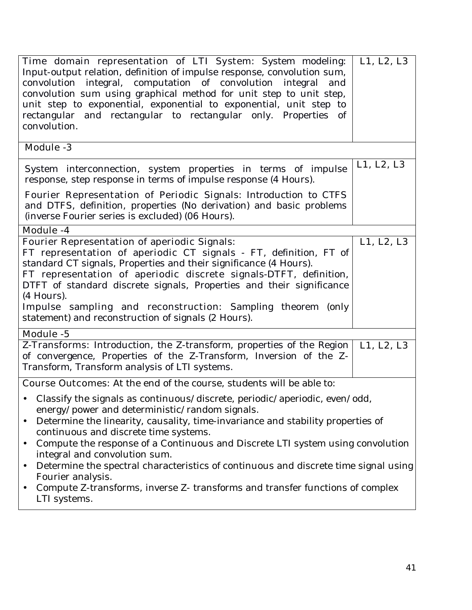| Time domain representation of LTI System: System modeling:<br>Input-output relation, definition of impulse response, convolution sum,<br>convolution integral, computation of convolution integral and<br>convolution sum using graphical method for unit step to unit step,<br>unit step to exponential, exponential to exponential, unit step to<br>rectangular and rectangular to rectangular only. Properties of<br>convolution.                                                                                                                                                                                                        | L1, L2, L3 |
|---------------------------------------------------------------------------------------------------------------------------------------------------------------------------------------------------------------------------------------------------------------------------------------------------------------------------------------------------------------------------------------------------------------------------------------------------------------------------------------------------------------------------------------------------------------------------------------------------------------------------------------------|------------|
| <b>Module -3</b>                                                                                                                                                                                                                                                                                                                                                                                                                                                                                                                                                                                                                            |            |
| System interconnection, system properties in terms of impulse<br>response, step response in terms of impulse response (4 Hours).                                                                                                                                                                                                                                                                                                                                                                                                                                                                                                            | L1, L2, L3 |
| Fourier Representation of Periodic Signals: Introduction to CTFS<br>and DTFS, definition, properties (No derivation) and basic problems<br>(inverse Fourier series is excluded) (06 Hours).                                                                                                                                                                                                                                                                                                                                                                                                                                                 |            |
| <b>Module -4</b>                                                                                                                                                                                                                                                                                                                                                                                                                                                                                                                                                                                                                            |            |
| <b>Fourier Representation of aperiodic Signals:</b><br>FT representation of aperiodic CT signals - FT, definition, FT of<br>standard CT signals, Properties and their significance (4 Hours).<br>FT representation of aperiodic discrete signals-DTFT, definition,<br>DTFT of standard discrete signals, Properties and their significance<br>(4 Hours).<br>Impulse sampling and reconstruction: Sampling theorem (only<br>statement) and reconstruction of signals (2 Hours).                                                                                                                                                              | L1, L2, L3 |
| <b>Module -5</b>                                                                                                                                                                                                                                                                                                                                                                                                                                                                                                                                                                                                                            |            |
| Z-Transforms: Introduction, the Z-transform, properties of the Region<br>of convergence, Properties of the Z-Transform, Inversion of the Z-<br>Transform, Transform analysis of LTI systems.                                                                                                                                                                                                                                                                                                                                                                                                                                                | L1, L2, L3 |
| <b>Course Outcomes:</b> At the end of the course, students will be able to:                                                                                                                                                                                                                                                                                                                                                                                                                                                                                                                                                                 |            |
| Classify the signals as continuous/discrete, periodic/aperiodic, even/odd,<br>energy/power and deterministic/random signals.<br>Determine the linearity, causality, time-invariance and stability properties of<br>$\bullet$<br>continuous and discrete time systems.<br>Compute the response of a Continuous and Discrete LTI system using convolution<br>$\bullet$<br>integral and convolution sum.<br>Determine the spectral characteristics of continuous and discrete time signal using<br>$\bullet$<br>Fourier analysis.<br>Compute Z-transforms, inverse Z-transforms and transfer functions of complex<br>$\bullet$<br>LTI systems. |            |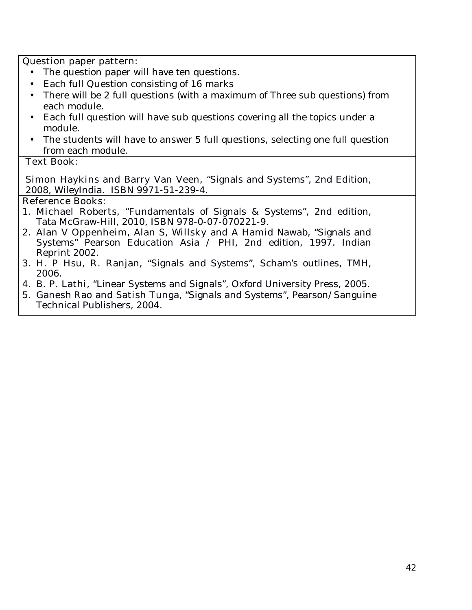### **Question paper pattern:**

- The question paper will have ten questions.
- Each full Question consisting of 16 marks
- There will be 2 full questions (with a maximum of Three sub questions) from each module.
- Each full question will have sub questions covering all the topics under a module.
- The students will have to answer 5 full questions, selecting one full question from each module.

### **Text Book:**

**Simon Haykins and Barry Van Veen,** "Signals and Systems", 2nd Edition, 2008, WileyIndia. ISBN 9971-51-239-4.

- 1. **Michael Roberts,** "Fundamentals of Signals & Systems", 2nd edition, Tata McGraw-Hill, 2010, ISBN 978-0-07-070221-9.
- 2. **Alan V Oppenheim, Alan S, Willsky and A Hamid Nawab,** "Signals and Systems" Pearson Education Asia / PHI, 2nd edition, 1997. Indian Reprint 2002.
- 3. **H. P Hsu, R. Ranjan,** "Signals and Systems", Scham's outlines, TMH, 2006.
- 4. **B. P. Lathi,** "Linear Systems and Signals", Oxford University Press, 2005.
- 5. **Ganesh Rao and Satish Tunga,** "Signals and Systems", Pearson/Sanguine Technical Publishers, 2004.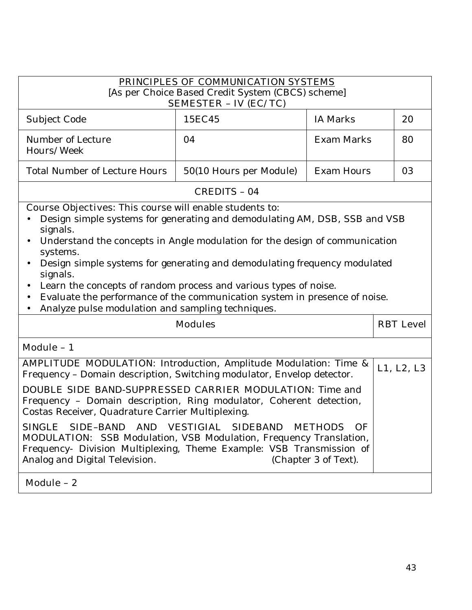| PRINCIPLES OF COMMUNICATION SYSTEMS<br>[As per Choice Based Credit System (CBCS) scheme]                                                                                                                                                                                                                                                                                                                                      |                              |                                                |                  |
|-------------------------------------------------------------------------------------------------------------------------------------------------------------------------------------------------------------------------------------------------------------------------------------------------------------------------------------------------------------------------------------------------------------------------------|------------------------------|------------------------------------------------|------------------|
|                                                                                                                                                                                                                                                                                                                                                                                                                               | <b>SEMESTER - IV (EC/TC)</b> |                                                |                  |
| Subject Code                                                                                                                                                                                                                                                                                                                                                                                                                  | 15EC45                       | <b>IA Marks</b>                                | 20               |
| Number of Lecture<br>Hours/Week                                                                                                                                                                                                                                                                                                                                                                                               | 04                           | <b>Exam Marks</b>                              | 80               |
| <b>Total Number of Lecture Hours</b>                                                                                                                                                                                                                                                                                                                                                                                          | 50(10 Hours per Module)      | <b>Exam Hours</b>                              | 03               |
|                                                                                                                                                                                                                                                                                                                                                                                                                               | <b>CREDITS - 04</b>          |                                                |                  |
| signals.<br>Understand the concepts in Angle modulation for the design of communication<br>$\bullet$<br>systems.<br>Design simple systems for generating and demodulating frequency modulated<br>signals.<br>Learn the concepts of random process and various types of noise.<br>Evaluate the performance of the communication system in presence of noise.<br>$\bullet$<br>Analyze pulse modulation and sampling techniques. |                              |                                                |                  |
| <b>Modules</b>                                                                                                                                                                                                                                                                                                                                                                                                                |                              |                                                | <b>RBT</b> Level |
| Module - 1                                                                                                                                                                                                                                                                                                                                                                                                                    |                              |                                                |                  |
| <b>AMPLITUDE MODULATION:</b> Introduction, Amplitude Modulation: Time &<br>Frequency - Domain description, Switching modulator, Envelop detector.                                                                                                                                                                                                                                                                             |                              |                                                | L1, L2, L3       |
| <b>DOUBLE SIDE BAND-SUPPRESSED CARRIER MODULATION:</b> Time and<br>Frequency - Domain description, Ring modulator, Coherent detection,<br>Costas Receiver, Quadrature Carrier Multiplexing.                                                                                                                                                                                                                                   |                              |                                                |                  |
| SIDE-BAND AND VESTIGIAL<br><b>SINGLE</b><br><b>MODULATION:</b> SSB Modulation, VSB Modulation, Frequency Translation,<br>Frequency- Division Multiplexing, Theme Example: VSB Transmission of<br>Analog and Digital Television.                                                                                                                                                                                               | <b>SIDEBAND</b>              | <b>METHODS</b><br>- OF<br>(Chapter 3 of Text). |                  |
| Module - 2                                                                                                                                                                                                                                                                                                                                                                                                                    |                              |                                                |                  |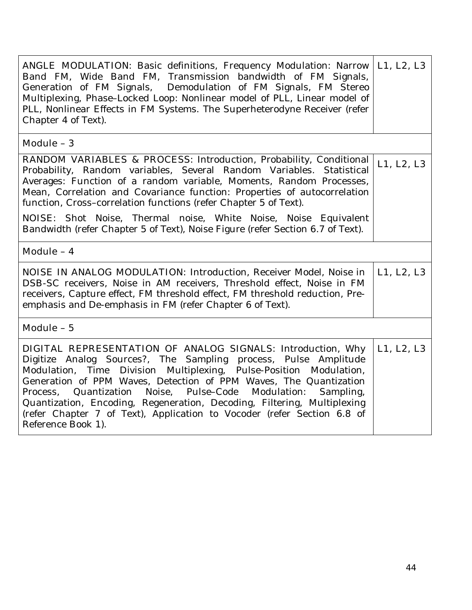| <b>ANGLE MODULATION:</b> Basic definitions, Frequency Modulation: Narrow<br>Band FM, Wide Band FM, Transmission bandwidth of FM Signals,<br>Generation of FM Signals, Demodulation of FM Signals, FM Stereo<br>Multiplexing, Phase-Locked Loop: Nonlinear model of PLL, Linear model of<br>PLL, Nonlinear Effects in FM Systems. The Superheterodyne Receiver (refer<br>Chapter 4 of Text).                                                                                                                                            |            |
|----------------------------------------------------------------------------------------------------------------------------------------------------------------------------------------------------------------------------------------------------------------------------------------------------------------------------------------------------------------------------------------------------------------------------------------------------------------------------------------------------------------------------------------|------------|
| Module - 3                                                                                                                                                                                                                                                                                                                                                                                                                                                                                                                             |            |
| <b>RANDOM VARIABLES &amp; PROCESS:</b> Introduction, Probability, Conditional<br>Probability, Random variables, Several Random Variables. Statistical<br>Averages: Function of a random variable, Moments, Random Processes,<br>Mean, Correlation and Covariance function: Properties of autocorrelation<br>function, Cross-correlation functions (refer Chapter 5 of Text).                                                                                                                                                           | L1, L2, L3 |
| <b>NOISE:</b> Shot Noise, Thermal noise, White Noise, Noise Equivalent<br>Bandwidth (refer Chapter 5 of Text), Noise Figure (refer Section 6.7 of Text).                                                                                                                                                                                                                                                                                                                                                                               |            |
| Module - 4                                                                                                                                                                                                                                                                                                                                                                                                                                                                                                                             |            |
| <b>NOISE IN ANALOG MODULATION:</b> Introduction, Receiver Model, Noise in<br>DSB-SC receivers, Noise in AM receivers, Threshold effect, Noise in FM<br>receivers, Capture effect, FM threshold effect, FM threshold reduction, Pre-<br>emphasis and De-emphasis in FM (refer Chapter 6 of Text).                                                                                                                                                                                                                                       | L1, L2, L3 |
| Module - 5                                                                                                                                                                                                                                                                                                                                                                                                                                                                                                                             |            |
| <b>DIGITAL REPRESENTATION OF ANALOG SIGNALS:</b> Introduction, Why<br>Digitize Analog Sources?, The Sampling process, Pulse Amplitude<br>Time Division Multiplexing, Pulse-Position Modulation,<br>Modulation,<br>Generation of PPM Waves, Detection of PPM Waves, The Quantization<br>Quantization Noise, Pulse-Code Modulation:<br>Sampling,<br>Process,<br>Quantization, Encoding, Regeneration, Decoding, Filtering, Multiplexing<br>(refer Chapter 7 of Text), Application to Vocoder (refer Section 6.8 of<br>Reference Book 1). | L1, L2, L3 |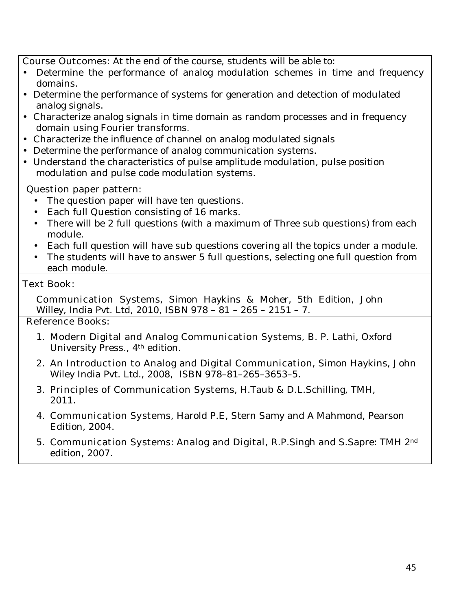**Course Outcomes:** At the end of the course, students will be able to:

- Determine the performance of analog modulation schemes in time and frequency domains.
- Determine the performance of systems for generation and detection of modulated analog signals.
- Characterize analog signals in time domain as random processes and in frequency domain using Fourier transforms.
- Characterize the influence of channel on analog modulated signals
- Determine the performance of analog communication systems.
- Understand the characteristics of pulse amplitude modulation, pulse position modulation and pulse code modulation systems.

## **Question paper pattern:**

- The question paper will have ten questions.
- Each full Question consisting of 16 marks.
- There will be 2 full questions (with a maximum of Three sub questions) from each module.
- Each full question will have sub questions covering all the topics under a module.
- The students will have to answer 5 full questions, selecting one full question from each module.

### **Text Book:**

**Communication Systems**, Simon Haykins & Moher, 5th Edition, John Willey, India Pvt. Ltd, 2010, ISBN 978 – 81 – 265 – 2151 – 7.

- 1. **Modern Digital and Analog Communication Systems,** B. P. Lathi, Oxford University Press., 4th edition.
- 2. **An Introduction to Analog and Digital Communication**, Simon Haykins, John Wiley India Pvt. Ltd., 2008, ISBN 978–81–265–3653–5.
- 3. **Principles of Communication Systems**, H.Taub & D.L.Schilling, TMH, 2011.
- 4. **Communication Systems**, Harold P.E, Stern Samy and A Mahmond, Pearson Edition, 2004.
- 5. **Communication Systems**: **Analog and Digital,** R.P.Singh and S.Sapre: TMH 2nd edition, 2007.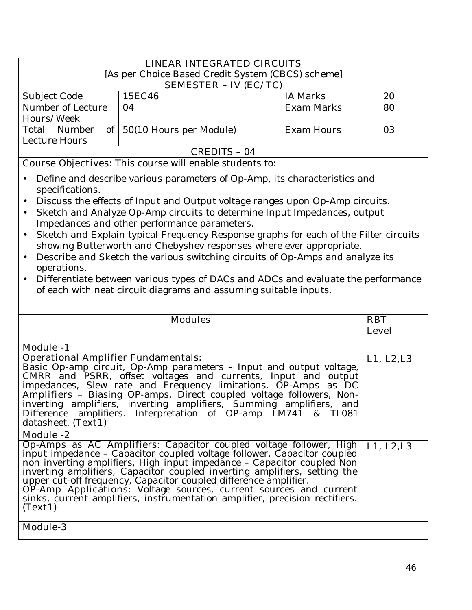| <b>LINEAR INTEGRATED CIRCUITS</b> |                            |                                                   |  |
|-----------------------------------|----------------------------|---------------------------------------------------|--|
| <b>SEMESTER - IV (EC/TC)</b>      |                            |                                                   |  |
| 15EC46                            | <b>IA Marks</b>            | 20                                                |  |
| 04                                | Exam Marks                 | 80                                                |  |
|                                   |                            |                                                   |  |
|                                   | <b>Exam Hours</b>          | 03                                                |  |
|                                   |                            |                                                   |  |
| CREDITS - 04                      |                            |                                                   |  |
|                                   | of 50(10 Hours per Module) | [As per Choice Based Credit System (CBCS) scheme] |  |

- Define and describe various parameters of Op-Amp, its characteristics and specifications.
- Discuss the effects of Input and Output voltage ranges upon Op-Amp circuits.
- Sketch and Analyze Op-Amp circuits to determine Input Impedances, output Impedances and other performance parameters.
- Sketch and Explain typical Frequency Response graphs for each of the Filter circuits showing Butterworth and Chebyshev responses where ever appropriate.
- Describe and Sketch the various switching circuits of Op-Amps and analyze its operations.
- Differentiate between various types of DACs and ADCs and evaluate the performance of each with neat circuit diagrams and assuming suitable inputs.

| <b>Modules</b>                                                                                                                                                                                                                                    | <b>RBT</b>   |
|---------------------------------------------------------------------------------------------------------------------------------------------------------------------------------------------------------------------------------------------------|--------------|
|                                                                                                                                                                                                                                                   | <b>Level</b> |
| <b>Module -1</b>                                                                                                                                                                                                                                  |              |
| <b>Operational Amplifier Fundamentals:</b>                                                                                                                                                                                                        | L1, L2, L3   |
| Basic Op-amp circuit, Op-Amp parameters - Input and output voltage,                                                                                                                                                                               |              |
| CMRR and PSRR, offset voltages and currents, Input and output                                                                                                                                                                                     |              |
| impedances, Slew rate and Frequency limitations. <b>OP-Amps as DC</b><br><b>Amplifiers</b> – Biasing OP-amps, Direct coupled voltage followers, Non-<br>inverting amplifiers, inverting amplifiers, Summing amplifiers, and<br>Difference amplifi |              |
|                                                                                                                                                                                                                                                   |              |
|                                                                                                                                                                                                                                                   |              |
| datasheet. (Text1)                                                                                                                                                                                                                                |              |
|                                                                                                                                                                                                                                                   |              |
| Module -2                                                                                                                                                                                                                                         |              |
| <b>Op-Amps as AC Amplifiers:</b> Capacitor coupled voltage follower, High L1, L2,L3 input impedance - Capacitor coupled voltage follower, Capacitor coupled                                                                                       |              |
|                                                                                                                                                                                                                                                   |              |
|                                                                                                                                                                                                                                                   |              |
|                                                                                                                                                                                                                                                   |              |
| non inverting amplifiers, High input impedance - Capacitor coupled Non<br>inverting amplifiers, Capacitor coupled inverting amplifiers, setting the<br>upper cut-off frequency, Capacitor coupled difference amplifier.<br><b>OP-Amp Appl</b>     |              |
|                                                                                                                                                                                                                                                   |              |
| (Text1)                                                                                                                                                                                                                                           |              |
|                                                                                                                                                                                                                                                   |              |
| <b>Module-3</b>                                                                                                                                                                                                                                   |              |
|                                                                                                                                                                                                                                                   |              |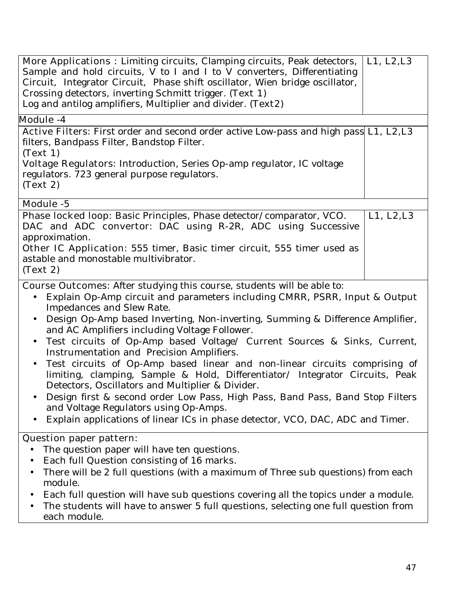| <b>More Applications :</b> Limiting circuits, Clamping circuits, Peak detectors,<br>Sample and hold circuits, V to I and I to V converters, Differentiating<br>Circuit, Integrator Circuit, Phase shift oscillator, Wien bridge oscillator,<br>Crossing detectors, inverting Schmitt trigger. (Text 1)<br>Log and antilog amplifiers, Multiplier and divider. (Text2) | L1, L2, L3 |
|-----------------------------------------------------------------------------------------------------------------------------------------------------------------------------------------------------------------------------------------------------------------------------------------------------------------------------------------------------------------------|------------|
| <b>Module -4</b>                                                                                                                                                                                                                                                                                                                                                      |            |
| <b>Active Filters:</b> First order and second order active Low-pass and high pass <b>L1, L2,L3</b><br>filters, Bandpass Filter, Bandstop Filter.<br>(Text 1)<br>Voltage Regulators: Introduction, Series Op-amp regulator, IC voltage<br>regulators. 723 general purpose regulators.<br>(Text 2)                                                                      |            |
| <b>Module -5</b>                                                                                                                                                                                                                                                                                                                                                      |            |
| <b>Phase locked loop:</b> Basic Principles, Phase detector/comparator, VCO.<br>DAC and ADC convertor: DAC using R-2R, ADC using Successive<br>approximation.<br><b>Other IC Application:</b> 555 timer, Basic timer circuit, 555 timer used as<br>astable and monostable multivibrator.<br>(Text 2)                                                                   | L1, L2, L3 |
| <b>Course Outcomes:</b> After studying this course, students will be able to:                                                                                                                                                                                                                                                                                         |            |

- Explain Op-Amp circuit and parameters including CMRR, PSRR, Input & Output Impedances and Slew Rate.
- Design Op-Amp based Inverting, Non-inverting, Summing & Difference Amplifier, and AC Amplifiers including Voltage Follower.
- Test circuits of Op-Amp based Voltage/ Current Sources & Sinks, Current, Instrumentation and Precision Amplifiers.
- Test circuits of Op-Amp based linear and non-linear circuits comprising of limiting, clamping, Sample & Hold, Differentiator/ Integrator Circuits, Peak Detectors, Oscillators and Multiplier & Divider.
- Design first & second order Low Pass, High Pass, Band Pass, Band Stop Filters and Voltage Regulators using Op-Amps.
- Explain applications of linear ICs in phase detector, VCO, DAC, ADC and Timer.

# **Question paper pattern:**

- The question paper will have ten questions.
- Each full Question consisting of 16 marks.
- There will be 2 full questions (with a maximum of Three sub questions) from each module.
- Each full question will have sub questions covering all the topics under a module.
- The students will have to answer 5 full questions, selecting one full question from each module.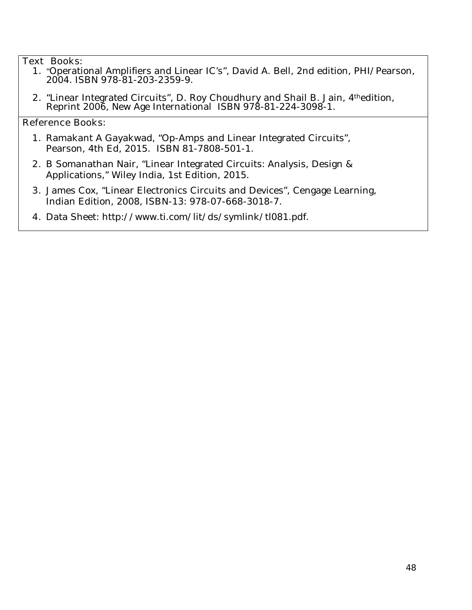### **Text Books:**

- **1.** "Operational Amplifiers and Linear IC's", David A. Bell, 2nd edition, PHI/Pearson, 2004. ISBN 978-81-203-2359-9.
- **2.** "Linear Integrated Circuits", D. Roy Choudhury and Shail B. Jain, 4thedition, Reprint 2006, New Age International ISBN 978-81-224-3098-1.

- **1.** Ramakant A Gayakwad, "Op-Amps and Linear Integrated Circuits", Pearson, 4th Ed, 2015. ISBN 81-7808-501-1.
- **2.** B Somanathan Nair, "Linear Integrated Circuits: Analysis, Design & Applications," Wiley India, 1st Edition, 2015.
- **3.** James Cox, "Linear Electronics Circuits and Devices", Cengage Learning, Indian Edition, 2008, ISBN-13: 978-07-668-3018-7.
- **4.** Data Sheet: http://www.ti.com/lit/ds/symlink/tl081.pdf.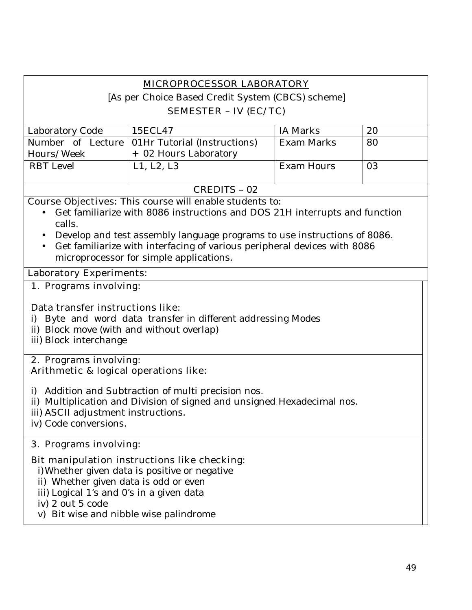# **MICROPROCESSOR LABORATORY**

[As per Choice Based Credit System (CBCS) scheme]

## **SEMESTER – IV (EC/TC)**

| Laboratory Code  | 15ECL47                                          | IA Marks          | 20 |
|------------------|--------------------------------------------------|-------------------|----|
|                  | Number of Lecture   01Hr Tutorial (Instructions) | <b>Exam Marks</b> | 80 |
| Hours/Week       | + 02 Hours Laboratory                            |                   |    |
| <b>RBT</b> Level | L1, L2, L3                                       | Exam Hours        | 03 |
|                  |                                                  |                   |    |
|                  |                                                  |                   |    |

### CREDITS – 02

**Course Objectives:** This course will enable students to:

- Get familiarize with 8086 instructions and DOS 21H interrupts and function calls.
- Develop and test assembly language programs to use instructions of 8086.
- Get familiarize with interfacing of various peripheral devices with 8086 microprocessor for simple applications.

### **Laboratory Experiments:**

## **1. Programs involving:**

### **Data transfer instructions like**:

- i) Byte and word data transfer in different addressing Modes
- ii) Block move (with and without overlap)
- iii) Block interchange

### **2. Programs involving: Arithmetic & logical operations like**:

- i) Addition and Subtraction of multi precision nos.
- ii) Multiplication and Division of signed and unsigned Hexadecimal nos.
- iii) ASCII adjustment instructions.
- iv) Code conversions.

## **3. Programs involving:**

## **Bit manipulation instructions like checking**:

i)Whether given data is positive or negative

- ii) Whether given data is odd or even
- iii) Logical 1's and 0's in a given data
- iv) 2 out 5 code
- v) Bit wise and nibble wise palindrome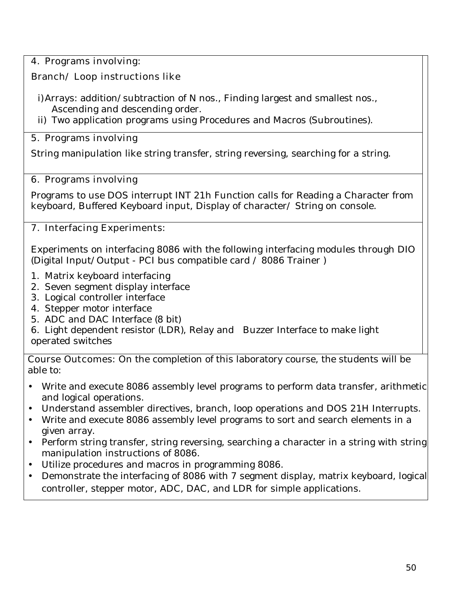# **4. Programs involving:**

# **Branch/ Loop instructions like**

- i)Arrays: addition/subtraction of N nos., Finding largest and smallest nos., Ascending and descending order.
- ii) Two application programs using Procedures and Macros (Subroutines).

# **5. Programs involving**

String manipulation like string transfer, string reversing, searching for a string.

# **6. Programs involving**

Programs to use DOS interrupt INT 21h Function calls for Reading a Character from keyboard, Buffered Keyboard input, Display of character/ String on console.

# **7. Interfacing Experiments:**

Experiments on interfacing 8086 with the following interfacing modules through DIO (Digital Input/Output - PCI bus compatible card / 8086 Trainer )

- 1. Matrix keyboard interfacing
- 2. Seven segment display interface
- 3. Logical controller interface
- 4. Stepper motor interface
- 5. ADC and DAC Interface (8 bit)
- 6. Light dependent resistor (LDR), Relay and Buzzer Interface to make light operated switches

**Course Outcomes:** On the completion of this laboratory course, the students will be able to:

- Write and execute 8086 assembly level programs to perform data transfer, arithmetic and logical operations.
- Understand assembler directives, branch, loop operations and DOS 21H Interrupts.
- Write and execute 8086 assembly level programs to sort and search elements in a given array.
- Perform string transfer, string reversing, searching a character in a string with string manipulation instructions of 8086.
- Utilize procedures and macros in programming 8086.
- Demonstrate the interfacing of 8086 with 7 segment display, matrix keyboard, logical controller, stepper motor, ADC, DAC, and LDR for simple applications.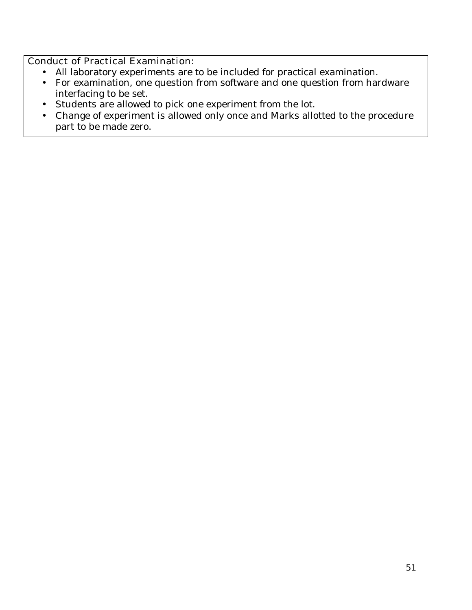# **Conduct of Practical Examination:**

- All laboratory experiments are to be included for practical examination.
- For examination, one question from software and one question from hardware interfacing to be set.
- Students are allowed to pick one experiment from the lot.
- Change of experiment is allowed only once and Marks allotted to the procedure part to be made zero.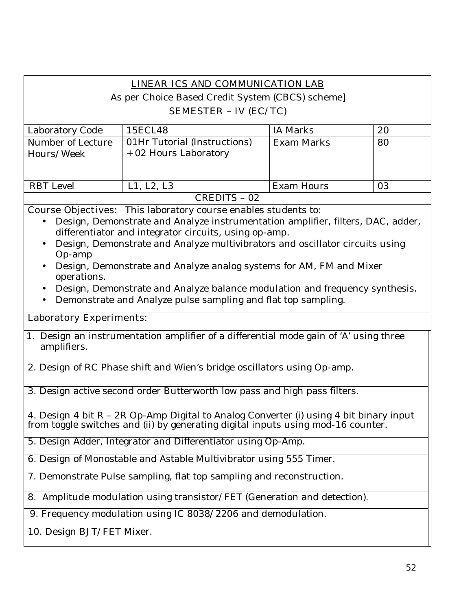| <b>LINEAR ICS AND COMMUNICATION LAB</b>                                                                                                                                   |                                                                                                                                       |                   |    |
|---------------------------------------------------------------------------------------------------------------------------------------------------------------------------|---------------------------------------------------------------------------------------------------------------------------------------|-------------------|----|
|                                                                                                                                                                           | As per Choice Based Credit System (CBCS) scheme]                                                                                      |                   |    |
|                                                                                                                                                                           | <b>SEMESTER - IV (EC/TC)</b>                                                                                                          |                   |    |
| Laboratory Code                                                                                                                                                           | 15ECL48                                                                                                                               | <b>IA Marks</b>   | 20 |
| Number of Lecture                                                                                                                                                         | 01Hr Tutorial (Instructions)                                                                                                          | <b>Exam Marks</b> | 80 |
| Hours/Week                                                                                                                                                                | + 02 Hours Laboratory                                                                                                                 |                   |    |
|                                                                                                                                                                           |                                                                                                                                       |                   |    |
| <b>RBT</b> Level                                                                                                                                                          | L1, L2, L3                                                                                                                            | <b>Exam Hours</b> | 03 |
|                                                                                                                                                                           | <b>CREDITS - 02</b>                                                                                                                   |                   |    |
|                                                                                                                                                                           | <b>Course Objectives:</b> This laboratory course enables students to:                                                                 |                   |    |
|                                                                                                                                                                           | Design, Demonstrate and Analyze instrumentation amplifier, filters, DAC, adder,                                                       |                   |    |
|                                                                                                                                                                           | differentiator and integrator circuits, using op-amp.<br>Design, Demonstrate and Analyze multivibrators and oscillator circuits using |                   |    |
| Op-amp                                                                                                                                                                    |                                                                                                                                       |                   |    |
|                                                                                                                                                                           | Design, Demonstrate and Analyze analog systems for AM, FM and Mixer                                                                   |                   |    |
| operations.                                                                                                                                                               |                                                                                                                                       |                   |    |
|                                                                                                                                                                           | Design, Demonstrate and Analyze balance modulation and frequency synthesis.                                                           |                   |    |
|                                                                                                                                                                           | Demonstrate and Analyze pulse sampling and flat top sampling.                                                                         |                   |    |
| <b>Laboratory Experiments:</b>                                                                                                                                            |                                                                                                                                       |                   |    |
| 1. Design an instrumentation amplifier of a differential mode gain of 'A' using three<br>amplifiers.                                                                      |                                                                                                                                       |                   |    |
| 2. Design of RC Phase shift and Wien's bridge oscillators using Op-amp.                                                                                                   |                                                                                                                                       |                   |    |
|                                                                                                                                                                           | 3. Design active second order Butterworth low pass and high pass filters.                                                             |                   |    |
|                                                                                                                                                                           |                                                                                                                                       |                   |    |
| 4. Design 4 bit $R - 2R$ Op-Amp Digital to Analog Converter (i) using 4 bit binary input from toggle switches and (ii) by generating digital inputs using mod-16 counter. |                                                                                                                                       |                   |    |
| 5. Design Adder, Integrator and Differentiator using Op-Amp.                                                                                                              |                                                                                                                                       |                   |    |
| 6. Design of Monostable and Astable Multivibrator using 555 Timer.                                                                                                        |                                                                                                                                       |                   |    |
| 7. Demonstrate Pulse sampling, flat top sampling and reconstruction.                                                                                                      |                                                                                                                                       |                   |    |
| 8. Amplitude modulation using transistor/FET (Generation and detection).                                                                                                  |                                                                                                                                       |                   |    |
| 9. Frequency modulation using IC 8038/2206 and demodulation.                                                                                                              |                                                                                                                                       |                   |    |
| 10. Design BJT/FET Mixer.                                                                                                                                                 |                                                                                                                                       |                   |    |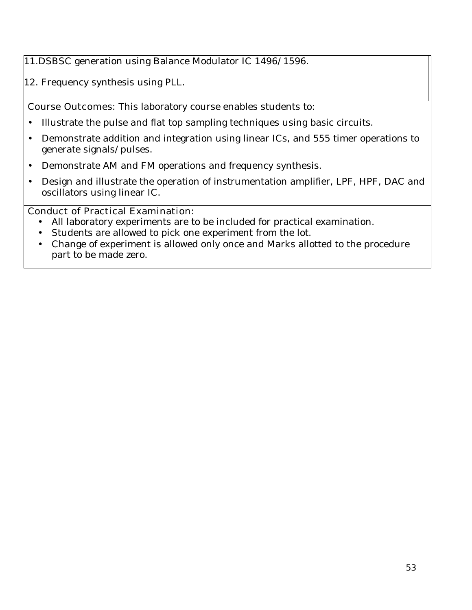# 11.DSBSC generation using Balance Modulator IC 1496/1596.

12. Frequency synthesis using PLL.

**Course Outcomes:** This laboratory course enables students to:

- Illustrate the pulse and flat top sampling techniques using basic circuits.
- Demonstrate addition and integration using linear ICs, and 555 timer operations to generate signals/pulses.
- Demonstrate AM and FM operations and frequency synthesis.
- Design and illustrate the operation of instrumentation amplifier, LPF, HPF, DAC and oscillators using linear IC.

## **Conduct of Practical Examination:**

- All laboratory experiments are to be included for practical examination.
- Students are allowed to pick one experiment from the lot.
- Change of experiment is allowed only once and Marks allotted to the procedure part to be made zero.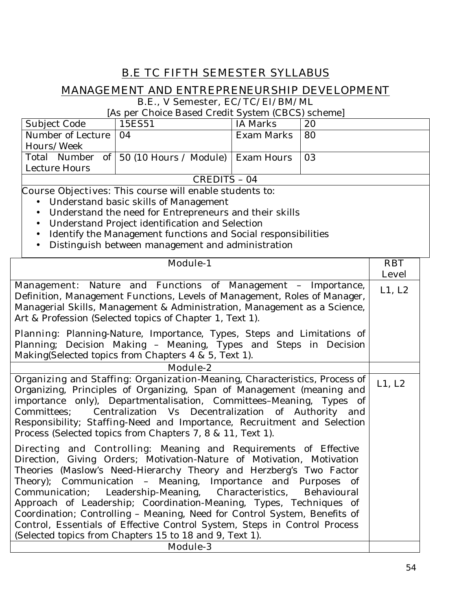# **B.E TC FIFTH SEMESTER SYLLABUS**

# **MANAGEMENT AND ENTREPRENEURSHIP DEVELOPMENT**

**B.E., V Semester, EC/TC/EI/BM/ML** 

[As per Choice Based Credit System (CBCS) scheme]

| Subject Code           | 15ES51                                              | IA Marks   | 20              |
|------------------------|-----------------------------------------------------|------------|-----------------|
| Number of Lecture   04 |                                                     | Exam Marks | 80              |
| Hours/Week             |                                                     |            |                 |
|                        | Total Number of 50 (10 Hours / Module)   Exam Hours |            | 10 <sub>3</sub> |
| Lecture Hours          |                                                     |            |                 |
| CREDITS - 04           |                                                     |            |                 |

- Understand basic skills of Management
- Understand the need for Entrepreneurs and their skills
- Understand Project identification and Selection
- Identify the Management functions and Social responsibilities
- Distinguish between management and administration

| <b>Module-1</b>                                                                                                                                                                                                                                                                                                                                                                                                                                                                                                                                                                                                                                      | <b>RBT</b>             |
|------------------------------------------------------------------------------------------------------------------------------------------------------------------------------------------------------------------------------------------------------------------------------------------------------------------------------------------------------------------------------------------------------------------------------------------------------------------------------------------------------------------------------------------------------------------------------------------------------------------------------------------------------|------------------------|
| Management: Nature and Functions of Management - Importance,<br>Definition, Management Functions, Levels of Management, Roles of Manager,<br>Managerial Skills, Management & Administration, Management as a Science,<br>Art & Profession (Selected topics of Chapter 1, Text 1).                                                                                                                                                                                                                                                                                                                                                                    | <b>Level</b><br>L1, L2 |
| Planning: Planning-Nature, Importance, Types, Steps and Limitations of<br>Planning; Decision Making - Meaning, Types and Steps in Decision<br>Making(Selected topics from Chapters 4 & 5, Text 1).                                                                                                                                                                                                                                                                                                                                                                                                                                                   |                        |
| <b>Module-2</b>                                                                                                                                                                                                                                                                                                                                                                                                                                                                                                                                                                                                                                      |                        |
| Organizing and Staffing: Organization-Meaning, Characteristics, Process of<br>Organizing, Principles of Organizing, Span of Management (meaning and<br>importance only), Departmentalisation, Committees-Meaning, Types of<br>Centralization Vs Decentralization of Authority and<br>Committees:<br>Responsibility; Staffing-Need and Importance, Recruitment and Selection<br>Process (Selected topics from Chapters 7, 8 & 11, Text 1).                                                                                                                                                                                                            | L1, L2                 |
| <b>Directing and Controlling:</b> Meaning and Requirements of Effective<br>Direction, Giving Orders; Motivation-Nature of Motivation, Motivation<br>Theories (Maslow's Need-Hierarchy Theory and Herzberg's Two Factor<br>Theory); Communication - Meaning, Importance and Purposes of<br>Communication; Leadership-Meaning, Characteristics, Behavioural<br>Approach of Leadership; Coordination-Meaning, Types, Techniques of<br>Coordination; Controlling - Meaning, Need for Control System, Benefits of<br>Control, Essentials of Effective Control System, Steps in Control Process<br>(Selected topics from Chapters 15 to 18 and 9, Text 1). |                        |
| <b>Module-3</b>                                                                                                                                                                                                                                                                                                                                                                                                                                                                                                                                                                                                                                      |                        |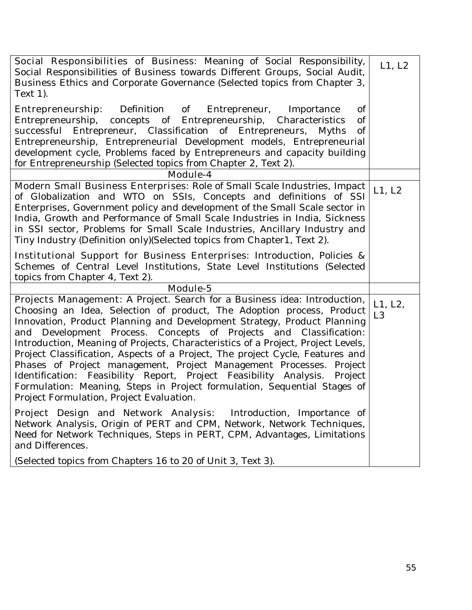| Social Responsibilities of Business: Meaning of Social Responsibility,<br>Social Responsibilities of Business towards Different Groups, Social Audit,<br>Business Ethics and Corporate Governance (Selected topics from Chapter 3,<br>Text 1).                                                                                                                                                                                                                                                                                                                                                                                                                                                                                                      | L1, L2                    |
|-----------------------------------------------------------------------------------------------------------------------------------------------------------------------------------------------------------------------------------------------------------------------------------------------------------------------------------------------------------------------------------------------------------------------------------------------------------------------------------------------------------------------------------------------------------------------------------------------------------------------------------------------------------------------------------------------------------------------------------------------------|---------------------------|
| <b>Entrepreneurship</b> : Definition of Entrepreneur, Importance<br>of<br>Entrepreneurship,<br>concepts of Entrepreneurship,<br>Characteristics<br>of<br>successful Entrepreneur, Classification of Entrepreneurs,<br>of<br>Myths<br>Entrepreneurship, Entrepreneurial Development models, Entrepreneurial<br>development cycle, Problems faced by Entrepreneurs and capacity building<br>for Entrepreneurship (Selected topics from Chapter 2, Text 2).                                                                                                                                                                                                                                                                                            |                           |
| <b>Module-4</b>                                                                                                                                                                                                                                                                                                                                                                                                                                                                                                                                                                                                                                                                                                                                     |                           |
| Modern Small Business Enterprises: Role of Small Scale Industries, Impact<br>of Globalization and WTO on SSIs, Concepts and definitions of SSI<br>Enterprises, Government policy and development of the Small Scale sector in<br>India, Growth and Performance of Small Scale Industries in India, Sickness<br>in SSI sector, Problems for Small Scale Industries, Ancillary Industry and<br>Tiny Industry (Definition only) (Selected topics from Chapter1, Text 2).                                                                                                                                                                                                                                                                               | L1, L2                    |
| <b>Institutional Support for Business Enterprises:</b> Introduction, Policies &<br>Schemes of Central Level Institutions, State Level Institutions (Selected<br>topics from Chapter 4, Text 2).                                                                                                                                                                                                                                                                                                                                                                                                                                                                                                                                                     |                           |
| Module-5                                                                                                                                                                                                                                                                                                                                                                                                                                                                                                                                                                                                                                                                                                                                            |                           |
| Projects Management: A Project. Search for a Business idea: Introduction,<br>Choosing an Idea, Selection of product, The Adoption process, Product<br>Innovation, Product Planning and Development Strategy, Product Planning<br>and Development Process. Concepts of Projects and Classification:<br>Introduction, Meaning of Projects, Characteristics of a Project, Project Levels,<br>Project Classification, Aspects of a Project, The project Cycle, Features and<br>Phases of Project management, Project Management Processes. Project<br>Identification: Feasibility Report, Project Feasibility Analysis. Project<br>Formulation: Meaning, Steps in Project formulation, Sequential Stages of<br>Project Formulation, Project Evaluation. | L1, L2,<br>L <sub>3</sub> |
| Project Design and Network Analysis: Introduction, Importance of<br>Network Analysis, Origin of PERT and CPM, Network, Network Techniques,<br>Need for Network Techniques, Steps in PERT, CPM, Advantages, Limitations<br>and Differences.<br>(Selected topics from Chapters 16 to 20 of Unit 3, Text 3).                                                                                                                                                                                                                                                                                                                                                                                                                                           |                           |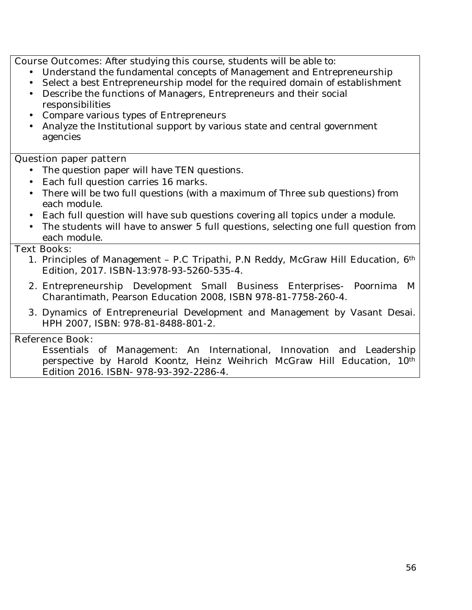**Course Outcomes:** After studying this course, students will be able to:

- Understand the fundamental concepts of Management and Entrepreneurship
- Select a best Entrepreneurship model for the required domain of establishment
- Describe the functions of Managers, Entrepreneurs and their social responsibilities
- Compare various types of Entrepreneurs
- Analyze the Institutional support by various state and central government agencies

## **Question paper pattern**

- The question paper will have TEN questions.
- Each full question carries 16 marks.
- There will be two full questions (with a maximum of Three sub questions) from each module.
- Each full question will have sub questions covering all topics under a module.
- The students will have to answer 5 full questions, selecting one full question from each module.

### **Text Books:**

- 1. Principles of Management P.C Tripathi, P.N Reddy, McGraw Hill Education, 6th Edition, 2017. ISBN-13:978-93-5260-535-4.
- **2.** Entrepreneurship Development Small Business Enterprises- Poornima M Charantimath, Pearson Education 2008, ISBN 978-81-7758-260-4.
- **3.** Dynamics of Entrepreneurial Development and Management by Vasant Desai. HPH 2007, ISBN: 978-81-8488-801-2.

### **Reference Book:**

Essentials of Management: An International, Innovation and Leadership perspective by Harold Koontz, Heinz Weihrich McGraw Hill Education, 10th Edition 2016. ISBN- 978-93-392-2286-4.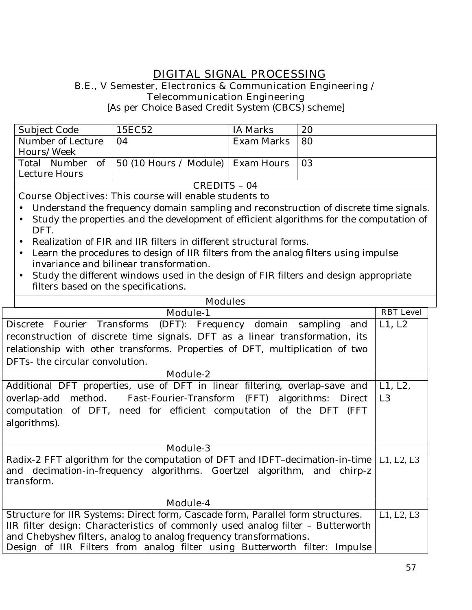# **DIGITAL SIGNAL PROCESSING B.E., V Semester, Electronics & Communication Engineering / Telecommunication Engineering**

[As per Choice Based Credit System (CBCS) scheme]

| Subject Code      | 15EC52                                                | IA Marks   | 20 |
|-------------------|-------------------------------------------------------|------------|----|
| Number of Lecture | 04                                                    | Exam Marks | 80 |
| Hours/Week        |                                                       |            |    |
|                   | Total Number of   50 (10 Hours / Module)   Exam Hours |            | 03 |
| Lecture Hours     |                                                       |            |    |
| CREDITS - 04      |                                                       |            |    |

- Understand the frequency domain sampling and reconstruction of discrete time signals.
- Study the properties and the development of efficient algorithms for the computation of DFT.
- Realization of FIR and IIR filters in different structural forms.
- Learn the procedures to design of IIR filters from the analog filters using impulse invariance and bilinear transformation.
- Study the different windows used in the design of FIR filters and design appropriate filters based on the specifications.

| <b>Modules</b>                                                                                                                                                     |                  |  |
|--------------------------------------------------------------------------------------------------------------------------------------------------------------------|------------------|--|
| <b>Module-1</b>                                                                                                                                                    | <b>RBT</b> Level |  |
| Discrete Fourier Transforms (DFT): Frequency domain sampling and                                                                                                   | L1, L2           |  |
| reconstruction of discrete time signals. DFT as a linear transformation, its                                                                                       |                  |  |
| relationship with other transforms. Properties of DFT, multiplication of two                                                                                       |                  |  |
| DFTs- the circular convolution.                                                                                                                                    |                  |  |
| Module-2                                                                                                                                                           |                  |  |
| Additional DFT properties, use of DFT in linear filtering, overlap-save and                                                                                        | L1, L2,          |  |
| overlap-add method. Fast-Fourier-Transform (FFT) algorithms: Direct                                                                                                | L <sub>3</sub>   |  |
| computation of DFT, need for efficient computation of the DFT (FFT                                                                                                 |                  |  |
| algorithms).                                                                                                                                                       |                  |  |
|                                                                                                                                                                    |                  |  |
| <b>Module-3</b>                                                                                                                                                    |                  |  |
| Radix-2 FFT algorithm for the computation of DFT and IDFT-decimation-in-time   L1, L2, L3                                                                          |                  |  |
| and decimation-in-frequency algorithms. Goertzel algorithm, and chirp-z                                                                                            |                  |  |
| transform.                                                                                                                                                         |                  |  |
| Module-4                                                                                                                                                           |                  |  |
|                                                                                                                                                                    |                  |  |
| Structure for IIR Systems: Direct form, Cascade form, Parallel form structures.<br>IIR filter design: Characteristics of commonly used analog filter - Butterworth |                  |  |
| and Chebyshev filters, analog to analog frequency transformations.                                                                                                 |                  |  |
| Design of IIR Filters from analog filter using Butterworth filter: Impulse                                                                                         |                  |  |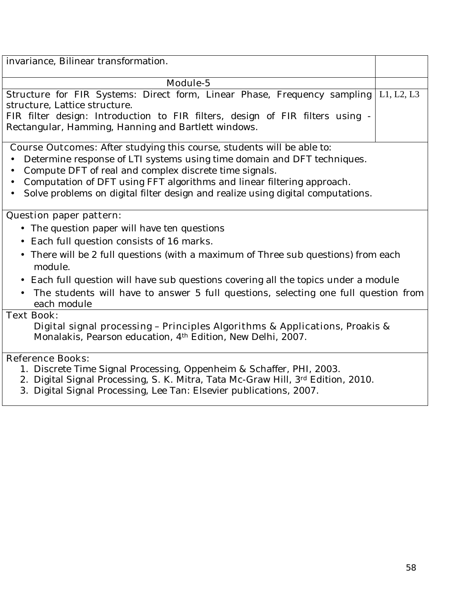| invariance, Bilinear transformation.                                                           |            |  |
|------------------------------------------------------------------------------------------------|------------|--|
| Module-5                                                                                       |            |  |
| Structure for FIR Systems: Direct form, Linear Phase, Frequency sampling                       | L1, L2, L3 |  |
| structure, Lattice structure.                                                                  |            |  |
| FIR filter design: Introduction to FIR filters, design of FIR filters using -                  |            |  |
| Rectangular, Hamming, Hanning and Bartlett windows.                                            |            |  |
| <b>Course Outcomes:</b> After studying this course, students will be able to:                  |            |  |
| Determine response of LTI systems using time domain and DFT techniques.                        |            |  |
| Compute DFT of real and complex discrete time signals.                                         |            |  |
| Computation of DFT using FFT algorithms and linear filtering approach.                         |            |  |
| Solve problems on digital filter design and realize using digital computations.                |            |  |
| <b>Question paper pattern:</b>                                                                 |            |  |
| • The question paper will have ten questions                                                   |            |  |
| Each full question consists of 16 marks.<br>$\bullet$                                          |            |  |
| There will be 2 full questions (with a maximum of Three sub questions) from each               |            |  |
| module.                                                                                        |            |  |
| Each full question will have sub questions covering all the topics under a module<br>$\bullet$ |            |  |
| The students will have to answer 5 full questions, selecting one full question from            |            |  |
| each module                                                                                    |            |  |
| <b>Text Book:</b>                                                                              |            |  |
| <b>Digital signal processing - Principles Algorithms &amp; Applications</b> , Proakis &        |            |  |
| Monalakis, Pearson education, 4 <sup>th</sup> Edition, New Delhi, 2007.                        |            |  |
| <b>Reference Books:</b>                                                                        |            |  |
| 1. Discrete Time Signal Processing, Oppenheim & Schaffer, PHI, 2003.                           |            |  |

- 2. Digital Signal Processing, S. K. Mitra, Tata Mc-Graw Hill, 3rd Edition, 2010.
- 3. Digital Signal Processing, Lee Tan: Elsevier publications, 2007.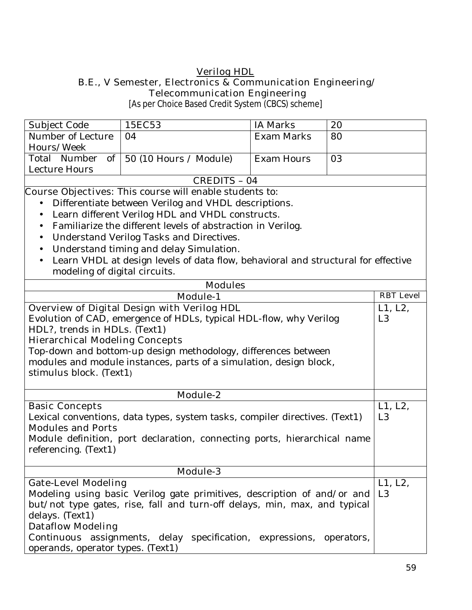### **Verilog HDL B.E., V Semester, Electronics & Communication Engineering/ Telecommunication Engineering**

[As per Choice Based Credit System (CBCS) scheme]

| Subject Code                                                                | 15EC53                                                                            | <b>IA Marks</b>   | 20             |                  |
|-----------------------------------------------------------------------------|-----------------------------------------------------------------------------------|-------------------|----------------|------------------|
| Number of Lecture                                                           | 04                                                                                | <b>Exam Marks</b> | 80             |                  |
| Hours/Week                                                                  |                                                                                   |                   |                |                  |
| of<br>Total Number                                                          | 50 (10 Hours / Module)                                                            | <b>Exam Hours</b> | 03             |                  |
| <b>Lecture Hours</b>                                                        |                                                                                   |                   |                |                  |
|                                                                             | <b>CREDITS - 04</b>                                                               |                   |                |                  |
|                                                                             | <b>Course Objectives:</b> This course will enable students to:                    |                   |                |                  |
|                                                                             | Differentiate between Verilog and VHDL descriptions.                              |                   |                |                  |
| $\bullet$                                                                   | Learn different Verilog HDL and VHDL constructs.                                  |                   |                |                  |
| $\bullet$                                                                   | Familiarize the different levels of abstraction in Verilog.                       |                   |                |                  |
| $\bullet$                                                                   | Understand Verilog Tasks and Directives.                                          |                   |                |                  |
| $\bullet$                                                                   | Understand timing and delay Simulation.                                           |                   |                |                  |
| $\bullet$                                                                   | Learn VHDL at design levels of data flow, behavioral and structural for effective |                   |                |                  |
| modeling of digital circuits.                                               |                                                                                   |                   |                |                  |
|                                                                             | <b>Modules</b>                                                                    |                   |                |                  |
|                                                                             | <b>Module-1</b>                                                                   |                   |                | <b>RBT</b> Level |
|                                                                             | <b>Overview of Digital Design with Verilog HDL</b>                                |                   |                | L1, L2,          |
|                                                                             | Evolution of CAD, emergence of HDLs, typical HDL-flow, why Verilog                |                   |                | L <sub>3</sub>   |
| HDL?, trends in HDLs. (Text1)                                               |                                                                                   |                   |                |                  |
| <b>Hierarchical Modeling Concepts</b>                                       |                                                                                   |                   |                |                  |
|                                                                             | Top-down and bottom-up design methodology, differences between                    |                   |                |                  |
|                                                                             | modules and module instances, parts of a simulation, design block,                |                   |                |                  |
| stimulus block. (Text1)                                                     |                                                                                   |                   |                |                  |
|                                                                             |                                                                                   |                   |                |                  |
|                                                                             | Module-2                                                                          |                   |                |                  |
| <b>Basic Concepts</b>                                                       |                                                                                   |                   |                | L1, L2,          |
| Lexical conventions, data types, system tasks, compiler directives. (Text1) |                                                                                   |                   |                | L <sub>3</sub>   |
| <b>Modules and Ports</b>                                                    |                                                                                   |                   |                |                  |
|                                                                             | Module definition, port declaration, connecting ports, hierarchical name          |                   |                |                  |
| referencing. (Text1)                                                        |                                                                                   |                   |                |                  |
|                                                                             |                                                                                   |                   |                |                  |
|                                                                             | <b>Module-3</b>                                                                   |                   |                |                  |
| <b>Gate-Level Modeling</b>                                                  |                                                                                   |                   |                | L1, L2,          |
| Modeling using basic Verilog gate primitives, description of and/or and     |                                                                                   |                   | L <sub>3</sub> |                  |
| but/not type gates, rise, fall and turn-off delays, min, max, and typical   |                                                                                   |                   |                |                  |
| delays. (Text1)                                                             |                                                                                   |                   |                |                  |
| <b>Dataflow Modeling</b>                                                    |                                                                                   |                   |                |                  |
| Continuous assignments, delay specification, expressions, operators,        |                                                                                   |                   |                |                  |
| operands, operator types. (Text1)                                           |                                                                                   |                   |                |                  |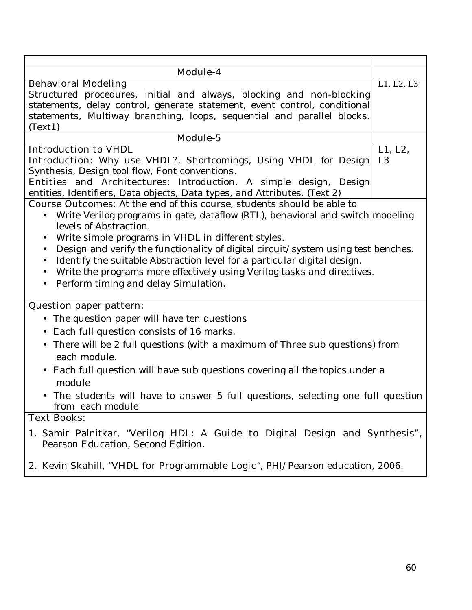| <b>Module-4</b>                                                                                |                |
|------------------------------------------------------------------------------------------------|----------------|
| <b>Behavioral Modeling</b>                                                                     | L1, L2, L3     |
| Structured procedures, initial and always, blocking and non-blocking                           |                |
| statements, delay control, generate statement, event control, conditional                      |                |
| statements, Multiway branching, loops, sequential and parallel blocks.                         |                |
| (Text1)                                                                                        |                |
| Module-5                                                                                       |                |
| <b>Introduction to VHDL</b>                                                                    | L1, L2,        |
| <b>Introduction:</b> Why use VHDL?, Shortcomings, Using VHDL for Design                        | L <sub>3</sub> |
| Synthesis, Design tool flow, Font conventions.                                                 |                |
| <b>Entities and Architectures:</b> Introduction, A simple design, Design                       |                |
| entities, Identifiers, Data objects, Data types, and Attributes. (Text 2)                      |                |
| <b>Course Outcomes:</b> At the end of this course, students should be able to                  |                |
| Write Verilog programs in gate, dataflow (RTL), behavioral and switch modeling                 |                |
| levels of Abstraction.                                                                         |                |
| Write simple programs in VHDL in different styles.                                             |                |
| Design and verify the functionality of digital circuit/system using test benches.<br>$\bullet$ |                |
| Identify the suitable Abstraction level for a particular digital design.<br>$\bullet$          |                |
| Write the programs more effectively using Verilog tasks and directives.                        |                |
| Perform timing and delay Simulation.<br>$\bullet$                                              |                |
|                                                                                                |                |
| <b>Question paper pattern:</b>                                                                 |                |
| The question paper will have ten questions<br>$\bullet$                                        |                |
| Each full question consists of 16 marks.<br>$\bullet$                                          |                |
| There will be 2 full questions (with a maximum of Three sub questions) from<br>$\bullet$       |                |
| each module.                                                                                   |                |
| Each full question will have sub questions covering all the topics under a<br>$\bullet$        |                |
| module                                                                                         |                |
| The students will have to answer 5 full questions, selecting one full question                 |                |
| from each module                                                                               |                |
| <b>Text Books:</b>                                                                             |                |
| 1. Samir Palnitkar, "Verilog HDL: A Guide to Digital Design and Synthesis",                    |                |
| Pearson Education, Second Edition.                                                             |                |
|                                                                                                |                |
| 2. Kevin Skahill, "VHDL for Programmable Logic", PHI/Pearson education, 2006.                  |                |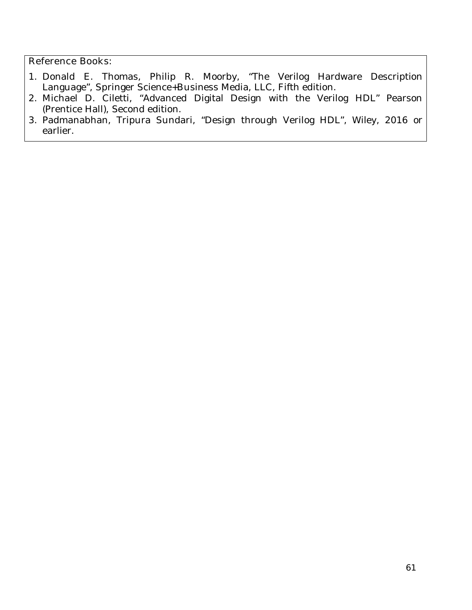- 1. Donald E. Thomas, Philip R. Moorby, "The Verilog Hardware Description Language", Springer Science+Business Media, LLC, Fifth edition.
- 2. Michael D. Ciletti, "Advanced Digital Design with the Verilog HDL" Pearson (Prentice Hall), Second edition.
- 3. Padmanabhan, Tripura Sundari, "Design through Verilog HDL", Wiley, 2016 or earlier.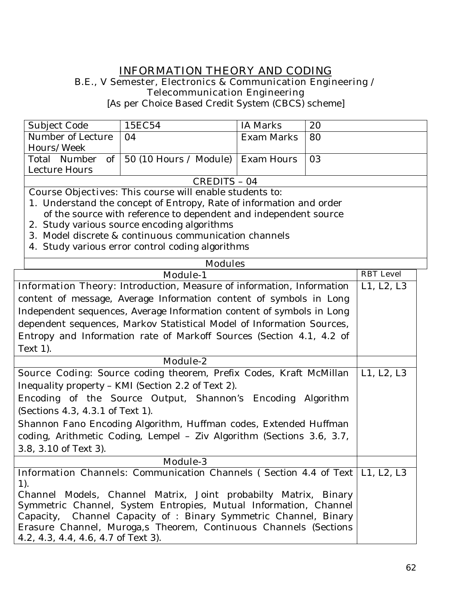# **INFORMATION THEORY AND CODING**

### **B.E., V Semester, Electronics & Communication Engineering / Telecommunication Engineering**

[As per Choice Based Credit System (CBCS) scheme]

| Subject Code                                                          | 15EC54                                                                                | <b>IA Marks</b>   | 20 |                  |
|-----------------------------------------------------------------------|---------------------------------------------------------------------------------------|-------------------|----|------------------|
| Number of Lecture                                                     | 04                                                                                    | <b>Exam Marks</b> | 80 |                  |
| Hours/Week                                                            |                                                                                       |                   |    |                  |
| Total Number of                                                       | 50 (10 Hours / Module)   Exam Hours                                                   |                   | 03 |                  |
| <b>Lecture Hours</b>                                                  |                                                                                       |                   |    |                  |
|                                                                       | <b>CREDITS - 04</b>                                                                   |                   |    |                  |
|                                                                       | <b>Course Objectives:</b> This course will enable students to:                        |                   |    |                  |
|                                                                       | 1. Understand the concept of Entropy, Rate of information and order                   |                   |    |                  |
|                                                                       | of the source with reference to dependent and independent source                      |                   |    |                  |
|                                                                       | 2. Study various source encoding algorithms                                           |                   |    |                  |
|                                                                       | 3. Model discrete & continuous communication channels                                 |                   |    |                  |
|                                                                       | 4. Study various error control coding algorithms                                      |                   |    |                  |
|                                                                       | <b>Modules</b>                                                                        |                   |    |                  |
|                                                                       | <b>Module-1</b>                                                                       |                   |    | <b>RBT</b> Level |
|                                                                       | Information Theory: Introduction, Measure of information, Information                 |                   |    | L1, L2, L3       |
|                                                                       | content of message, Average Information content of symbols in Long                    |                   |    |                  |
|                                                                       | Independent sequences, Average Information content of symbols in Long                 |                   |    |                  |
|                                                                       | dependent sequences, Markov Statistical Model of Information Sources,                 |                   |    |                  |
|                                                                       | Entropy and Information rate of Markoff Sources (Section 4.1, 4.2 of                  |                   |    |                  |
| Text 1).                                                              |                                                                                       |                   |    |                  |
| Module-2                                                              |                                                                                       |                   |    |                  |
|                                                                       | <b>Source Coding</b> : Source coding theorem, Prefix Codes, Kraft McMillan            |                   |    | L1, L2, L3       |
|                                                                       | Inequality property - KMI (Section 2.2 of Text 2).                                    |                   |    |                  |
|                                                                       | Encoding of the Source Output, Shannon's Encoding Algorithm                           |                   |    |                  |
| (Sections 4.3, 4.3.1 of Text 1).                                      |                                                                                       |                   |    |                  |
| Shannon Fano Encoding Algorithm, Huffman codes, Extended Huffman      |                                                                                       |                   |    |                  |
| coding, Arithmetic Coding, Lempel - Ziv Algorithm (Sections 3.6, 3.7, |                                                                                       |                   |    |                  |
| 3.8, 3.10 of Text 3).                                                 |                                                                                       |                   |    |                  |
| <b>Module-3</b>                                                       |                                                                                       |                   |    |                  |
|                                                                       | <b>Information Channels:</b> Communication Channels (Section 4.4 of Text   L1, L2, L3 |                   |    |                  |
| $1$ ).                                                                |                                                                                       |                   |    |                  |
|                                                                       | Channel Models, Channel Matrix, Joint probabilty Matrix, Binary                       |                   |    |                  |
|                                                                       | Symmetric Channel, System Entropies, Mutual Information, Channel                      |                   |    |                  |
|                                                                       | Capacity, Channel Capacity of : Binary Symmetric Channel, Binary                      |                   |    |                  |
|                                                                       | Erasure Channel, Muroga,s Theorem, Continuous Channels (Sections                      |                   |    |                  |
| 4.2, 4.3, 4.4, 4.6, 4.7 of Text 3).                                   |                                                                                       |                   |    |                  |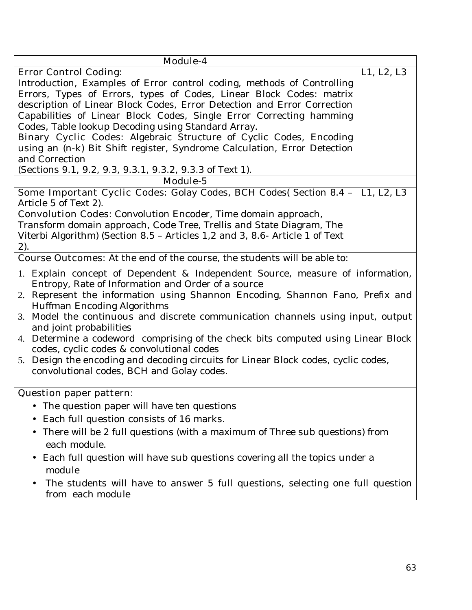| Module-4                                                                                                                        |            |  |  |  |
|---------------------------------------------------------------------------------------------------------------------------------|------------|--|--|--|
| <b>Error Control Coding:</b>                                                                                                    | L1, L2, L3 |  |  |  |
| Introduction, Examples of Error control coding, methods of Controlling                                                          |            |  |  |  |
| Errors, Types of Errors, types of Codes, Linear Block Codes: matrix                                                             |            |  |  |  |
| description of Linear Block Codes, Error Detection and Error Correction                                                         |            |  |  |  |
| Capabilities of Linear Block Codes, Single Error Correcting hamming                                                             |            |  |  |  |
| Codes, Table lookup Decoding using Standard Array.                                                                              |            |  |  |  |
| Binary Cyclic Codes: Algebraic Structure of Cyclic Codes, Encoding                                                              |            |  |  |  |
| using an (n-k) Bit Shift register, Syndrome Calculation, Error Detection                                                        |            |  |  |  |
| and Correction                                                                                                                  |            |  |  |  |
| (Sections 9.1, 9.2, 9.3, 9.3.1, 9.3.2, 9.3.3 of Text 1).                                                                        |            |  |  |  |
| Module-5                                                                                                                        |            |  |  |  |
| <b>Some Important Cyclic Codes:</b> Golay Codes, BCH Codes( Section 8.4 - L1, L2, L3                                            |            |  |  |  |
| Article 5 of Text 2).                                                                                                           |            |  |  |  |
| <b>Convolution Codes:</b> Convolution Encoder, Time domain approach,                                                            |            |  |  |  |
| Transform domain approach, Code Tree, Trellis and State Diagram, The                                                            |            |  |  |  |
| Viterbi Algorithm) (Section 8.5 - Articles 1,2 and 3, 8.6- Article 1 of Text                                                    |            |  |  |  |
| 2).                                                                                                                             |            |  |  |  |
| <b>Course Outcomes:</b> At the end of the course, the students will be able to:                                                 |            |  |  |  |
| 1. Explain concept of Dependent & Independent Source, measure of information,                                                   |            |  |  |  |
| Entropy, Rate of Information and Order of a source                                                                              |            |  |  |  |
| 2. Represent the information using Shannon Encoding, Shannon Fano, Prefix and                                                   |            |  |  |  |
| <b>Huffman Encoding Algorithms</b>                                                                                              |            |  |  |  |
| 3. Model the continuous and discrete communication channels using input, output<br>and joint probabilities                      |            |  |  |  |
| 4. Determine a codeword comprising of the check bits computed using Linear Block                                                |            |  |  |  |
| codes, cyclic codes & convolutional codes<br>5. Design the encoding and decoding circuits for Linear Block codes, cyclic codes, |            |  |  |  |
| convolutional codes, BCH and Golay codes.                                                                                       |            |  |  |  |
|                                                                                                                                 |            |  |  |  |
| <b>Question paper pattern:</b>                                                                                                  |            |  |  |  |
| The question paper will have ten questions                                                                                      |            |  |  |  |
| Each full question consists of 16 marks.                                                                                        |            |  |  |  |
|                                                                                                                                 |            |  |  |  |
| There will be 2 full questions (with a maximum of Three sub questions) from<br>each module.                                     |            |  |  |  |
| Each full question will have sub questions covering all the topics under a<br>$\bullet$                                         |            |  |  |  |
| module                                                                                                                          |            |  |  |  |
| The students will have to answer 5 full questions, selecting one full question                                                  |            |  |  |  |
| from each module                                                                                                                |            |  |  |  |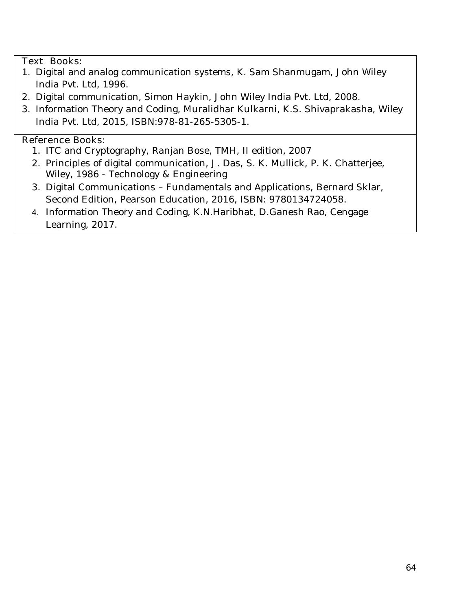## **Text Books:**

- 1. Digital and analog communication systems, K. Sam Shanmugam, John Wiley India Pvt. Ltd, 1996.
- 2. Digital communication, Simon Haykin, John Wiley India Pvt. Ltd, 2008.
- 3. Information Theory and Coding, Muralidhar Kulkarni, K.S. Shivaprakasha, Wiley India Pvt. Ltd, 2015, ISBN:978-81-265-5305-1.

- 1. ITC and Cryptography, Ranjan Bose, TMH, II edition, 2007
- 2. Principles of digital communication, J. Das, S. K. Mullick, P. K. Chatterjee, Wiley, 1986 - Technology & Engineering
- 3. Digital Communications Fundamentals and Applications, Bernard Sklar, Second Edition, Pearson Education, 2016, ISBN: 9780134724058.
- 4. Information Theory and Coding, K.N.Haribhat, D.Ganesh Rao, Cengage Learning, 2017.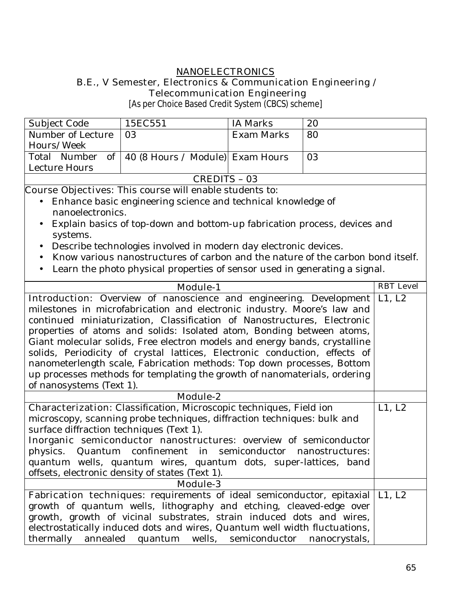#### **NANOELECTRONICS B.E., V Semester, Electronics & Communication Engineering / Telecommunication Engineering**

[As per Choice Based Credit System (CBCS) scheme]

| Subject Code      | 15EC551                                            | IA Marks   | 20 |
|-------------------|----------------------------------------------------|------------|----|
| Number of Lecture | $\overline{03}$                                    | Exam Marks | 80 |
| Hours/Week        |                                                    |            |    |
|                   | Total Number of   40 (8 Hours / Module) Exam Hours |            | 03 |
| Lecture Hours     |                                                    |            |    |
| CREDITS - 03      |                                                    |            |    |

- Enhance basic engineering science and technical knowledge of nanoelectronics.
- Explain basics of top-down and bottom-up fabrication process, devices and systems.
- Describe technologies involved in modern day electronic devices.
- Know various nanostructures of carbon and the nature of the carbon bond itself.
- Learn the photo physical properties of sensor used in generating a signal.

| <b>Module-1</b>                                                                      | <b>RBT</b> Level |
|--------------------------------------------------------------------------------------|------------------|
| <b>Introduction:</b> Overview of nanoscience and engineering. Development   L1, L2   |                  |
| milestones in microfabrication and electronic industry. Moore's law and              |                  |
| continued miniaturization, Classification of Nanostructures, Electronic              |                  |
| properties of atoms and solids: Isolated atom, Bonding between atoms,                |                  |
| Giant molecular solids, Free electron models and energy bands, crystalline           |                  |
| solids, Periodicity of crystal lattices, Electronic conduction, effects of           |                  |
| nanometerlength scale, Fabrication methods: Top down processes, Bottom               |                  |
| up processes methods for templating the growth of nanomaterials, ordering            |                  |
| of nanosystems (Text 1).                                                             |                  |
| <b>Module-2</b>                                                                      |                  |
| <b>Characterization:</b> Classification, Microscopic techniques, Field ion           | L1, L2           |
| microscopy, scanning probe techniques, diffraction techniques: bulk and              |                  |
| surface diffraction techniques (Text 1).                                             |                  |
| Inorganic semiconductor nanostructures: overview of semiconductor                    |                  |
| physics. Quantum confinement in semiconductor nanostructures:                        |                  |
| quantum wells, quantum wires, quantum dots, super-lattices, band                     |                  |
| offsets, electronic density of states (Text 1).                                      |                  |
| <b>Module-3</b>                                                                      |                  |
| <b>Fabrication techniques:</b> requirements of ideal semiconductor, epitaxial L1, L2 |                  |
| growth of quantum wells, lithography and etching, cleaved-edge over                  |                  |
| growth, growth of vicinal substrates, strain induced dots and wires,                 |                  |
| electrostatically induced dots and wires, Quantum well width fluctuations,           |                  |
| thermally annealed quantum wells, semiconductor nanocrystals,                        |                  |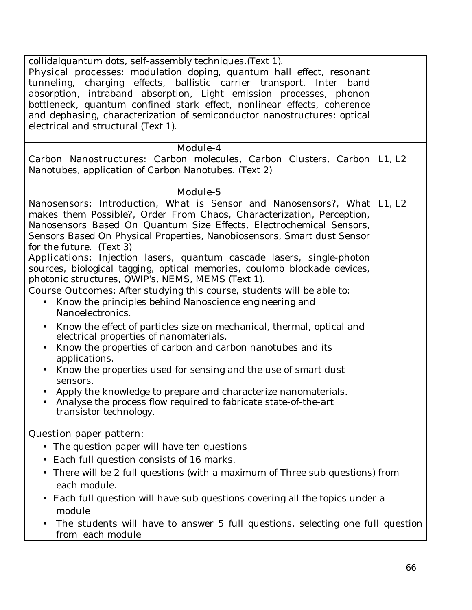| collidalquantum dots, self-assembly techniques. (Text 1).<br>Physical processes: modulation doping, quantum hall effect, resonant<br>tunneling, charging effects, ballistic carrier transport, Inter band<br>absorption, intraband absorption, Light emission processes, phonon<br>bottleneck, quantum confined stark effect, nonlinear effects, coherence<br>and dephasing, characterization of semiconductor nanostructures: optical<br>electrical and structural (Text 1).                                                                                                                                                                                                                                                                                                                                                                                                                                                                                                                                                                                                                                                                                                            |  |
|------------------------------------------------------------------------------------------------------------------------------------------------------------------------------------------------------------------------------------------------------------------------------------------------------------------------------------------------------------------------------------------------------------------------------------------------------------------------------------------------------------------------------------------------------------------------------------------------------------------------------------------------------------------------------------------------------------------------------------------------------------------------------------------------------------------------------------------------------------------------------------------------------------------------------------------------------------------------------------------------------------------------------------------------------------------------------------------------------------------------------------------------------------------------------------------|--|
| Module-4                                                                                                                                                                                                                                                                                                                                                                                                                                                                                                                                                                                                                                                                                                                                                                                                                                                                                                                                                                                                                                                                                                                                                                                 |  |
| Carbon Nanostructures: Carbon molecules, Carbon Clusters, Carbon   L1, L2<br>Nanotubes, application of Carbon Nanotubes. (Text 2)                                                                                                                                                                                                                                                                                                                                                                                                                                                                                                                                                                                                                                                                                                                                                                                                                                                                                                                                                                                                                                                        |  |
| Module-5                                                                                                                                                                                                                                                                                                                                                                                                                                                                                                                                                                                                                                                                                                                                                                                                                                                                                                                                                                                                                                                                                                                                                                                 |  |
| <b>Nanosensors:</b> Introduction, What is Sensor and Nanosensors?, What L1, L2<br>makes them Possible?, Order From Chaos, Characterization, Perception,<br>Nanosensors Based On Quantum Size Effects, Electrochemical Sensors,<br>Sensors Based On Physical Properties, Nanobiosensors, Smart dust Sensor<br>for the future. (Text 3)<br>Applications: Injection lasers, quantum cascade lasers, single-photon<br>sources, biological tagging, optical memories, coulomb blockade devices,<br>photonic structures, QWIP's, NEMS, MEMS (Text 1).<br><b>Course Outcomes:</b> After studying this course, students will be able to:<br>Know the principles behind Nanoscience engineering and<br>Nanoelectronics.<br>Know the effect of particles size on mechanical, thermal, optical and<br>$\bullet$<br>electrical properties of nanomaterials.<br>Know the properties of carbon and carbon nanotubes and its<br>applications.<br>Know the properties used for sensing and the use of smart dust<br>sensors.<br>Apply the knowledge to prepare and characterize nanomaterials.<br>$\bullet$<br>Analyse the process flow required to fabricate state-of-the-art<br>transistor technology. |  |
| <b>Question paper pattern:</b>                                                                                                                                                                                                                                                                                                                                                                                                                                                                                                                                                                                                                                                                                                                                                                                                                                                                                                                                                                                                                                                                                                                                                           |  |
| The question paper will have ten questions<br>$\bullet$                                                                                                                                                                                                                                                                                                                                                                                                                                                                                                                                                                                                                                                                                                                                                                                                                                                                                                                                                                                                                                                                                                                                  |  |
| Each full question consists of 16 marks.                                                                                                                                                                                                                                                                                                                                                                                                                                                                                                                                                                                                                                                                                                                                                                                                                                                                                                                                                                                                                                                                                                                                                 |  |
| There will be 2 full questions (with a maximum of Three sub questions) from<br>$\bullet$<br>each module.                                                                                                                                                                                                                                                                                                                                                                                                                                                                                                                                                                                                                                                                                                                                                                                                                                                                                                                                                                                                                                                                                 |  |
| Each full question will have sub questions covering all the topics under a<br>$\bullet$<br>module                                                                                                                                                                                                                                                                                                                                                                                                                                                                                                                                                                                                                                                                                                                                                                                                                                                                                                                                                                                                                                                                                        |  |
| The students will have to answer 5 full questions, selecting one full question<br>from each module                                                                                                                                                                                                                                                                                                                                                                                                                                                                                                                                                                                                                                                                                                                                                                                                                                                                                                                                                                                                                                                                                       |  |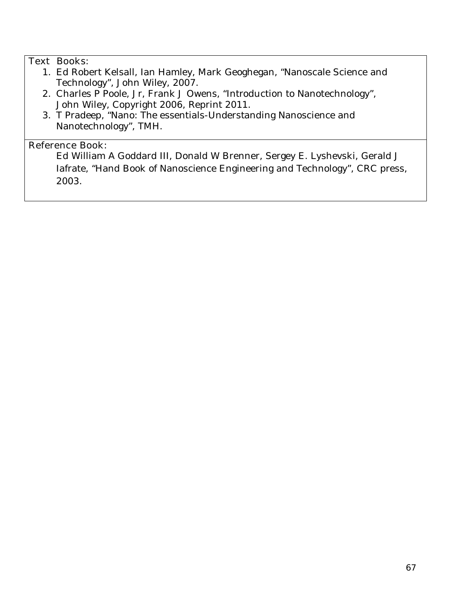# **Text Books:**

- 1. Ed Robert Kelsall, Ian Hamley, Mark Geoghegan, "Nanoscale Science and Technology", John Wiley, 2007.
- 2. Charles P Poole, Jr, Frank J Owens, "Introduction to Nanotechnology", John Wiley, Copyright 2006, Reprint 2011.
- 3. T Pradeep, "Nano: The essentials-Understanding Nanoscience and Nanotechnology", TMH.

## **Reference Book:**

Ed William A Goddard III, Donald W Brenner, Sergey E. Lyshevski, Gerald J Iafrate, "Hand Book of Nanoscience Engineering and Technology", CRC press, 2003.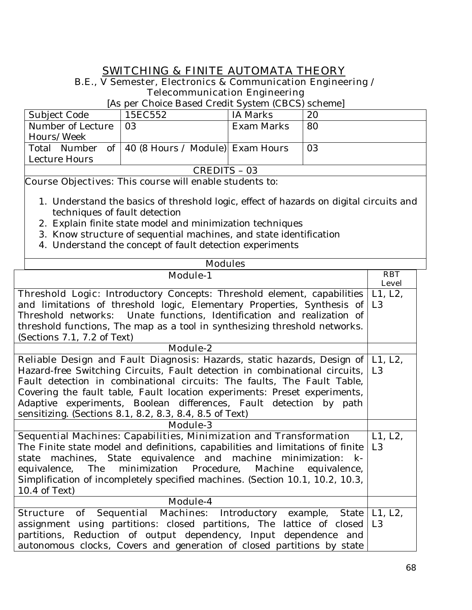# **SWITCHING & FINITE AUTOMATA THEORY**

## **B.E., V Semester, Electronics & Communication Engineering / Telecommunication Engineering**

[As per Choice Based Credit System (CBCS) scheme]

| Subject Code           | 15EC552                                            | IA Marks   | 20 |
|------------------------|----------------------------------------------------|------------|----|
| Number of Lecture   03 |                                                    | Exam Marks | 80 |
| Hours/Week             |                                                    |            |    |
|                        | Total Number of   40 (8 Hours / Module) Exam Hours |            | 03 |
| Lecture Hours          |                                                    |            |    |
| CREDITS – 03           |                                                    |            |    |

- 1. Understand the basics of threshold logic, effect of hazards on digital circuits and techniques of fault detection
- 2. Explain finite state model and minimization techniques
- 3. Know structure of sequential machines, and state identification
- 4. Understand the concept of fault detection experiments

| <b>Modules</b>                                                                           |                |
|------------------------------------------------------------------------------------------|----------------|
| <b>Module-1</b>                                                                          | <b>RBT</b>     |
|                                                                                          | <b>Level</b>   |
| <b>Threshold Logic:</b> Introductory Concepts: Threshold element, capabilities           | L1, L2,        |
| and limitations of threshold logic, Elementary Properties, Synthesis of                  | L <sub>3</sub> |
| Threshold networks: Unate functions, Identification and realization of                   |                |
| threshold functions, The map as a tool in synthesizing threshold networks.               |                |
| (Sections $7.1$ , $7.2$ of Text)                                                         |                |
| <b>Module-2</b>                                                                          |                |
| <b>Reliable Design and Fault Diagnosis:</b> Hazards, static hazards, Design of   L1, L2, |                |
| Hazard-free Switching Circuits, Fault detection in combinational circuits,               | L <sub>3</sub> |
| Fault detection in combinational circuits: The faults, The Fault Table,                  |                |
| Covering the fault table, Fault location experiments: Preset experiments,                |                |
| Adaptive experiments, Boolean differences, Fault detection by path                       |                |
| sensitizing. (Sections 8.1, 8.2, 8.3, 8.4, 8.5 of Text)                                  |                |
| <b>Module-3</b>                                                                          |                |
| <b>Sequential Machines: Capabilities, Minimization and Transformation</b>                | L1, L2,        |
| The Finite state model and definitions, capabilities and limitations of finite           | L <sub>3</sub> |
| state machines, State equivalence and machine minimization: k-                           |                |
| equivalence, The minimization Procedure, Machine equivalence,                            |                |
| Simplification of incompletely specified machines. (Section 10.1, 10.2, 10.3,            |                |
| 10.4 of Text)                                                                            |                |
| Module-4                                                                                 |                |
| of Sequential Machines: Introductory example, State<br><b>Structure</b>                  | L1, L2,        |
| assignment using partitions: closed partitions, The lattice of closed                    | L3             |
| partitions, Reduction of output dependency, Input dependence and                         |                |
| autonomous clocks, Covers and generation of closed partitions by state                   |                |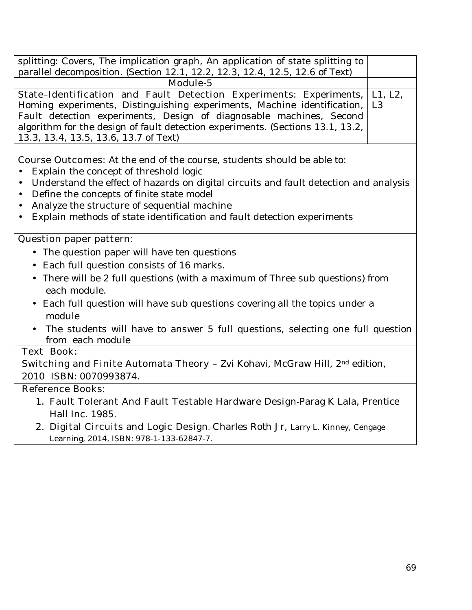| splitting: Covers, The implication graph, An application of state splitting to<br>parallel decomposition. (Section 12.1, 12.2, 12.3, 12.4, 12.5, 12.6 of Text) |  |
|----------------------------------------------------------------------------------------------------------------------------------------------------------------|--|
| Module-5                                                                                                                                                       |  |
| State-Identification and Fault Detection Experiments: Experiments,   L1, L2,                                                                                   |  |
| Homing experiments, Distinguishing experiments, Machine identification, L3                                                                                     |  |
| Fault detection experiments, Design of diagnosable machines, Second                                                                                            |  |
| algorithm for the design of fault detection experiments. (Sections 13.1, 13.2,                                                                                 |  |
| 13.3, 13.4, 13.5, 13.6, 13.7 of Text)                                                                                                                          |  |

**Course Outcomes:** At the end of the course, students should be able to:

- Explain the concept of threshold logic
- Understand the effect of hazards on digital circuits and fault detection and analysis
- Define the concepts of finite state model
- Analyze the structure of sequential machine
- Explain methods of state identification and fault detection experiments

## **Question paper pattern:**

- The question paper will have ten questions
- Each full question consists of 16 marks**.**
- There will be 2 full questions (with a maximum of Three sub questions) from each module.
- Each full question will have sub questions covering all the topics under a module
- The students will have to answer 5 full questions, selecting one full question from each module

### **Text Book:**

**Switching and Finite Automata Theory - Zvi Kohavi, McGraw Hill, 2<sup>nd</sup> edition,** 2010 ISBN: 0070993874.

- 1. **Fault Tolerant And Fault Testable Hardware Design-**Parag K Lala, Prentice Hall Inc. 1985.
- 2. **Digital Circuits and Logic Design**.-Charles Roth Jr, Larry L. Kinney, Cengage Learning, 2014, ISBN: 978-1-133-62847-7.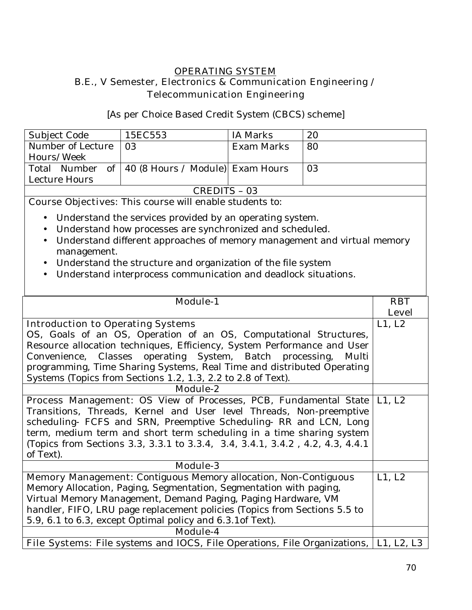## **OPERATING SYSTEM B.E., V Semester, Electronics & Communication Engineering / Telecommunication Engineering**

[As per Choice Based Credit System (CBCS) scheme]

| Subject Code      | 15EC553                                            | IA Marks   | 20 |
|-------------------|----------------------------------------------------|------------|----|
| Number of Lecture | LO3.                                               | Exam Marks | 80 |
| Hours/Week        |                                                    |            |    |
|                   | Total Number of   40 (8 Hours / Module) Exam Hours |            | 03 |
| Lecture Hours     |                                                    |            |    |
| $\cap$<br>$\cap$  |                                                    |            |    |

CREDITS – 03

- Understand the services provided by an operating system.
- Understand how processes are synchronized and scheduled.
- Understand different approaches of memory management and virtual memory management.
- Understand the structure and organization of the file system
- Understand interprocess communication and deadlock situations.

|                                                                                               | <b>RBT</b>   |  |  |
|-----------------------------------------------------------------------------------------------|--------------|--|--|
| <b>Module-1</b>                                                                               |              |  |  |
|                                                                                               | <b>Level</b> |  |  |
| <b>Introduction to Operating Systems</b>                                                      | L1, L2       |  |  |
| OS, Goals of an OS, Operation of an OS, Computational Structures,                             |              |  |  |
| Resource allocation techniques, Efficiency, System Performance and User                       |              |  |  |
| Convenience, Classes operating System, Batch processing, Multi                                |              |  |  |
| programming, Time Sharing Systems, Real Time and distributed Operating                        |              |  |  |
| Systems (Topics from Sections 1.2, 1.3, 2.2 to 2.8 of Text).                                  |              |  |  |
| <b>Module-2</b>                                                                               |              |  |  |
| Process Management: OS View of Processes, PCB, Fundamental State                              | L1, L2       |  |  |
| Transitions, Threads, Kernel and User level Threads, Non-preemptive                           |              |  |  |
| scheduling- FCFS and SRN, Preemptive Scheduling- RR and LCN, Long                             |              |  |  |
| term, medium term and short term scheduling in a time sharing system                          |              |  |  |
| (Topics from Sections 3.3, 3.3.1 to 3.3.4, 3.4, 3.4.1, 3.4.2, 4.2, 4.3, 4.4.1)                |              |  |  |
| of Text).                                                                                     |              |  |  |
| <b>Module-3</b>                                                                               |              |  |  |
| Memory Management: Contiguous Memory allocation, Non-Contiguous                               | L1, L2       |  |  |
| Memory Allocation, Paging, Segmentation, Segmentation with paging,                            |              |  |  |
| Virtual Memory Management, Demand Paging, Paging Hardware, VM                                 |              |  |  |
| handler, FIFO, LRU page replacement policies (Topics from Sections 5.5 to                     |              |  |  |
| 5.9, 6.1 to 6.3, except Optimal policy and 6.3.1 of Text).                                    |              |  |  |
| <b>Module-4</b>                                                                               |              |  |  |
| <b>File Systems:</b> File systems and IOCS, File Operations, File Organizations,   L1, L2, L3 |              |  |  |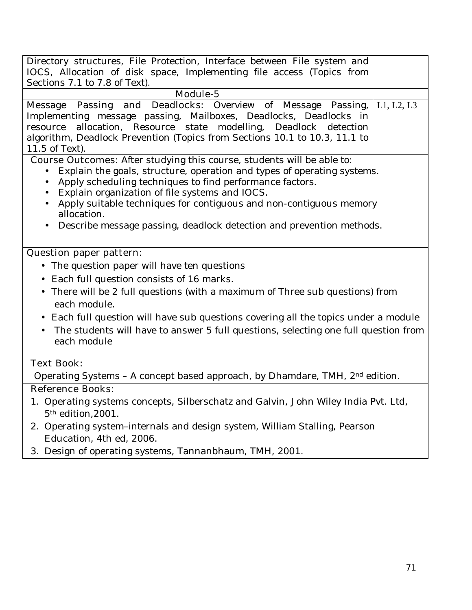| Directory structures, File Protection, Interface between File system and<br>IOCS, Allocation of disk space, Implementing file access (Topics from<br>Sections 7.1 to 7.8 of Text).                                                                                                                                                                                                                                                                    |            |
|-------------------------------------------------------------------------------------------------------------------------------------------------------------------------------------------------------------------------------------------------------------------------------------------------------------------------------------------------------------------------------------------------------------------------------------------------------|------------|
| <b>Module-5</b>                                                                                                                                                                                                                                                                                                                                                                                                                                       |            |
| Passing and Deadlocks: Overview of Message Passing,<br><b>Message</b><br>Implementing message passing, Mailboxes, Deadlocks, Deadlocks in<br>allocation, Resource state modelling, Deadlock detection<br>resource<br>algorithm, Deadlock Prevention (Topics from Sections 10.1 to 10.3, 11.1 to<br>11.5 of Text).                                                                                                                                     | L1, L2, L3 |
| <b>Course Outcomes:</b> After studying this course, students will be able to:<br>Explain the goals, structure, operation and types of operating systems.<br>$\bullet$<br>Apply scheduling techniques to find performance factors.<br>Explain organization of file systems and IOCS.<br>٠<br>Apply suitable techniques for contiguous and non-contiguous memory<br>allocation.<br>Describe message passing, deadlock detection and prevention methods. |            |
| <b>Question paper pattern:</b>                                                                                                                                                                                                                                                                                                                                                                                                                        |            |
| The question paper will have ten questions                                                                                                                                                                                                                                                                                                                                                                                                            |            |
| Each full question consists of 16 marks.<br>$\bullet$                                                                                                                                                                                                                                                                                                                                                                                                 |            |
| • There will be 2 full questions (with a maximum of Three sub questions) from<br>each module.                                                                                                                                                                                                                                                                                                                                                         |            |
| Each full question will have sub questions covering all the topics under a module<br>$\bullet$                                                                                                                                                                                                                                                                                                                                                        |            |
| The students will have to answer 5 full questions, selecting one full question from<br>each module                                                                                                                                                                                                                                                                                                                                                    |            |
| <b>Text Book:</b>                                                                                                                                                                                                                                                                                                                                                                                                                                     |            |
| Operating Systems - A concept based approach, by Dhamdare, TMH, 2 <sup>nd</sup> edition.                                                                                                                                                                                                                                                                                                                                                              |            |
| <b>Reference Books:</b>                                                                                                                                                                                                                                                                                                                                                                                                                               |            |
| 1. Operating systems concepts, Silberschatz and Galvin, John Wiley India Pvt. Ltd,<br>5 <sup>th</sup> edition, 2001.                                                                                                                                                                                                                                                                                                                                  |            |
| 2. Operating system-internals and design system, William Stalling, Pearson<br>Education, 4th ed, 2006.                                                                                                                                                                                                                                                                                                                                                |            |
| 3. Design of operating systems, Tannanbhaum, TMH, 2001.                                                                                                                                                                                                                                                                                                                                                                                               |            |
|                                                                                                                                                                                                                                                                                                                                                                                                                                                       |            |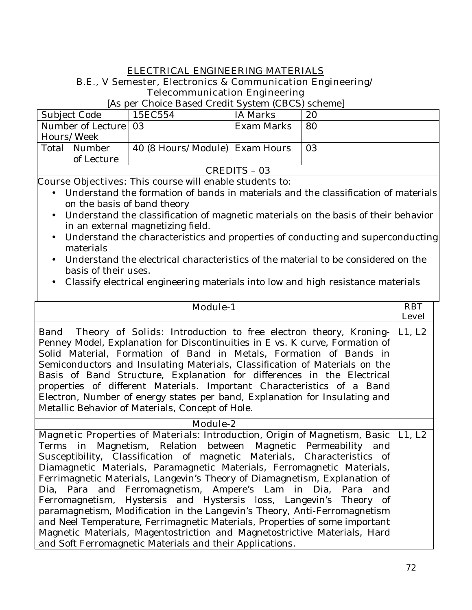## **ELECTRICAL ENGINEERING MATERIALS**

## **B.E., V Semester, Electronics & Communication Engineering/ Telecommunication Engineering**

[As per Choice Based Credit System (CBCS) scheme]

| Subject Code           | 15EC554                        | IA Marks   | 20   |
|------------------------|--------------------------------|------------|------|
| Number of Lecture   03 |                                | Exam Marks | 80   |
| Hours/Week             |                                |            |      |
| Total<br>Number        | 40 (8 Hours/Module) Exam Hours |            | l 03 |
| of Lecture             |                                |            |      |
| CREDITS - 03           |                                |            |      |

- Understand the formation of bands in materials and the classification of materials on the basis of band theory
- Understand the classification of magnetic materials on the basis of their behavior in an external magnetizing field.
- Understand the characteristics and properties of conducting and superconducting materials
- Understand the electrical characteristics of the material to be considered on the basis of their uses.
- Classify electrical engineering materials into low and high resistance materials

| <b>Module-1</b>                                                                                                                                                                                                                                                                                                                                                                                                                                                                                                                                                                                                                                                                                                                                                                                                             | <b>RBT</b><br><b>Level</b> |
|-----------------------------------------------------------------------------------------------------------------------------------------------------------------------------------------------------------------------------------------------------------------------------------------------------------------------------------------------------------------------------------------------------------------------------------------------------------------------------------------------------------------------------------------------------------------------------------------------------------------------------------------------------------------------------------------------------------------------------------------------------------------------------------------------------------------------------|----------------------------|
| <b>Band</b> Theory of Solids: Introduction to free electron theory, Kroning-<br>Penney Model, Explanation for Discontinuities in E vs. K curve, Formation of<br>Solid Material, Formation of Band in Metals, Formation of Bands in<br>Semiconductors and Insulating Materials, Classification of Materials on the<br>Basis of Band Structure, Explanation for differences in the Electrical<br>properties of different Materials. Important Characteristics of a Band<br>Electron, Number of energy states per band, Explanation for Insulating and<br>Metallic Behavior of Materials, Concept of Hole.                                                                                                                                                                                                                     | L1, L2                     |
| Module-2                                                                                                                                                                                                                                                                                                                                                                                                                                                                                                                                                                                                                                                                                                                                                                                                                    |                            |
| Magnetic Properties of Materials: Introduction, Origin of Magnetism, Basic<br>Terms in Magnetism, Relation between Magnetic Permeability and<br>Susceptibility, Classification of magnetic Materials, Characteristics of<br>Diamagnetic Materials, Paramagnetic Materials, Ferromagnetic Materials,<br>Ferrimagnetic Materials, Langevin's Theory of Diamagnetism, Explanation of<br>Dia, Para and Ferromagnetism, Ampere's Lam in Dia, Para and<br>Ferromagnetism, Hystersis and Hystersis loss, Langevin's Theory of<br>paramagnetism, Modification in the Langevin's Theory, Anti-Ferromagnetism<br>and Neel Temperature, Ferrimagnetic Materials, Properties of some important<br>Magnetic Materials, Magentostriction and Magnetostrictive Materials, Hard<br>and Soft Ferromagnetic Materials and their Applications. | L1, L2                     |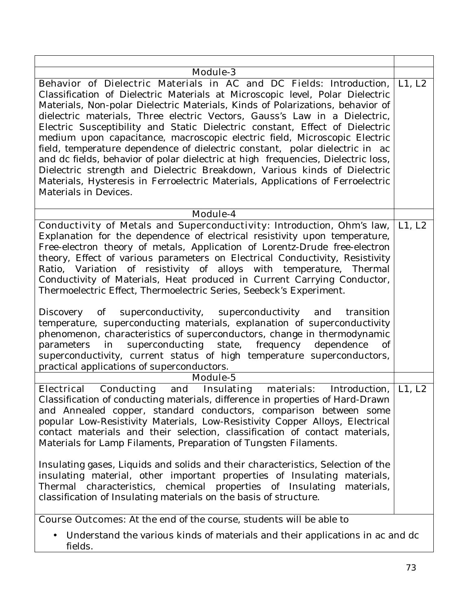| <b>Module-3</b>                                                                                                                                                                                                                                                                                                                                                                                                                                                                                                                                                                                                                                                                                                                                                                                                                                                                                                                                                                              |             |
|----------------------------------------------------------------------------------------------------------------------------------------------------------------------------------------------------------------------------------------------------------------------------------------------------------------------------------------------------------------------------------------------------------------------------------------------------------------------------------------------------------------------------------------------------------------------------------------------------------------------------------------------------------------------------------------------------------------------------------------------------------------------------------------------------------------------------------------------------------------------------------------------------------------------------------------------------------------------------------------------|-------------|
| Behavior of Dielectric Materials in AC and DC Fields: Introduction,<br>Classification of Dielectric Materials at Microscopic level, Polar Dielectric<br>Materials, Non-polar Dielectric Materials, Kinds of Polarizations, behavior of<br>dielectric materials, Three electric Vectors, Gauss's Law in a Dielectric,<br>Electric Susceptibility and Static Dielectric constant, Effect of Dielectric<br>medium upon capacitance, macroscopic electric field, Microscopic Electric<br>field, temperature dependence of dielectric constant, polar dielectric in ac<br>and dc fields, behavior of polar dielectric at high frequencies, Dielectric loss,<br>Dielectric strength and Dielectric Breakdown, Various kinds of Dielectric<br>Materials, Hysteresis in Ferroelectric Materials, Applications of Ferroelectric<br>Materials in Devices.                                                                                                                                              | $L1$ , $L2$ |
| Module-4                                                                                                                                                                                                                                                                                                                                                                                                                                                                                                                                                                                                                                                                                                                                                                                                                                                                                                                                                                                     |             |
| Conductivity of Metals and Superconductivity: Introduction, Ohm's law,<br>Explanation for the dependence of electrical resistivity upon temperature,<br>Free-electron theory of metals, Application of Lorentz-Drude free-electron<br>theory, Effect of various parameters on Electrical Conductivity, Resistivity<br>Ratio, Variation of resistivity of alloys with temperature, Thermal<br>Conductivity of Materials, Heat produced in Current Carrying Conductor,<br>Thermoelectric Effect, Thermoelectric Series, Seebeck's Experiment.<br>superconductivity, superconductivity and<br>Discovery<br>of<br>transition<br>temperature, superconducting materials, explanation of superconductivity<br>phenomenon, characteristics of superconductors, change in thermodynamic<br>superconducting state, frequency dependence<br>parameters<br>of<br>in<br>superconductivity, current status of high temperature superconductors,<br>practical applications of superconductors.<br>Module-5 | L1, L2      |
|                                                                                                                                                                                                                                                                                                                                                                                                                                                                                                                                                                                                                                                                                                                                                                                                                                                                                                                                                                                              |             |
| <b>Conducting</b><br>and<br><b>Insulating materials:</b> Introduction,<br><b>Electrical</b><br>Classification of conducting materials, difference in properties of Hard-Drawn<br>and Annealed copper, standard conductors, comparison between some<br>popular Low-Resistivity Materials, Low-Resistivity Copper Alloys, Electrical<br>contact materials and their selection, classification of contact materials,<br>Materials for Lamp Filaments, Preparation of Tungsten Filaments.<br>Insulating gases, Liquids and solids and their characteristics, Selection of the<br>insulating material, other important properties of Insulating materials,<br>Thermal characteristics, chemical properties of Insulating<br>materials,<br>classification of Insulating materials on the basis of structure.                                                                                                                                                                                       | L1, L2      |
|                                                                                                                                                                                                                                                                                                                                                                                                                                                                                                                                                                                                                                                                                                                                                                                                                                                                                                                                                                                              |             |
| <b>Course Outcomes:</b> At the end of the course, students will be able to                                                                                                                                                                                                                                                                                                                                                                                                                                                                                                                                                                                                                                                                                                                                                                                                                                                                                                                   |             |

• Understand the various kinds of materials and their applications in ac and dc fields.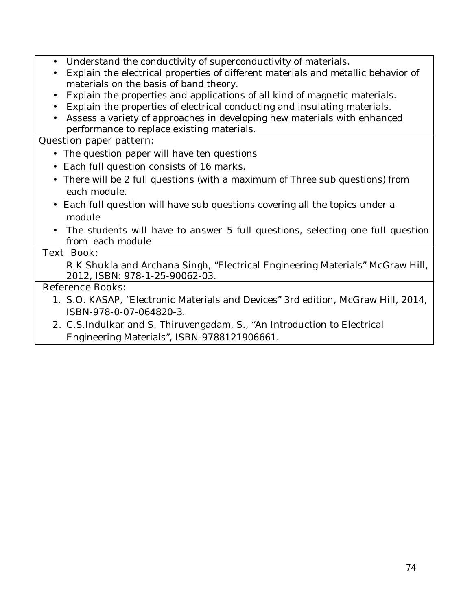- Understand the conductivity of superconductivity of materials.
- Explain the electrical properties of different materials and metallic behavior of materials on the basis of band theory.
- Explain the properties and applications of all kind of magnetic materials.
- Explain the properties of electrical conducting and insulating materials.
- Assess a variety of approaches in developing new materials with enhanced performance to replace existing materials.

### **Question paper pattern:**

- The question paper will have ten questions
- Each full question consists of 16 marks**.**
- There will be 2 full questions (with a maximum of Three sub questions) from each module.
- Each full question will have sub questions covering all the topics under a module
- The students will have to answer 5 full questions, selecting one full question from each module

### **Text Book:**

R K Shukla and Archana Singh, "Electrical Engineering Materials" McGraw Hill, 2012, ISBN: 978-1-25-90062-03.

### **Reference Books:**

- 1. S.O. KASAP, "Electronic Materials and Devices" 3rd edition, McGraw Hill, 2014, ISBN-978-0-07-064820-3.
- **2.** C.S.Indulkar and S. Thiruvengadam, S., "An Introduction to Electrical Engineering Materials", ISBN-9788121906661.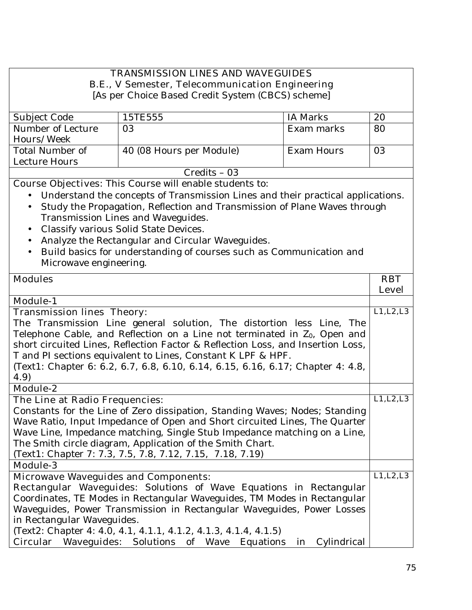### **TRANSMISSION LINES AND WAVEGUIDES B.E., V Semester, Telecommunication Engineering**

[As per Choice Based Credit System (CBCS) scheme]

| Subject Code      | 15TE555                  | IA Marks   | 20 |
|-------------------|--------------------------|------------|----|
| Number of Lecture | 03                       | Exam marks | 80 |
| Hours/Week        |                          |            |    |
| Total Number of   | 40 (08 Hours per Module) | Exam Hours | 03 |
| Lecture Hours     |                          |            |    |
|                   | $Credits - 03$           |            |    |

**Course Objectives:** This Course will enable students to:

- Understand the concepts of Transmission Lines and their practical applications.
- Study the Propagation, Reflection and Transmission of Plane Waves through Transmission Lines and Waveguides.
- Classify various Solid State Devices.
- Analyze the Rectangular and Circular Waveguides.
- Build basics for understanding of courses such as Communication and Microwave engineering.

| <b>Modules</b>                                                                  | <b>RBT</b>   |
|---------------------------------------------------------------------------------|--------------|
|                                                                                 | <b>Level</b> |
| <b>Module-1</b>                                                                 |              |
| <b>Transmission lines Theory:</b>                                               | L1, L2, L3   |
| The Transmission Line general solution, The distortion less Line, The           |              |
| Telephone Cable, and Reflection on a Line not terminated in $Z_0$ , Open and    |              |
| short circuited Lines, Reflection Factor & Reflection Loss, and Insertion Loss, |              |
| T and PI sections equivalent to Lines, Constant K LPF & HPF.                    |              |
| (Text1: Chapter 6: 6.2, 6.7, 6.8, 6.10, 6.14, 6.15, 6.16, 6.17; Chapter 4: 4.8, |              |
| 4.9)                                                                            |              |
| <b>Module-2</b>                                                                 |              |
| The Line at Radio Frequencies:                                                  | L1, L2, L3   |
| Constants for the Line of Zero dissipation, Standing Waves; Nodes; Standing     |              |
| Wave Ratio, Input Impedance of Open and Short circuited Lines, The Quarter      |              |
| Wave Line, Impedance matching, Single Stub Impedance matching on a Line,        |              |
| The Smith circle diagram, Application of the Smith Chart.                       |              |
| (Text1: Chapter 7: 7.3, 7.5, 7.8, 7.12, 7.15, 7.18, 7.19)                       |              |
| <b>Module-3</b>                                                                 |              |
| <b>Microwave Waveguides and Components:</b>                                     | L1, L2, L3   |
| Rectangular Waveguides: Solutions of Wave Equations in Rectangular              |              |
| Coordinates, TE Modes in Rectangular Waveguides, TM Modes in Rectangular        |              |
| Waveguides, Power Transmission in Rectangular Waveguides, Power Losses          |              |
| in Rectangular Waveguides.                                                      |              |
| (Text2: Chapter 4: 4.0, 4.1, 4.1.1, 4.1.2, 4.1.3, 4.1.4, 4.1.5)                 |              |
| <b>Circular Waveguides:</b> Solutions of Wave Equations<br>Cylindrical<br>in    |              |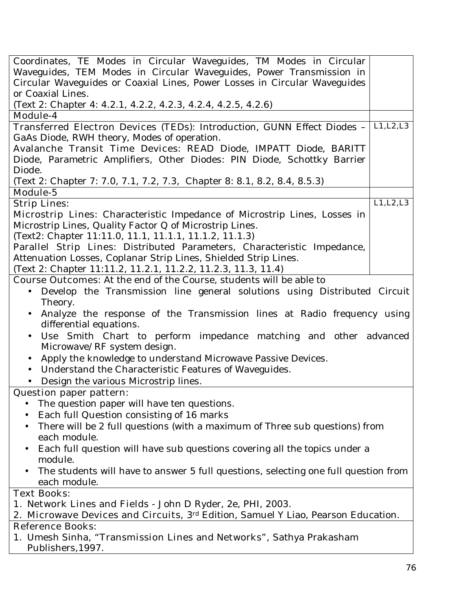| Coordinates, TE Modes in Circular Waveguides, TM Modes in Circular                       |            |
|------------------------------------------------------------------------------------------|------------|
| Waveguides, TEM Modes in Circular Waveguides, Power Transmission in                      |            |
| Circular Waveguides or Coaxial Lines, Power Losses in Circular Waveguides                |            |
| or Coaxial Lines.                                                                        |            |
| (Text 2: Chapter 4: 4.2.1, 4.2.2, 4.2.3, 4.2.4, 4.2.5, 4.2.6)                            |            |
| <b>Module-4</b>                                                                          |            |
|                                                                                          | L1, L2, L3 |
| <b>Transferred Electron Devices (TEDs):</b> Introduction, GUNN Effect Diodes -           |            |
| GaAs Diode, RWH theory, Modes of operation.                                              |            |
| Avalanche Transit Time Devices: READ Diode, IMPATT Diode, BARITT                         |            |
| Diode, Parametric Amplifiers, Other Diodes: PIN Diode, Schottky Barrier                  |            |
| Diode.                                                                                   |            |
| (Text 2: Chapter 7: 7.0, 7.1, 7.2, 7.3, Chapter 8: 8.1, 8.2, 8.4, 8.5.3)                 |            |
| <b>Module-5</b>                                                                          |            |
| <b>Strip Lines:</b>                                                                      | L1, L2, L3 |
| <b>Microstrip Lines:</b> Characteristic Impedance of Microstrip Lines, Losses in         |            |
| Microstrip Lines, Quality Factor Q of Microstrip Lines.                                  |            |
| (Text2: Chapter 11:11.0, 11.1, 11.1.1, 11.1.2, 11.1.3)                                   |            |
| <b>Parallel Strip Lines:</b> Distributed Parameters, Characteristic Impedance,           |            |
| Attenuation Losses, Coplanar Strip Lines, Shielded Strip Lines.                          |            |
| (Text 2: Chapter 11:11.2, 11.2.1, 11.2.2, 11.2.3, 11.3, 11.4)                            |            |
| <b>Course Outcomes:</b> At the end of the Course, students will be able to               |            |
| Develop the Transmission line general solutions using Distributed Circuit<br>$\bullet$   |            |
| Theory.                                                                                  |            |
| Analyze the response of the Transmission lines at Radio frequency using<br>$\bullet$     |            |
| differential equations.                                                                  |            |
| Use Smith Chart to perform impedance matching and other advanced<br>$\bullet$            |            |
| Microwave/RF system design.                                                              |            |
| Apply the knowledge to understand Microwave Passive Devices.                             |            |
| Understand the Characteristic Features of Waveguides.<br>$\bullet$                       |            |
|                                                                                          |            |
| Design the various Microstrip lines.                                                     |            |
| <b>Question paper pattern:</b>                                                           |            |
| The question paper will have ten questions.<br>$\bullet$                                 |            |
| Each full Question consisting of 16 marks                                                |            |
| There will be 2 full questions (with a maximum of Three sub questions) from<br>$\bullet$ |            |
| each module.                                                                             |            |
| Each full question will have sub questions covering all the topics under a               |            |
| module.                                                                                  |            |
| The students will have to answer 5 full questions, selecting one full question from      |            |
| each module.                                                                             |            |
| <b>Text Books:</b>                                                                       |            |
| 1. Network Lines and Fields - John D Ryder, 2e, PHI, 2003.                               |            |
| 2. Microwave Devices and Circuits, 3rd Edition, Samuel Y Liao, Pearson Education.        |            |
| <b>Reference Books:</b>                                                                  |            |
| 1. Umesh Sinha, "Transmission Lines and Networks", Sathya Prakasham                      |            |
| Publishers, 1997.                                                                        |            |
|                                                                                          |            |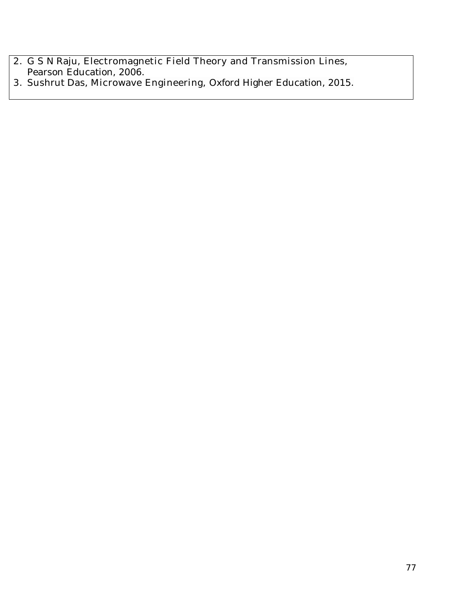- **2.** G S N Raju, **Electromagnetic Field Theory and Transmission Lines,**  Pearson Education, 2006.
- **3.** Sushrut Das, **Microwave Engineering,** Oxford Higher Education, 2015.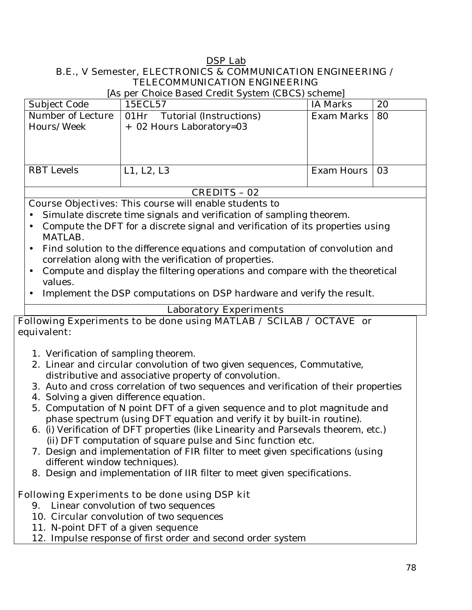#### **DSP Lab B.E., V Semester, ELECTRONICS & COMMUNICATION ENGINEERING / TELECOMMUNICATION ENGINEERING**

[As per Choice Based Credit System (CBCS) scheme]

| Subject Code      | 15ECL57                         | <b>IA Marks</b> | 20        |
|-------------------|---------------------------------|-----------------|-----------|
| Number of Lecture | Tutorial (Instructions)<br>01Hr | Exam Marks      | <b>80</b> |
| Hours/Week        | + 02 Hours Laboratory=03        |                 |           |
|                   |                                 |                 |           |
|                   |                                 |                 |           |
|                   |                                 |                 |           |
| <b>RBT</b> Levels | L1, L2, L3                      | Exam Hours      | - 03      |
|                   |                                 |                 |           |

#### **CREDITS – 02**

**Course Objectives:** This course will enable students to

- Simulate discrete time signals and verification of sampling theorem.
- Compute the DFT for a discrete signal and verification of its properties using MATLAB.
- Find solution to the difference equations and computation of convolution and correlation along with the verification of properties.
- Compute and display the filtering operations and compare with the theoretical values.
- Implement the DSP computations on DSP hardware and verify the result.

### **Laboratory Experiments**

### **Following Experiments to be done using MATLAB / SCILAB / OCTAVE or equivalent:**

- 1. Verification of sampling theorem.
- 2. Linear and circular convolution of two given sequences, Commutative, distributive and associative property of convolution.
- 3. Auto and cross correlation of two sequences and verification of their properties
- 4. Solving a given difference equation.
- 5. Computation of N point DFT of a given sequence and to plot magnitude and phase spectrum (using DFT equation and verify it by built-in routine).
- 6. (i) Verification of DFT properties (like Linearity and Parsevals theorem, etc.) (ii) DFT computation of square pulse and Sinc function etc.
- 7. Design and implementation of FIR filter to meet given specifications (using different window techniques).
- 8. Design and implementation of IIR filter to meet given specifications.

### **Following Experiments to be done using DSP kit**

- 9. Linear convolution of two sequences
- 10. Circular convolution of two sequences
- 11. N-point DFT of a given sequence
- 12. Impulse response of first order and second order system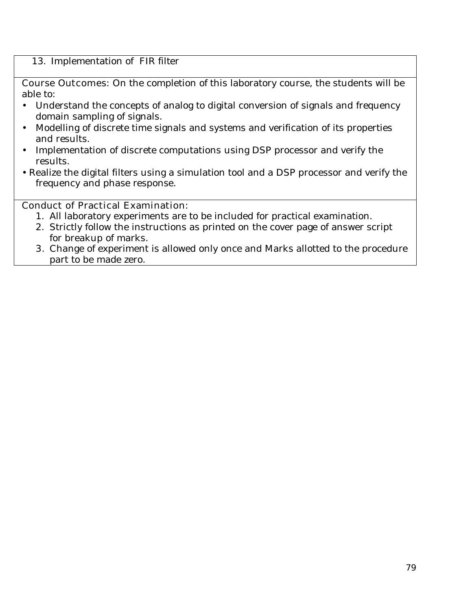### 13. Implementation of FIR filter

**Course Outcomes:** On the completion of this laboratory course, the students will be able to:

- Understand the concepts of analog to digital conversion of signals and frequency domain sampling of signals.
- Modelling of discrete time signals and systems and verification of its properties and results.
- Implementation of discrete computations using DSP processor and verify the results.
- Realize the digital filters using a simulation tool and a DSP processor and verify the frequency and phase response.

### **Conduct of Practical Examination:**

- 1. All laboratory experiments are to be included for practical examination.
- 2. Strictly follow the instructions as printed on the cover page of answer script for breakup of marks.
- **3.** Change of experiment is allowed only once and Marks allotted to the procedure part to be made zero.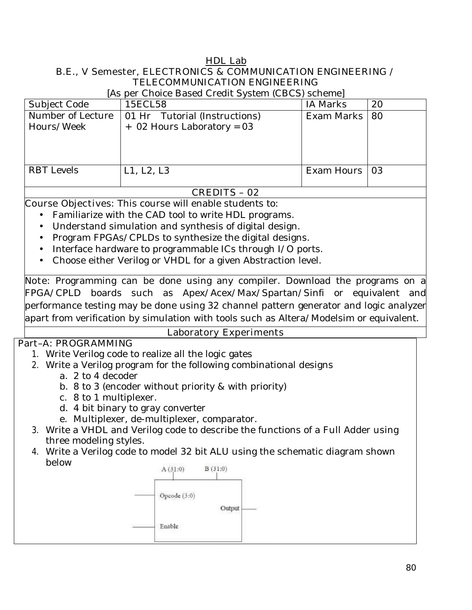#### **HDL Lab B.E., V Semester, ELECTRONICS & COMMUNICATION ENGINEERING / TELECOMMUNICATION ENGINEERING**

[As per Choice Based Credit System (CBCS) scheme]

| <b>Subject Code</b>             | 15ECL58                                                       | <b>IA Marks</b> | 20 |
|---------------------------------|---------------------------------------------------------------|-----------------|----|
| Number of Lecture<br>Hours/Week | 01 Hr Tutorial (Instructions)<br>$+$ 02 Hours Laboratory = 03 | Exam Marks      | 80 |
| <b>RBT</b> Levels               | L1, L2, L3                                                    | Exam Hours      | 03 |

#### **CREDITS – 02**

**Course Objectives:** This course will enable students to:

- Familiarize with the CAD tool to write HDL programs.
- Understand simulation and synthesis of digital design.
- Program FPGAs/CPLDs to synthesize the digital designs.
- Interface hardware to programmable ICs through I/O ports.
- Choose either Verilog or VHDL for a given Abstraction level.

**Note:** Programming can be done using any compiler. Download the programs on a FPGA/CPLD boards such as Apex/Acex/Max/Spartan/Sinfi or equivalent and performance testing may be done using 32 channel pattern generator and logic analyzer apart from verification by simulation with tools such as Altera/Modelsim or equivalent.

### **Part–A: PROGRAMMING**

#### **Laboratory Experiments**

- 1. Write Verilog code to realize all the logic gates
- 2. Write a Verilog program for the following combinational designs
	- a. 2 to 4 decoder
	- b. 8 to 3 (encoder without priority & with priority)
	- c. 8 to 1 multiplexer.
	- d. 4 bit binary to gray converter
	- e. Multiplexer, de-multiplexer, comparator.
- 3. Write a VHDL and Verilog code to describe the functions of a Full Adder using three modeling styles.
- 4. Write a Verilog code to model 32 bit ALU using the schematic diagram shown below

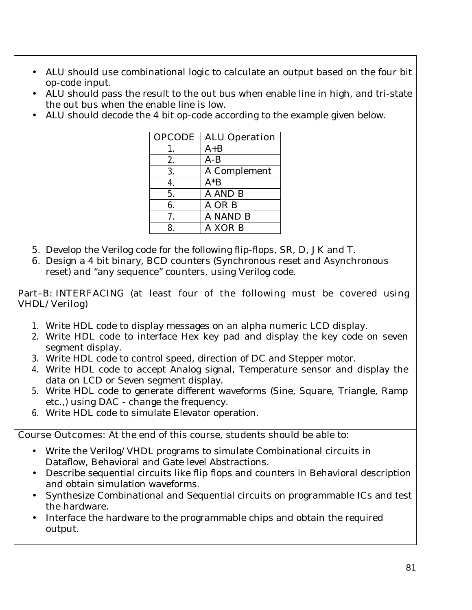- ALU should use combinational logic to calculate an output based on the four bit op-code input.
- ALU should pass the result to the out bus when enable line in high, and tri-state the out bus when the enable line is low.
- ALU should decode the 4 bit op-code according to the example given below.

| <b>OPCODE</b> | <b>ALU Operation</b> |
|---------------|----------------------|
| 1.            | $A + B$              |
| 2.            | $A-B$                |
| 3.            | A Complement         |
| 4.            | $A^*B$               |
| 5.            | A AND B              |
| 6.            | A OR B               |
| 7.            | A NAND B             |
| 8.            | A XOR B              |

- 5. Develop the Verilog code for the following flip-flops, SR, D, JK and T.
- 6. Design a 4 bit binary, BCD counters (Synchronous reset and Asynchronous reset) and "any sequence" counters, using Verilog code.

### **Part–B: INTERFACING (at least four of the following must be covered using VHDL/Verilog)**

- 1. Write HDL code to display messages on an alpha numeric LCD display.
- **2.** Write HDL code to interface Hex key pad and display the key code on seven segment display.
- **3.** Write HDL code to control speed, direction of DC and Stepper motor.
- **4.** Write HDL code to accept Analog signal, Temperature sensor and display the data on LCD or Seven segment display.
- 5. Write HDL code to generate different waveforms (Sine, Square, Triangle, Ramp etc.,) using DAC - change the frequency.
- **6.** Write HDL code to simulate Elevator operation.

**Course Outcomes:** At the end of this course, students should be able to:

- Write the Verilog/VHDL programs to simulate Combinational circuits in Dataflow, Behavioral and Gate level Abstractions.
- Describe sequential circuits like flip flops and counters in Behavioral description and obtain simulation waveforms.
- Synthesize Combinational and Sequential circuits on programmable ICs and test the hardware.
- Interface the hardware to the programmable chips and obtain the required output.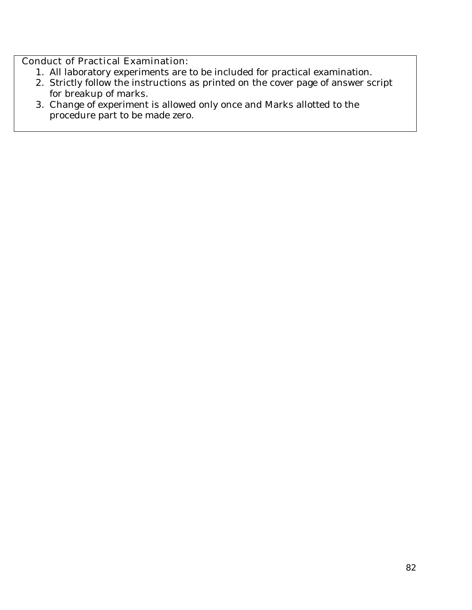# **Conduct of Practical Examination:**

- 1. All laboratory experiments are to be included for practical examination.
- 2. Strictly follow the instructions as printed on the cover page of answer script for breakup of marks.
- 3. Change of experiment is allowed only once and Marks allotted to the procedure part to be made zero.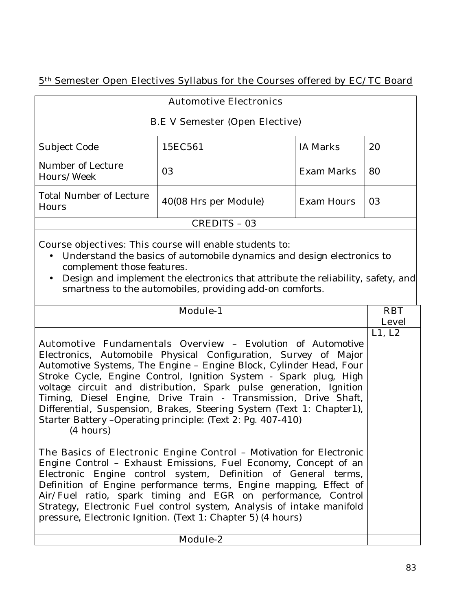# **5th Semester Open Electives Syllabus for the Courses offered by EC/TC Board**

|  | <b>Automotive Electronics</b> |  |
|--|-------------------------------|--|
|--|-------------------------------|--|

#### **B.E V Semester (Open Elective)**

| <b>Subject Code</b>                     | 15EC561               | <b>IA Marks</b>   | 20  |
|-----------------------------------------|-----------------------|-------------------|-----|
| Number of Lecture<br>Hours/Week         | 03                    | <b>Exam Marks</b> | 80  |
| <b>Total Number of Lecture</b><br>Hours | 40(08 Hrs per Module) | <b>Exam Hours</b> | -03 |
| <b>CREDITS - 03</b>                     |                       |                   |     |

**Course objectives:** This course will enable students to:

- Understand the basics of automobile dynamics and design electronics to complement those features.
- Design and implement the electronics that attribute the reliability, safety, and smartness to the automobiles, providing add-on comforts.

| <b>Module-1</b>                                                            | <b>RBT</b>   |
|----------------------------------------------------------------------------|--------------|
|                                                                            | <b>Level</b> |
|                                                                            | L1, L2       |
| <b>Automotive Fundamentals Overview - Evolution of Automotive</b>          |              |
| Electronics, Automobile Physical Configuration, Survey of Major            |              |
| Automotive Systems, The Engine - Engine Block, Cylinder Head, Four         |              |
| Stroke Cycle, Engine Control, Ignition System - Spark plug, High           |              |
| voltage circuit and distribution, Spark pulse generation, Ignition         |              |
| Timing, Diesel Engine, Drive Train - Transmission, Drive Shaft,            |              |
| Differential, Suspension, Brakes, Steering System (Text 1: Chapter1),      |              |
| Starter Battery - Operating principle: (Text 2: Pg. 407-410)               |              |
| (4 hours)                                                                  |              |
|                                                                            |              |
| <b>The Basics of Electronic Engine Control -</b> Motivation for Electronic |              |
| Engine Control - Exhaust Emissions, Fuel Economy, Concept of an            |              |
| Electronic Engine control system, Definition of General terms,             |              |
| Definition of Engine performance terms, Engine mapping, Effect of          |              |
| Air/Fuel ratio, spark timing and EGR on performance, Control               |              |
| Strategy, Electronic Fuel control system, Analysis of intake manifold      |              |
| pressure, Electronic Ignition. (Text 1: Chapter 5) (4 hours)               |              |
|                                                                            |              |
| <b>Module-2</b>                                                            |              |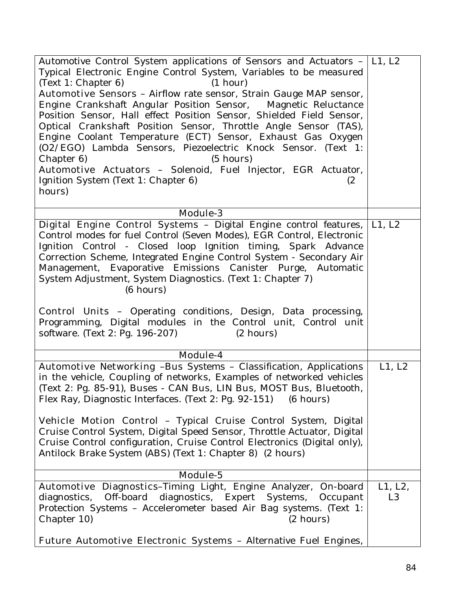| Automotive Control System applications of Sensors and Actuators -   L1, L2<br>Typical Electronic Engine Control System, Variables to be measured                                                                                                                                                                                                                                                                                                                                                                                                                                  |                           |
|-----------------------------------------------------------------------------------------------------------------------------------------------------------------------------------------------------------------------------------------------------------------------------------------------------------------------------------------------------------------------------------------------------------------------------------------------------------------------------------------------------------------------------------------------------------------------------------|---------------------------|
| (1 hour)<br>(Text 1: Chapter 6)                                                                                                                                                                                                                                                                                                                                                                                                                                                                                                                                                   |                           |
| Automotive Sensors - Airflow rate sensor, Strain Gauge MAP sensor,<br>Engine Crankshaft Angular Position Sensor, Magnetic Reluctance<br>Position Sensor, Hall effect Position Sensor, Shielded Field Sensor,<br>Optical Crankshaft Position Sensor, Throttle Angle Sensor (TAS),<br>Engine Coolant Temperature (ECT) Sensor, Exhaust Gas Oxygen<br>(O2/EGO) Lambda Sensors, Piezoelectric Knock Sensor. (Text 1:<br>$(5 \text{ hours})$<br>Chapter 6)<br>Automotive Actuators - Solenoid, Fuel Injector, EGR Actuator,<br>Ignition System (Text 1: Chapter 6)<br>(2)<br>hours)    |                           |
| <b>Module-3</b>                                                                                                                                                                                                                                                                                                                                                                                                                                                                                                                                                                   |                           |
| Digital Engine Control Systems - Digital Engine control features,<br>Control modes for fuel Control (Seven Modes), EGR Control, Electronic<br>Ignition Control - Closed loop Ignition timing, Spark Advance<br>Correction Scheme, Integrated Engine Control System - Secondary Air<br>Management, Evaporative Emissions Canister Purge, Automatic<br>System Adjustment, System Diagnostics. (Text 1: Chapter 7)<br>(6 hours)                                                                                                                                                      | L1, L2                    |
| <b>Control Units -</b> Operating conditions, Design, Data processing,<br>Programming, Digital modules in the Control unit, Control unit<br>software. (Text 2: Pg. 196-207)<br>$(2 \text{ hours})$                                                                                                                                                                                                                                                                                                                                                                                 |                           |
| Module-4                                                                                                                                                                                                                                                                                                                                                                                                                                                                                                                                                                          |                           |
| Automotive Networking -Bus Systems - Classification, Applications<br>in the vehicle, Coupling of networks, Examples of networked vehicles<br>(Text 2: Pg. 85-91), Buses - CAN Bus, LIN Bus, MOST Bus, Bluetooth,<br>Flex Ray, Diagnostic Interfaces. (Text 2: Pg. 92-151) (6 hours)<br><b>Vehicle Motion Control</b> - Typical Cruise Control System, Digital<br>Cruise Control System, Digital Speed Sensor, Throttle Actuator, Digital<br>Cruise Control configuration, Cruise Control Electronics (Digital only),<br>Antilock Brake System (ABS) (Text 1: Chapter 8) (2 hours) | L1, L2                    |
| Module-5                                                                                                                                                                                                                                                                                                                                                                                                                                                                                                                                                                          |                           |
| Automotive Diagnostics-Timing Light, Engine Analyzer, On-board<br>diagnostics, Off-board diagnostics, Expert Systems, Occupant<br>Protection Systems - Accelerometer based Air Bag systems. (Text 1:<br>Chapter 10)<br>$(2 \text{ hours})$<br>Future Automotive Electronic Systems - Alternative Fuel Engines,                                                                                                                                                                                                                                                                    | L1, L2,<br>L <sub>3</sub> |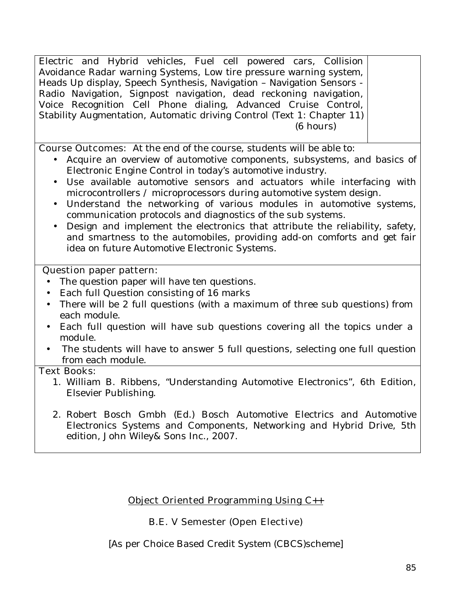Electric and Hybrid vehicles, Fuel cell powered cars, Collision Avoidance Radar warning Systems, Low tire pressure warning system, Heads Up display, Speech Synthesis, Navigation – Navigation Sensors - Radio Navigation, Signpost navigation, dead reckoning navigation, Voice Recognition Cell Phone dialing, Advanced Cruise Control, Stability Augmentation, Automatic driving Control (Text 1: Chapter 11) (6 hours)

**Course Outcomes:** At the end of the course, students will be able to:

- Acquire an overview of automotive components, subsystems, and basics of Electronic Engine Control in today's automotive industry.
- Use available automotive sensors and actuators while interfacing with microcontrollers / microprocessors during automotive system design.
- Understand the networking of various modules in automotive systems, communication protocols and diagnostics of the sub systems.
- Design and implement the electronics that attribute the reliability, safety, and smartness to the automobiles, providing add-on comforts and get fair idea on future Automotive Electronic Systems.

#### **Question paper pattern:**

- The question paper will have ten questions.
- Each full Question consisting of 16 marks
- There will be 2 full questions (with a maximum of three sub questions) from each module.
- Each full question will have sub questions covering all the topics under a module.
- The students will have to answer 5 full questions, selecting one full question from each module.

#### **Text Books:**

- 1. William B. Ribbens, "Understanding Automotive Electronics", 6th Edition, Elsevier Publishing.
- 2. Robert Bosch Gmbh (Ed.) Bosch Automotive Electrics and Automotive Electronics Systems and Components, Networking and Hybrid Drive, 5th edition, John Wiley& Sons Inc., 2007.

### **Object Oriented Programming Using C++**

### **B.E. V Semester (Open Elective)**

[As per Choice Based Credit System (CBCS)scheme]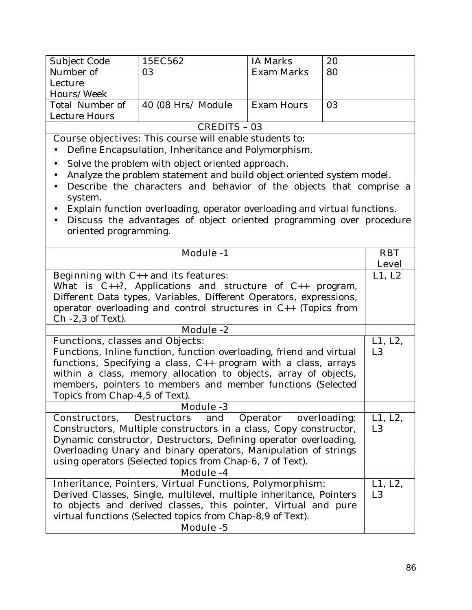| Subject Code    | 15EC562             | IA Marks   | 20 |
|-----------------|---------------------|------------|----|
| Number of       | 03                  | Exam Marks | 80 |
| Lecture         |                     |            |    |
| Hours/Week      |                     |            |    |
| Total Number of | 40 (08 Hrs/ Module) | Exam Hours | 03 |
| Lecture Hours   |                     |            |    |
| CREDITS - 03    |                     |            |    |

**Course objectives:** This course will enable students to:

- Define Encapsulation, Inheritance and Polymorphism.
- Solve the problem with object oriented approach.
- Analyze the problem statement and build object oriented system model.
- Describe the characters and behavior of the objects that comprise a system.
- Explain function overloading, operator overloading and virtual functions.
- Discuss the advantages of object oriented programming over procedure oriented programming.

| <b>Module -1</b>                                                     | <b>RBT</b>     |
|----------------------------------------------------------------------|----------------|
|                                                                      | <b>Level</b>   |
| Beginning with $C_{++}$ and its features:                            | L1, L2         |
| What is $C_{++}$ ?, Applications and structure of $C_{++}$ program,  |                |
| Different Data types, Variables, Different Operators, expressions,   |                |
| operator overloading and control structures in C++ (Topics from      |                |
| $Ch -2, 3$ of Text).                                                 |                |
| <b>Module -2</b>                                                     |                |
| <b>Functions, classes and Objects:</b>                               | L1, L2,        |
| Functions, Inline function, function overloading, friend and virtual | L <sub>3</sub> |
| functions, Specifying a class, $C_{++}$ program with a class, arrays |                |
| within a class, memory allocation to objects, array of objects,      |                |
| members, pointers to members and member functions (Selected          |                |
| Topics from Chap-4,5 of Text).                                       |                |
| <b>Module -3</b>                                                     |                |
| Constructors, Destructors and Operator overloading:                  | L1, L2,        |
| Constructors, Multiple constructors in a class, Copy constructor,    | L <sub>3</sub> |
| Dynamic constructor, Destructors, Defining operator overloading,     |                |
| Overloading Unary and binary operators, Manipulation of strings      |                |
| using operators (Selected topics from Chap-6, 7 of Text).            |                |
| Module -4                                                            |                |
| <b>Inheritance, Pointers, Virtual Functions, Polymorphism:</b>       | L1, L2,        |
| Derived Classes, Single, multilevel, multiple inheritance, Pointers  | L3             |
| to objects and derived classes, this pointer, Virtual and pure       |                |
| virtual functions (Selected topics from Chap-8,9 of Text).           |                |
| <b>Module -5</b>                                                     |                |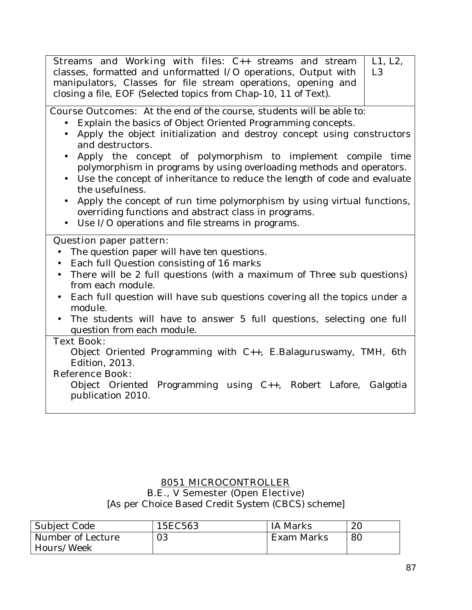| <b>Streams and Working with files:</b> C++ streams and stream<br>classes, formatted and unformatted I/O operations, Output with<br>manipulators, Classes for file stream operations, opening and | L1, L2,<br>L <sub>3</sub> |
|--------------------------------------------------------------------------------------------------------------------------------------------------------------------------------------------------|---------------------------|
| closing a file, EOF (Selected topics from Chap-10, 11 of Text).                                                                                                                                  |                           |
| <b>Course Outcomes:</b> At the end of the course, students will be able to:                                                                                                                      |                           |
| Explain the basics of Object Oriented Programming concepts.                                                                                                                                      |                           |
| Apply the object initialization and destroy concept using constructors<br>$\bullet$<br>and destructors.                                                                                          |                           |
| Apply the concept of polymorphism to implement compile time<br>$\bullet$<br>polymorphism in programs by using overloading methods and operators.                                                 |                           |
| • Use the concept of inheritance to reduce the length of code and evaluate<br>the usefulness.                                                                                                    |                           |
| Apply the concept of run time polymorphism by using virtual functions,<br>$\bullet$<br>overriding functions and abstract class in programs.                                                      |                           |
| Use I/O operations and file streams in programs.<br>$\bullet$                                                                                                                                    |                           |
| <b>Question paper pattern:</b>                                                                                                                                                                   |                           |
| The question paper will have ten questions.                                                                                                                                                      |                           |
| Each full Question consisting of 16 marks                                                                                                                                                        |                           |
| There will be 2 full questions (with a maximum of Three sub questions)<br>$\bullet$<br>from each module.                                                                                         |                           |
| Each full question will have sub questions covering all the topics under a<br>$\bullet$<br>module.                                                                                               |                           |
| The students will have to answer 5 full questions, selecting one full<br>question from each module.                                                                                              |                           |
| <b>Text Book:</b>                                                                                                                                                                                |                           |
| Object Oriented Programming with C++, E.Balaguruswamy, TMH, 6th<br><b>Edition</b> , 2013.                                                                                                        |                           |
| <b>Reference Book:</b>                                                                                                                                                                           |                           |
| Object Oriented Programming using C++, Robert Lafore, Galgotia<br>publication 2010.                                                                                                              |                           |
|                                                                                                                                                                                                  |                           |

### **8051 MICROCONTROLLER**

#### **B.E., V Semester (Open Elective)**

[As per Choice Based Credit System (CBCS) scheme]

| Subject Code      | 15EC563 | IA Marks   | 20 |
|-------------------|---------|------------|----|
| Number of Lecture | 03      | Exam Marks | 80 |
| Hours/Week        |         |            |    |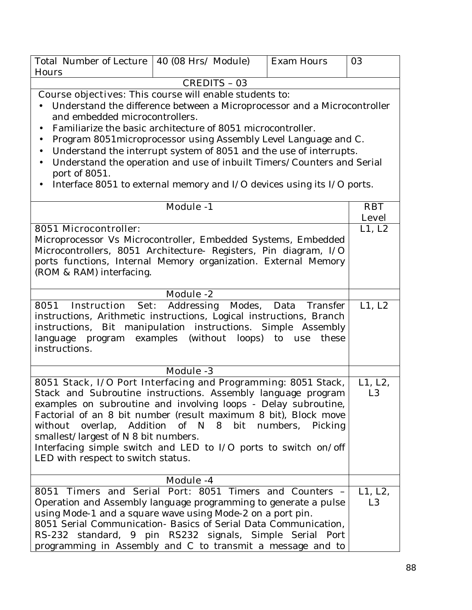| <b>Total Number of Lecture</b>                                                                                                                                                                                                                                                                                                                                                                                                                                               | $\vert$ 40 (08 Hrs/ Module)                                                                                                                  | <b>Exam Hours</b> | 03                         |
|------------------------------------------------------------------------------------------------------------------------------------------------------------------------------------------------------------------------------------------------------------------------------------------------------------------------------------------------------------------------------------------------------------------------------------------------------------------------------|----------------------------------------------------------------------------------------------------------------------------------------------|-------------------|----------------------------|
| Hours                                                                                                                                                                                                                                                                                                                                                                                                                                                                        |                                                                                                                                              |                   |                            |
|                                                                                                                                                                                                                                                                                                                                                                                                                                                                              | <b>CREDITS - 03</b>                                                                                                                          |                   |                            |
|                                                                                                                                                                                                                                                                                                                                                                                                                                                                              | <b>Course objectives:</b> This course will enable students to:                                                                               |                   |                            |
| and embedded microcontrollers.                                                                                                                                                                                                                                                                                                                                                                                                                                               | Understand the difference between a Microprocessor and a Microcontroller                                                                     |                   |                            |
| $\bullet$                                                                                                                                                                                                                                                                                                                                                                                                                                                                    | Familiarize the basic architecture of 8051 microcontroller.                                                                                  |                   |                            |
| $\bullet$                                                                                                                                                                                                                                                                                                                                                                                                                                                                    | Program 8051 microprocessor using Assembly Level Language and C.                                                                             |                   |                            |
| $\bullet$<br>$\bullet$<br>port of 8051.                                                                                                                                                                                                                                                                                                                                                                                                                                      | Understand the interrupt system of 8051 and the use of interrupts.<br>Understand the operation and use of inbuilt Timers/Counters and Serial |                   |                            |
|                                                                                                                                                                                                                                                                                                                                                                                                                                                                              | Interface 8051 to external memory and I/O devices using its I/O ports.                                                                       |                   |                            |
|                                                                                                                                                                                                                                                                                                                                                                                                                                                                              | <b>Module -1</b>                                                                                                                             |                   | <b>RBT</b><br><b>Level</b> |
| <b>8051 Microcontroller:</b>                                                                                                                                                                                                                                                                                                                                                                                                                                                 |                                                                                                                                              |                   | L1, L2                     |
| Microprocessor Vs Microcontroller, Embedded Systems, Embedded<br>Microcontrollers, 8051 Architecture- Registers, Pin diagram, I/O<br>ports functions, Internal Memory organization. External Memory<br>(ROM & RAM) interfacing.                                                                                                                                                                                                                                              |                                                                                                                                              |                   |                            |
|                                                                                                                                                                                                                                                                                                                                                                                                                                                                              | <b>Module -2</b>                                                                                                                             |                   |                            |
| 8051 Instruction Set: Addressing Modes, Data Transfer<br>instructions, Arithmetic instructions, Logical instructions, Branch<br>instructions, Bit manipulation instructions. Simple Assembly<br>language program examples (without loops) to use<br>instructions.                                                                                                                                                                                                            |                                                                                                                                              | these             | L1, L2                     |
|                                                                                                                                                                                                                                                                                                                                                                                                                                                                              | <b>Module -3</b>                                                                                                                             |                   |                            |
| 8051 Stack, I/O Port Interfacing and Programming: 8051 Stack,<br>Stack and Subroutine instructions. Assembly language program<br>examples on subroutine and involving loops - Delay subroutine,<br>Factorial of an 8 bit number (result maximum 8 bit), Block move<br>without overlap, Addition of N 8 bit numbers, Picking<br>smallest/largest of N 8 bit numbers.<br>Interfacing simple switch and LED to I/O ports to switch on/off<br>LED with respect to switch status. |                                                                                                                                              |                   | L1, L2,<br>L <sub>3</sub>  |
|                                                                                                                                                                                                                                                                                                                                                                                                                                                                              | <b>Module -4</b>                                                                                                                             |                   |                            |
| 8051 Timers and Serial Port: 8051 Timers and Counters -<br>Operation and Assembly language programming to generate a pulse<br>using Mode-1 and a square wave using Mode-2 on a port pin.<br>8051 Serial Communication- Basics of Serial Data Communication,<br>RS-232 standard, 9 pin RS232 signals, Simple Serial Port<br>programming in Assembly and C to transmit a message and to                                                                                        |                                                                                                                                              |                   | L1, L2,<br>L <sub>3</sub>  |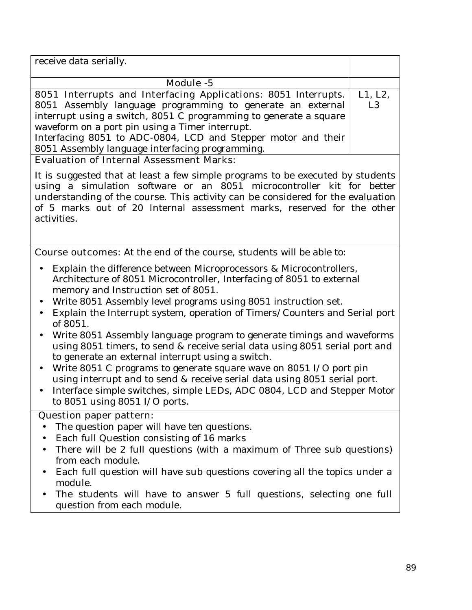| receive data serially.                                            |                |
|-------------------------------------------------------------------|----------------|
|                                                                   |                |
| Module -5                                                         |                |
| 8051 Interrupts and Interfacing Applications: 8051 Interrupts.    | L1, L2,        |
| 8051 Assembly language programming to generate an external        | L <sub>3</sub> |
| interrupt using a switch, 8051 C programming to generate a square |                |
| waveform on a port pin using a Timer interrupt.                   |                |
| Interfacing 8051 to ADC-0804, LCD and Stepper motor and their     |                |
| 8051 Assembly language interfacing programming.                   |                |
| <b>Evaluation of Internal Assessment Marks:</b>                   |                |

It is suggested that at least a few simple programs to be executed by students using a simulation software or an 8051 microcontroller kit for better understanding of the course. This activity can be considered for the evaluation of 5 marks out of 20 Internal assessment marks, reserved for the other activities.

**Course outcomes:** At the end of the course, students will be able to:

- Explain the difference between Microprocessors & Microcontrollers, Architecture of 8051 Microcontroller, Interfacing of 8051 to external memory and Instruction set of 8051.
- Write 8051 Assembly level programs using 8051 instruction set.
- Explain the Interrupt system, operation of Timers/Counters and Serial port of 8051.
- Write 8051 Assembly language program to generate timings and waveforms using 8051 timers, to send & receive serial data using 8051 serial port and to generate an external interrupt using a switch.
- Write 8051 C programs to generate square wave on 8051 I/O port pin using interrupt and to send & receive serial data using 8051 serial port.
- Interface simple switches, simple LEDs, ADC 0804, LCD and Stepper Motor to 8051 using 8051 I/O ports.

### **Question paper pattern:**

- The question paper will have ten questions.
- Each full Question consisting of 16 marks
- There will be 2 full questions (with a maximum of Three sub questions) from each module.
- Each full question will have sub questions covering all the topics under a module.
- The students will have to answer 5 full questions, selecting one full question from each module.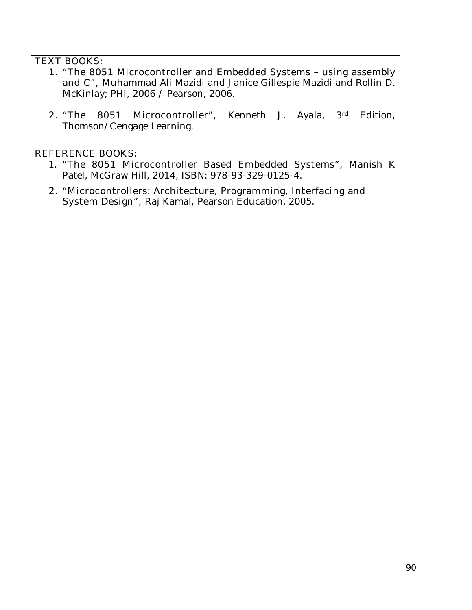### **TEXT BOOKS:**

- **1. "The 8051 Microcontroller and Embedded Systems using assembly and C",** Muhammad Ali Mazidi and Janice Gillespie Mazidi and Rollin D. McKinlay; PHI, 2006 / Pearson, 2006.
- **2. "The 8051 Microcontroller",** Kenneth J. Ayala, 3rd Edition, Thomson/Cengage Learning.

#### **REFERENCE BOOKS:**

- 1. **"The 8051 Microcontroller Based Embedded Systems",** Manish K Patel, McGraw Hill, 2014, ISBN: 978-93-329-0125-4.
- **2. "Microcontrollers: Architecture, Programming, Interfacing and System Design",** Raj Kamal, Pearson Education, 2005.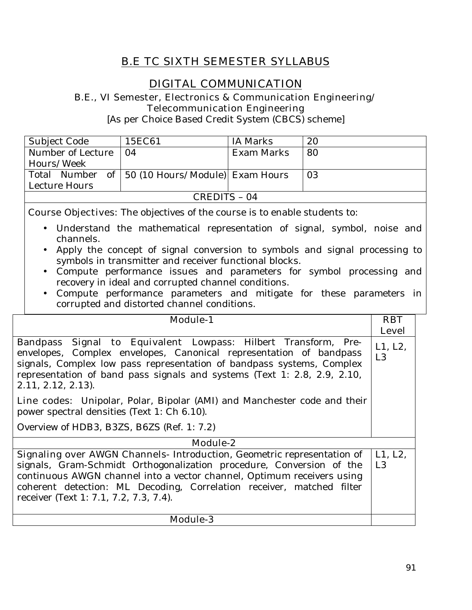# **B.E TC SIXTH SEMESTER SYLLABUS**

# **DIGITAL COMMUNICATION**

#### **B.E., VI Semester, Electronics & Communication Engineering/ Telecommunication Engineering**

[As per Choice Based Credit System (CBCS) scheme]

| Subject Code      | 15EC61                                              | IA Marks   | 20 |
|-------------------|-----------------------------------------------------|------------|----|
| Number of Lecture | $\Omega$                                            | Exam Marks | 80 |
| Hours/Week        |                                                     |            |    |
|                   | Total Number of   50 (10 Hours/Module)   Exam Hours |            | 03 |
| Lecture Hours     |                                                     |            |    |
| CREDITS - 04      |                                                     |            |    |

**Course Objectives:** The objectives of the course is to enable students to:

- Understand the mathematical representation of signal, symbol, noise and channels.
- Apply the concept of signal conversion to symbols and signal processing to symbols in transmitter and receiver functional blocks.
- Compute performance issues and parameters for symbol processing and recovery in ideal and corrupted channel conditions.
- Compute performance parameters and mitigate for these parameters in corrupted and distorted channel conditions.

| <b>Module-1</b>                                                                                                                                                                                                                                                                                                   | <b>RBT</b>     |  |
|-------------------------------------------------------------------------------------------------------------------------------------------------------------------------------------------------------------------------------------------------------------------------------------------------------------------|----------------|--|
|                                                                                                                                                                                                                                                                                                                   | <b>Level</b>   |  |
| Bandpass Signal to Equivalent Lowpass: Hilbert Transform, Pre-<br>envelopes, Complex envelopes, Canonical representation of bandpass<br>signals, Complex low pass representation of bandpass systems, Complex<br>representation of band pass signals and systems (Text 1: 2.8, 2.9, 2.10,<br>$2.11, 2.12, 2.13$ . | L1, L2,<br>L3  |  |
| <b>Line codes:</b> Unipolar, Polar, Bipolar (AMI) and Manchester code and their<br>power spectral densities (Text 1: Ch 6.10).                                                                                                                                                                                    |                |  |
| Overview of HDB3, B3ZS, B6ZS (Ref. 1: 7.2)                                                                                                                                                                                                                                                                        |                |  |
| Module-2                                                                                                                                                                                                                                                                                                          |                |  |
| Signaling over AWGN Channels- Introduction, Geometric representation of                                                                                                                                                                                                                                           | L1, L2,        |  |
| signals, Gram-Schmidt Orthogonalization procedure, Conversion of the<br>continuous AWGN channel into a vector channel, Optimum receivers using<br>coherent detection: ML Decoding, Correlation receiver, matched filter<br>receiver (Text 1: 7.1, 7.2, 7.3, 7.4).                                                 | L <sub>3</sub> |  |
| <b>Module-3</b>                                                                                                                                                                                                                                                                                                   |                |  |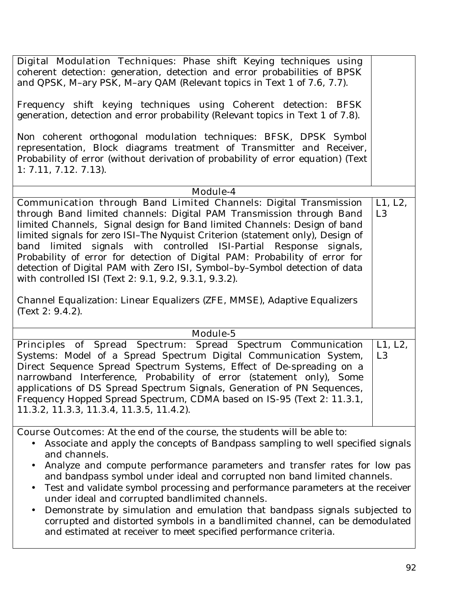| Digital Modulation Techniques: Phase shift Keying techniques using<br>coherent detection: generation, detection and error probabilities of BPSK<br>and QPSK, M-ary PSK, M-ary QAM (Relevant topics in Text 1 of 7.6, 7.7).                                                                                                                                                                                                                                                                                                                                                                                  |                           |
|-------------------------------------------------------------------------------------------------------------------------------------------------------------------------------------------------------------------------------------------------------------------------------------------------------------------------------------------------------------------------------------------------------------------------------------------------------------------------------------------------------------------------------------------------------------------------------------------------------------|---------------------------|
| Frequency shift keying techniques using Coherent detection: BFSK<br>generation, detection and error probability (Relevant topics in Text 1 of 7.8).                                                                                                                                                                                                                                                                                                                                                                                                                                                         |                           |
| Non coherent orthogonal modulation techniques: BFSK, DPSK Symbol<br>representation, Block diagrams treatment of Transmitter and Receiver,<br>Probability of error (without derivation of probability of error equation) (Text<br>$1: 7.11, 7.12, 7.13$ .                                                                                                                                                                                                                                                                                                                                                    |                           |
| Module-4                                                                                                                                                                                                                                                                                                                                                                                                                                                                                                                                                                                                    |                           |
| <b>Communication through Band Limited Channels: Digital Transmission</b><br>through Band limited channels: Digital PAM Transmission through Band<br>limited Channels, Signal design for Band limited Channels: Design of band<br>limited signals for zero ISI-The Nyquist Criterion (statement only), Design of<br>band limited signals with controlled ISI-Partial Response signals,<br>Probability of error for detection of Digital PAM: Probability of error for<br>detection of Digital PAM with Zero ISI, Symbol-by-Symbol detection of data<br>with controlled ISI (Text 2: 9.1, 9.2, 9.3.1, 9.3.2). | L1, L2,<br>L <sub>3</sub> |
| Channel Equalization: Linear Equalizers (ZFE, MMSE), Adaptive Equalizers<br>(Text 2: $9.4.2$ ).                                                                                                                                                                                                                                                                                                                                                                                                                                                                                                             |                           |
| Module-5                                                                                                                                                                                                                                                                                                                                                                                                                                                                                                                                                                                                    |                           |
| Principles of Spread Spectrum: Spread Spectrum Communication<br>Systems: Model of a Spread Spectrum Digital Communication System,<br>Direct Sequence Spread Spectrum Systems, Effect of De-spreading on a<br>narrowband Interference, Probability of error (statement only), Some<br>applications of DS Spread Spectrum Signals, Generation of PN Sequences,<br>Frequency Hopped Spread Spectrum, CDMA based on IS-95 (Text 2: 11.3.1,<br>11.3.2, 11.3.3, 11.3.4, 11.3.5, 11.4.2).                                                                                                                          | L1, L2,<br>L <sub>3</sub> |
| <b>Course Outcomes:</b> At the end of the course, the students will be able to:                                                                                                                                                                                                                                                                                                                                                                                                                                                                                                                             |                           |
| Associate and apply the concepts of Bandpass sampling to well specified signals<br>and channels.<br>Analyze and compute performance parameters and transfer rates for low pas<br>and bandpass symbol under ideal and corrupted non band limited channels.<br>Test and validate symbol processing and performance parameters at the receiver<br>under ideal and corrupted bandlimited channels.<br>Demonstrate by simulation and emulation that bandnass signals subjected to                                                                                                                                |                           |

• Demonstrate by simulation and emulation that bandpass signals subjected to corrupted and distorted symbols in a bandlimited channel, can be demodulated and estimated at receiver to meet specified performance criteria.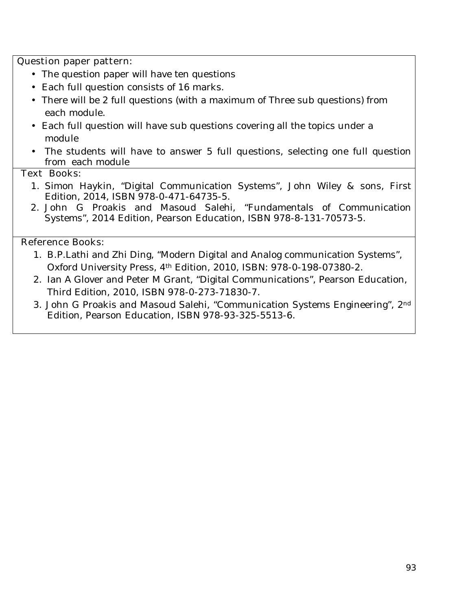#### **Question paper pattern:**

- The question paper will have ten questions
- Each full question consists of 16 marks**.**
- There will be 2 full questions (with a maximum of Three sub questions) from each module.
- Each full question will have sub questions covering all the topics under a module
- The students will have to answer 5 full questions, selecting one full question from each module

#### **Text Books:**

- 1. Simon Haykin, "Digital Communication Systems", John Wiley & sons, First Edition, 2014, ISBN 978-0-471-64735-5.
- 2. John G Proakis and Masoud Salehi, "Fundamentals of Communication Systems", 2014 Edition, Pearson Education, ISBN 978-8-131-70573-5.

#### **Reference Books:**

- 1. B.P.Lathi and Zhi Ding, "Modern Digital and Analog communication Systems", Oxford University Press, 4th Edition, 2010, ISBN: 978-0-198-07380-2.
- 2. Ian A Glover and Peter M Grant, "Digital Communications", Pearson Education, Third Edition, 2010, ISBN 978-0-273-71830-7.
- 3. John G Proakis and Masoud Salehi, "Communication Systems Engineering", 2nd Edition, Pearson Education, ISBN 978-93-325-5513-6.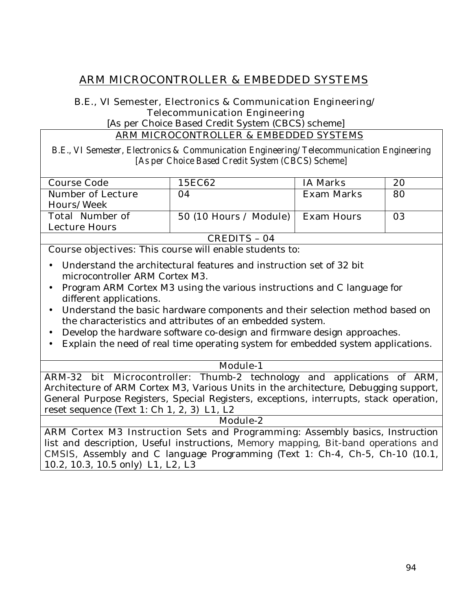# **ARM MICROCONTROLLER & EMBEDDED SYSTEMS**

#### **B.E., VI Semester, Electronics & Communication Engineering/ Telecommunication Engineering**

[As per Choice Based Credit System (CBCS) scheme]

#### **ARM MICROCONTROLLER & EMBEDDED SYSTEMS**

**B.E., VI Semester, Electronics & Communication Engineering/ Telecommunication Engineering [As per Choice Based Credit System (CBCS) Scheme]** 

| <b>Course Code</b>        | <b>15EC62</b>           | <b>IA Marks</b>   | 20 |
|---------------------------|-------------------------|-------------------|----|
| <b>Number of Lecture</b>  | 04                      | <b>Exam Marks</b> | 80 |
| Hours/Week                |                         |                   |    |
| <b>Total Number of</b>    | $50(10$ Hours / Module) | <b>Exam Hours</b> | 03 |
| <b>Lecture Hours</b>      |                         |                   |    |
| <u>arrina</u><br><u>а</u> |                         |                   |    |

#### **CREDITS – 04**

**Course objectives:** This course will enable students to:

- Understand the architectural features and instruction set of 32 bit microcontroller ARM Cortex M3.
- Program ARM Cortex M3 using the various instructions and C language for different applications.
- Understand the basic hardware components and their selection method based on the characteristics and attributes of an embedded system.
- Develop the hardware software co-design and firmware design approaches.
- Explain the need of real time operating system for embedded system applications.

#### **Module-1**

**ARM-32 bit Microcontroller:** Thumb-2 technology and applications of ARM, Architecture of ARM Cortex M3, Various Units in the architecture, Debugging support, General Purpose Registers, Special Registers, exceptions, interrupts, stack operation, reset sequence (Text 1: Ch 1, 2, 3) **L1, L2** 

#### **Module-2**

**ARM Cortex M3 Instruction Sets and Programming:** Assembly basics, Instruction list and description, Useful instructions, Memory mapping, Bit-band operations and CMSIS, Assembly and C language Programming (Text 1: Ch-4, Ch-5, Ch-10 (10.1, 10.2, 10.3, 10.5 only) **L1, L2, L3**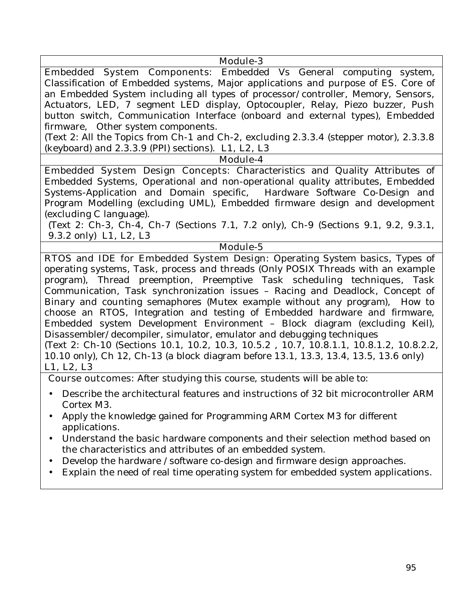#### **Module-3**

**Embedded System Components:** Embedded Vs General computing system, Classification of Embedded systems, Major applications and purpose of ES. Core of an Embedded System including all types of processor/controller, Memory, Sensors, Actuators, LED, 7 segment LED display, Optocoupler, Relay, Piezo buzzer, Push button switch, Communication Interface (onboard and external types), Embedded firmware, Other system components.

(Text 2: All the Topics from Ch-1 and Ch-2, excluding 2.3.3.4 (stepper motor), 2.3.3.8 (keyboard) and 2.3.3.9 (PPI) sections). **L1, L2, L3** 

**Module-4**

**Embedded System Design Concepts:** Characteristics and Quality Attributes of Embedded Systems, Operational and non-operational quality attributes, Embedded Systems-Application and Domain specific, Hardware Software Co-Design and Program Modelling (excluding UML), Embedded firmware design and development (excluding C language).

(Text 2: Ch-3, Ch-4, Ch-7 (Sections 7.1, 7.2 only), Ch-9 (Sections 9.1, 9.2, 9.3.1, 9.3.2 only) **L1, L2, L3** 

#### **Module-5**

**RTOS and IDE for Embedded System Design:** Operating System basics, Types of operating systems, Task, process and threads (Only POSIX Threads with an example program), Thread preemption, Preemptive Task scheduling techniques, Task Communication, Task synchronization issues – Racing and Deadlock, Concept of Binary and counting semaphores (Mutex example without any program), How to choose an RTOS, Integration and testing of Embedded hardware and firmware, Embedded system Development Environment – Block diagram (excluding Keil), Disassembler/decompiler, simulator, emulator and debugging techniques (Text 2: Ch-10 (Sections 10.1, 10.2, 10.3, 10.5.2 , 10.7, 10.8.1.1, 10.8.1.2, 10.8.2.2, 10.10 only), Ch 12, Ch-13 (a block diagram before 13.1, 13.3, 13.4, 13.5, 13.6 only) **L1, L2, L3** 

**Course outcomes:** After studying this course, students will be able to:

- Describe the architectural features and instructions of 32 bit microcontroller ARM Cortex M3.
- Apply the knowledge gained for Programming ARM Cortex M3 for different applications.
- Understand the basic hardware components and their selection method based on the characteristics and attributes of an embedded system.
- Develop the hardware /software co-design and firmware design approaches.
- Explain the need of real time operating system for embedded system applications.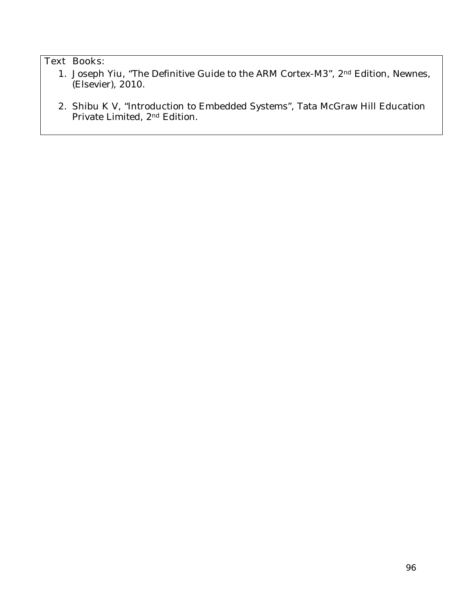### **Text Books:**

- 1. Joseph Yiu, "The Definitive Guide to the ARM Cortex-M3", 2nd Edition, Newnes, (Elsevier), 2010.
- 2. Shibu K V, "Introduction to Embedded Systems", Tata McGraw Hill Education Private Limited, 2<sup>nd</sup> Edition.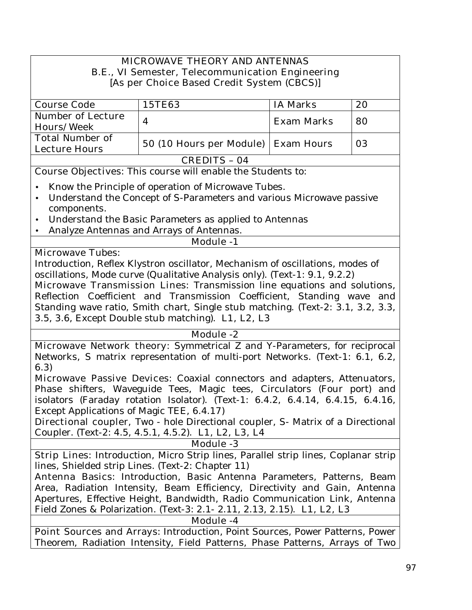### **MICROWAVE THEORY AND ANTENNAS B.E., VI Semester, Telecommunication Engineering [As per Choice Based Credit System (CBCS)]**

| <b>Course Code</b>       | <b>15TE63</b>                         | <b>IA Marks</b>   | 20 |
|--------------------------|---------------------------------------|-------------------|----|
| <b>Number of Lecture</b> | 4                                     | <b>Exam Marks</b> | 80 |
| <b>Hours/Week</b>        |                                       |                   |    |
| <b>Total Number of</b>   |                                       |                   | 03 |
| <b>Lecture Hours</b>     | 50 (10 Hours per Module)   Exam Hours |                   |    |
| <b>CREDITS - 04</b>      |                                       |                   |    |

**Course Objectives:** This course will enable the Students to:

- Know the Principle of operation of Microwave Tubes.
- Understand the Concept of S-Parameters and various Microwave passive components.
- Understand the Basic Parameters as applied to Antennas
- Analyze Antennas and Arrays of Antennas.

# **Microwave Tubes:**

Introduction, Reflex Klystron oscillator, Mechanism of oscillations, modes of oscillations, Mode curve (Qualitative Analysis only). (Text-1: 9.1, 9.2.2)

**Module -1**

**Microwave Transmission Lines:** Transmission line equations and solutions, Reflection Coefficient and Transmission Coefficient, Standing wave and Standing wave ratio, Smith chart, Single stub matching. (Text-2: 3.1, 3.2, 3.3, 3.5, 3.6, Except Double stub matching). **L1, L2, L3** 

### **Module -2**

**Microwave Network theory:** Symmetrical Z and Y-Parameters, for reciprocal Networks, S matrix representation of multi-port Networks. (Text-1: 6.1, 6.2, 6.3)

**Microwave Passive Devices:** Coaxial connectors and adapters, Attenuators, Phase shifters, Waveguide Tees, Magic tees, Circulators (Four port) and isolators (Faraday rotation Isolator). **(**Text-1: 6.4.2, 6.4.14, 6.4.15, 6.4.16, Except Applications of Magic TEE, 6.4.17)

**Directional coupler,** Two - hole Directional coupler, S- Matrix of a Directional Coupler. (Text-2: 4.5, 4.5.1, 4.5.2). **L1, L2, L3, L4** 

#### **Module -3**

**Strip Lines:** Introduction, Micro Strip lines, Parallel strip lines, Coplanar strip lines, Shielded strip Lines. (Text-2: Chapter 11)

**Antenna Basics**: Introduction, Basic Antenna Parameters, Patterns, Beam Area, Radiation Intensity, Beam Efficiency, Directivity and Gain, Antenna Apertures, Effective Height, Bandwidth, Radio Communication Link, Antenna Field Zones & Polarization. (Text-3: 2.1- 2.11, 2.13, 2.15). **L1, L2, L3** 

| <b>Module -4</b> |  |
|------------------|--|
|------------------|--|

**Point Sources and Arrays**: Introduction, Point Sources, Power Patterns, Power Theorem, Radiation Intensity, Field Patterns, Phase Patterns, Arrays of Two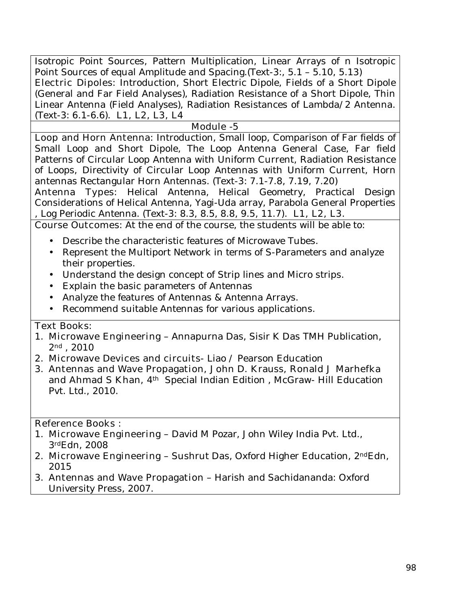Isotropic Point Sources, Pattern Multiplication, Linear Arrays of n Isotropic Point Sources of equal Amplitude and Spacing.(Text-3:, 5.1 – 5.10, 5.13) **Electric Dipoles:** Introduction, Short Electric Dipole, Fields of a Short Dipole (General and Far Field Analyses), Radiation Resistance of a Short Dipole, Thin Linear Antenna (Field Analyses), Radiation Resistances of Lambda/2 Antenna. (Text-3: 6.1-6.6). **L1, L2, L3, L4** 

#### **Module -5**

**Loop and Horn Antenna:** Introduction, Small loop, Comparison of Far fields of Small Loop and Short Dipole, The Loop Antenna General Case, Far field Patterns of Circular Loop Antenna with Uniform Current, Radiation Resistance of Loops, Directivity of Circular Loop Antennas with Uniform Current, Horn antennas Rectangular Horn Antennas. (Text-3: 7.1-7.8, 7.19, 7.20)

**Antenna Types:** Helical Antenna, Helical Geometry, Practical Design Considerations of Helical Antenna, Yagi-Uda array, Parabola General Properties , Log Periodic Antenna. (Text-3: 8.3, 8.5, 8.8, 9.5, 11.7) . **L1, L2, L3.** 

**Course Outcomes:** At the end of the course, the students will be able to:

- Describe the characteristic features of Microwave Tubes.
- Represent the Multiport Network in terms of S-Parameters and analyze their properties.
- Understand the design concept of Strip lines and Micro strips.
- Explain the basic parameters of Antennas
- Analyze the features of Antennas & Antenna Arrays.
- Recommend suitable Antennas for various applications.

### **Text Books:**

- 1. **Microwave Engineering**  Annapurna Das, Sisir K Das TMH Publication, 2nd , 2010
- 2. **Microwave Devices and circuits** Liao / Pearson Education
- 3. **Antennas and Wave Propagation, John D. Krauss, Ronald J Marhefka**  and Ahmad S Khan, 4<sup>th</sup> Special Indian Edition, McGraw- Hill Education Pvt. Ltd., 2010**.**

#### **Reference Books :**

- 1. **Microwave Engineering**  David M Pozar, John Wiley India Pvt. Ltd., 3rdEdn, 2008
- 2. **Microwave Engineering**  Sushrut Das, Oxford Higher Education, 2ndEdn, 2015
- 3. **Antennas and Wave Propagation**  Harish and Sachidananda: Oxford University Press, 2007.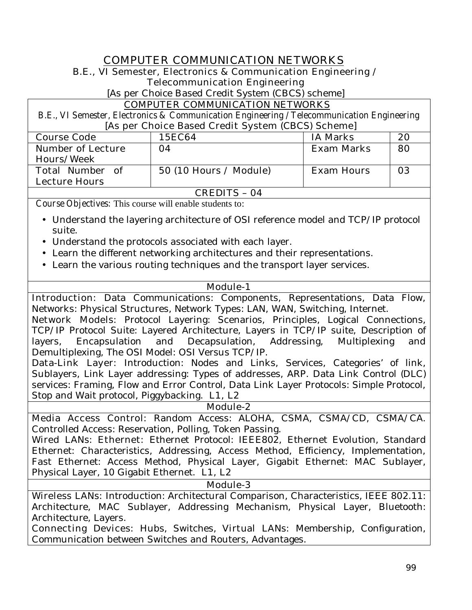### **COMPUTER COMMUNICATION NETWORKS**

# **B.E., VI Semester, Electronics & Communication Engineering /**

**Telecommunication Engineering** 

[As per Choice Based Credit System (CBCS) scheme]

#### **COMPUTER COMMUNICATION NETWORKS**

**B.E., VI Semester, Electronics & Communication Engineering / Telecommunication Engineering [As per Choice Based Credit System (CBCS) Scheme]** 

| 15EC64                  | <b>IA Marks</b>   | 20 |
|-------------------------|-------------------|----|
| 04                      | <b>Exam Marks</b> | 80 |
|                         |                   |    |
| $50(10$ Hours / Module) | <b>Exam Hours</b> | 03 |
|                         |                   |    |
|                         |                   |    |

**CREDITS – 04**

**Course Objectives:** This course will enable students to:

- Understand the layering architecture of OSI reference model and TCP/IP protocol suite.
- Understand the protocols associated with each layer.
- Learn the different networking architectures and their representations.
- Learn the various routing techniques and the transport layer services.

#### **Module-1**

**Introduction:** Data Communications: Components, Representations, Data Flow, Networks: Physical Structures, Network Types: LAN, WAN, Switching, Internet.

**Network Models:** Protocol Layering: Scenarios, Principles, Logical Connections, TCP/IP Protocol Suite: Layered Architecture, Layers in TCP/IP suite, Description of layers, Encapsulation and Decapsulation, Addressing, Multiplexing and Demultiplexing, The OSI Model: OSI Versus TCP/IP.

**Data-Link Layer:** Introduction: Nodes and Links, Services, Categories' of link, Sublayers, Link Layer addressing: Types of addresses, ARP. Data Link Control (DLC) services: Framing, Flow and Error Control, Data Link Layer Protocols: Simple Protocol, Stop and Wait protocol, Piggybacking. **L1, L2** 

**Module-2**

**Media Access Control:** Random Access: ALOHA, CSMA, CSMA/CD, CSMA/CA. Controlled Access: Reservation, Polling, Token Passing.

**Wired LANs: Ethernet:** Ethernet Protocol: IEEE802, Ethernet Evolution, Standard Ethernet: Characteristics, Addressing, Access Method, Efficiency, Implementation, Fast Ethernet: Access Method, Physical Layer, Gigabit Ethernet: MAC Sublayer, Physical Layer, 10 Gigabit Ethernet. **L1, L2** 

**Module-3**

Wireless LANs: Introduction: Architectural Comparison, Characteristics, IEEE 802.11: Architecture, MAC Sublayer, Addressing Mechanism, Physical Layer, Bluetooth: Architecture, Layers.

**Connecting Devices:** Hubs, Switches, **Virtual LANs:** Membership, Configuration, Communication between Switches and Routers, Advantages.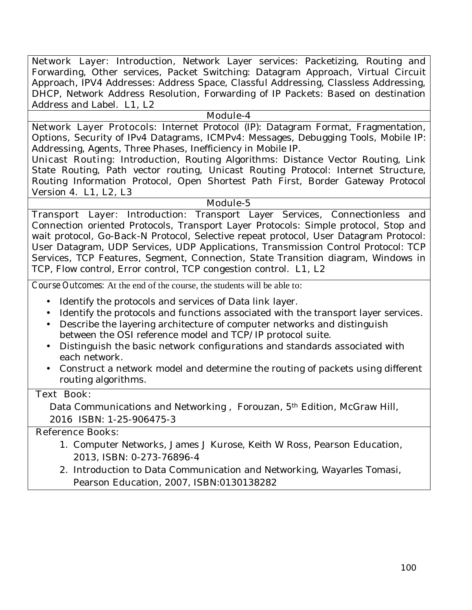**Network Layer:** Introduction, Network Layer services: Packetizing, Routing and Forwarding, Other services, Packet Switching: Datagram Approach, Virtual Circuit Approach, IPV4 Addresses: Address Space, Classful Addressing, Classless Addressing, DHCP, Network Address Resolution, Forwarding of IP Packets: Based on destination Address and Label. **L1, L2** 

#### **Module-4**

**Network Layer Protocols:** Internet Protocol (IP): Datagram Format, Fragmentation, Options, Security of IPv4 Datagrams, ICMPv4: Messages, Debugging Tools, Mobile IP: Addressing, Agents, Three Phases, Inefficiency in Mobile IP.

**Unicast Routing:** Introduction, Routing Algorithms: Distance Vector Routing, Link State Routing, Path vector routing, Unicast Routing Protocol: Internet Structure, Routing Information Protocol, Open Shortest Path First, Border Gateway Protocol Version 4. **L1, L2, L3** 

#### **Module-5**

**Transport Layer:** Introduction: Transport Layer Services, Connectionless and Connection oriented Protocols, Transport Layer Protocols: Simple protocol, Stop and wait protocol, Go-Back-N Protocol, Selective repeat protocol, User Datagram Protocol: User Datagram, UDP Services, UDP Applications, Transmission Control Protocol: TCP Services, TCP Features, Segment, Connection, State Transition diagram, Windows in TCP, Flow control, Error control, TCP congestion control. **L1, L2** 

**Course Outcomes:** At the end of the course, the students will be able to:

- Identify the protocols and services of Data link layer.
- Identify the protocols and functions associated with the transport layer services.
- Describe the layering architecture of computer networks and distinguish between the OSI reference model and TCP/IP protocol suite.
- Distinguish the basic network configurations and standards associated with each network.
- Construct a network model and determine the routing of packets using different routing algorithms.

#### **Text Book:**

Data Communications and Networking , Forouzan, 5th Edition, McGraw Hill, 2016 ISBN: 1-25-906475-3

#### **Reference Books:**

- 1. Computer Networks, James J Kurose, Keith W Ross, Pearson Education, 2013, ISBN: 0-273-76896-4
- 2. Introduction to Data Communication and Networking, Wayarles Tomasi, Pearson Education, 2007, ISBN:0130138282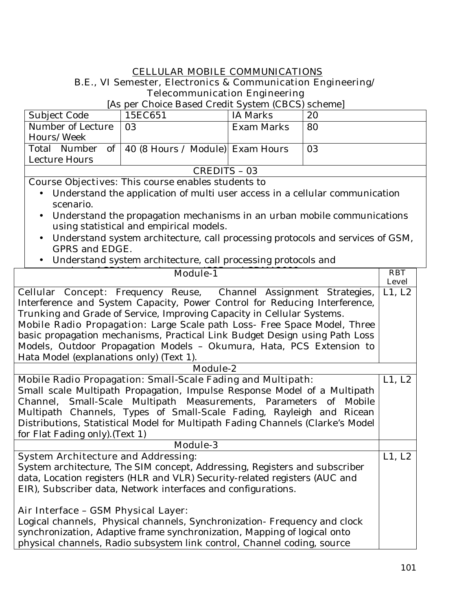#### **CELLULAR MOBILE COMMUNICATIONS B.E., VI Semester, Electronics & Communication Engineering/ Telecommunication Engineering**

### [As per Choice Based Credit System (CBCS) scheme]

| Subject Code      | 15EC651                                            | <b>IA Marks</b> | 20 |
|-------------------|----------------------------------------------------|-----------------|----|
| Number of Lecture | -03                                                | Exam Marks      | 80 |
| Hours/Week        |                                                    |                 |    |
|                   | Total Number of   40 (8 Hours / Module) Exam Hours |                 | 03 |
| Lecture Hours     |                                                    |                 |    |
| CREDITS - 03      |                                                    |                 |    |

**Course Objectives:** This course enables students to

- Understand the application of multi user access in a cellular communication scenario.
- Understand the propagation mechanisms in an urban mobile communications using statistical and empirical models.
- Understand system architecture, call processing protocols and services of GSM, GPRS and EDGE.
- Understand system architecture, call processing protocols and

| <b>Module-1</b>                                                                | <b>RBT</b><br><b>Level</b> |  |
|--------------------------------------------------------------------------------|----------------------------|--|
| <b>Cellular Concept:</b> Frequency Reuse, Channel Assignment Strategies,       | L1, L2                     |  |
| Interference and System Capacity, Power Control for Reducing Interference,     |                            |  |
| Trunking and Grade of Service, Improving Capacity in Cellular Systems.         |                            |  |
| Mobile Radio Propagation: Large Scale path Loss- Free Space Model, Three       |                            |  |
| basic propagation mechanisms, Practical Link Budget Design using Path Loss     |                            |  |
| Models, Outdoor Propagation Models - Okumura, Hata, PCS Extension to           |                            |  |
| Hata Model (explanations only) (Text 1).                                       |                            |  |
| <b>Module-2</b>                                                                |                            |  |
| <b>Mobile Radio Propagation: Small-Scale Fading and Multipath:</b>             | L1, L2                     |  |
| Small scale Multipath Propagation, Impulse Response Model of a Multipath       |                            |  |
| Channel, Small-Scale Multipath Measurements, Parameters of Mobile              |                            |  |
| Multipath Channels, Types of Small-Scale Fading, Rayleigh and Ricean           |                            |  |
| Distributions, Statistical Model for Multipath Fading Channels (Clarke's Model |                            |  |
| for Flat Fading only). (Text 1)                                                |                            |  |
| <b>Module-3</b>                                                                |                            |  |
| <b>System Architecture and Addressing:</b>                                     | L1, L2                     |  |
| System architecture, The SIM concept, Addressing, Registers and subscriber     |                            |  |
| data, Location registers (HLR and VLR) Security-related registers (AUC and     |                            |  |
| EIR), Subscriber data, Network interfaces and configurations.                  |                            |  |
|                                                                                |                            |  |
| Air Interface - GSM Physical Layer:                                            |                            |  |
| Logical channels, Physical channels, Synchronization-Frequency and clock       |                            |  |
| synchronization, Adaptive frame synchronization, Mapping of logical onto       |                            |  |
| physical channels, Radio subsystem link control, Channel coding, source        |                            |  |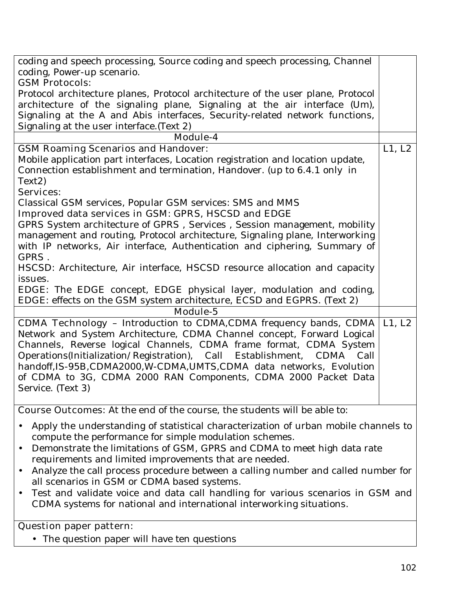| coding and speech processing, Source coding and speech processing, Channel                       |        |  |  |
|--------------------------------------------------------------------------------------------------|--------|--|--|
| coding, Power-up scenario.                                                                       |        |  |  |
| <b>GSM Protocols:</b>                                                                            |        |  |  |
| Protocol architecture planes, Protocol architecture of the user plane, Protocol                  |        |  |  |
| architecture of the signaling plane, Signaling at the air interface (Um),                        |        |  |  |
| Signaling at the A and Abis interfaces, Security-related network functions,                      |        |  |  |
| Signaling at the user interface. (Text 2)                                                        |        |  |  |
| <b>Module-4</b>                                                                                  |        |  |  |
| <b>GSM Roaming Scenarios and Handover:</b>                                                       | L1, L2 |  |  |
| Mobile application part interfaces, Location registration and location update,                   |        |  |  |
| Connection establishment and termination, Handover. (up to 6.4.1 only in<br>Text <sub>2</sub> )  |        |  |  |
| <b>Services:</b>                                                                                 |        |  |  |
| Classical GSM services, Popular GSM services: SMS and MMS                                        |        |  |  |
| Improved data services in GSM: GPRS, HSCSD and EDGE                                              |        |  |  |
| GPRS System architecture of GPRS, Services, Session management, mobility                         |        |  |  |
| management and routing, Protocol architecture, Signaling plane, Interworking                     |        |  |  |
| with IP networks, Air interface, Authentication and ciphering, Summary of<br>GPRS.               |        |  |  |
| HSCSD: Architecture, Air interface, HSCSD resource allocation and capacity                       |        |  |  |
| issues.                                                                                          |        |  |  |
| EDGE: The EDGE concept, EDGE physical layer, modulation and coding,                              |        |  |  |
| EDGE: effects on the GSM system architecture, ECSD and EGPRS. (Text 2)<br><b>Module-5</b>        |        |  |  |
| <b>CDMA Technology - Introduction to CDMA,CDMA frequency bands, CDMA</b>                         | L1, L2 |  |  |
| Network and System Architecture, CDMA Channel concept, Forward Logical                           |        |  |  |
| Channels, Reverse logical Channels, CDMA frame format, CDMA System                               |        |  |  |
| Operations(Initialization/Registration), Call Establishment, CDMA Call                           |        |  |  |
| handoff, IS-95B, CDMA2000, W-CDMA, UMTS, CDMA data networks, Evolution                           |        |  |  |
| of CDMA to 3G, CDMA 2000 RAN Components, CDMA 2000 Packet Data                                   |        |  |  |
| Service. (Text 3)                                                                                |        |  |  |
|                                                                                                  |        |  |  |
| <b>Course Outcomes:</b> At the end of the course, the students will be able to:                  |        |  |  |
| Apply the understanding of statistical characterization of urban mobile channels to<br>$\bullet$ |        |  |  |
| compute the performance for simple modulation schemes.                                           |        |  |  |
| Demonstrate the limitations of GSM, GPRS and CDMA to meet high data rate<br>$\bullet$            |        |  |  |
| requirements and limited improvements that are needed.                                           |        |  |  |
| Analyze the call process procedure between a calling number and called number for<br>$\bullet$   |        |  |  |
| all scenarios in GSM or CDMA based systems.                                                      |        |  |  |
| Test and validate voice and data call handling for various scenarios in GSM and<br>$\bullet$     |        |  |  |
| CDMA systems for national and international interworking situations.                             |        |  |  |
| <b>Question paper pattern:</b>                                                                   |        |  |  |
|                                                                                                  |        |  |  |
| • The question paper will have ten questions                                                     |        |  |  |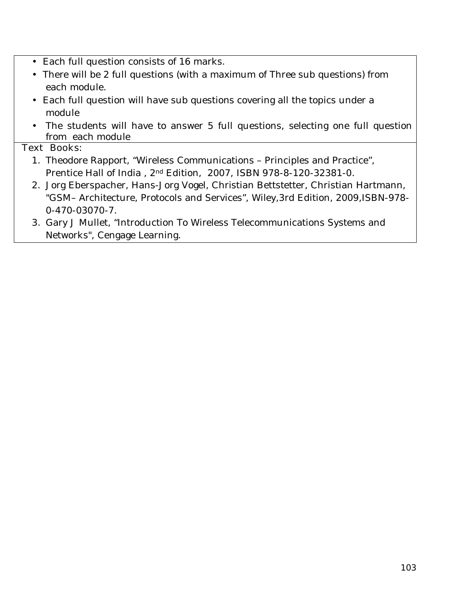- Each full question consists of 16 marks**.**
- There will be 2 full questions (with a maximum of Three sub questions) from each module.
- Each full question will have sub questions covering all the topics under a module
- The students will have to answer 5 full questions, selecting one full question from each module

#### **Text Books:**

- 1. Theodore Rapport, "Wireless Communications Principles and Practice", Prentice Hall of India , 2nd Edition, 2007, ISBN 978-8-120-32381-0.
- 2. Jorg Eberspacher, Hans-Jorg Vogel, Christian Bettstetter, Christian Hartmann, "GSM– Architecture, Protocols and Services", Wiley,3rd Edition, 2009,ISBN-978- 0-470-03070-7.
- 3. Gary J Mullet, "Introduction To Wireless Telecommunications Systems and Networks", Cengage Learning.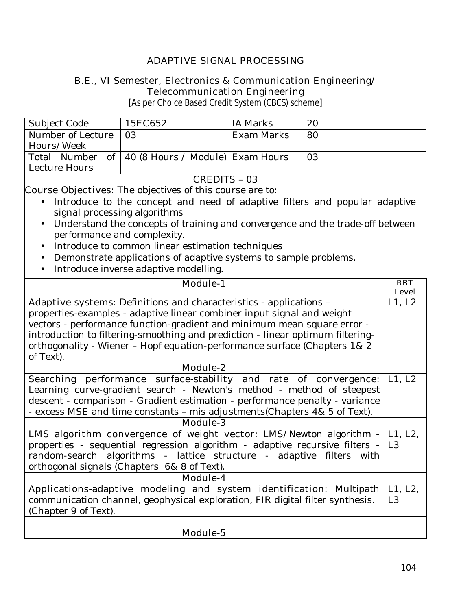### **ADAPTIVE SIGNAL PROCESSING**

#### **B.E., VI Semester, Electronics & Communication Engineering/ Telecommunication Engineering**

[As per Choice Based Credit System (CBCS) scheme]

| Subject Code      | 15EC652                                            | IA Marks          | 20 |
|-------------------|----------------------------------------------------|-------------------|----|
| Number of Lecture | -03                                                | <b>Exam Marks</b> | 80 |
| Hours/Week        |                                                    |                   |    |
|                   | Total Number of   40 (8 Hours / Module) Exam Hours |                   | 03 |
| Lecture Hours     |                                                    |                   |    |
| CREDITS - 03      |                                                    |                   |    |
|                   |                                                    |                   |    |

**Course Objectives:** The objectives of this course are to:

- Introduce to the concept and need of adaptive filters and popular adaptive signal processing algorithms
- Understand the concepts of training and convergence and the trade-off between performance and complexity.
- Introduce to common linear estimation techniques
- Demonstrate applications of adaptive systems to sample problems.
- Introduce inverse adaptive modelling.

| <b>Module-1</b>                                                                        | <b>RBT</b>     |  |
|----------------------------------------------------------------------------------------|----------------|--|
|                                                                                        | <b>Level</b>   |  |
| <b>Adaptive systems:</b> Definitions and characteristics - applications -              | L1, L2         |  |
| properties-examples - adaptive linear combiner input signal and weight                 |                |  |
| vectors - performance function-gradient and minimum mean square error -                |                |  |
| introduction to filtering-smoothing and prediction - linear optimum filtering-         |                |  |
| orthogonality - Wiener - Hopf equation-performance surface (Chapters 1& 2              |                |  |
| of Text).                                                                              |                |  |
| <b>Module-2</b>                                                                        |                |  |
| Searching performance surface-stability and rate of convergence:                       | L1, L2         |  |
| Learning curve-gradient search - Newton's method - method of steepest                  |                |  |
| descent - comparison - Gradient estimation - performance penalty - variance            |                |  |
| - excess MSE and time constants - mis adjustments(Chapters 4& 5 of Text).              |                |  |
| <b>Module-3</b>                                                                        |                |  |
| <b>LMS algorithm convergence of weight vector:</b> LMS/Newton algorithm $-$ L1, L2,    |                |  |
| properties - sequential regression algorithm - adaptive recursive filters - $\vert$ L3 |                |  |
| random-search algorithms - lattice structure - adaptive filters with                   |                |  |
| orthogonal signals (Chapters 6& 8 of Text).                                            |                |  |
| <b>Module-4</b>                                                                        |                |  |
| Applications-adaptive modeling and system identification: Multipath                    | L1, L2,        |  |
| communication channel, geophysical exploration, FIR digital filter synthesis.          | L <sub>3</sub> |  |
| (Chapter 9 of Text).                                                                   |                |  |
|                                                                                        |                |  |
| <b>Module-5</b>                                                                        |                |  |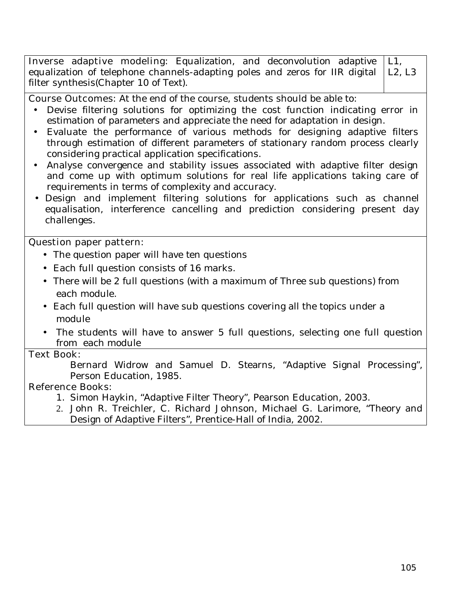| <b>Inverse adaptive modeling:</b> Equalization, and deconvolution adaptive $ L1$ ,     |  |
|----------------------------------------------------------------------------------------|--|
| equalization of telephone channels-adapting poles and zeros for IIR digital $ $ L2, L3 |  |
| filter synthesis (Chapter 10 of Text).                                                 |  |

**Course Outcomes:** At the end of the course, students should be able to:

- Devise filtering solutions for optimizing the cost function indicating error in estimation of parameters and appreciate the need for adaptation in design.
- Evaluate the performance of various methods for designing adaptive filters through estimation of different parameters of stationary random process clearly considering practical application specifications.
- Analyse convergence and stability issues associated with adaptive filter design and come up with optimum solutions for real life applications taking care of requirements in terms of complexity and accuracy.
- Design and implement filtering solutions for applications such as channel equalisation, interference cancelling and prediction considering present day challenges.

#### **Question paper pattern:**

- The question paper will have ten questions
- Each full question consists of 16 marks**.**
- There will be 2 full questions (with a maximum of Three sub questions) from each module.
- Each full question will have sub questions covering all the topics under a module
- The students will have to answer 5 full questions, selecting one full question from each module

### **Text Book:**

Bernard Widrow and Samuel D. Stearns, "Adaptive Signal Processing", Person Education, 1985.

### **Reference Books:**

- 1. Simon Haykin, "Adaptive Filter Theory", Pearson Education, 2003.
- 2. John R. Treichler, C. Richard Johnson, Michael G. Larimore, "Theory and Design of Adaptive Filters", Prentice-Hall of India, 2002.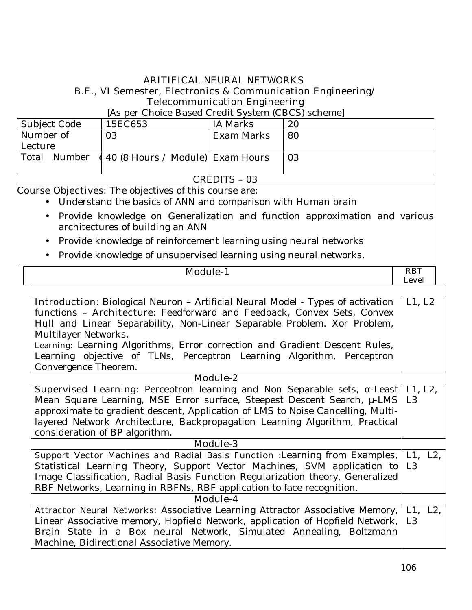#### **ARITIFICAL NEURAL NETWORKS B.E., VI Semester, Electronics & Communication Engineering/ Telecommunication Engineering**

#### [As per Choice Based Credit System (CBCS) scheme]

| Subject Code | 15EC653                                         | IA Marks   | 20 |
|--------------|-------------------------------------------------|------------|----|
| Number of    | 03                                              | Exam Marks | 80 |
| Lecture      |                                                 |            |    |
| Total Number | $\left(40\right)$ (8 Hours / Module) Exam Hours |            | 03 |
|              |                                                 |            |    |
| CREDITS - 03 |                                                 |            |    |

**Course Objectives:** The objectives of this course are:

- Understand the basics of ANN and comparison with Human brain
- Provide knowledge on Generalization and function approximation and various architectures of building an ANN
- Provide knowledge of reinforcement learning using neural networks
- Provide knowledge of unsupervised learning using neural networks.

### **Module-1 RBT**

**Level** 

| <b>Introduction</b> : Biological Neuron - Artificial Neural Model - Types of activation  | L1, L2         |  |
|------------------------------------------------------------------------------------------|----------------|--|
| functions - <b>Architecture</b> : Feedforward and Feedback, Convex Sets, Convex          |                |  |
| Hull and Linear Separability, Non-Linear Separable Problem. Xor Problem,                 |                |  |
| Multilayer Networks.                                                                     |                |  |
| Learning: Learning Algorithms, Error correction and Gradient Descent Rules,              |                |  |
| Learning objective of TLNs, Perceptron Learning Algorithm, Perceptron                    |                |  |
| Convergence Theorem.                                                                     |                |  |
| <b>Module-2</b>                                                                          |                |  |
| <b>Supervised Learning:</b> Perceptron learning and Non Separable sets, -Least   L1, L2, |                |  |
| Mean Square Learning, MSE Error surface, Steepest Descent Search, µ-LMS   L3             |                |  |
| approximate to gradient descent, Application of LMS to Noise Cancelling, Multi-          |                |  |
| layered Network Architecture, Backpropagation Learning Algorithm, Practical              |                |  |
| consideration of BP algorithm.                                                           |                |  |
| <b>Module-3</b>                                                                          |                |  |
| <b>Support Vector Machines and Radial Basis Function :</b> Learning from Examples,       | L1, L2,        |  |
| Statistical Learning Theory, Support Vector Machines, SVM application to                 | L <sub>3</sub> |  |
| Image Classification, Radial Basis Function Regularization theory, Generalized           |                |  |
| RBF Networks, Learning in RBFNs, RBF application to face recognition.                    |                |  |
| <b>Module-4</b>                                                                          |                |  |
| <b>Attractor Neural Networks: Associative Learning Attractor Associative Memory,</b>     |                |  |
| Linear Associative memory, Hopfield Network, application of Hopfield Network,   L3       |                |  |
| Brain State in a Box neural Network, Simulated Annealing, Boltzmann                      |                |  |
| Machine, Bidirectional Associative Memory.                                               |                |  |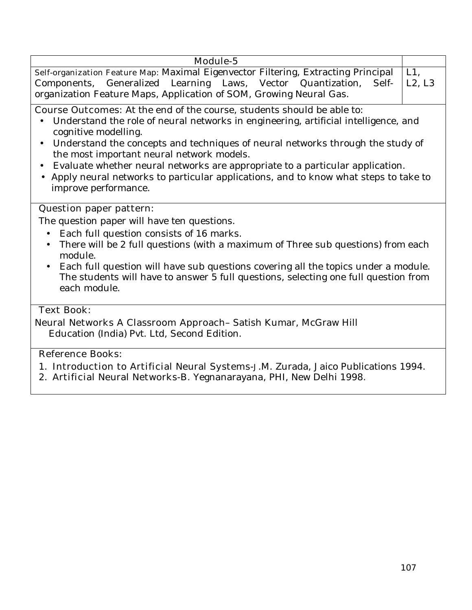### **Module-5**

**Self-organization Feature Map:** Maximal Eigenvector Filtering, Extracting Principal Components, Generalized Learning Laws, Vector Quantization, Selforganization Feature Maps, Application of SOM, Growing Neural Gas.  $L1$ . L2, L3

**Course Outcomes:** At the end of the course, students should be able to:

- Understand the role of neural networks in engineering, artificial intelligence, and cognitive modelling.
- Understand the concepts and techniques of neural networks through the study of the most important neural network models.
- Evaluate whether neural networks are appropriate to a particular application.
- Apply neural networks to particular applications, and to know what steps to take to improve performance.

### **Question paper pattern:**

The question paper will have ten questions.

- Each full question consists of 16 marks.
- There will be 2 full questions (with a maximum of Three sub questions) from each module.
- Each full question will have sub questions covering all the topics under a module. The students will have to answer 5 full questions, selecting one full question from each module.

### **Text Book:**

**Neural Networks A Classroom Approach**– Satish Kumar, McGraw Hill Education (India) Pvt. Ltd, Second Edition.

### **Reference Books:**

- 1. **Introduction to Artificial Neural Systems-**J.M. Zurada, Jaico Publications 1994.
- 2. **Artificial Neural Networks-**B. Yegnanarayana, PHI, New Delhi 1998.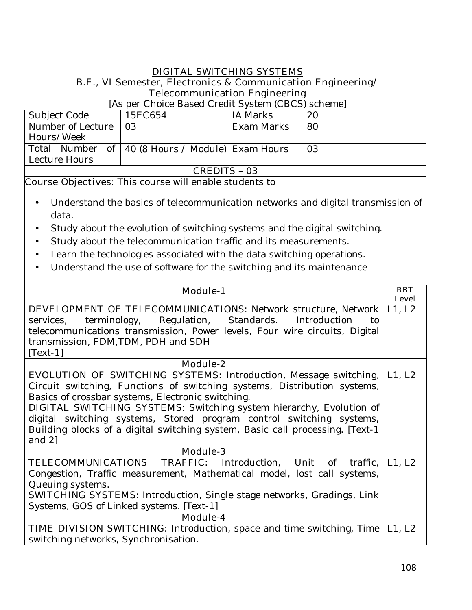#### **DIGITAL SWITCHING SYSTEMS B.E., VI Semester, Electronics & Communication Engineering/ Telecommunication Engineering**

### [As per Choice Based Credit System (CBCS) scheme]

| Subject Code      | 15EC654                                            | IA Marks   | 20 |
|-------------------|----------------------------------------------------|------------|----|
| Number of Lecture | $\overline{0.3}$                                   | Exam Marks | 80 |
| Hours/Week        |                                                    |            |    |
|                   | Total Number of   40 (8 Hours / Module) Exam Hours |            | 03 |
| Lecture Hours     |                                                    |            |    |
| CREDITS - 03      |                                                    |            |    |

**Course Objectives:** This course will enable students to

- Understand the basics of telecommunication networks and digital transmission of data.
- Study about the evolution of switching systems and the digital switching.
- Study about the telecommunication traffic and its measurements.
- Learn the technologies associated with the data switching operations.
- Understand the use of software for the switching and its maintenance

| <b>Module-1</b>                                                                | <b>RBT</b><br><b>Level</b> |  |
|--------------------------------------------------------------------------------|----------------------------|--|
| <b>DEVELOPMENT OF TELECOMMUNICATIONS:</b> Network structure, Network   L1, L2  |                            |  |
| terminology, Regulation, Standards. Introduction<br>services,<br>tο            |                            |  |
| telecommunications transmission, Power levels, Four wire circuits, Digital     |                            |  |
| transmission, FDM, TDM, PDH and SDH                                            |                            |  |
| $[Text-1]$                                                                     |                            |  |
| Module-2                                                                       |                            |  |
| <b>EVOLUTION OF SWITCHING SYSTEMS:</b> Introduction, Message switching,        | L1, L2                     |  |
| Circuit switching, Functions of switching systems, Distribution systems,       |                            |  |
| Basics of crossbar systems, Electronic switching.                              |                            |  |
| <b>DIGITAL SWITCHING SYSTEMS:</b> Switching system hierarchy, Evolution of     |                            |  |
| digital switching systems, Stored program control switching systems,           |                            |  |
| Building blocks of a digital switching system, Basic call processing. [Text-1] |                            |  |
| and $2$ ]                                                                      |                            |  |
| <b>Module-3</b>                                                                |                            |  |
| TELECOMMUNICATIONS TRAFFIC: Introduction, Unit of<br>traffic,                  | L1, L2                     |  |
| Congestion, Traffic measurement, Mathematical model, lost call systems,        |                            |  |
| Queuing systems.                                                               |                            |  |
| <b>SWITCHING SYSTEMS:</b> Introduction, Single stage networks, Gradings, Link  |                            |  |
| Systems, GOS of Linked systems. [Text-1]                                       |                            |  |
| Module-4                                                                       |                            |  |
| <b>TIME DIVISION SWITCHING:</b> Introduction, space and time switching, Time   | L1, L2                     |  |
| switching networks, Synchronisation.                                           |                            |  |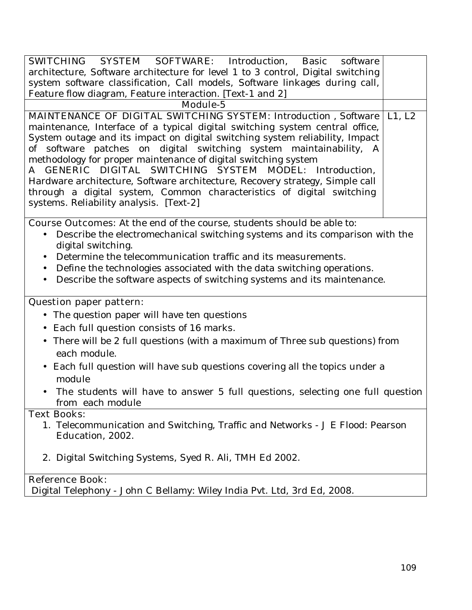| <b>SWITCHING SYSTEM SOFTWARE:</b> Introduction, Basic<br>software                                        |        |
|----------------------------------------------------------------------------------------------------------|--------|
| architecture, Software architecture for level 1 to 3 control, Digital switching                          |        |
| system software classification, Call models, Software linkages during call,                              |        |
| Feature flow diagram, Feature interaction. [Text-1 and 2]                                                |        |
| <b>Module-5</b>                                                                                          |        |
| MAINTENANCE OF DIGITAL SWITCHING SYSTEM: Introduction, Software                                          | L1, L2 |
| maintenance, Interface of a typical digital switching system central office,                             |        |
| System outage and its impact on digital switching system reliability, Impact                             |        |
| of software patches on digital switching system maintainability, A                                       |        |
| methodology for proper maintenance of digital switching system                                           |        |
| A GENERIC DIGITAL SWITCHING SYSTEM MODEL: Introduction,                                                  |        |
| Hardware architecture, Software architecture, Recovery strategy, Simple call                             |        |
| through a digital system, Common characteristics of digital switching                                    |        |
| systems. Reliability analysis. [Text-2]                                                                  |        |
|                                                                                                          |        |
| <b>Course Outcomes:</b> At the end of the course, students should be able to:                            |        |
| Describe the electromechanical switching systems and its comparison with the                             |        |
| digital switching.                                                                                       |        |
| Determine the telecommunication traffic and its measurements.                                            |        |
| Define the technologies associated with the data switching operations.                                   |        |
| Describe the software aspects of switching systems and its maintenance.                                  |        |
| <b>Question paper pattern:</b>                                                                           |        |
| The question paper will have ten questions                                                               |        |
| Each full question consists of 16 marks.                                                                 |        |
|                                                                                                          |        |
| There will be 2 full questions (with a maximum of Three sub questions) from<br>$\bullet$<br>each module. |        |
| Each full question will have sub questions covering all the topics under a                               |        |
| module                                                                                                   |        |
| The students will have to answer 5 full questions, selecting one full question                           |        |
| from each module                                                                                         |        |
| <b>Text Books:</b>                                                                                       |        |
|                                                                                                          |        |
| 1. Telecommunication and Switching, Traffic and Networks - J E Flood: Pearson                            |        |
| Education, 2002.                                                                                         |        |
| 2. Digital Switching Systems, Syed R. Ali, TMH Ed 2002.                                                  |        |
|                                                                                                          |        |
| <b>Reference Book:</b><br>Digital Telephony - John C Bellamy: Wiley India Pvt. Ltd, 3rd Ed, 2008.        |        |
|                                                                                                          |        |
|                                                                                                          |        |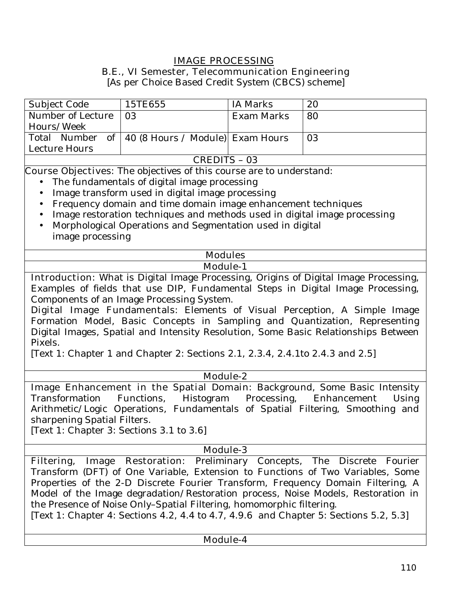# **IMAGE PROCESSING**

#### **B.E., VI Semester, Telecommunication Engineering**

[As per Choice Based Credit System (CBCS) scheme]

| Subject Code                                                                   | 15TE655                                                                       | <b>IA Marks</b>   | 20                                                                                          |  |
|--------------------------------------------------------------------------------|-------------------------------------------------------------------------------|-------------------|---------------------------------------------------------------------------------------------|--|
| Number of Lecture                                                              | 03                                                                            | <b>Exam Marks</b> | 80                                                                                          |  |
| Hours/Week                                                                     |                                                                               |                   |                                                                                             |  |
| Total Number<br>of                                                             | 40 (8 Hours / Module) Exam Hours                                              |                   | 03                                                                                          |  |
| Lecture Hours                                                                  |                                                                               |                   |                                                                                             |  |
|                                                                                | <b>CREDITS - 03</b>                                                           |                   |                                                                                             |  |
|                                                                                | <b>Course Objectives:</b> The objectives of this course are to understand:    |                   |                                                                                             |  |
|                                                                                | The fundamentals of digital image processing                                  |                   |                                                                                             |  |
|                                                                                | Image transform used in digital image processing                              |                   |                                                                                             |  |
|                                                                                | Frequency domain and time domain image enhancement techniques                 |                   |                                                                                             |  |
|                                                                                | Image restoration techniques and methods used in digital image processing     |                   |                                                                                             |  |
|                                                                                | Morphological Operations and Segmentation used in digital                     |                   |                                                                                             |  |
| image processing                                                               |                                                                               |                   |                                                                                             |  |
|                                                                                |                                                                               |                   |                                                                                             |  |
|                                                                                | <b>Modules</b>                                                                |                   |                                                                                             |  |
|                                                                                | <b>Module-1</b>                                                               |                   |                                                                                             |  |
|                                                                                |                                                                               |                   | <b>Introduction:</b> What is Digital Image Processing, Origins of Digital Image Processing, |  |
|                                                                                |                                                                               |                   | Examples of fields that use DIP, Fundamental Steps in Digital Image Processing,             |  |
|                                                                                | Components of an Image Processing System.                                     |                   |                                                                                             |  |
|                                                                                |                                                                               |                   | <b>Digital Image Fundamentals:</b> Elements of Visual Perception, A Simple Image            |  |
|                                                                                |                                                                               |                   | Formation Model, Basic Concepts in Sampling and Quantization, Representing                  |  |
|                                                                                |                                                                               |                   | Digital Images, Spatial and Intensity Resolution, Some Basic Relationships Between          |  |
| Pixels.                                                                        |                                                                               |                   |                                                                                             |  |
|                                                                                | [Text 1: Chapter 1 and Chapter 2: Sections 2.1, 2.3.4, 2.4.1to 2.4.3 and 2.5] |                   |                                                                                             |  |
|                                                                                |                                                                               |                   |                                                                                             |  |
|                                                                                | Module-2                                                                      |                   |                                                                                             |  |
| Image Enhancement in the Spatial Domain: Background, Some Basic Intensity      |                                                                               |                   |                                                                                             |  |
| Transformation                                                                 | Functions, Histogram Processing, Enhancement                                  |                   | Using                                                                                       |  |
|                                                                                |                                                                               |                   | Arithmetic/Logic Operations, Fundamentals of Spatial Filtering, Smoothing and               |  |
| sharpening Spatial Filters.                                                    |                                                                               |                   |                                                                                             |  |
| [Text 1: Chapter 3: Sections 3.1 to 3.6]                                       |                                                                               |                   |                                                                                             |  |
|                                                                                |                                                                               |                   |                                                                                             |  |
| <b>Module-3</b>                                                                |                                                                               |                   |                                                                                             |  |
| Filtering, Image Restoration: Preliminary Concepts, The Discrete Fourier       |                                                                               |                   |                                                                                             |  |
| Transform (DFT) of One Variable, Extension to Functions of Two Variables, Some |                                                                               |                   |                                                                                             |  |

Properties of the 2-D Discrete Fourier Transform, Frequency Domain Filtering, A Model of the Image degradation/Restoration process, Noise Models, Restoration in the Presence of Noise Only–Spatial Filtering, homomorphic filtering. [Text 1: Chapter 4: Sections 4.2, 4.4 to 4.7, 4.9.6 and Chapter 5: Sections 5.2, 5.3]

#### **Module-4**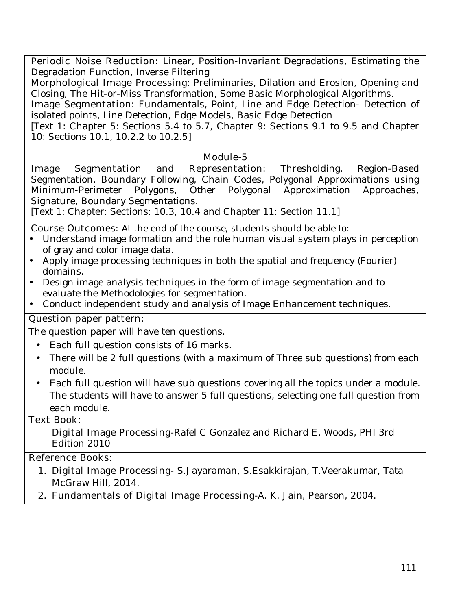**Periodic Noise Reduction:** Linear, Position-Invariant Degradations, Estimating the Degradation Function, Inverse Filtering

**Morphological Image Processing:** Preliminaries, Dilation and Erosion, Opening and Closing, The Hit-or-Miss Transformation, Some Basic Morphological Algorithms.

**Image Segmentation:** Fundamentals, Point, Line and Edge Detection- Detection of isolated points, Line Detection, Edge Models, Basic Edge Detection

[Text 1: Chapter 5: Sections 5.4 to 5.7, Chapter 9: Sections 9.1 to 9.5 and Chapter 10: Sections 10.1, 10.2.2 to 10.2.5]

#### **Module-5**

**Image Segmentation and Representation:** Thresholding, Region-Based Segmentation, Boundary Following, Chain Codes, Polygonal Approximations using Minimum-Perimeter Polygons, Other Polygonal Approximation Approaches, Signature, Boundary Segmentations.

[Text 1: Chapter: Sections: 10.3, 10.4 and Chapter 11: Section 11.1]

**Course Outcomes:** At the end of the course, students should be able to:

- Understand image formation and the role human visual system plays in perception of gray and color image data.
- Apply image processing techniques in both the spatial and frequency (Fourier) domains.
- Design image analysis techniques in the form of image segmentation and to evaluate the Methodologies for segmentation.
- Conduct independent study and analysis of Image Enhancement techniques.

# **Question paper pattern:**

The question paper will have ten questions.

- Each full question consists of 16 marks.
- There will be 2 full questions (with a maximum of Three sub questions) from each module.
- Each full question will have sub questions covering all the topics under a module. The students will have to answer 5 full questions, selecting one full question from each module.

## **Text Book:**

**Digital Image Processing-**Rafel C Gonzalez and Richard E. Woods, PHI 3rd Edition 2010

## **Reference Books:**

- 1. **Digital Image Processing** S.Jayaraman, S.Esakkirajan, T.Veerakumar, Tata McGraw Hill, 2014.
- 2. **Fundamentals of Digital Image Processing-**A. K. Jain, Pearson, 2004.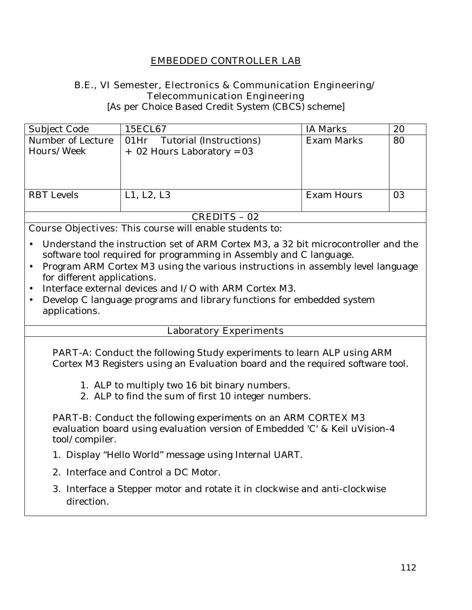# **EMBEDDED CONTROLLER LAB**

## **B.E., VI Semester, Electronics & Communication Engineering/ Telecommunication Engineering**

[As per Choice Based Credit System (CBCS) scheme]

| Number of Lecture<br>Hours/Week          | 01Hr Tutorial (Instructions)<br>$+$ 02 Hours Laboratory = 03 | <b>Exam Marks</b> | 80 |  |
|------------------------------------------|--------------------------------------------------------------|-------------------|----|--|
|                                          |                                                              |                   |    |  |
|                                          |                                                              |                   |    |  |
|                                          |                                                              |                   |    |  |
| <b>RBT</b> Levels                        | L1, L2, L3                                                   | Exam Hours        | 03 |  |
|                                          |                                                              |                   |    |  |
| $\sqrt{N}$ mn $\sqrt{N}$<br>$\mathbf{A}$ |                                                              |                   |    |  |

#### **CREDITS – 02**

**Course Objectives:** This course will enable students to:

- Understand the instruction set of ARM Cortex M3, a 32 bit microcontroller and the software tool required for programming in Assembly and C language.
- Program ARM Cortex M3 using the various instructions in assembly level language for different applications.
- Interface external devices and I/O with ARM Cortex M3.
- Develop C language programs and library functions for embedded system applications.

#### **Laboratory Experiments**

**PART-A:** Conduct the following Study experiments to learn ALP using ARM Cortex M3 Registers using an Evaluation board and the required software tool.

- 1. ALP to multiply two 16 bit binary numbers.
- 2. ALP to find the sum of first 10 integer numbers.

**PART-B:** Conduct the following experiments on an ARM CORTEX M3 evaluation board using evaluation version of Embedded 'C' & Keil uVision-4 tool/compiler.

- 1. Display "Hello World" message using Internal UART.
- 2. Interface and Control a DC Motor.
- 3. Interface a Stepper motor and rotate it in clockwise and anti-clockwise direction.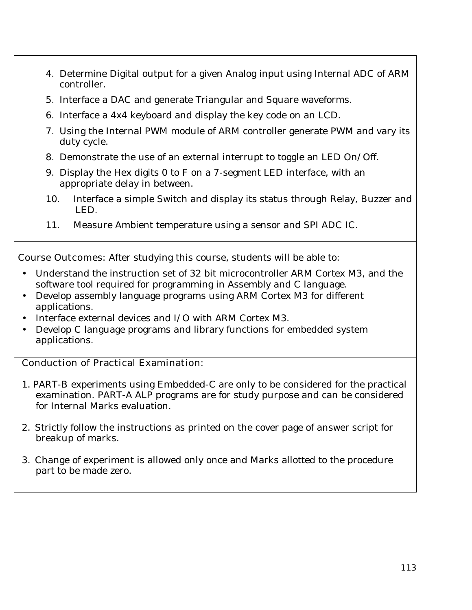- 4. Determine Digital output for a given Analog input using Internal ADC of ARM controller.
- 5. Interface a DAC and generate Triangular and Square waveforms.
- 6. Interface a 4x4 keyboard and display the key code on an LCD.
- 7. Using the Internal PWM module of ARM controller generate PWM and vary its duty cycle.
- 8. Demonstrate the use of an external interrupt to toggle an LED On/Off.
- 9. Display the Hex digits 0 to F on a 7-segment LED interface, with an appropriate delay in between.
- 10. Interface a simple Switch and display its status through Relay, Buzzer and LED.
- 11. Measure Ambient temperature using a sensor and SPI ADC IC.

**Course Outcomes:** After studying this course, students will be able to:

- Understand the instruction set of 32 bit microcontroller ARM Cortex M3, and the software tool required for programming in Assembly and C language.
- Develop assembly language programs using ARM Cortex M3 for different applications.
- Interface external devices and I/O with ARM Cortex M3.
- Develop C language programs and library functions for embedded system applications.

## **Conduction of Practical Examination:**

- 1. PART-B experiments using Embedded-C are only to be considered for the practical examination. PART-A ALP programs are for study purpose and can be considered for Internal Marks evaluation.
- 2. Strictly follow the instructions as printed on the cover page of answer script for breakup of marks.
- 3. Change of experiment is allowed only once and Marks allotted to the procedure part to be made zero.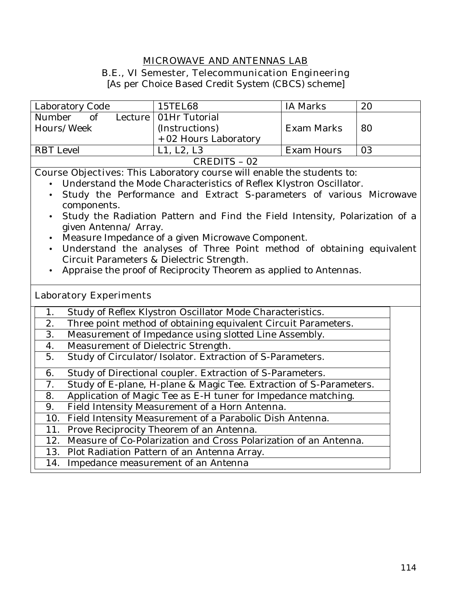## **MICROWAVE AND ANTENNAS LAB**

#### **B.E., VI Semester, Telecommunication Engineering**

[As per Choice Based Credit System (CBCS) scheme]

| Laboratory Code  |  | 15TEL68                 | <b>IA Marks</b> | 20 |
|------------------|--|-------------------------|-----------------|----|
| Number<br>of     |  | Lecture   01Hr Tutorial |                 |    |
| Hours/Week       |  | (Instructions)          | Exam Marks      | 80 |
|                  |  | + 02 Hours Laboratory   |                 |    |
| <b>RBT</b> Level |  | L1, L2, L3              | Exam Hours      | 03 |
| CREDITS - 02     |  |                         |                 |    |

**Course Objectives:** This Laboratory course will enable the students to:

- Understand the Mode Characteristics of Reflex Klystron Oscillator.
- Study the Performance and Extract S-parameters of various Microwave components.
- Study the Radiation Pattern and Find the Field Intensity, Polarization of a given Antenna/ Array.
- Measure Impedance of a given Microwave Component.
- Understand the analyses of Three Point method of obtaining equivalent Circuit Parameters & Dielectric Strength.
- Appraise the proof of Reciprocity Theorem as applied to Antennas.

#### **Laboratory Experiments**

| $\mathbf{1}$ . | Study of Reflex Klystron Oscillator Mode Characteristics.          |
|----------------|--------------------------------------------------------------------|
| 2.             | Three point method of obtaining equivalent Circuit Parameters.     |
| 3.             | Measurement of Impedance using slotted Line Assembly.              |
| 4.             | Measurement of Dielectric Strength.                                |
| 5.             | Study of Circulator/Isolator. Extraction of S-Parameters.          |
| 6.             | Study of Directional coupler. Extraction of S-Parameters.          |
| 7.             | Study of E-plane, H-plane & Magic Tee. Extraction of S-Parameters. |
| 8.             | Application of Magic Tee as E-H tuner for Impedance matching.      |
| 9.             | Field Intensity Measurement of a Horn Antenna.                     |
| 10.            | Field Intensity Measurement of a Parabolic Dish Antenna.           |
|                | 11. Prove Reciprocity Theorem of an Antenna.                       |
| 12.            | Measure of Co-Polarization and Cross Polarization of an Antenna.   |
|                | 13. Plot Radiation Pattern of an Antenna Array.                    |
| 14.            | Impedance measurement of an Antenna                                |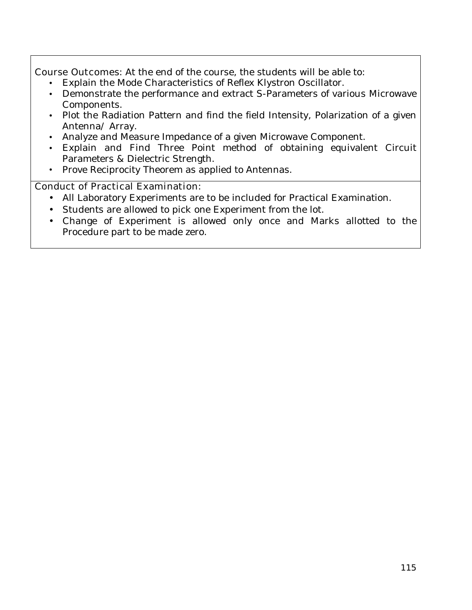**Course Outcomes:** At the end of the course, the students will be able to:

- Explain the Mode Characteristics of Reflex Klystron Oscillator.
- Demonstrate the performance and extract S-Parameters of various Microwave Components.
- Plot the Radiation Pattern and find the field Intensity, Polarization of a given Antenna/ Array.
- Analyze and Measure Impedance of a given Microwave Component.
- Explain and Find Three Point method of obtaining equivalent Circuit Parameters & Dielectric Strength.
- Prove Reciprocity Theorem as applied to Antennas.

# **Conduct of Practical Examination:**

- All Laboratory Experiments are to be included for Practical Examination.
- Students are allowed to pick one Experiment from the lot.
- Change of Experiment is allowed only once and Marks allotted to the Procedure part to be made zero.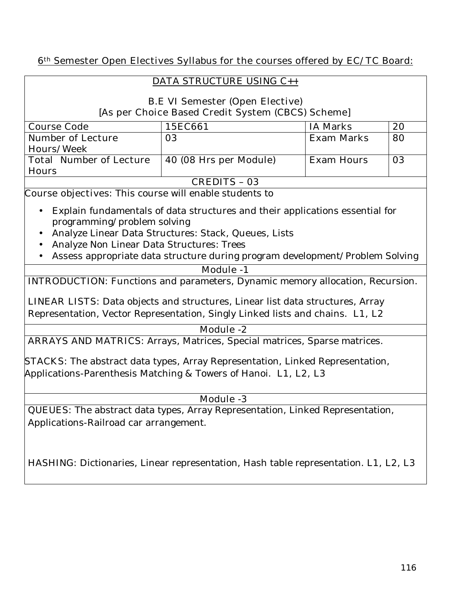## **6th Semester Open Electives Syllabus for the courses offered by EC/TC Board:**

## **DATA STRUCTURE USING C++**

# **B.E VI Semester (Open Elective) [As per Choice Based Credit System (CBCS) Scheme]**

| <b>Course Code</b>             | 15EC661                | <b>IA Marks</b>   | 20 |  |
|--------------------------------|------------------------|-------------------|----|--|
| <b>Number of Lecture</b>       | 03                     | <b>Exam Marks</b> | 80 |  |
| <b>Hours/Week</b>              |                        |                   |    |  |
| <b>Total Number of Lecture</b> | 40 (08 Hrs per Module) | <b>Exam Hours</b> | 03 |  |
| <b>Hours</b>                   |                        |                   |    |  |
| <b>CREDITS - 03</b>            |                        |                   |    |  |

**Course objectives:** This course will enable students to

- Explain fundamentals of data structures and their applications essential for programming/problem solving
- Analyze Linear Data Structures: Stack, Queues, Lists
- Analyze Non Linear Data Structures: Trees
- Assess appropriate data structure during program development/Problem Solving

#### **Module -1**

**INTRODUCTION:** Functions and parameters, Dynamic memory allocation, Recursion.

**LINEAR LISTS:** Data objects and structures, Linear list data structures, Array Representation, Vector Representation, Singly Linked lists and chains. **L1, L2** 

#### **Module -2**

**ARRAYS AND MATRICS:** Arrays, Matrices, Special matrices, Sparse matrices.

**STACKS:** The abstract data types, Array Representation, Linked Representation, Applications-Parenthesis Matching & Towers of Hanoi. **L1, L2, L3** 

## **Module -3**

**QUEUES:** The abstract data types, Array Representation, Linked Representation, Applications-Railroad car arrangement.

**HASHING:** Dictionaries, Linear representation, Hash table representation. **L1, L2, L3**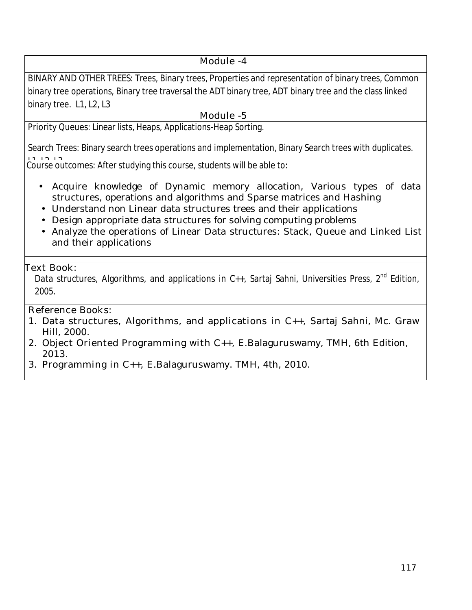# **Module -4**

**BINARY AND OTHER TREES:** Trees, Binary trees, Properties and representation of binary trees, Common binary tree operations, Binary tree traversal the ADT binary tree, ADT binary tree and the class linked binary tree. **L1, L2, L3** 

## **Module -5**

**Priority Queues:** Linear lists, Heaps, Applications-Heap Sorting.

**Search Trees:** Binary search trees operations and implementation, Binary Search trees with duplicates.

**Course outcomes:** After studying this course, students will be able to:

- Acquire knowledge of Dynamic memory allocation, Various types of data structures, operations and algorithms and Sparse matrices and Hashing
- Understand non Linear data structures trees and their applications
- Design appropriate data structures for solving computing problems
- Analyze the operations of Linear Data structures: Stack, Queue and Linked List and their applications

#### **Text Book:**

Data structures, Algorithms, and applications in C++, Sartaj Sahni, Universities Press, 2<sup>nd</sup> Edition, 2005.

## **Reference Books:**

- 1. **Data structures, Algorithms, and applications in C++,** Sartaj Sahni, Mc. Graw Hill, 2000.
- 2. **Object Oriented Programming with C++,** E.Balaguruswamy**,** TMH, 6th Edition, 2013.
- 3. **Programming in C++,** E.Balaguruswamy. TMH, 4th, 2010.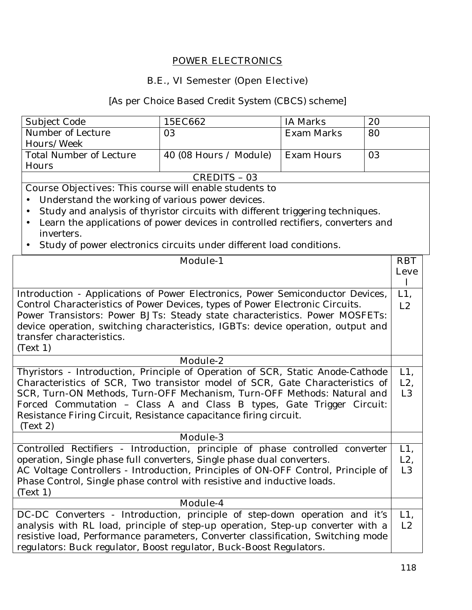#### **POWER ELECTRONICS**

#### **B.E., VI Semester (Open Elective)**

#### [As per Choice Based Credit System (CBCS) scheme]

| <b>Subject Code</b>     | 15EC662                | IA Marks   | 20 |
|-------------------------|------------------------|------------|----|
| Number of Lecture       | 03                     | Exam Marks | 80 |
| Hours/Week              |                        |            |    |
| Total Number of Lecture | 40 (08 Hours / Module) | Exam Hours | 03 |
| Hours                   |                        |            |    |
| CREDITS - 03            |                        |            |    |

**Course Objectives:** This course will enable students to

- Understand the working of various power devices.
- Study and analysis of thyristor circuits with different triggering techniques.
- Learn the applications of power devices in controlled rectifiers, converters and inverters.
- Study of power electronics circuits under different load conditions.

| <b>Module-1</b>                                                                   | <b>RBT</b>     |
|-----------------------------------------------------------------------------------|----------------|
|                                                                                   | Leve           |
|                                                                                   | L              |
| Introduction - Applications of Power Electronics, Power Semiconductor Devices,    | $L1$ ,         |
| Control Characteristics of Power Devices, types of Power Electronic Circuits.     | L2             |
| Power Transistors: Power BJTs: Steady state characteristics. Power MOSFETs:       |                |
| device operation, switching characteristics, IGBTs: device operation, output and  |                |
| transfer characteristics.                                                         |                |
| (Text 1)                                                                          |                |
| <b>Module-2</b>                                                                   |                |
| Thyristors - Introduction, Principle of Operation of SCR, Static Anode-Cathode    | $L1$ ,         |
| Characteristics of SCR, Two transistor model of SCR, Gate Characteristics of      | $L2$ ,         |
| SCR, Turn-ON Methods, Turn-OFF Mechanism, Turn-OFF Methods: Natural and           | L <sub>3</sub> |
| Forced Commutation - Class A and Class B types, Gate Trigger Circuit:             |                |
| Resistance Firing Circuit, Resistance capacitance firing circuit.                 |                |
| (Text 2)                                                                          |                |
| <b>Module-3</b>                                                                   |                |
| Controlled Rectifiers - Introduction, principle of phase controlled converter     | L1,            |
| operation, Single phase full converters, Single phase dual converters.            | $L2$ ,         |
| AC Voltage Controllers - Introduction, Principles of ON-OFF Control, Principle of | L <sub>3</sub> |
| Phase Control, Single phase control with resistive and inductive loads.           |                |
| (Text 1)                                                                          |                |
| Module-4                                                                          |                |
| DC-DC Converters - Introduction, principle of step-down operation and it's        | $L1$ ,         |
| analysis with RL load, principle of step-up operation, Step-up converter with a   | L2             |
| resistive load, Performance parameters, Converter classification, Switching mode  |                |
| regulators: Buck regulator, Boost regulator, Buck-Boost Regulators.               |                |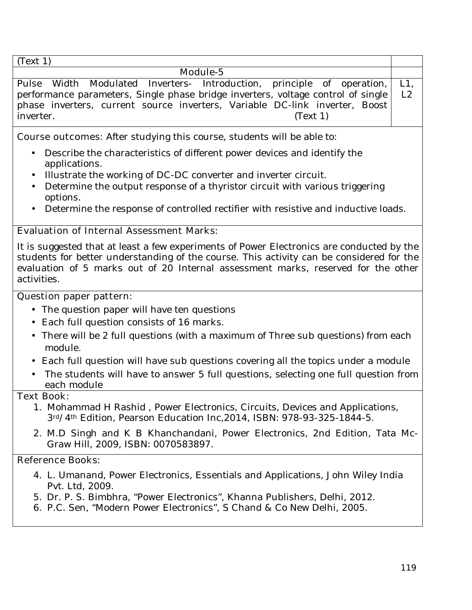(Text 1)

| (1ext 1)                                                                              |  |
|---------------------------------------------------------------------------------------|--|
| Module-5                                                                              |  |
| Pulse Width Modulated Inverters- Introduction, principle of operation, L1,            |  |
| performance parameters, Single phase bridge inverters, voltage control of single   L2 |  |
| phase inverters, current source inverters, Variable DC-link inverter, Boost           |  |
| (Text 1)<br>inverter.                                                                 |  |

**Course outcomes:** After studying this course, students will be able to:

- Describe the characteristics of different power devices and identify the applications.
- Illustrate the working of DC-DC converter and inverter circuit.
- Determine the output response of a thyristor circuit with various triggering options.
- Determine the response of controlled rectifier with resistive and inductive loads.

# **Evaluation of Internal Assessment Marks:**

It is suggested that at least a few experiments of Power Electronics are conducted by the students for better understanding of the course. This activity can be considered for the evaluation of 5 marks out of 20 Internal assessment marks, reserved for the other activities.

# **Question paper pattern:**

- The question paper will have ten questions
- Each full question consists of 16 marks**.**
- There will be 2 full questions (with a maximum of Three sub questions) from each module.
- Each full question will have sub questions covering all the topics under a module
- The students will have to answer 5 full questions, selecting one full question from each module

## **Text Book:**

- 1. Mohammad H Rashid , Power Electronics, Circuits, Devices and Applications, 3rd/4th Edition, Pearson Education Inc,2014, ISBN: 978-93-325-1844-5.
- 2. M.D Singh and K B Khanchandani, Power Electronics, 2nd Edition, Tata Mc-Graw Hill, 2009, ISBN: 0070583897.

# **Reference Books:**

- 4. L. Umanand, Power Electronics, Essentials and Applications, John Wiley India Pvt. Ltd, 2009.
- 5. Dr. P. S. Bimbhra, "Power Electronics", Khanna Publishers, Delhi, 2012.
- 6. P.C. Sen, "Modern Power Electronics", S Chand & Co New Delhi, 2005.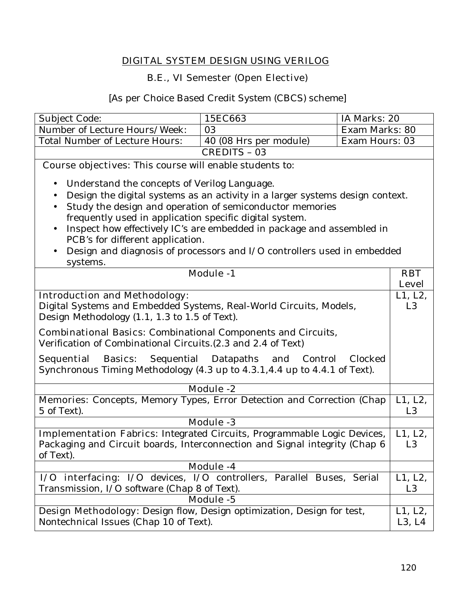# **DIGITAL SYSTEM DESIGN USING VERILOG**

# **B.E., VI Semester (Open Elective)**

[As per Choice Based Credit System (CBCS) scheme]

| Subject Code:                                                                                                                                                                                                                                                                                                                                                                  | 15EC663                                                                 | IA Marks: 20   |                            |
|--------------------------------------------------------------------------------------------------------------------------------------------------------------------------------------------------------------------------------------------------------------------------------------------------------------------------------------------------------------------------------|-------------------------------------------------------------------------|----------------|----------------------------|
| Number of Lecture Hours/Week:                                                                                                                                                                                                                                                                                                                                                  | 03                                                                      | Exam Marks: 80 |                            |
| <b>Total Number of Lecture Hours:</b>                                                                                                                                                                                                                                                                                                                                          | 40 (08 Hrs per module)                                                  | Exam Hours: 03 |                            |
|                                                                                                                                                                                                                                                                                                                                                                                | <b>CREDITS - 03</b>                                                     |                |                            |
| Course objectives: This course will enable students to:                                                                                                                                                                                                                                                                                                                        |                                                                         |                |                            |
| Understand the concepts of Verilog Language.<br>Design the digital systems as an activity in a larger systems design context.<br>$\bullet$<br>Study the design and operation of semiconductor memories<br>frequently used in application specific digital system.<br>Inspect how effectively IC's are embedded in package and assembled in<br>PCB's for different application. |                                                                         |                |                            |
|                                                                                                                                                                                                                                                                                                                                                                                | Design and diagnosis of processors and I/O controllers used in embedded |                |                            |
| systems.                                                                                                                                                                                                                                                                                                                                                                       | <b>Module -1</b>                                                        |                | <b>RBT</b><br><b>Level</b> |
| <b>Introduction and Methodology:</b><br>Digital Systems and Embedded Systems, Real-World Circuits, Models,<br>Design Methodology (1.1, 1.3 to 1.5 of Text).<br><b>Combinational Basics:</b> Combinational Components and Circuits,                                                                                                                                             |                                                                         |                | L1, L2,<br>L <sub>3</sub>  |
| Verification of Combinational Circuits. (2.3 and 2.4 of Text)<br><b>Sequential Basics:</b> Sequential Datapaths and Control<br>Synchronous Timing Methodology (4.3 up to 4.3.1,4.4 up to 4.4.1 of Text).                                                                                                                                                                       |                                                                         | Clocked        |                            |
|                                                                                                                                                                                                                                                                                                                                                                                | <b>Module -2</b>                                                        |                |                            |
| Memories: Concepts, Memory Types, Error Detection and Correction (Chap<br>5 of Text).                                                                                                                                                                                                                                                                                          |                                                                         |                | L1, L2,<br>L <sub>3</sub>  |
|                                                                                                                                                                                                                                                                                                                                                                                | <b>Module -3</b>                                                        |                |                            |
| Implementation Fabrics: Integrated Circuits, Programmable Logic Devices,<br>Packaging and Circuit boards, Interconnection and Signal integrity (Chap 6<br>of Text).                                                                                                                                                                                                            |                                                                         |                | L1, L2,<br>L <sub>3</sub>  |
|                                                                                                                                                                                                                                                                                                                                                                                | <b>Module -4</b>                                                        |                |                            |
| I/O interfacing: I/O devices, I/O controllers, Parallel Buses, Serial<br>Transmission, I/O software (Chap 8 of Text).                                                                                                                                                                                                                                                          |                                                                         |                | L1, L2,<br>L <sub>3</sub>  |
|                                                                                                                                                                                                                                                                                                                                                                                | <b>Module -5</b>                                                        |                |                            |
| Design Methodology: Design flow, Design optimization, Design for test,<br>Nontechnical Issues (Chap 10 of Text).                                                                                                                                                                                                                                                               |                                                                         |                | L1, L2,<br>L3, L4          |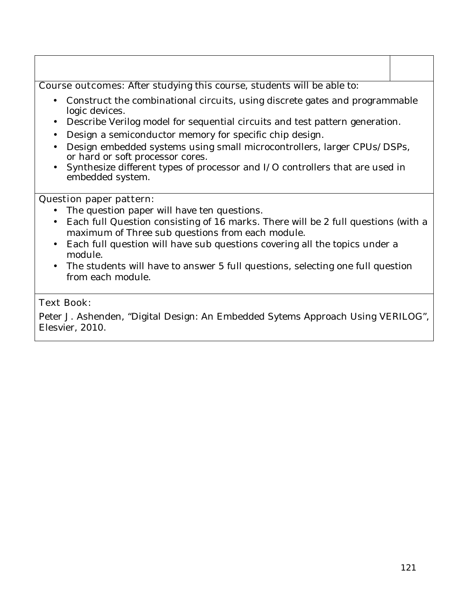**Course outcomes:** After studying this course, students will be able to:

- Construct the combinational circuits, using discrete gates and programmable logic devices.
- Describe Verilog model for sequential circuits and test pattern generation.
- Design a semiconductor memory for specific chip design.
- Design embedded systems using small microcontrollers, larger CPUs/DSPs, or hard or soft processor cores.
- Synthesize different types of processor and I/O controllers that are used in embedded system.

## **Question paper pattern:**

- The question paper will have ten questions.
- Each full Question consisting of 16 marks. There will be 2 full questions (with a maximum of Three sub questions from each module.
- Each full question will have sub questions covering all the topics under a module.
- The students will have to answer 5 full questions, selecting one full question from each module.

# **Text Book:**

Peter J. Ashenden, "Digital Design: An Embedded Sytems Approach Using VERILOG", Elesvier, 2010.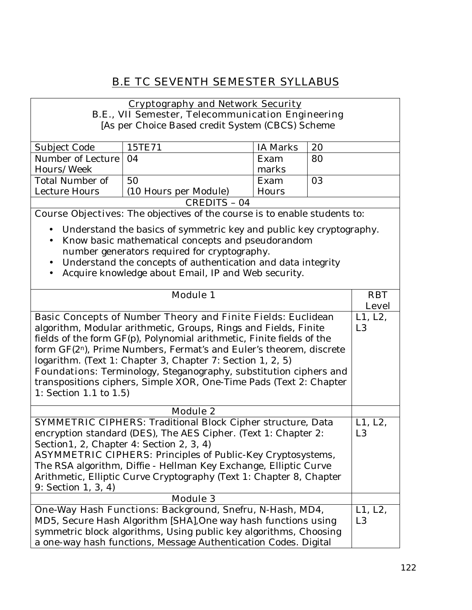# **B.E TC SEVENTH SEMESTER SYLLABUS**

#### **Cryptography and Network Security B.E., VII Semester, Telecommunication Engineering**

[As per Choice Based credit System (CBCS) Scheme

| Subject Code           | 15TE71                | <b>IA Marks</b> | 20 |
|------------------------|-----------------------|-----------------|----|
| Number of Lecture   04 |                       | Exam            | 80 |
| Hours/Week             |                       | marks           |    |
| Total Number of        | 50                    | Exam            | 03 |
| Lecture Hours          | (10 Hours per Module) | Hours           |    |
| CREDITS - 04           |                       |                 |    |

**Course Objectives:** The objectives of the course is to enable students to:

- Understand the basics of symmetric key and public key cryptography.
- Know basic mathematical concepts and pseudorandom number generators required for cryptography.
- Understand the concepts of authentication and data integrity
- Acquire knowledge about Email, IP and Web security.

| <b>Module 1</b>                                                                 | <b>RBT</b>     |
|---------------------------------------------------------------------------------|----------------|
|                                                                                 | <b>Level</b>   |
| <b>Basic Concepts of Number Theory and Finite Fields: Euclidean</b>             | L1, L2,        |
| algorithm, Modular arithmetic, Groups, Rings and Fields, Finite                 | L <sub>3</sub> |
| fields of the form GF(p), Polynomial arithmetic, Finite fields of the           |                |
| form GF(2 <sup>n</sup> ), Prime Numbers, Fermat's and Euler's theorem, discrete |                |
| logarithm. (Text 1: Chapter 3, Chapter 7: Section 1, 2, 5)                      |                |
| <b>Foundations:</b> Terminology, Steganography, substitution ciphers and        |                |
| transpositions ciphers, Simple XOR, One-Time Pads (Text 2: Chapter              |                |
| 1: Section 1.1 to $1.5$ )                                                       |                |
|                                                                                 |                |
| <b>Module 2</b>                                                                 |                |
| <b>SYMMETRIC CIPHERS:</b> Traditional Block Cipher structure, Data              | L1, L2,        |
| encryption standard (DES), The AES Cipher. (Text 1: Chapter 2:                  | L <sub>3</sub> |
| Section1, 2, Chapter 4: Section 2, 3, 4)                                        |                |
| <b>ASYMMETRIC CIPHERS:</b> Principles of Public-Key Cryptosystems,              |                |
| The RSA algorithm, Diffie - Hellman Key Exchange, Elliptic Curve                |                |
| Arithmetic, Elliptic Curve Cryptography (Text 1: Chapter 8, Chapter             |                |
| 9: Section 1, 3, 4)                                                             |                |
| <b>Module 3</b>                                                                 |                |
| <b>One-Way Hash Functions: Background, Snefru, N-Hash, MD4,</b>                 | L1, L2,        |
| MD5, Secure Hash Algorithm [SHA], One way hash functions using                  | L <sub>3</sub> |
| symmetric block algorithms, Using public key algorithms, Choosing               |                |
| a one-way hash functions, Message Authentication Codes. Digital                 |                |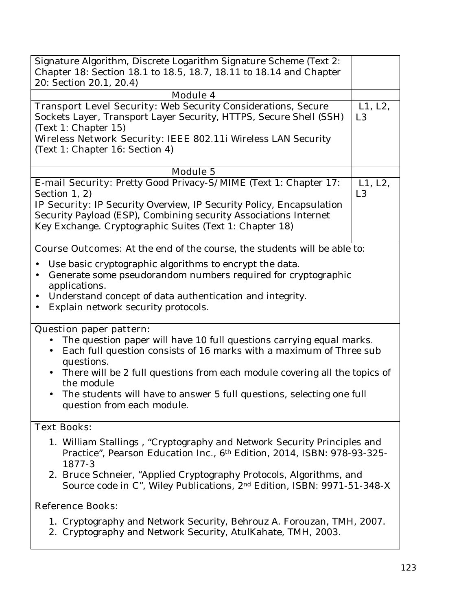| Signature Algorithm, Discrete Logarithm Signature Scheme (Text 2:                   |                |
|-------------------------------------------------------------------------------------|----------------|
| Chapter 18: Section 18.1 to 18.5, 18.7, 18.11 to 18.14 and Chapter                  |                |
| 20: Section 20.1, 20.4)                                                             |                |
| <b>Module 4</b>                                                                     |                |
| <b>Transport Level Security:</b> Web Security Considerations, Secure                | L1, L2,        |
| Sockets Layer, Transport Layer Security, HTTPS, Secure Shell (SSH)                  | L <sub>3</sub> |
| (Text 1: Chapter 15)                                                                |                |
| Wireless Network Security: IEEE 802.11i Wireless LAN Security                       |                |
| (Text 1: Chapter 16: Section 4)                                                     |                |
|                                                                                     |                |
| <b>Module 5</b>                                                                     |                |
| E-mail Security: Pretty Good Privacy-S/MIME (Text 1: Chapter 17:                    | L1, L2,        |
| Section 1, 2)                                                                       | L <sub>3</sub> |
| <b>IP Security:</b> IP Security Overview, IP Security Policy, Encapsulation         |                |
| Security Payload (ESP), Combining security Associations Internet                    |                |
| Key Exchange. Cryptographic Suites (Text 1: Chapter 18)                             |                |
|                                                                                     |                |
| <b>Course Outcomes:</b> At the end of the course, the students will be able to:     |                |
|                                                                                     |                |
| Use basic cryptographic algorithms to encrypt the data.                             |                |
| Generate some pseudorandom numbers required for cryptographic<br>$\bullet$          |                |
| applications.                                                                       |                |
| Understand concept of data authentication and integrity.<br>$\bullet$               |                |
| Explain network security protocols.<br>$\bullet$                                    |                |
|                                                                                     |                |
| <b>Question paper pattern:</b>                                                      |                |
| The question paper will have 10 full questions carrying equal marks.                |                |
| Each full question consists of 16 marks with a maximum of Three sub<br>$\bullet$    |                |
| questions.                                                                          |                |
| There will be 2 full questions from each module covering all the topics of          |                |
| the module                                                                          |                |
| The students will have to answer 5 full questions, selecting one full<br>$\bullet$  |                |
| question from each module.                                                          |                |
| <b>Text Books:</b>                                                                  |                |
|                                                                                     |                |
| 1. William Stallings, "Cryptography and Network Security Principles and             |                |
| Practice", Pearson Education Inc., 6th Edition, 2014, ISBN: 978-93-325-             |                |
| 1877-3                                                                              |                |
| 2. Bruce Schneier, "Applied Cryptography Protocols, Algorithms, and                 |                |
|                                                                                     |                |
| Source code in C", Wiley Publications, 2 <sup>nd</sup> Edition, ISBN: 9971-51-348-X |                |
|                                                                                     |                |
| <b>Reference Books:</b>                                                             |                |

2. Cryptography and Network Security, AtulKahate, TMH, 2003.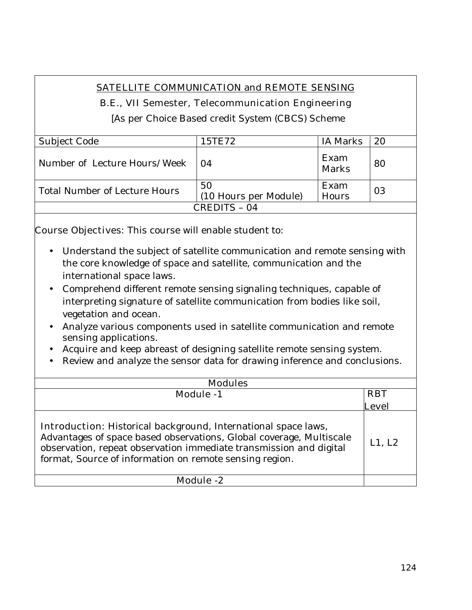# **SATELLITE COMMUNICATION and REMOTE SENSING**

# **B.E., VII Semester, Telecommunication Engineering**

[As per Choice Based credit System (CBCS) Scheme

| Subject Code                  | 15TE72                      | IA Marks      | 20 |
|-------------------------------|-----------------------------|---------------|----|
| Number of Lecture Hours/Week  | 04                          | Exam<br>Marks | 80 |
| Total Number of Lecture Hours | 50<br>(10 Hours per Module) | Exam<br>Hours | 03 |
| CREDITS – 04                  |                             |               |    |

**Course Objectives:** This course will enable student to:

- Understand the subject of satellite communication and remote sensing with the core knowledge of space and satellite, communication and the international space laws.
- Comprehend different remote sensing signaling techniques, capable of interpreting signature of satellite communication from bodies like soil, vegetation and ocean.
- Analyze various components used in satellite communication and remote sensing applications.
- Acquire and keep abreast of designing satellite remote sensing system.
- Review and analyze the sensor data for drawing inference and conclusions.

| <b>Modules</b>                                                                                                                                                                                                                                                                |            |
|-------------------------------------------------------------------------------------------------------------------------------------------------------------------------------------------------------------------------------------------------------------------------------|------------|
| <b>Module -1</b>                                                                                                                                                                                                                                                              | <b>RBT</b> |
|                                                                                                                                                                                                                                                                               | Level      |
| <b>Introduction:</b> Historical background, International space laws,<br>Advantages of space based observations, Global coverage, Multiscale<br>observation, repeat observation immediate transmission and digital<br>format, Source of information on remote sensing region. | L1, L2     |
| Module -2                                                                                                                                                                                                                                                                     |            |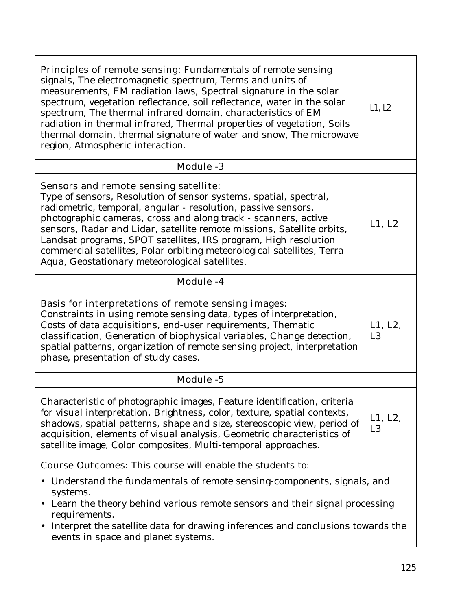| <b>Principles of remote sensing:</b> Fundamentals of remote sensing<br>signals, The electromagnetic spectrum, Terms and units of<br>measurements, EM radiation laws, Spectral signature in the solar<br>spectrum, vegetation reflectance, soil reflectance, water in the solar<br>spectrum, The thermal infrared domain, characteristics of EM<br>radiation in thermal infrared, Thermal properties of vegetation, Soils<br>thermal domain, thermal signature of water and snow, The microwave<br>region, Atmospheric interaction. | L1, L2                    |
|------------------------------------------------------------------------------------------------------------------------------------------------------------------------------------------------------------------------------------------------------------------------------------------------------------------------------------------------------------------------------------------------------------------------------------------------------------------------------------------------------------------------------------|---------------------------|
| <b>Module -3</b>                                                                                                                                                                                                                                                                                                                                                                                                                                                                                                                   |                           |
| Sensors and remote sensing satellite:<br>Type of sensors, Resolution of sensor systems, spatial, spectral,<br>radiometric, temporal, angular - resolution, passive sensors,<br>photographic cameras, cross and along track - scanners, active<br>sensors, Radar and Lidar, satellite remote missions, Satellite orbits,<br>Landsat programs, SPOT satellites, IRS program, High resolution<br>commercial satellites, Polar orbiting meteorological satellites, Terra<br>Aqua, Geostationary meteorological satellites.             | L1, L2                    |
| <b>Module -4</b>                                                                                                                                                                                                                                                                                                                                                                                                                                                                                                                   |                           |
| <b>Basis for interpretations of remote sensing images:</b><br>Constraints in using remote sensing data, types of interpretation,<br>Costs of data acquisitions, end-user requirements, Thematic<br>classification, Generation of biophysical variables, Change detection,<br>spatial patterns, organization of remote sensing project, interpretation<br>phase, presentation of study cases.                                                                                                                                       | L1, L2,<br>L <sub>3</sub> |
| Module -5                                                                                                                                                                                                                                                                                                                                                                                                                                                                                                                          |                           |
| Characteristic of photographic images, Feature identification, criteria<br>for visual interpretation, Brightness, color, texture, spatial contexts,<br>shadows, spatial patterns, shape and size, stereoscopic view, period of<br>acquisition, elements of visual analysis, Geometric characteristics of<br>satellite image, Color composites, Multi-temporal approaches.                                                                                                                                                          | L1, L2,<br>L <sub>3</sub> |
| <b>Course Outcomes:</b> This course will enable the students to:                                                                                                                                                                                                                                                                                                                                                                                                                                                                   |                           |
| Understand the fundamentals of remote sensing-components, signals, and<br>systems.<br>Learn the theory behind various remote sensors and their signal processing<br>requirements.<br>Interpret the satellite data for drawing inferences and conclusions towards the<br>events in space and planet systems.                                                                                                                                                                                                                        |                           |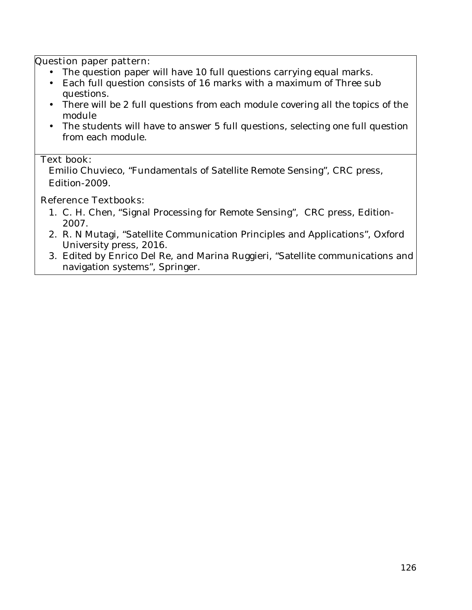#### **Question paper pattern:**

- The question paper will have 10 full questions carrying equal marks.
- Each full question consists of 16 marks with a maximum of Three sub questions.
- There will be 2 full questions from each module covering all the topics of the module
- The students will have to answer 5 full questions, selecting one full question from each module.

#### **Text book:**

Emilio Chuvieco, "Fundamentals of Satellite Remote Sensing", CRC press, Edition-2009.

# **Reference Textbooks:**

- 1. C. H. Chen*, "*Signal Processing for Remote Sensing", CRC press, Edition-2007.
- 2. R. N Mutagi, "Satellite Communication Principles and Applications", Oxford University press, 2016.
- 3. Edited by Enrico Del Re, and Marina Ruggieri, "Satellite communications and navigation systems", Springer.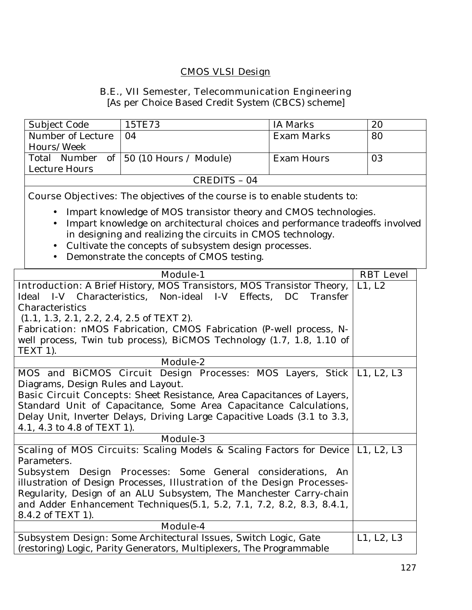# **CMOS VLSI Design**

#### **B.E., VII Semester, Telecommunication Engineering**

[As per Choice Based Credit System (CBCS) scheme]

| Subject Code      | 15TE73                                 | IA Marks   | 20 |
|-------------------|----------------------------------------|------------|----|
| Number of Lecture | $\overline{04}$                        | Exam Marks | 80 |
| Hours/Week        |                                        |            |    |
|                   | Total Number of 50 (10 Hours / Module) | Exam Hours | 03 |
| Lecture Hours     |                                        |            |    |
| CREDITS - 04      |                                        |            |    |

**Course Objectives:** The objectives of the course is to enable students to:

- Impart knowledge of MOS transistor theory and CMOS technologies.
- Impart knowledge on architectural choices and performance tradeoffs involved in designing and realizing the circuits in CMOS technology.
- Cultivate the concepts of subsystem design processes.
- Demonstrate the concepts of CMOS testing.

| <b>Module-1</b>                                                                          | <b>RBT</b> Level |
|------------------------------------------------------------------------------------------|------------------|
| <b>Introduction:</b> A Brief History, MOS Transistors, MOS Transistor Theory,            | L1, L2           |
| Ideal I-V Characteristics, Non-ideal I-V Effects, DC Transfer                            |                  |
| Characteristics                                                                          |                  |
| $(1.1, 1.3, 2.1, 2.2, 2.4, 2.5$ of TEXT 2).                                              |                  |
| Fabrication: nMOS Fabrication, CMOS Fabrication (P-well process, N-                      |                  |
| well process, Twin tub process), BiCMOS Technology (1.7, 1.8, 1.10 of                    |                  |
| TEXT 1).                                                                                 |                  |
| <b>Module-2</b>                                                                          |                  |
| MOS and BiCMOS Circuit Design Processes: MOS Layers, Stick   L1, L2, L3                  |                  |
| Diagrams, Design Rules and Layout.                                                       |                  |
| <b>Basic Circuit Concepts:</b> Sheet Resistance, Area Capacitances of Layers,            |                  |
| Standard Unit of Capacitance, Some Area Capacitance Calculations,                        |                  |
| Delay Unit, Inverter Delays, Driving Large Capacitive Loads (3.1 to 3.3,                 |                  |
| 4.1, 4.3 to 4.8 of TEXT 1).                                                              |                  |
| <b>Module-3</b>                                                                          |                  |
| <b>Scaling of MOS Circuits:</b> Scaling Models & Scaling Factors for Device   L1, L2, L3 |                  |
| Parameters.                                                                              |                  |
| Subsystem Design Processes: Some General considerations, An                              |                  |
| illustration of Design Processes, Illustration of the Design Processes-                  |                  |
| Regularity, Design of an ALU Subsystem, The Manchester Carry-chain                       |                  |
| and Adder Enhancement Techniques(5.1, 5.2, 7.1, 7.2, 8.2, 8.3, 8.4.1,                    |                  |
| 8.4.2 of TEXT 1).                                                                        |                  |
| Module-4                                                                                 |                  |
| Subsystem Design: Some Architectural Issues, Switch Logic, Gate                          | L1, L2, L3       |
| (restoring) Logic, Parity Generators, Multiplexers, The Programmable                     |                  |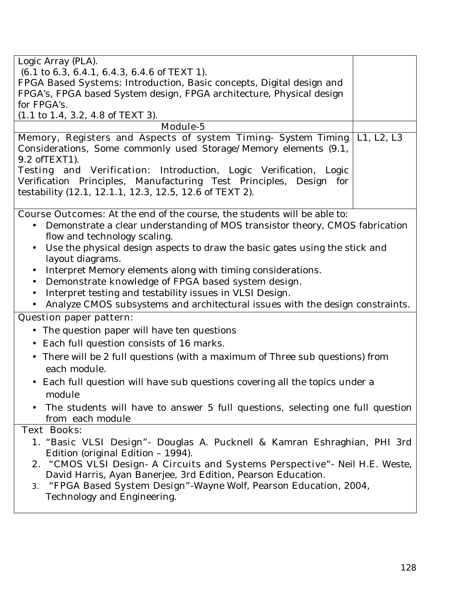| Logic Array (PLA).                                                                         |  |
|--------------------------------------------------------------------------------------------|--|
| $(6.1 \text{ to } 6.3, 6.4.1, 6.4.3, 6.4.6 \text{ of TEXT 1}).$                            |  |
| FPGA Based Systems: Introduction, Basic concepts, Digital design and                       |  |
| FPGA's, FPGA based System design, FPGA architecture, Physical design                       |  |
| for FPGA's.                                                                                |  |
| $(1.1 \text{ to } 1.4, 3.2, 4.8 \text{ of } TEXT 3).$                                      |  |
| Module-5                                                                                   |  |
| Memory, Registers and Aspects of system Timing- System Timing   L1, L2, L3                 |  |
| Considerations, Some commonly used Storage/Memory elements (9.1,                           |  |
| 9.2 of TEXT1).                                                                             |  |
| Testing and Verification: Introduction, Logic Verification, Logic                          |  |
| Verification Principles, Manufacturing Test Principles, Design for                         |  |
| testability (12.1, 12.1.1, 12.3, 12.5, 12.6 of TEXT 2).                                    |  |
|                                                                                            |  |
| <b>Course Outcomes:</b> At the end of the course, the students will be able to:            |  |
| Demonstrate a clear understanding of MOS transistor theory, CMOS fabrication<br>$\bullet$  |  |
| flow and technology scaling.                                                               |  |
| Use the physical design aspects to draw the basic gates using the stick and<br>$\bullet$   |  |
| layout diagrams.                                                                           |  |
| Interpret Memory elements along with timing considerations.<br>$\bullet$                   |  |
| Demonstrate knowledge of FPGA based system design.<br>$\bullet$                            |  |
| Interpret testing and testability issues in VLSI Design.<br>$\bullet$                      |  |
| Analyze CMOS subsystems and architectural issues with the design constraints.<br>$\bullet$ |  |
| <b>Question paper pattern:</b>                                                             |  |
| • The question paper will have ten questions                                               |  |
| • Each full question consists of 16 marks.                                                 |  |
| There will be 2 full questions (with a maximum of Three sub questions) from                |  |
| each module.                                                                               |  |
| • Each full question will have sub questions covering all the topics under a               |  |
| module                                                                                     |  |
|                                                                                            |  |
| The students will have to answer 5 full questions, selecting one full question             |  |
| from each module                                                                           |  |
| <b>Text Books:</b>                                                                         |  |
| 1. "Basic VLSI Design" - Douglas A. Pucknell & Kamran Eshraghian, PHI 3rd                  |  |
| Edition (original Edition - 1994).                                                         |  |
| 2. "CMOS VLSI Design- A Circuits and Systems Perspective"- Neil H.E. Weste,                |  |
| David Harris, Ayan Banerjee, 3rd Edition, Pearson Education.                               |  |
| "FPGA Based System Design"-Wayne Wolf, Pearson Education, 2004,<br>3.                      |  |
| Technology and Engineering.                                                                |  |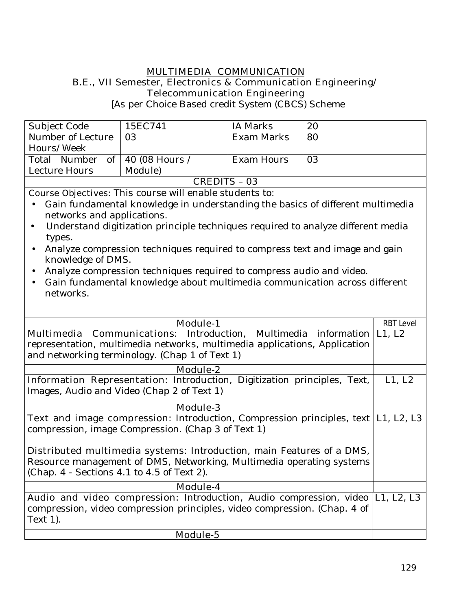#### **MULTIMEDIA COMMUNICATION B.E., VII Semester, Electronics & Communication Engineering/ Telecommunication Engineering**

[As per Choice Based credit System (CBCS) Scheme

| Subject Code                                                                                                                                                                                                                                                                                                                     | 15EC741 | IA Marks          | 20 |
|----------------------------------------------------------------------------------------------------------------------------------------------------------------------------------------------------------------------------------------------------------------------------------------------------------------------------------|---------|-------------------|----|
|                                                                                                                                                                                                                                                                                                                                  |         |                   |    |
| Number of Lecture                                                                                                                                                                                                                                                                                                                | 03      | <b>Exam Marks</b> | 80 |
| Hours/Week                                                                                                                                                                                                                                                                                                                       |         |                   |    |
| Total Number of   40 (08 Hours /                                                                                                                                                                                                                                                                                                 |         | Exam Hours        | 03 |
| Lecture Hours                                                                                                                                                                                                                                                                                                                    | Module) |                   |    |
| CREDITS - 03                                                                                                                                                                                                                                                                                                                     |         |                   |    |
| $\alpha$ and $\alpha$ and $\alpha$ and $\alpha$ and $\alpha$ and $\alpha$ and $\alpha$ and $\alpha$ and $\alpha$ and $\alpha$ and $\alpha$ and $\alpha$ and $\alpha$ and $\alpha$ and $\alpha$ and $\alpha$ and $\alpha$ and $\alpha$ and $\alpha$ and $\alpha$ and $\alpha$ and $\alpha$ and $\alpha$ and $\alpha$ and $\alpha$ |         |                   |    |

**Course Objectives:** This course will enable students to:

- Gain fundamental knowledge in understanding the basics of different multimedia networks and applications.
- Understand digitization principle techniques required to analyze different media types.
- Analyze compression techniques required to compress text and image and gain knowledge of DMS.
- Analyze compression techniques required to compress audio and video.
- Gain fundamental knowledge about multimedia communication across different networks.

| <b>Module-1</b>                                                                            | <b>RBT Level</b> |
|--------------------------------------------------------------------------------------------|------------------|
| <b>Multimedia Communications</b> : Introduction, Multimedia information L1, L2             |                  |
| representation, multimedia networks, multimedia applications, Application                  |                  |
| and networking terminology. (Chap 1 of Text 1)                                             |                  |
| <b>Module-2</b>                                                                            |                  |
|                                                                                            |                  |
| <b>Information Representation:</b> Introduction, Digitization principles, Text,            | L1, L2           |
| Images, Audio and Video (Chap 2 of Text 1)                                                 |                  |
| <b>Module-3</b>                                                                            |                  |
| <b>Text and image compression:</b> Introduction, Compression principles, text   L1, L2, L3 |                  |
| compression, image Compression. (Chap 3 of Text 1)                                         |                  |
|                                                                                            |                  |
| <b>Distributed multimedia systems:</b> Introduction, main Features of a DMS,               |                  |
| Resource management of DMS, Networking, Multimedia operating systems                       |                  |
| (Chap. 4 - Sections 4.1 to 4.5 of Text 2).                                                 |                  |
|                                                                                            |                  |
| <b>Module-4</b>                                                                            |                  |
| Audio and video compression: Introduction, Audio compression, video  L1, L2, L3            |                  |
| compression, video compression principles, video compression. (Chap. 4 of                  |                  |
| Text $1$ ).                                                                                |                  |
| <b>Module-5</b>                                                                            |                  |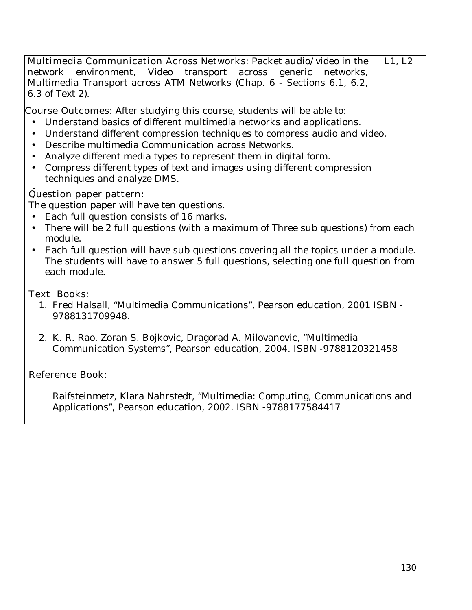| L1, L2<br>Multimedia Communication Across Networks: Packet audio/video in the<br>Video<br>transport across generic networks,<br>network environment,<br>Multimedia Transport across ATM Networks (Chap. 6 - Sections 6.1, 6.2,<br>6.3 of Text 2).                                                                                                                                                                                                                                                                                      |
|----------------------------------------------------------------------------------------------------------------------------------------------------------------------------------------------------------------------------------------------------------------------------------------------------------------------------------------------------------------------------------------------------------------------------------------------------------------------------------------------------------------------------------------|
| <b>Course Outcomes:</b> After studying this course, students will be able to:<br>Understand basics of different multimedia networks and applications.<br>$\bullet$<br>Understand different compression techniques to compress audio and video.<br>$\bullet$<br>Describe multimedia Communication across Networks.<br>$\bullet$<br>Analyze different media types to represent them in digital form.<br>$\bullet$<br>Compress different types of text and images using different compression<br>$\bullet$<br>techniques and analyze DMS. |
| <b>Question paper pattern:</b><br>The question paper will have ten questions.<br>Each full question consists of 16 marks.<br>$\bullet$<br>There will be 2 full questions (with a maximum of Three sub questions) from each<br>$\bullet$<br>module.<br>Each full question will have sub questions covering all the topics under a module.<br>$\bullet$<br>The students will have to answer 5 full questions, selecting one full question from<br>each module.                                                                           |
| <b>Text Books:</b><br>1. Fred Halsall, "Multimedia Communications", Pearson education, 2001 ISBN -<br>9788131709948.                                                                                                                                                                                                                                                                                                                                                                                                                   |
| 2. K. R. Rao, Zoran S. Bojkovic, Dragorad A. Milovanovic, "Multimedia<br>Communication Systems", Pearson education, 2004. ISBN -9788120321458                                                                                                                                                                                                                                                                                                                                                                                          |
| <b>Reference Book:</b>                                                                                                                                                                                                                                                                                                                                                                                                                                                                                                                 |
| Raifsteinmetz, Klara Nahrstedt, "Multimedia: Computing, Communications and<br>Applications", Pearson education, 2002. ISBN -9788177584417                                                                                                                                                                                                                                                                                                                                                                                              |
|                                                                                                                                                                                                                                                                                                                                                                                                                                                                                                                                        |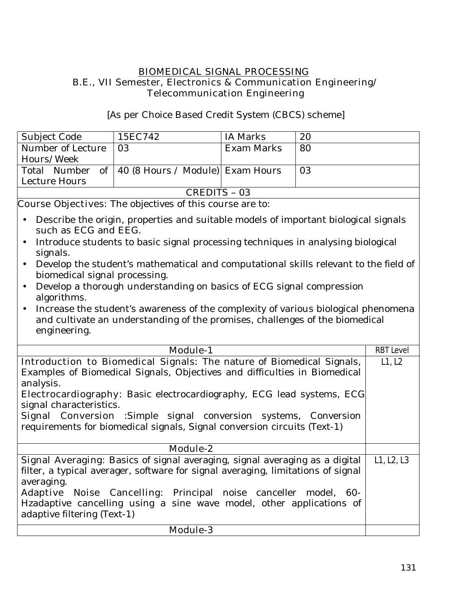#### **BIOMEDICAL SIGNAL PROCESSING B.E., VII Semester, Electronics & Communication Engineering/ Telecommunication Engineering**

[As per Choice Based Credit System (CBCS) scheme]

| Subject Code                                                                                                                                                                                                                                                                                                                                                                                                                                                                                                                                                                                                                                                                                                                                          | 15EC742                                                                     | <b>IA Marks</b>   | 20 |                  |
|-------------------------------------------------------------------------------------------------------------------------------------------------------------------------------------------------------------------------------------------------------------------------------------------------------------------------------------------------------------------------------------------------------------------------------------------------------------------------------------------------------------------------------------------------------------------------------------------------------------------------------------------------------------------------------------------------------------------------------------------------------|-----------------------------------------------------------------------------|-------------------|----|------------------|
| Number of Lecture                                                                                                                                                                                                                                                                                                                                                                                                                                                                                                                                                                                                                                                                                                                                     | 03                                                                          | <b>Exam Marks</b> | 80 |                  |
| Hours/Week                                                                                                                                                                                                                                                                                                                                                                                                                                                                                                                                                                                                                                                                                                                                            |                                                                             |                   |    |                  |
| Total Number<br>of                                                                                                                                                                                                                                                                                                                                                                                                                                                                                                                                                                                                                                                                                                                                    | 40 (8 Hours / Module) Exam Hours                                            |                   | 03 |                  |
| Lecture Hours                                                                                                                                                                                                                                                                                                                                                                                                                                                                                                                                                                                                                                                                                                                                         |                                                                             |                   |    |                  |
|                                                                                                                                                                                                                                                                                                                                                                                                                                                                                                                                                                                                                                                                                                                                                       | <b>CREDITS - 03</b>                                                         |                   |    |                  |
|                                                                                                                                                                                                                                                                                                                                                                                                                                                                                                                                                                                                                                                                                                                                                       |                                                                             |                   |    |                  |
| <b>Course Objectives:</b> The objectives of this course are to:<br>Describe the origin, properties and suitable models of important biological signals<br>$\bullet$<br>such as ECG and EEG.<br>Introduce students to basic signal processing techniques in analysing biological<br>$\bullet$<br>signals.<br>Develop the student's mathematical and computational skills relevant to the field of<br>$\bullet$<br>biomedical signal processing.<br>Develop a thorough understanding on basics of ECG signal compression<br>$\bullet$<br>algorithms.<br>Increase the student's awareness of the complexity of various biological phenomena<br>$\bullet$<br>and cultivate an understanding of the promises, challenges of the biomedical<br>engineering. |                                                                             |                   |    |                  |
| <b>Module-1</b>                                                                                                                                                                                                                                                                                                                                                                                                                                                                                                                                                                                                                                                                                                                                       |                                                                             |                   |    | <b>RBT Level</b> |
|                                                                                                                                                                                                                                                                                                                                                                                                                                                                                                                                                                                                                                                                                                                                                       | Introduction to Biomedical Signals: The nature of Biomedical Signals,       |                   |    | L1, L2           |
|                                                                                                                                                                                                                                                                                                                                                                                                                                                                                                                                                                                                                                                                                                                                                       | Examples of Biomedical Signals, Objectives and difficulties in Biomedical   |                   |    |                  |
| analysis.                                                                                                                                                                                                                                                                                                                                                                                                                                                                                                                                                                                                                                                                                                                                             |                                                                             |                   |    |                  |
| Electrocardiography: Basic electrocardiography, ECG lead systems, ECG                                                                                                                                                                                                                                                                                                                                                                                                                                                                                                                                                                                                                                                                                 |                                                                             |                   |    |                  |
| signal characteristics.                                                                                                                                                                                                                                                                                                                                                                                                                                                                                                                                                                                                                                                                                                                               |                                                                             |                   |    |                  |
| Signal Conversion :Simple signal conversion systems, Conversion                                                                                                                                                                                                                                                                                                                                                                                                                                                                                                                                                                                                                                                                                       |                                                                             |                   |    |                  |
|                                                                                                                                                                                                                                                                                                                                                                                                                                                                                                                                                                                                                                                                                                                                                       | requirements for biomedical signals, Signal conversion circuits (Text-1)    |                   |    |                  |
|                                                                                                                                                                                                                                                                                                                                                                                                                                                                                                                                                                                                                                                                                                                                                       |                                                                             |                   |    |                  |
|                                                                                                                                                                                                                                                                                                                                                                                                                                                                                                                                                                                                                                                                                                                                                       | <b>Module-2</b>                                                             |                   |    |                  |
|                                                                                                                                                                                                                                                                                                                                                                                                                                                                                                                                                                                                                                                                                                                                                       | Signal Averaging: Basics of signal averaging, signal averaging as a digital |                   |    | L1, L2, L3       |
| filter, a typical averager, software for signal averaging, limitations of signal                                                                                                                                                                                                                                                                                                                                                                                                                                                                                                                                                                                                                                                                      |                                                                             |                   |    |                  |
| averaging.                                                                                                                                                                                                                                                                                                                                                                                                                                                                                                                                                                                                                                                                                                                                            |                                                                             |                   |    |                  |
|                                                                                                                                                                                                                                                                                                                                                                                                                                                                                                                                                                                                                                                                                                                                                       | Adaptive Noise Cancelling: Principal noise canceller model, 60-             |                   |    |                  |
|                                                                                                                                                                                                                                                                                                                                                                                                                                                                                                                                                                                                                                                                                                                                                       | Hzadaptive cancelling using a sine wave model, other applications of        |                   |    |                  |
| adaptive filtering (Text-1)                                                                                                                                                                                                                                                                                                                                                                                                                                                                                                                                                                                                                                                                                                                           |                                                                             |                   |    |                  |
|                                                                                                                                                                                                                                                                                                                                                                                                                                                                                                                                                                                                                                                                                                                                                       | <b>Module-3</b>                                                             |                   |    |                  |
|                                                                                                                                                                                                                                                                                                                                                                                                                                                                                                                                                                                                                                                                                                                                                       |                                                                             |                   |    |                  |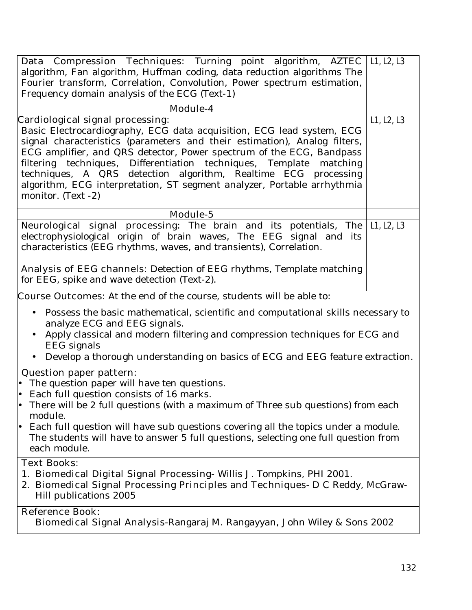| <b>Data Compression Techniques:</b> Turning point algorithm, AZTEC L1, L2, L3                       |            |  |  |
|-----------------------------------------------------------------------------------------------------|------------|--|--|
| algorithm, Fan algorithm, Huffman coding, data reduction algorithms The                             |            |  |  |
| Fourier transform, Correlation, Convolution, Power spectrum estimation,                             |            |  |  |
| Frequency domain analysis of the ECG (Text-1)                                                       |            |  |  |
| <b>Module-4</b>                                                                                     |            |  |  |
| Cardiological signal processing:                                                                    | L1, L2, L3 |  |  |
| Basic Electrocardiography, ECG data acquisition, ECG lead system, ECG                               |            |  |  |
| signal characteristics (parameters and their estimation), Analog filters,                           |            |  |  |
| ECG amplifier, and QRS detector, Power spectrum of the ECG, Bandpass                                |            |  |  |
| filtering techniques, Differentiation techniques, Template matching                                 |            |  |  |
| techniques, A QRS detection algorithm, Realtime ECG processing                                      |            |  |  |
| algorithm, ECG interpretation, ST segment analyzer, Portable arrhythmia                             |            |  |  |
| monitor. (Text -2)                                                                                  |            |  |  |
| Module-5                                                                                            |            |  |  |
| <b>Neurological signal processing:</b> The brain and its potentials, The                            | L1, L2, L3 |  |  |
| electrophysiological origin of brain waves, The EEG signal and its                                  |            |  |  |
| characteristics (EEG rhythms, waves, and transients), Correlation.                                  |            |  |  |
| Analysis of EEG channels: Detection of EEG rhythms, Template matching                               |            |  |  |
| for EEG, spike and wave detection (Text-2).                                                         |            |  |  |
|                                                                                                     |            |  |  |
| <b>Course Outcomes:</b> At the end of the course, students will be able to:                         |            |  |  |
| Possess the basic mathematical, scientific and computational skills necessary to                    |            |  |  |
| analyze ECG and EEG signals.                                                                        |            |  |  |
| Apply classical and modern filtering and compression techniques for ECG and                         |            |  |  |
| EEG signals                                                                                         |            |  |  |
| Develop a thorough understanding on basics of ECG and EEG feature extraction.<br>$\bullet$          |            |  |  |
| <b>Question paper pattern:</b>                                                                      |            |  |  |
| • The question paper will have ten questions.                                                       |            |  |  |
| Each full question consists of 16 marks.                                                            |            |  |  |
| There will be 2 full questions (with a maximum of Three sub questions) from each                    |            |  |  |
| module.<br>Each full question will have sub questions covering all the topics under a module.<br>I۰ |            |  |  |
| The students will have to answer 5 full questions, selecting one full question from                 |            |  |  |
| each module.                                                                                        |            |  |  |
| <b>Text Books:</b>                                                                                  |            |  |  |
| 1. Biomedical Digital Signal Processing-Willis J. Tompkins, PHI 2001.                               |            |  |  |
| 2. Biomedical Signal Processing Principles and Techniques- D C Reddy, McGraw-                       |            |  |  |
| Hill publications 2005                                                                              |            |  |  |
| <b>Reference Book:</b>                                                                              |            |  |  |
| Biomedical Signal Analysis-Rangaraj M. Rangayyan, John Wiley & Sons 2002                            |            |  |  |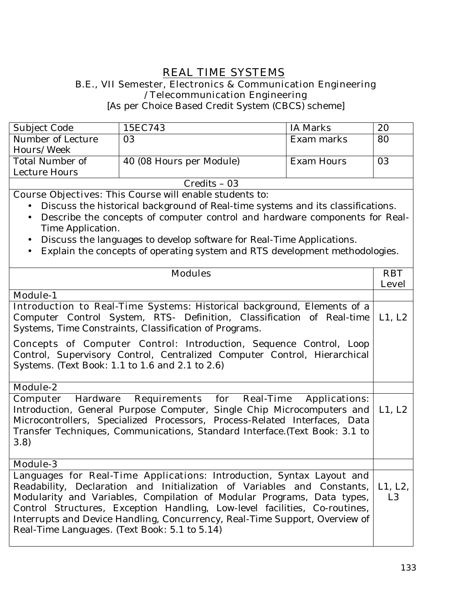# **REAL TIME SYSTEMS**

#### **B.E., VII Semester, Electronics & Communication Engineering /Telecommunication Engineering**

[As per Choice Based Credit System (CBCS) scheme]

| Subject Code      | 15EC743                  | IA Marks   | 20 |
|-------------------|--------------------------|------------|----|
| Number of Lecture | 03                       | Exam marks | 80 |
| Hours/Week        |                          |            |    |
| Total Number of   | 40 (08 Hours per Module) | Exam Hours | 03 |
| Lecture Hours     |                          |            |    |
| $Credits - 03$    |                          |            |    |

**Course Objectives:** This Course will enable students to:

- Discuss the historical background of Real-time systems and its classifications.
- Describe the concepts of computer control and hardware components for Real-Time Application.
- Discuss the languages to develop software for Real-Time Applications.
- Explain the concepts of operating system and RTS development methodologies.

| <b>Modules</b>                                                                                                                                                                                                                                                                                                                                                                                                                           | <b>RBT</b>                |
|------------------------------------------------------------------------------------------------------------------------------------------------------------------------------------------------------------------------------------------------------------------------------------------------------------------------------------------------------------------------------------------------------------------------------------------|---------------------------|
|                                                                                                                                                                                                                                                                                                                                                                                                                                          | <b>Level</b>              |
| <b>Module-1</b>                                                                                                                                                                                                                                                                                                                                                                                                                          |                           |
| Introduction to Real-Time Systems: Historical background, Elements of a<br>Computer Control System, RTS- Definition, Classification of Real-time<br>Systems, Time Constraints, Classification of Programs.                                                                                                                                                                                                                               | L1, L2                    |
| <b>Concepts of Computer Control:</b> Introduction, Sequence Control, Loop<br>Control, Supervisory Control, Centralized Computer Control, Hierarchical<br>Systems. (Text Book: 1.1 to 1.6 and 2.1 to 2.6)                                                                                                                                                                                                                                 |                           |
| <b>Module-2</b>                                                                                                                                                                                                                                                                                                                                                                                                                          |                           |
| <b>Requirements for Real-Time</b><br><b>Computer Hardware</b><br><b>Applications:</b><br>Introduction, General Purpose Computer, Single Chip Microcomputers and<br>Microcontrollers, Specialized Processors, Process-Related Interfaces, Data<br>Transfer Techniques, Communications, Standard Interface. (Text Book: 3.1 to<br>(3.8)                                                                                                    | L1, L2                    |
| <b>Module-3</b>                                                                                                                                                                                                                                                                                                                                                                                                                          |                           |
| Languages for Real-Time Applications: Introduction, Syntax Layout and<br>Readability, Declaration and Initialization of Variables and Constants,<br>Modularity and Variables, Compilation of Modular Programs, Data types,<br>Control Structures, Exception Handling, Low-level facilities, Co-routines,<br>Interrupts and Device Handling, Concurrency, Real-Time Support, Overview of<br>Real-Time Languages. (Text Book: 5.1 to 5.14) | L1, L2,<br>L <sub>3</sub> |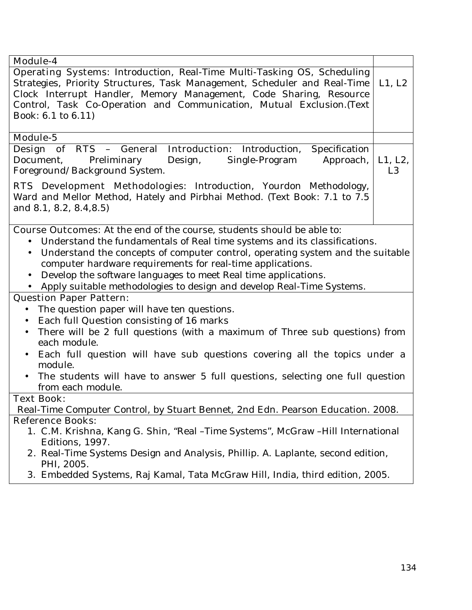| <b>Module-4</b><br><b>Operating Systems:</b> Introduction, Real-Time Multi-Tasking OS, Scheduling<br>Strategies, Priority Structures, Task Management, Scheduler and Real-Time<br>Clock Interrupt Handler, Memory Management, Code Sharing, Resource<br>Control, Task Co-Operation and Communication, Mutual Exclusion.(Text<br>Book: 6.1 to 6.11)<br><b>Module-5</b><br><b>Design of RTS - General Introduction:</b> Introduction,<br>Specification<br>Document,<br>Preliminary<br>Design,<br>Approach,<br>Single-Program<br>Foreground/Background System.<br><b>RTS Development Methodologies:</b> Introduction, Yourdon Methodology,<br>Ward and Mellor Method, Hately and Pirbhai Method. (Text Book: 7.1 to 7.5<br>and 8.1, 8.2, 8.4, 8.5)<br><b>Course Outcomes:</b> At the end of the course, students should be able to:<br>Understand the fundamentals of Real time systems and its classifications.<br>Understand the concepts of computer control, operating system and the suitable<br>$\bullet$<br>computer hardware requirements for real-time applications.<br>Develop the software languages to meet Real time applications.<br>$\bullet$<br>Apply suitable methodologies to design and develop Real-Time Systems.<br><b>Question Paper Pattern:</b><br>The question paper will have ten questions.<br>$\bullet$<br>Each full Question consisting of 16 marks<br>$\bullet$ | L1, L2<br>L1, L2,<br>L <sub>3</sub> |
|--------------------------------------------------------------------------------------------------------------------------------------------------------------------------------------------------------------------------------------------------------------------------------------------------------------------------------------------------------------------------------------------------------------------------------------------------------------------------------------------------------------------------------------------------------------------------------------------------------------------------------------------------------------------------------------------------------------------------------------------------------------------------------------------------------------------------------------------------------------------------------------------------------------------------------------------------------------------------------------------------------------------------------------------------------------------------------------------------------------------------------------------------------------------------------------------------------------------------------------------------------------------------------------------------------------------------------------------------------------------------------------------|-------------------------------------|
|                                                                                                                                                                                                                                                                                                                                                                                                                                                                                                                                                                                                                                                                                                                                                                                                                                                                                                                                                                                                                                                                                                                                                                                                                                                                                                                                                                                            |                                     |
|                                                                                                                                                                                                                                                                                                                                                                                                                                                                                                                                                                                                                                                                                                                                                                                                                                                                                                                                                                                                                                                                                                                                                                                                                                                                                                                                                                                            |                                     |
|                                                                                                                                                                                                                                                                                                                                                                                                                                                                                                                                                                                                                                                                                                                                                                                                                                                                                                                                                                                                                                                                                                                                                                                                                                                                                                                                                                                            |                                     |
|                                                                                                                                                                                                                                                                                                                                                                                                                                                                                                                                                                                                                                                                                                                                                                                                                                                                                                                                                                                                                                                                                                                                                                                                                                                                                                                                                                                            |                                     |
|                                                                                                                                                                                                                                                                                                                                                                                                                                                                                                                                                                                                                                                                                                                                                                                                                                                                                                                                                                                                                                                                                                                                                                                                                                                                                                                                                                                            |                                     |
|                                                                                                                                                                                                                                                                                                                                                                                                                                                                                                                                                                                                                                                                                                                                                                                                                                                                                                                                                                                                                                                                                                                                                                                                                                                                                                                                                                                            |                                     |
|                                                                                                                                                                                                                                                                                                                                                                                                                                                                                                                                                                                                                                                                                                                                                                                                                                                                                                                                                                                                                                                                                                                                                                                                                                                                                                                                                                                            |                                     |
|                                                                                                                                                                                                                                                                                                                                                                                                                                                                                                                                                                                                                                                                                                                                                                                                                                                                                                                                                                                                                                                                                                                                                                                                                                                                                                                                                                                            |                                     |
|                                                                                                                                                                                                                                                                                                                                                                                                                                                                                                                                                                                                                                                                                                                                                                                                                                                                                                                                                                                                                                                                                                                                                                                                                                                                                                                                                                                            |                                     |
| There will be 2 full questions (with a maximum of Three sub questions) from<br>$\bullet$<br>each module.                                                                                                                                                                                                                                                                                                                                                                                                                                                                                                                                                                                                                                                                                                                                                                                                                                                                                                                                                                                                                                                                                                                                                                                                                                                                                   |                                     |
| Each full question will have sub questions covering all the topics under a<br>module.<br>The students will have to answer 5 full questions, selecting one full question<br>$\bullet$                                                                                                                                                                                                                                                                                                                                                                                                                                                                                                                                                                                                                                                                                                                                                                                                                                                                                                                                                                                                                                                                                                                                                                                                       |                                     |
| from each module.                                                                                                                                                                                                                                                                                                                                                                                                                                                                                                                                                                                                                                                                                                                                                                                                                                                                                                                                                                                                                                                                                                                                                                                                                                                                                                                                                                          |                                     |
| <b>Text Book:</b>                                                                                                                                                                                                                                                                                                                                                                                                                                                                                                                                                                                                                                                                                                                                                                                                                                                                                                                                                                                                                                                                                                                                                                                                                                                                                                                                                                          |                                     |
| Real-Time Computer Control, by Stuart Bennet, 2nd Edn. Pearson Education. 2008.                                                                                                                                                                                                                                                                                                                                                                                                                                                                                                                                                                                                                                                                                                                                                                                                                                                                                                                                                                                                                                                                                                                                                                                                                                                                                                            |                                     |
| <b>Reference Books:</b>                                                                                                                                                                                                                                                                                                                                                                                                                                                                                                                                                                                                                                                                                                                                                                                                                                                                                                                                                                                                                                                                                                                                                                                                                                                                                                                                                                    |                                     |
| 1. C.M. Krishna, Kang G. Shin, "Real -Time Systems", McGraw -Hill International<br>Editions, 1997.                                                                                                                                                                                                                                                                                                                                                                                                                                                                                                                                                                                                                                                                                                                                                                                                                                                                                                                                                                                                                                                                                                                                                                                                                                                                                         |                                     |
| <b>2.</b> Real-Time Systems Design and Analysis, Phillip. A. Laplante, second edition,<br>PHI, 2005.                                                                                                                                                                                                                                                                                                                                                                                                                                                                                                                                                                                                                                                                                                                                                                                                                                                                                                                                                                                                                                                                                                                                                                                                                                                                                       |                                     |
| 3. Embedded Systems, Raj Kamal, Tata McGraw Hill, India, third edition, 2005.                                                                                                                                                                                                                                                                                                                                                                                                                                                                                                                                                                                                                                                                                                                                                                                                                                                                                                                                                                                                                                                                                                                                                                                                                                                                                                              |                                     |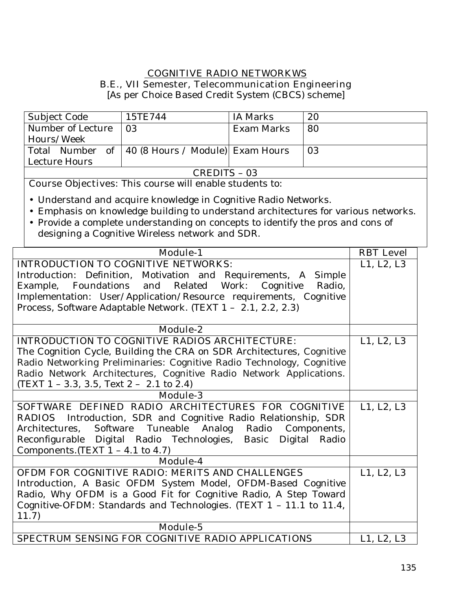# **COGNITIVE RADIO NETWORKWS**

**B.E., VII Semester, Telecommunication Engineering** 

[As per Choice Based Credit System (CBCS) scheme]

| Subject Code      | 15TE744                                            | IA Marks   | 20 |
|-------------------|----------------------------------------------------|------------|----|
| Number of Lecture | 03                                                 | Exam Marks | 80 |
| Hours/Week        |                                                    |            |    |
|                   | Total Number of   40 (8 Hours / Module) Exam Hours |            | 03 |
| Lecture Hours     |                                                    |            |    |
| CREDITS - 03      |                                                    |            |    |

**Course Objectives:** This course will enable students to:

- Understand and acquire knowledge in Cognitive Radio Networks.
- Emphasis on knowledge building to understand architectures for various networks.
- Provide a complete understanding on concepts to identify the pros and cons of designing a Cognitive Wireless network and SDR.

| <b>Module-1</b>                                                       | <b>RBT</b> Level |
|-----------------------------------------------------------------------|------------------|
| <b>INTRODUCTION TO COGNITIVE NETWORKS:</b>                            | L1, L2, L3       |
| Introduction: Definition, Motivation and Requirements, A<br>Simple    |                  |
| Foundations and Related Work:<br>Cognitive<br>Example,<br>Radio,      |                  |
| Implementation: User/Application/Resource requirements, Cognitive     |                  |
| Process, Software Adaptable Network. (TEXT 1 - 2.1, 2.2, 2.3)         |                  |
|                                                                       |                  |
| <b>Module-2</b>                                                       |                  |
| <b>INTRODUCTION TO COGNITIVE RADIOS ARCHITECTURE:</b>                 | L1, L2, L3       |
| The Cognition Cycle, Building the CRA on SDR Architectures, Cognitive |                  |
| Radio Networking Preliminaries: Cognitive Radio Technology, Cognitive |                  |
| Radio Network Architectures, Cognitive Radio Network Applications.    |                  |
| (TEXT $1 - 3.3$ , $3.5$ , Text $2 - 2.1$ to $2.4$ )                   |                  |
| <b>Module-3</b>                                                       |                  |
| SOFTWARE DEFINED RADIO ARCHITECTURES FOR COGNITIVE                    | L1, L2, L3       |
| <b>RADIOS</b> Introduction, SDR and Cognitive Radio Relationship, SDR |                  |
| Tuneable Analog<br>Software<br>Radio<br>Architectures,<br>Components, |                  |
| Reconfigurable Digital Radio Technologies, Basic Digital Radio        |                  |
| Components. (TEXT $1 - 4.1$ to $4.7$ )                                |                  |
| Module-4                                                              |                  |
| OFDM FOR COGNITIVE RADIO: MERITS AND CHALLENGES                       | L1, L2, L3       |
| Introduction, A Basic OFDM System Model, OFDM-Based Cognitive         |                  |
| Radio, Why OFDM is a Good Fit for Cognitive Radio, A Step Toward      |                  |
| Cognitive-OFDM: Standards and Technologies. (TEXT 1 - 11.1 to 11.4,   |                  |
| 11.7                                                                  |                  |
| Module-5                                                              |                  |
| <b>SPECTRUM SENSING FOR COGNITIVE RADIO APPLICATIONS</b>              | L1, L2, L3       |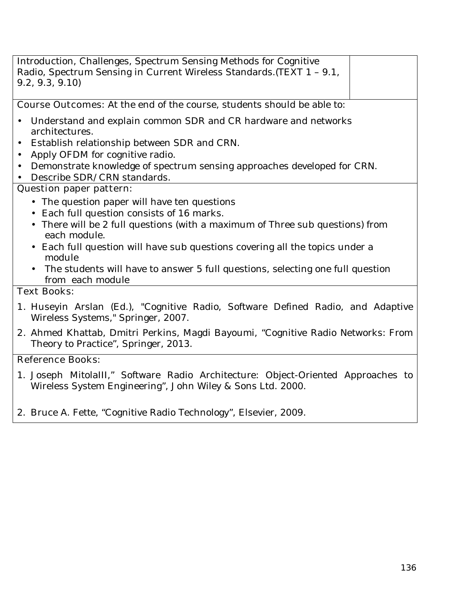| Introduction, Challenges, Spectrum Sensing Methods for Cognitive<br>Radio, Spectrum Sensing in Current Wireless Standards. (TEXT 1 - 9.1,<br>9.2, 9.3, 9.10 |  |
|-------------------------------------------------------------------------------------------------------------------------------------------------------------|--|
| <b>Course Outcomes:</b> At the end of the course, students should be able to:                                                                               |  |
| Understand and explain common SDR and CR hardware and networks<br>$\bullet$<br>architectures.                                                               |  |
| • Establish relationship between SDR and CRN.                                                                                                               |  |
| Apply OFDM for cognitive radio.<br>$\bullet$                                                                                                                |  |
| Demonstrate knowledge of spectrum sensing approaches developed for CRN.<br>$\bullet$                                                                        |  |
| Describe SDR/CRN standards.<br>$\bullet$                                                                                                                    |  |
| <b>Question paper pattern:</b>                                                                                                                              |  |
| • The question paper will have ten questions                                                                                                                |  |
| • Each full question consists of 16 marks.                                                                                                                  |  |
| • There will be 2 full questions (with a maximum of Three sub questions) from<br>each module.                                                               |  |
| • Each full question will have sub questions covering all the topics under a<br>module                                                                      |  |
| • The students will have to answer 5 full questions, selecting one full question<br>from each module                                                        |  |
| <b>Text Books:</b>                                                                                                                                          |  |
| 1. Huseyin Arslan (Ed.), "Cognitive Radio, Software Defined Radio, and Adaptive<br>Wireless Systems," Springer, 2007.                                       |  |
| 2. Ahmed Khattab Dmitri Perkins, Magdi Bayoumi, "Cognitive Radio Networks: From                                                                             |  |

**2.** Ahmed Khattab, Dmitri Perkins, Magdi Bayoumi, "Cognitive Radio Networks: From Theory to Practice", Springer, 2013.

# **Reference Books:**

- 1. Joseph MitolaIII," Software Radio Architecture: Object-Oriented Approaches to Wireless System Engineering", John Wiley & Sons Ltd. 2000.
- 2. Bruce A. Fette, "Cognitive Radio Technology", Elsevier, 2009.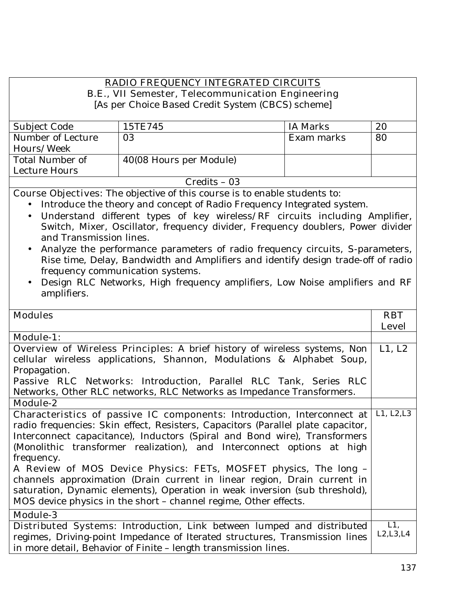# **RADIO FREQUENCY INTEGRATED CIRCUITS**

**B.E., VII Semester, Telecommunication Engineering** 

[As per Choice Based Credit System (CBCS) scheme]

| Subject Code      | 15TE745                 | IA Marks   | 20 |
|-------------------|-------------------------|------------|----|
| Number of Lecture | 03                      | Exam marks | 80 |
| Hours/Week        |                         |            |    |
| Total Number of   | 40(08 Hours per Module) |            |    |
| Lecture Hours     |                         |            |    |
|                   | $Credits - 03$          |            |    |

**Course Objectives:** The objective of this course is to enable students to:

- Introduce the theory and concept of Radio Frequency Integrated system.
- Understand different types of key wireless/RF circuits including Amplifier, Switch, Mixer, Oscillator, frequency divider, Frequency doublers, Power divider and Transmission lines.
- Analyze the performance parameters of radio frequency circuits, S-parameters, Rise time, Delay, Bandwidth and Amplifiers and identify design trade-off of radio frequency communication systems.
- Design RLC Networks, High frequency amplifiers, Low Noise amplifiers and RF amplifiers.

| <b>Modules</b>                                                                   | <b>RBT</b>   |
|----------------------------------------------------------------------------------|--------------|
|                                                                                  | <b>Level</b> |
| <b>Module-1:</b>                                                                 |              |
| <b>Overview of Wireless Principles:</b> A brief history of wireless systems, Non | L1, L2       |
| cellular wireless applications, Shannon, Modulations & Alphabet Soup,            |              |
| Propagation.                                                                     |              |
| Passive RLC Networks: Introduction, Parallel RLC Tank, Series RLC                |              |
| Networks, Other RLC networks, RLC Networks as Impedance Transformers.            |              |
| Module-2                                                                         |              |
| Characteristics of passive IC components: Introduction, Interconnect at          | L1, L2, L3   |
| radio frequencies: Skin effect, Resisters, Capacitors (Parallel plate capacitor, |              |
| Interconnect capacitance), Inductors (Spiral and Bond wire), Transformers        |              |
| (Monolithic transformer realization), and Interconnect options at high           |              |
| frequency.                                                                       |              |
| A Review of MOS Device Physics: FETs, MOSFET physics, The long -                 |              |
| channels approximation (Drain current in linear region, Drain current in         |              |
| saturation, Dynamic elements), Operation in weak inversion (sub threshold),      |              |
| MOS device physics in the short - channel regime, Other effects.                 |              |
| <b>Module-3</b>                                                                  |              |
|                                                                                  | $L1$ ,       |
| <b>Distributed Systems:</b> Introduction, Link between lumped and distributed    | L2, L3, L4   |
| regimes, Driving-point Impedance of Iterated structures, Transmission lines      |              |
| in more detail, Behavior of Finite - length transmission lines.                  |              |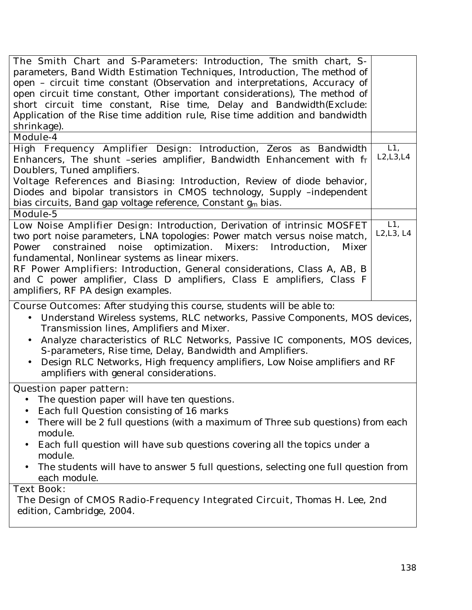| The Smith Chart and S-Parameters: Introduction, The smith chart, S-<br>parameters, Band Width Estimation Techniques, Introduction, The method of<br>open - circuit time constant (Observation and interpretations, Accuracy of<br>open circuit time constant, Other important considerations), The method of<br>short circuit time constant, Rise time, Delay and Bandwidth(Exclude:<br>Application of the Rise time addition rule, Rise time addition and bandwidth<br>shrinkage).                   |                   |
|-------------------------------------------------------------------------------------------------------------------------------------------------------------------------------------------------------------------------------------------------------------------------------------------------------------------------------------------------------------------------------------------------------------------------------------------------------------------------------------------------------|-------------------|
| <b>Module-4</b>                                                                                                                                                                                                                                                                                                                                                                                                                                                                                       |                   |
| High Frequency Amplifier Design: Introduction, Zeros as Bandwidth<br>Enhancers, The shunt -series amplifier, Bandwidth Enhancement with $f_T$<br>Doublers, Tuned amplifiers.<br>Voltage References and Biasing: Introduction, Review of diode behavior,<br>Diodes and bipolar transistors in CMOS technology, Supply -independent<br>bias circuits, Band gap voltage reference, Constant g <sub>m</sub> bias.                                                                                         | L1,<br>L2, L3, L4 |
| Module-5                                                                                                                                                                                                                                                                                                                                                                                                                                                                                              |                   |
| Low Noise Amplifier Design: Introduction, Derivation of intrinsic MOSFET<br>two port noise parameters, LNA topologies: Power match versus noise match,<br>constrained<br>noise<br>optimization.<br>Mixers:<br>Introduction,<br><b>Mixer</b><br>Power<br>fundamental, Nonlinear systems as linear mixers.<br>RF Power Amplifiers: Introduction, General considerations, Class A, AB, B<br>and C power amplifier, Class D amplifiers, Class E amplifiers, Class F<br>amplifiers, RF PA design examples. | L1,<br>L2, L3, L4 |
| <b>Course Outcomes:</b> After studying this course, students will be able to:<br>Understand Wireless systems, RLC networks, Passive Components, MOS devices,<br>Transmission lines, Amplifiers and Mixer.<br>Analyze characteristics of RLC Networks, Passive IC components, MOS devices,<br>S-parameters, Rise time, Delay, Bandwidth and Amplifiers.<br>Design RLC Networks, High frequency amplifiers, Low Noise amplifiers and RF<br>amplifiers with general considerations.                      |                   |
| <b>Question paper pattern:</b>                                                                                                                                                                                                                                                                                                                                                                                                                                                                        |                   |
| The question paper will have ten questions.<br>Each full Question consisting of 16 marks<br>$\bullet$<br>There will be 2 full questions (with a maximum of Three sub questions) from each<br>module.<br>Each full question will have sub questions covering all the topics under a<br>$\bullet$<br>module.<br>The students will have to answer 5 full questions, selecting one full question from<br>each module.                                                                                     |                   |
| <b>Text Book:</b>                                                                                                                                                                                                                                                                                                                                                                                                                                                                                     |                   |
| The Design of CMOS Radio-Frequency Integrated Circuit, Thomas H. Lee, 2nd<br>edition, Cambridge, 2004.                                                                                                                                                                                                                                                                                                                                                                                                |                   |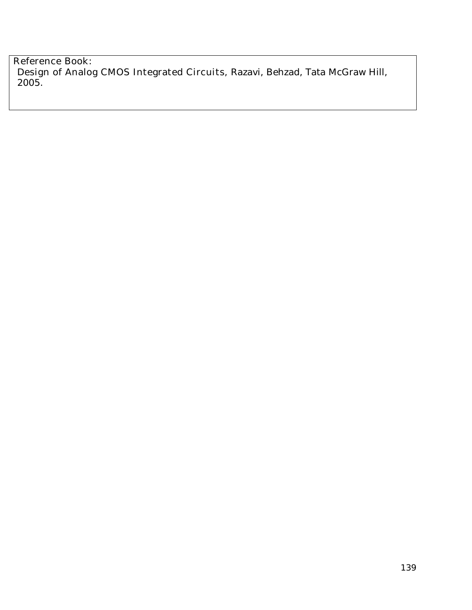**Reference Book: Design of Analog CMOS Integrated Circuits,** Razavi, Behzad, Tata McGraw Hill, 2005.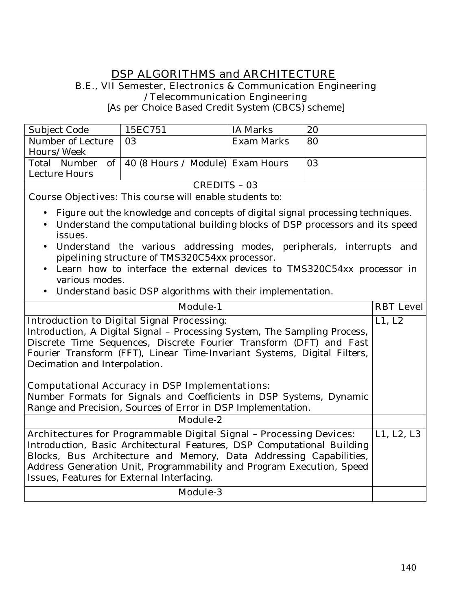#### **DSP ALGORITHMS and ARCHITECTURE B.E., VII Semester, Electronics & Communication Engineering /Telecommunication Engineering**

[As per Choice Based Credit System (CBCS) scheme]

| Subject Code                                                   | 15EC751                                             | <b>IA Marks</b> | 20 |
|----------------------------------------------------------------|-----------------------------------------------------|-----------------|----|
| Number of Lecture                                              | 03                                                  | Exam Marks      | 80 |
| Hours/Week                                                     |                                                     |                 |    |
|                                                                | Total Number of   40 (8 Hours / Module)  Exam Hours |                 | 03 |
| Lecture Hours                                                  |                                                     |                 |    |
| CREDITS - 03                                                   |                                                     |                 |    |
| <b>Course Objectives:</b> This course will enable students to: |                                                     |                 |    |

- Figure out the knowledge and concepts of digital signal processing techniques.
- Understand the computational building blocks of DSP processors and its speed issues.
- Understand the various addressing modes, peripherals, interrupts and pipelining structure of TMS320C54xx processor.
- Learn how to interface the external devices to TMS320C54xx processor in various modes.
- Understand basic DSP algorithms with their implementation.

| <b>Module-1</b>                                                            | <b>RBT</b> Level |  |
|----------------------------------------------------------------------------|------------------|--|
| <b>Introduction to Digital Signal Processing:</b>                          | L1, L2           |  |
| Introduction, A Digital Signal - Processing System, The Sampling Process,  |                  |  |
| Discrete Time Sequences, Discrete Fourier Transform (DFT) and Fast         |                  |  |
| Fourier Transform (FFT), Linear Time-Invariant Systems, Digital Filters,   |                  |  |
| Decimation and Interpolation.                                              |                  |  |
|                                                                            |                  |  |
| <b>Computational Accuracy in DSP Implementations:</b>                      |                  |  |
| Number Formats for Signals and Coefficients in DSP Systems, Dynamic        |                  |  |
| Range and Precision, Sources of Error in DSP Implementation.               |                  |  |
| Module-2                                                                   |                  |  |
| <b>Architectures for Programmable Digital Signal - Processing Devices:</b> | L1, L2, L3       |  |
| Introduction, Basic Architectural Features, DSP Computational Building     |                  |  |
| Blocks, Bus Architecture and Memory, Data Addressing Capabilities,         |                  |  |
| Address Generation Unit, Programmability and Program Execution, Speed      |                  |  |
| Issues, Features for External Interfacing.                                 |                  |  |
| <b>Module-3</b>                                                            |                  |  |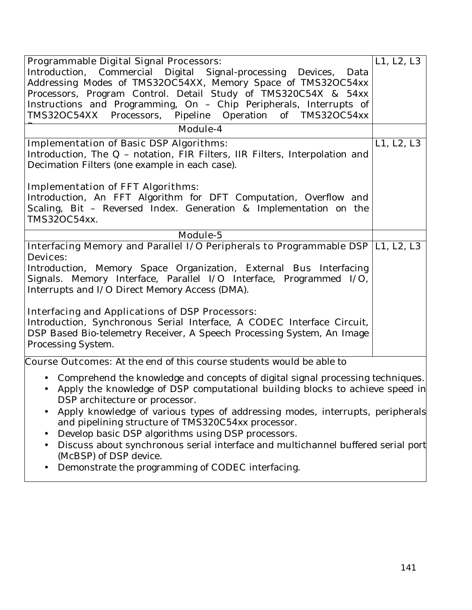| <b>Programmable Digital Signal Processors:</b><br>Introduction, Commercial Digital Signal-processing Devices,<br>Data<br>Addressing Modes of TMS32OC54XX, Memory Space of TMS32OC54xx<br>Processors, Program Control. Detail Study of TMS320C54X & 54xx<br>Instructions and Programming, On - Chip Peripherals, Interrupts of                                                                                                                                                                                                                                                                                                                                  | $\overline{L}$ 1, L2, L3 |
|----------------------------------------------------------------------------------------------------------------------------------------------------------------------------------------------------------------------------------------------------------------------------------------------------------------------------------------------------------------------------------------------------------------------------------------------------------------------------------------------------------------------------------------------------------------------------------------------------------------------------------------------------------------|--------------------------|
| TMS32OC54XX Processors, Pipeline Operation of TMS32OC54xx                                                                                                                                                                                                                                                                                                                                                                                                                                                                                                                                                                                                      |                          |
| <b>Module-4</b>                                                                                                                                                                                                                                                                                                                                                                                                                                                                                                                                                                                                                                                |                          |
| <b>Implementation of Basic DSP Algorithms:</b><br>Introduction, The Q - notation, FIR Filters, IIR Filters, Interpolation and<br>Decimation Filters (one example in each case).                                                                                                                                                                                                                                                                                                                                                                                                                                                                                | L1, L2, L3               |
| <b>Implementation of FFT Algorithms:</b><br>Introduction, An FFT Algorithm for DFT Computation, Overflow and<br>Scaling, Bit - Reversed Index. Generation & Implementation on the<br>TMS32OC54xx.                                                                                                                                                                                                                                                                                                                                                                                                                                                              |                          |
| Module-5                                                                                                                                                                                                                                                                                                                                                                                                                                                                                                                                                                                                                                                       |                          |
| Interfacing Memory and Parallel I/O Peripherals to Programmable DSP  L1, L2, L3<br><b>Devices:</b><br>Introduction, Memory Space Organization, External Bus Interfacing<br>Signals. Memory Interface, Parallel I/O Interface, Programmed I/O,<br>Interrupts and I/O Direct Memory Access (DMA).<br><b>Interfacing and Applications of DSP Processors:</b><br>Introduction, Synchronous Serial Interface, A CODEC Interface Circuit,<br>DSP Based Bio-telemetry Receiver, A Speech Processing System, An Image<br>Processing System.                                                                                                                            |                          |
| <b>Course Outcomes:</b> At the end of this course students would be able to<br>• Comprehend the knowledge and concepts of digital signal processing techniques.<br>Apply the knowledge of DSP computational building blocks to achieve speed in<br>$\bullet$<br>DSP architecture or processor.<br>Apply knowledge of various types of addressing modes, interrupts, peripherals<br>and pipelining structure of TMS320C54xx processor.<br>Develop basic DSP algorithms using DSP processors.<br>Discuss about synchronous serial interface and multichannel buffered serial port<br>(McBSP) of DSP device.<br>Demonstrate the programming of CODEC interfacing. |                          |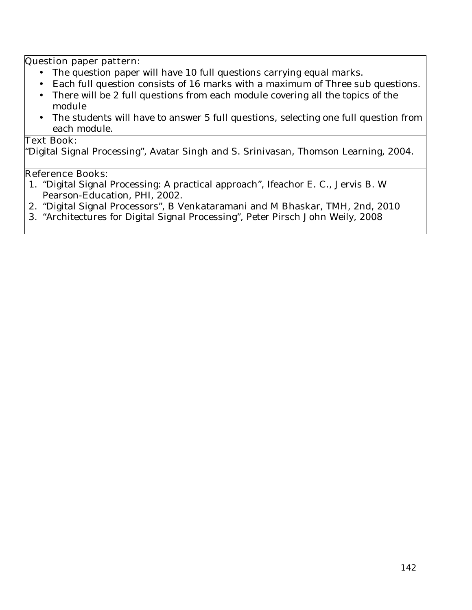#### **Question paper pattern:**

- The question paper will have 10 full questions carrying equal marks.
- Each full question consists of 16 marks with a maximum of Three sub questions.
- There will be 2 full questions from each module covering all the topics of the module
- The students will have to answer 5 full questions, selecting one full question from each module.

# **Text Book:**

"Digital Signal Processing", Avatar Singh and S. Srinivasan, Thomson Learning, 2004.

#### **Reference Books:**

- 1. "Digital Signal Processing: A practical approach", Ifeachor E. C., Jervis B. W Pearson-Education, PHI, 2002.
- 2. "Digital Signal Processors", B Venkataramani and M Bhaskar, TMH, 2nd, 2010
- 3. "Architectures for Digital Signal Processing", Peter Pirsch John Weily, 2008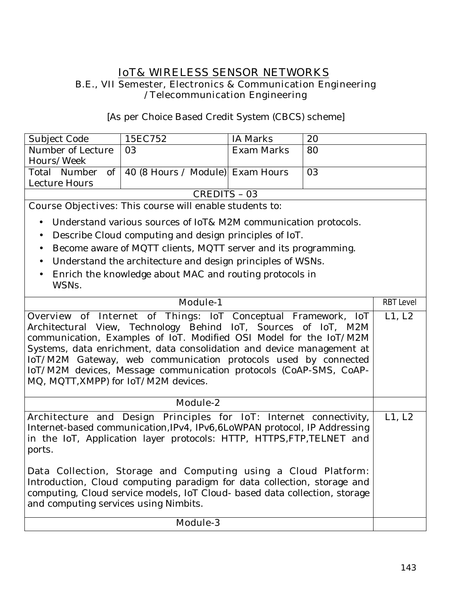# **IoT& WIRELESS SENSOR NETWORKS B.E., VII Semester, Electronics & Communication Engineering /Telecommunication Engineering**

[As per Choice Based Credit System (CBCS) scheme]

| Subject Code                                                   | 15EC752                                            | IA Marks   | 20 |  |  |
|----------------------------------------------------------------|----------------------------------------------------|------------|----|--|--|
| Number of Lecture                                              | 03                                                 | Exam Marks | 80 |  |  |
| Hours/Week                                                     |                                                    |            |    |  |  |
|                                                                | Total Number of   40 (8 Hours / Module) Exam Hours |            | 03 |  |  |
| Lecture Hours                                                  |                                                    |            |    |  |  |
| CREDITS - 03                                                   |                                                    |            |    |  |  |
| <b>Course Objectives:</b> This course will enable students to: |                                                    |            |    |  |  |

• Understand various sources of IoT& M2M communication protocols.

- Describe Cloud computing and design principles of IoT.
- Become aware of MQTT clients, MQTT server and its programming.
- Understand the architecture and design principles of WSNs.
- Enrich the knowledge about MAC and routing protocols in WSNs.

| <b>Module-1</b>                                                                                                                                                                                                                                                                                                                                                                                                                                                      |        |  |  |
|----------------------------------------------------------------------------------------------------------------------------------------------------------------------------------------------------------------------------------------------------------------------------------------------------------------------------------------------------------------------------------------------------------------------------------------------------------------------|--------|--|--|
| <b>Overview of Internet of Things:</b> IoT Conceptual Framework, IoT<br>Architectural View, Technology Behind IoT, Sources of IoT, M2M<br>communication, Examples of IoT. Modified OSI Model for the IoT/M2M<br>Systems, data enrichment, data consolidation and device management at<br>IoT/M2M Gateway, web communication protocols used by connected<br>IoT/M2M devices, Message communication protocols (CoAP-SMS, CoAP-<br>MQ, MQTT, XMPP) for IoT/M2M devices. | L1, L2 |  |  |
| Module-2                                                                                                                                                                                                                                                                                                                                                                                                                                                             |        |  |  |
| Architecture and Design Principles for IoT: Internet connectivity,<br>Internet-based communication, IPv4, IPv6, 6LoWPAN protocol, IP Addressing<br>in the IoT, Application layer protocols: HTTP, HTTPS, FTP, TELNET and<br>ports.                                                                                                                                                                                                                                   |        |  |  |
| Data Collection, Storage and Computing using a Cloud Platform:<br>Introduction, Cloud computing paradigm for data collection, storage and<br>computing, Cloud service models, IoT Cloud- based data collection, storage<br>and computing services using Nimbits.                                                                                                                                                                                                     |        |  |  |
| <b>Module-3</b>                                                                                                                                                                                                                                                                                                                                                                                                                                                      |        |  |  |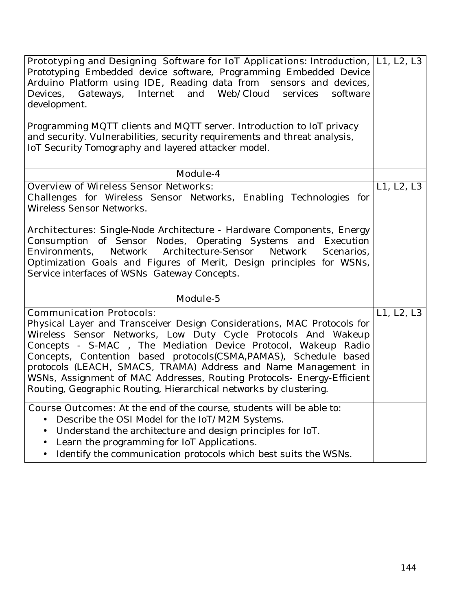| <b>Prototyping and Designing Software for IoT Applications:</b> Introduction,  L1, L2, L3                      |            |  |  |  |
|----------------------------------------------------------------------------------------------------------------|------------|--|--|--|
| Prototyping Embedded device software, Programming Embedded Device                                              |            |  |  |  |
| Arduino Platform using IDE, Reading data from sensors and devices,                                             |            |  |  |  |
| Devices, Gateways, Internet and Web/Cloud<br>services<br>software                                              |            |  |  |  |
| development.                                                                                                   |            |  |  |  |
|                                                                                                                |            |  |  |  |
| Programming MQTT clients and MQTT server. Introduction to IoT privacy                                          |            |  |  |  |
|                                                                                                                |            |  |  |  |
| and security. Vulnerabilities, security requirements and threat analysis,                                      |            |  |  |  |
| IoT Security Tomography and layered attacker model.                                                            |            |  |  |  |
|                                                                                                                |            |  |  |  |
| Module-4                                                                                                       |            |  |  |  |
| <b>Overview of Wireless Sensor Networks:</b>                                                                   | L1, L2, L3 |  |  |  |
| Challenges for Wireless Sensor Networks, Enabling Technologies for                                             |            |  |  |  |
| Wireless Sensor Networks.                                                                                      |            |  |  |  |
|                                                                                                                |            |  |  |  |
| Architectures: Single-Node Architecture - Hardware Components, Energy                                          |            |  |  |  |
| Consumption of Sensor Nodes, Operating Systems and Execution                                                   |            |  |  |  |
|                                                                                                                |            |  |  |  |
| Environments, Network Architecture-Sensor<br>Network<br>Scenarios,                                             |            |  |  |  |
| Optimization Goals and Figures of Merit, Design principles for WSNs,                                           |            |  |  |  |
| Service interfaces of WSNs Gateway Concepts.                                                                   |            |  |  |  |
|                                                                                                                |            |  |  |  |
| Module-5                                                                                                       |            |  |  |  |
| <b>Communication Protocols:</b>                                                                                | L1, L2, L3 |  |  |  |
| Physical Layer and Transceiver Design Considerations, MAC Protocols for                                        |            |  |  |  |
| Wireless Sensor Networks, Low Duty Cycle Protocols And Wakeup                                                  |            |  |  |  |
| Concepts - S-MAC , The Mediation Device Protocol, Wakeup Radio                                                 |            |  |  |  |
| Concepts, Contention based protocols(CSMA, PAMAS), Schedule based                                              |            |  |  |  |
|                                                                                                                |            |  |  |  |
| protocols (LEACH, SMACS, TRAMA) Address and Name Management in                                                 |            |  |  |  |
| WSNs, Assignment of MAC Addresses, Routing Protocols- Energy-Efficient                                         |            |  |  |  |
| Routing, Geographic Routing, Hierarchical networks by clustering.                                              |            |  |  |  |
|                                                                                                                |            |  |  |  |
|                                                                                                                |            |  |  |  |
| <b>Course Outcomes:</b> At the end of the course, students will be able to:                                    |            |  |  |  |
| Describe the OSI Model for the IoT/M2M Systems.                                                                |            |  |  |  |
| Understand the architecture and design principles for IoT.                                                     |            |  |  |  |
| Learn the programming for IoT Applications.<br>Identify the communication protocols which best suits the WSNs. |            |  |  |  |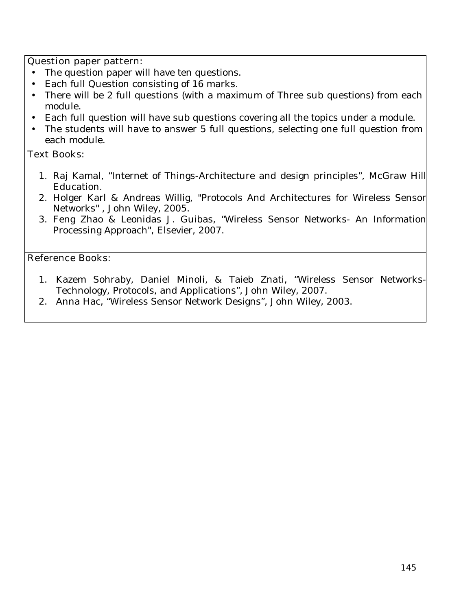### **Question paper pattern:**

- The question paper will have ten questions.
- Each full Question consisting of 16 marks.
- There will be 2 full questions (with a maximum of Three sub questions) from each module.
- Each full question will have sub questions covering all the topics under a module.
- The students will have to answer 5 full questions, selecting one full question from each module.

## **Text Books:**

- 1. Raj Kamal, "Internet of Things-Architecture and design principles", McGraw Hill Education.
- 2. Holger Karl & Andreas Willig, "Protocols And Architectures for Wireless Sensor Networks" , John Wiley, 2005.
- 3. Feng Zhao & Leonidas J. Guibas, "Wireless Sensor Networks- An Information Processing Approach", Elsevier, 2007.

### **Reference Books:**

- 1. Kazem Sohraby, Daniel Minoli, & Taieb Znati, "Wireless Sensor Networks-Technology, Protocols, and Applications", John Wiley, 2007.
- 2. Anna Hac, "Wireless Sensor Network Designs", John Wiley, 2003.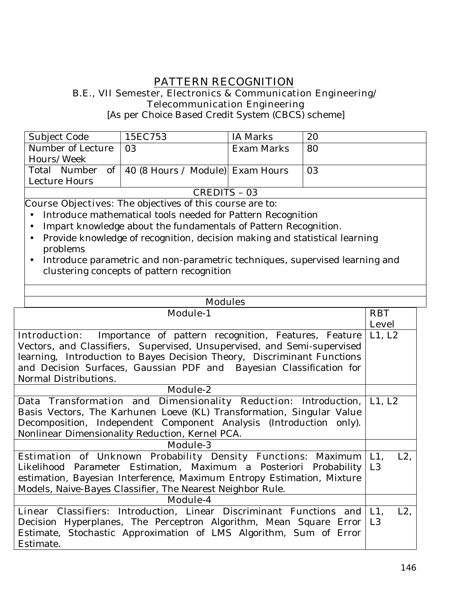# **PATTERN RECOGNITION**

#### **B.E., VII Semester, Electronics & Communication Engineering/ Telecommunication Engineering**

[As per Choice Based Credit System (CBCS) scheme]

| Subject Code      | 15EC753                                            | IA Marks   | 20 |  |
|-------------------|----------------------------------------------------|------------|----|--|
| Number of Lecture | $\overline{03}$                                    | Exam Marks | 80 |  |
| Hours/Week        |                                                    |            |    |  |
|                   | Total Number of   40 (8 Hours / Module) Exam Hours |            | 03 |  |
| Lecture Hours     |                                                    |            |    |  |
| CREDITS – 03      |                                                    |            |    |  |

**Course Objectives:** The objectives of this course are to:

- Introduce mathematical tools needed for Pattern Recognition
- Impart knowledge about the fundamentals of Pattern Recognition.
- Provide knowledge of recognition, decision making and statistical learning problems
- Introduce parametric and non-parametric techniques, supervised learning and clustering concepts of pattern recognition

| <b>Modules</b>                                                                                                                                                                                                                                                                                                                  |                                    |
|---------------------------------------------------------------------------------------------------------------------------------------------------------------------------------------------------------------------------------------------------------------------------------------------------------------------------------|------------------------------------|
| <b>Module-1</b>                                                                                                                                                                                                                                                                                                                 | <b>RBT</b>                         |
|                                                                                                                                                                                                                                                                                                                                 | <b>Level</b>                       |
| <b>Introduction:</b> Importance of pattern recognition, Features, Feature<br>Vectors, and Classifiers, Supervised, Unsupervised, and Semi-supervised<br>learning, Introduction to Bayes Decision Theory, Discriminant Functions<br>and Decision Surfaces, Gaussian PDF and Bayesian Classification for<br>Normal Distributions. | L1, L2                             |
| <b>Module-2</b>                                                                                                                                                                                                                                                                                                                 |                                    |
| Data Transformation and Dimensionality Reduction: Introduction,<br>Basis Vectors, The Karhunen Loeve (KL) Transformation, Singular Value<br>Decomposition, Independent Component Analysis (Introduction only).<br>Nonlinear Dimensionality Reduction, Kernel PCA.                                                               | $\lfloor L1, L2 \rfloor$           |
| Module-3                                                                                                                                                                                                                                                                                                                        |                                    |
| <b>Estimation of Unknown Probability Density Functions:</b> Maximum<br>Likelihood Parameter Estimation, Maximum a Posteriori Probability<br>estimation, Bayesian Interference, Maximum Entropy Estimation, Mixture<br>Models, Naive-Bayes Classifier, The Nearest Neighbor Rule.                                                | $L1$ .<br>$L2$ .<br>L <sub>3</sub> |
| Module-4                                                                                                                                                                                                                                                                                                                        |                                    |
| <b>Linear Classifiers:</b> Introduction, Linear Discriminant Functions and<br>Decision Hyperplanes, The Perceptron Algorithm, Mean Square Error<br>Estimate, Stochastic Approximation of LMS Algorithm, Sum of Error<br>Estimate.                                                                                               | $L1$ ,<br>$L2$ .<br>L <sub>3</sub> |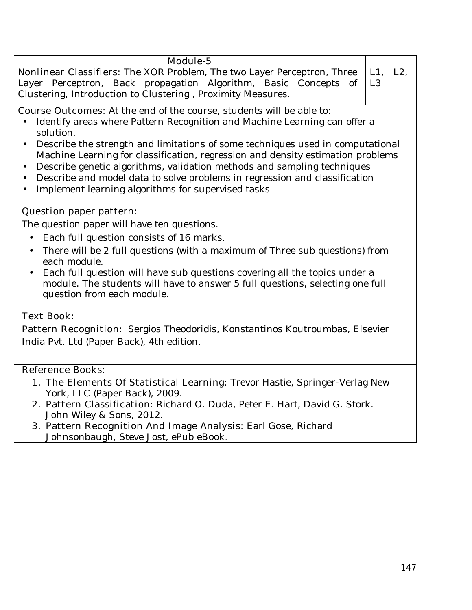| <b>Module-5</b>                                                                                                                                                                                                                                                                                                                                                                                                                                                                                                                                                                                               |                                    |  |
|---------------------------------------------------------------------------------------------------------------------------------------------------------------------------------------------------------------------------------------------------------------------------------------------------------------------------------------------------------------------------------------------------------------------------------------------------------------------------------------------------------------------------------------------------------------------------------------------------------------|------------------------------------|--|
| <b>Nonlinear Classifiers:</b> The XOR Problem, The two Layer Perceptron, Three<br>Layer Perceptron, Back propagation Algorithm, Basic Concepts of<br>Clustering, Introduction to Clustering, Proximity Measures.                                                                                                                                                                                                                                                                                                                                                                                              | $L1$ ,<br>$L2$ ,<br>L <sub>3</sub> |  |
| <b>Course Outcomes:</b> At the end of the course, students will be able to:<br>Identify areas where Pattern Recognition and Machine Learning can offer a<br>solution.<br>Describe the strength and limitations of some techniques used in computational<br>$\bullet$<br>Machine Learning for classification, regression and density estimation problems<br>Describe genetic algorithms, validation methods and sampling techniques<br>$\bullet$<br>Describe and model data to solve problems in regression and classification<br>$\bullet$<br>Implement learning algorithms for supervised tasks<br>$\bullet$ |                                    |  |
| <b>Question paper pattern:</b>                                                                                                                                                                                                                                                                                                                                                                                                                                                                                                                                                                                |                                    |  |
| The question paper will have ten questions.                                                                                                                                                                                                                                                                                                                                                                                                                                                                                                                                                                   |                                    |  |
| Each full question consists of 16 marks.<br>$\bullet$<br>There will be 2 full questions (with a maximum of Three sub questions) from<br>$\bullet$<br>each module.<br>Each full question will have sub questions covering all the topics under a<br>$\bullet$<br>module. The students will have to answer 5 full questions, selecting one full<br>question from each module.                                                                                                                                                                                                                                   |                                    |  |
| <b>Text Book:</b>                                                                                                                                                                                                                                                                                                                                                                                                                                                                                                                                                                                             |                                    |  |
| Pattern Recognition: Sergios Theodoridis, Konstantinos Koutroumbas, Elsevier<br>India Pvt. Ltd (Paper Back), 4th edition.                                                                                                                                                                                                                                                                                                                                                                                                                                                                                     |                                    |  |
| <b>Reference Books:</b>                                                                                                                                                                                                                                                                                                                                                                                                                                                                                                                                                                                       |                                    |  |
| <b>1. The Elements Of Statistical Learning:</b> Trevor Hastie, Springer-Verlag New                                                                                                                                                                                                                                                                                                                                                                                                                                                                                                                            |                                    |  |
| York, LLC (Paper Back), 2009.<br>2. Pattern Classification: Richard O. Duda, Peter E. Hart, David G. Stork.<br>John Wiley & Sons, 2012.                                                                                                                                                                                                                                                                                                                                                                                                                                                                       |                                    |  |
| 3. Pattern Recognition And Image Analysis: Earl Gose, Richard<br>Johnsonbaugh, Steve Jost, ePub eBook.                                                                                                                                                                                                                                                                                                                                                                                                                                                                                                        |                                    |  |
|                                                                                                                                                                                                                                                                                                                                                                                                                                                                                                                                                                                                               |                                    |  |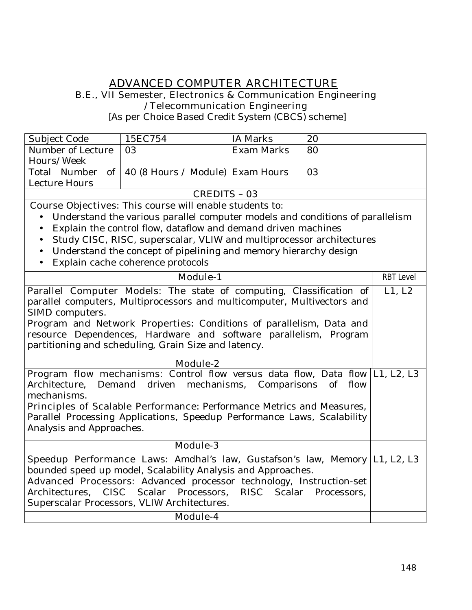# **ADVANCED COMPUTER ARCHITECTURE**

#### **B.E., VII Semester, Electronics & Communication Engineering /Telecommunication Engineering**

[As per Choice Based Credit System (CBCS) scheme]

| Subject Code      | 15EC754                                            | IA Marks   | 20 |  |
|-------------------|----------------------------------------------------|------------|----|--|
| Number of Lecture | $\overline{03}$                                    | Exam Marks | 80 |  |
| Hours/Week        |                                                    |            |    |  |
|                   | Total Number of   40 (8 Hours / Module) Exam Hours |            | 03 |  |
| Lecture Hours     |                                                    |            |    |  |
| CREDITS - 03      |                                                    |            |    |  |

**Course Objectives:** This course will enable students to:

- Understand the various parallel computer models and conditions of parallelism
- Explain the control flow, dataflow and demand driven machines
- Study CISC, RISC, superscalar, VLIW and multiprocessor architectures
- Understand the concept of pipelining and memory hierarchy design
- Explain cache coherence protocols

| <b>Module-1</b>                                                                                                                                                                                                                                                                                                                                           | <b>RBT Level</b> |
|-----------------------------------------------------------------------------------------------------------------------------------------------------------------------------------------------------------------------------------------------------------------------------------------------------------------------------------------------------------|------------------|
| <b>Parallel Computer Models:</b> The state of computing, Classification of<br>parallel computers, Multiprocessors and multicomputer, Multivectors and<br>SIMD computers.                                                                                                                                                                                  | L1, L2           |
| <b>Program and Network Properties:</b> Conditions of parallelism, Data and<br>resource Dependences, Hardware and software parallelism, Program<br>partitioning and scheduling, Grain Size and latency.                                                                                                                                                    |                  |
| Module-2                                                                                                                                                                                                                                                                                                                                                  |                  |
| <b>Program flow mechanisms:</b> Control flow versus data flow, Data flow  L1, L2, L3<br>Architecture, Demand driven mechanisms, Comparisons of flow<br>mechanisms.<br><b>Principles of Scalable Performance: Performance Metrics and Measures,</b><br>Parallel Processing Applications, Speedup Performance Laws, Scalability<br>Analysis and Approaches. |                  |
| <b>Module-3</b>                                                                                                                                                                                                                                                                                                                                           |                  |
| <b>Speedup Performance Laws:</b> Amdhal's law, Gustafson's law, Memory [L1, L2, L3<br>bounded speed up model, Scalability Analysis and Approaches.<br>Advanced Processors: Advanced processor technology, Instruction-set<br>Architectures, CISC Scalar Processors, RISC Scalar Processors,<br>Superscalar Processors, VLIW Architectures.                |                  |
| <b>Module-4</b>                                                                                                                                                                                                                                                                                                                                           |                  |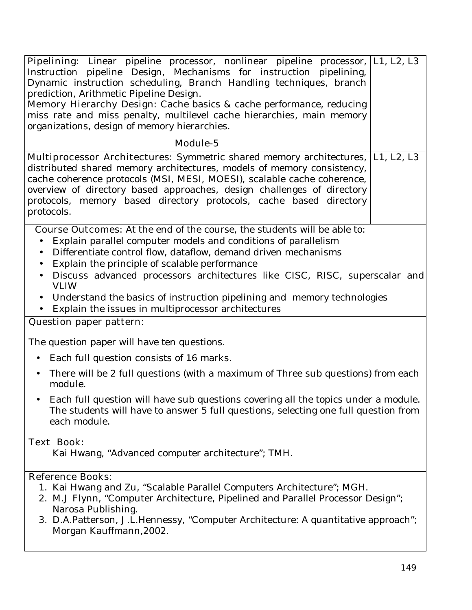| Pipelining: Linear pipeline processor, nonlinear pipeline processor,  L1, L2, L3<br>Instruction pipeline Design, Mechanisms for instruction pipelining,<br>Dynamic instruction scheduling, Branch Handling techniques, branch<br>prediction, Arithmetic Pipeline Design.<br><b>Memory Hierarchy Design:</b> Cache basics & cache performance, reducing<br>miss rate and miss penalty, multilevel cache hierarchies, main memory<br>organizations, design of memory hierarchies. |  |
|---------------------------------------------------------------------------------------------------------------------------------------------------------------------------------------------------------------------------------------------------------------------------------------------------------------------------------------------------------------------------------------------------------------------------------------------------------------------------------|--|
| Module-5                                                                                                                                                                                                                                                                                                                                                                                                                                                                        |  |
| <b>Multiprocessor Architectures:</b> Symmetric shared memory architectures, [L1, L2, L3<br>distributed shared memory architectures, models of memory consistency,<br>cache coherence protocols (MSI, MESI, MOESI), scalable cache coherence,<br>overview of directory based approaches, design challenges of directory<br>protocols, memory based directory protocols, cache based directory<br>protocols.                                                                      |  |
| <b>Course Outcomes:</b> At the end of the course, the students will be able to:                                                                                                                                                                                                                                                                                                                                                                                                 |  |
| Explain parallel computer models and conditions of parallelism<br>Differentiate control flow, dataflow, demand driven mechanisms<br>Explain the principle of scalable performance<br>Discuss advanced processors architectures like CISC, RISC, superscalar and<br>$\bullet$<br><b>VLIW</b>                                                                                                                                                                                     |  |
| Understand the basics of instruction pipelining and memory technologies<br>Explain the issues in multiprocessor architectures                                                                                                                                                                                                                                                                                                                                                   |  |
| <b>Question paper pattern:</b>                                                                                                                                                                                                                                                                                                                                                                                                                                                  |  |
| The question paper will have ten questions.                                                                                                                                                                                                                                                                                                                                                                                                                                     |  |
| Each full question consists of 16 marks.<br>$\bullet$                                                                                                                                                                                                                                                                                                                                                                                                                           |  |
| There will be 2 full questions (with a maximum of Three sub questions) from each<br>$\bullet$<br>module.                                                                                                                                                                                                                                                                                                                                                                        |  |
| Each full question will have sub questions covering all the topics under a module.<br>The students will have to answer 5 full questions, selecting one full question from<br>each module.                                                                                                                                                                                                                                                                                       |  |
| <b>Text Book:</b>                                                                                                                                                                                                                                                                                                                                                                                                                                                               |  |
| Kai Hwang, "Advanced computer architecture"; TMH.                                                                                                                                                                                                                                                                                                                                                                                                                               |  |
| <b>Reference Books:</b>                                                                                                                                                                                                                                                                                                                                                                                                                                                         |  |
| 1. Kai Hwang and Zu, "Scalable Parallel Computers Architecture"; MGH.<br>2. M.J Flynn, "Computer Architecture, Pipelined and Parallel Processor Design";<br>Narosa Publishing.                                                                                                                                                                                                                                                                                                  |  |
| 3. D.A.Patterson, J.L.Hennessy, "Computer Architecture: A quantitative approach";                                                                                                                                                                                                                                                                                                                                                                                               |  |

Morgan Kauffmann,2002.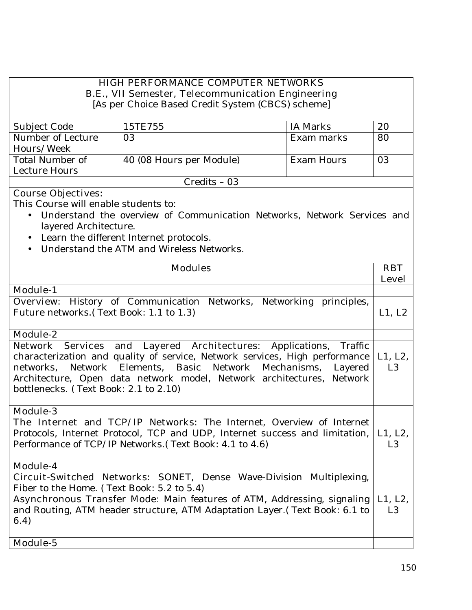# **HIGH PERFORMANCE COMPUTER NETWORKS B.E., VII Semester, Telecommunication Engineering**

[As per Choice Based Credit System (CBCS) scheme]

| Subject Code      | 15TE755                  | IA Marks   | 20 |
|-------------------|--------------------------|------------|----|
| Number of Lecture | 03                       | Exam marks | 80 |
| Hours/Week        |                          |            |    |
| Total Number of   | 40 (08 Hours per Module) | Exam Hours | 03 |
| Lecture Hours     |                          |            |    |
| $Credits - 03$    |                          |            |    |

# **Course Objectives:**

This Course will enable students to:

- Understand the overview of Communication Networks, Network Services and layered Architecture.
- Learn the different Internet protocols.
- Understand the ATM and Wireless Networks.

| <b>Modules</b>                                                                 | <b>RBT</b>     |
|--------------------------------------------------------------------------------|----------------|
|                                                                                | <b>Level</b>   |
| <b>Module-1</b>                                                                |                |
| <b>Overview:</b> History of Communication Networks, Networking principles,     |                |
| Future networks. (Text Book: 1.1 to 1.3)                                       | L1, L2         |
|                                                                                |                |
| <b>Module-2</b>                                                                |                |
| Network Services and Layered Architectures: Applications, Traffic              |                |
| characterization and quality of service, Network services, High performance    | L1, L2,        |
| Network Elements, Basic Network Mechanisms,<br>networks,<br>Layered            | L <sub>3</sub> |
| Architecture, Open data network model, Network architectures, Network          |                |
| bottlenecks. (Text Book: 2.1 to 2.10)                                          |                |
|                                                                                |                |
| <b>Module-3</b>                                                                |                |
| The Internet and TCP/IP Networks: The Internet, Overview of Internet           |                |
| Protocols, Internet Protocol, TCP and UDP, Internet success and limitation,    | L1, L2,        |
| Performance of TCP/IP Networks. (Text Book: 4.1 to 4.6)                        | L <sub>3</sub> |
|                                                                                |                |
| <b>Module-4</b>                                                                |                |
| Circuit-Switched Networks: SONET, Dense Wave-Division Multiplexing,            |                |
| Fiber to the Home. (Text Book: 5.2 to 5.4)                                     |                |
| <b>Asynchronous Transfer Mode:</b> Main features of ATM, Addressing, signaling | L1, L2,        |
| and Routing, ATM header structure, ATM Adaptation Layer. (Text Book: 6.1 to    | L <sub>3</sub> |
| (6.4)                                                                          |                |
|                                                                                |                |
| Module-5                                                                       |                |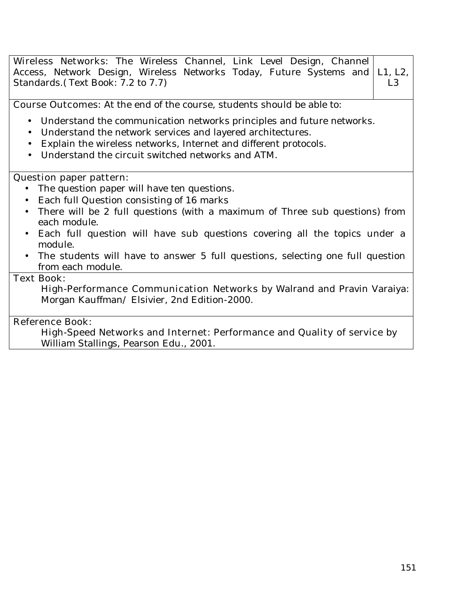| Wireless Networks: The Wireless Channel, Link Level Design, Channel<br>Access, Network Design, Wireless Networks Today, Future Systems and<br>L1, L2,<br>Standards. (Text Book: 7.2 to 7.7)<br>L <sub>3</sub>                                                                                                                                                                                                               |
|-----------------------------------------------------------------------------------------------------------------------------------------------------------------------------------------------------------------------------------------------------------------------------------------------------------------------------------------------------------------------------------------------------------------------------|
| <b>Course Outcomes:</b> At the end of the course, students should be able to:                                                                                                                                                                                                                                                                                                                                               |
| • Understand the communication networks principles and future networks.<br>Understand the network services and layered architectures.<br>$\bullet$<br>Explain the wireless networks, Internet and different protocols.<br>Understand the circuit switched networks and ATM.                                                                                                                                                 |
| <b>Question paper pattern:</b><br>The question paper will have ten questions.<br>Each full Question consisting of 16 marks<br>There will be 2 full questions (with a maximum of Three sub questions) from<br>each module.<br>Each full question will have sub questions covering all the topics under a<br>module.<br>• The students will have to answer 5 full questions, selecting one full question<br>from each module. |
| <b>Text Book:</b><br>High-Performance Communication Networks by Walrand and Pravin Varaiya:<br>Morgan Kauffman/ Elsivier, 2nd Edition-2000.                                                                                                                                                                                                                                                                                 |
| <b>Reference Book:</b><br>High-Speed Networks and Internet: Performance and Quality of service by                                                                                                                                                                                                                                                                                                                           |

William Stallings, Pearson Edu., 2001.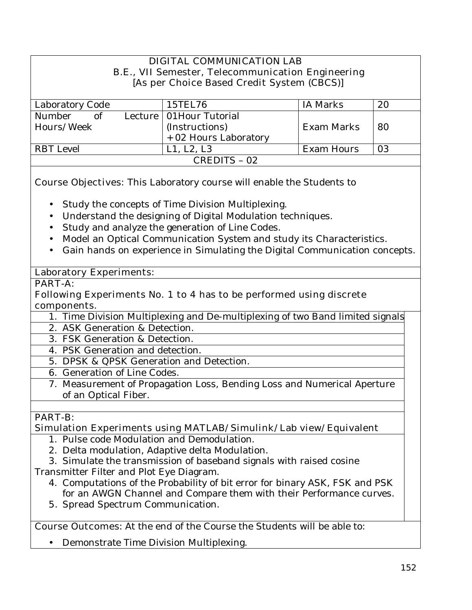## **DIGITAL COMMUNICATION LAB B.E., VII Semester, Telecommunication Engineering [As per Choice Based Credit System (CBCS)]**

| Laboratory Code | 15TEL76                    | IA Marks   | 20 |
|-----------------|----------------------------|------------|----|
| Number<br>∩t    | Lecture   01 Hour Tutorial |            |    |
| Hours/Week      | (Instructions)             | Exam Marks | 80 |
|                 | + 02 Hours Laboratory      |            |    |
| RBT Level       | L1, L2, L3                 | Exam Hours | 03 |
| CREDITS - 02    |                            |            |    |

**Course Objectives:** This Laboratory course will enable the Students to

- Study the concepts of Time Division Multiplexing.
- Understand the designing of Digital Modulation techniques.
- Study and analyze the generation of Line Codes.
- Model an Optical Communication System and study its Characteristics.
- Gain hands on experience in Simulating the Digital Communication concepts.

### **Laboratory Experiments:**

## **PART-A:**

### **Following Experiments No. 1 to 4 has to be performed using discrete components.**

- 1. Time Division Multiplexing and De-multiplexing of two Band limited signals.
- 2. ASK Generation & Detection.
- 3. FSK Generation & Detection.
- 4. PSK Generation and detection.
- 5. DPSK & QPSK Generation and Detection.
- 6. Generation of Line Codes.
	- 7. Measurement of Propagation Loss, Bending Loss and Numerical Aperture of an Optical Fiber.

# **PART-B:**

## **Simulation Experiments using MATLAB/Simulink/Lab view/Equivalent**

- 1. Pulse code Modulation and Demodulation.
- 2. Delta modulation, Adaptive delta Modulation.
- 3. Simulate the transmission of baseband signals with raised cosine
- Transmitter Filter and Plot Eye Diagram.
	- 4. Computations of the Probability of bit error for binary ASK, FSK and PSK for an AWGN Channel and Compare them with their Performance curves.
	- **5.** Spread Spectrum Communication.

**Course Outcomes**: At the end of the Course the Students will be able to:

• Demonstrate Time Division Multiplexing.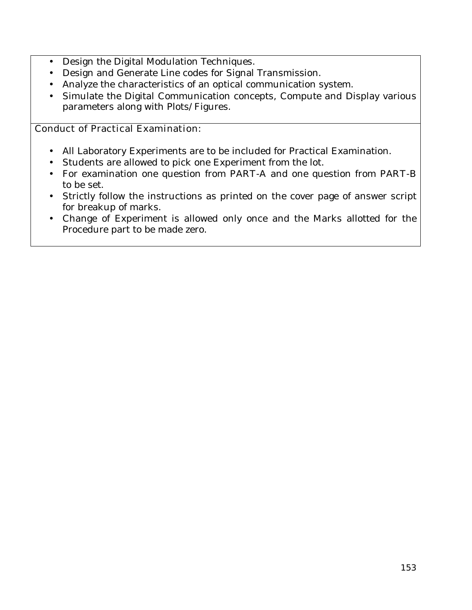- Design the Digital Modulation Techniques.
- Design and Generate Line codes for Signal Transmission.
- Analyze the characteristics of an optical communication system.
- Simulate the Digital Communication concepts, Compute and Display various parameters along with Plots/Figures.

### **Conduct of Practical Examination:**

- All Laboratory Experiments are to be included for Practical Examination.
- Students are allowed to pick one Experiment from the lot.
- For examination one question from **PART-A** and one question from **PART-B**  to be set.
- Strictly follow the instructions as printed on the cover page of answer script for breakup of marks.
- Change of Experiment is allowed only once and the Marks allotted for the Procedure part to be made zero.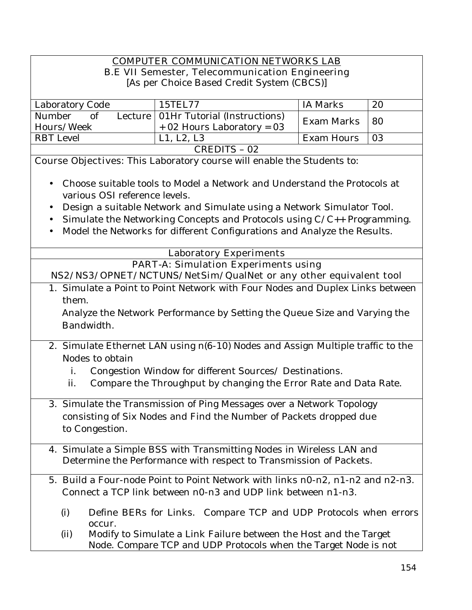# **COMPUTER COMMUNICATION NETWORKS LAB**

# **B.E VII Semester, Telecommunication Engineering**

[As per Choice Based Credit System (CBCS)]

| Laboratory Code | 15TEL77                                | IA Marks        | 20             |
|-----------------|----------------------------------------|-----------------|----------------|
| Number<br>of    | Lecture   01Hr Tutorial (Instructions) | Exam Marks   80 |                |
| Hours/Week      | + 02 Hours Laboratory = $03$           |                 |                |
| RBT Level       | L1, L2, L3                             | Exam Hours      | $\overline{0}$ |
| CREDITS - 02    |                                        |                 |                |

**Course Objectives:** This Laboratory course will enable the Students to:

- Choose suitable tools to Model a Network and Understand the Protocols at various OSI reference levels.
- Design a suitable Network and Simulate using a Network Simulator Tool.
- Simulate the Networking Concepts and Protocols using C/C++ Programming.
- Model the Networks for different Configurations and Analyze the Results.

|       | <b>Laboratory Experiments</b>                                                                                                        |
|-------|--------------------------------------------------------------------------------------------------------------------------------------|
|       | <b>PART-A: Simulation Experiments using</b>                                                                                          |
|       | NS2/NS3/OPNET/NCTUNS/NetSim/QualNet or any other equivalent tool                                                                     |
|       | 1. Simulate a Point to Point Network with Four Nodes and Duplex Links between                                                        |
| them. |                                                                                                                                      |
|       | Analyze the Network Performance by Setting the Queue Size and Varying the                                                            |
|       | Bandwidth.                                                                                                                           |
|       |                                                                                                                                      |
|       | 2. Simulate Ethernet LAN using n(6-10) Nodes and Assign Multiple traffic to the                                                      |
|       | Nodes to obtain                                                                                                                      |
| i.    | Congestion Window for different Sources/ Destinations.                                                                               |
| ii.   | Compare the Throughput by changing the Error Rate and Data Rate.                                                                     |
|       |                                                                                                                                      |
|       | 3. Simulate the Transmission of Ping Messages over a Network Topology                                                                |
|       | consisting of Six Nodes and Find the Number of Packets dropped due                                                                   |
|       | to Congestion.                                                                                                                       |
|       | 4. Simulate a Simple BSS with Transmitting Nodes in Wireless LAN and                                                                 |
|       | Determine the Performance with respect to Transmission of Packets.                                                                   |
|       |                                                                                                                                      |
|       | 5. Build a Four-node Point to Point Network with links n0-n2, n1-n2 and n2-n3.                                                       |
|       | Connect a TCP link between n0-n3 and UDP link between n1-n3.                                                                         |
|       |                                                                                                                                      |
| (i)   | Define BERs for Links. Compare TCP and UDP Protocols when errors<br>occur.                                                           |
| (ii)  |                                                                                                                                      |
|       | Modify to Simulate a Link Failure between the Host and the Target<br>Node. Compare TCP and UDP Protocols when the Target Node is not |
|       |                                                                                                                                      |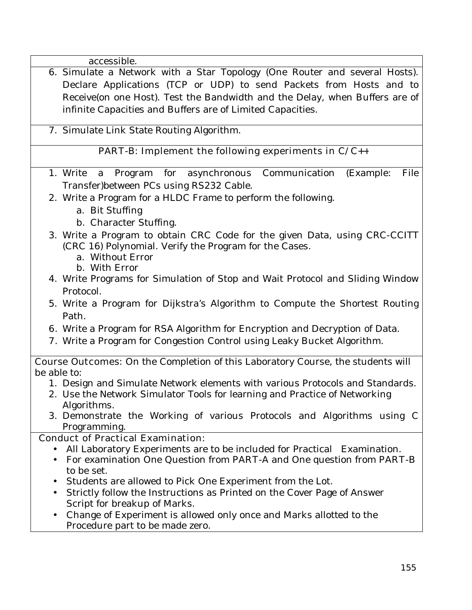accessible.

- 6. Simulate a Network with a Star Topology (One Router and several Hosts). Declare Applications (TCP or UDP) to send Packets from Hosts and to Receive(on one Host). Test the Bandwidth and the Delay, when Buffers are of infinite Capacities and Buffers are of Limited Capacities.
	- 7. Simulate Link State Routing Algorithm.

## **PART-B: Implement the following experiments in C/C++**

- 1. Write a Program for asynchronous Communication (Example: File Transfer)between PCs using RS232 Cable.
- 2. Write a Program for a HLDC Frame to perform the following.
	- a. Bit Stuffing
	- b. Character Stuffing.
- 3. Write a Program to obtain CRC Code for the given Data, using CRC-CCITT (CRC 16) Polynomial. Verify the Program for the Cases.
	- a. Without Error
	- b. With Error
- 4. Write Programs for Simulation of Stop and Wait Protocol and Sliding Window Protocol.
- 5. Write a Program for Dijkstra's Algorithm to Compute the Shortest Routing Path.
- **6.** Write a Program for RSA Algorithm for Encryption and Decryption of Data.
- **7.** Write a Program for Congestion Control using Leaky Bucket Algorithm.

**Course Outcomes:** On the Completion of this Laboratory Course, the students will be able to:

- 1. Design and Simulate Network elements with various Protocols and Standards.
- 2. Use the Network Simulator Tools for learning and Practice of Networking Algorithms.
- 3. Demonstrate the Working of various Protocols and Algorithms using C Programming.

# **Conduct of Practical Examination:**

- All Laboratory Experiments are to be included for Practical Examination.
- For examination One Question from **PART-A** and One question from **PART-B** to be set.
- Students are allowed to Pick One Experiment from the Lot.
- Strictly follow the Instructions as Printed on the Cover Page of Answer Script for breakup of Marks.
- Change of Experiment is allowed only once and Marks allotted to the Procedure part to be made zero.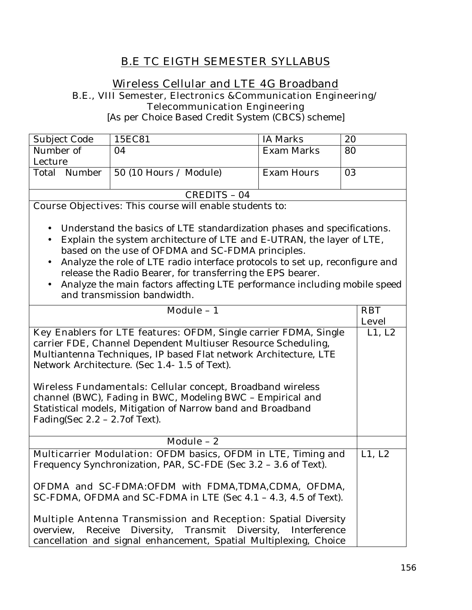# **B.E TC EIGTH SEMESTER SYLLABUS**

# **Wireless Cellular and LTE 4G Broadband B.E., VIII Semester, Electronics &Communication Engineering/**

**Telecommunication Engineering** 

[As per Choice Based Credit System (CBCS) scheme]

| Subject Code | 15EC81                         | IA Marks   | 20 |
|--------------|--------------------------------|------------|----|
| Number of    | 04                             | Exam Marks | 80 |
| Lecture      |                                |            |    |
| Total Number | $\vert$ 50 (10 Hours / Module) | Exam Hours | 03 |
|              |                                |            |    |
| CREDITS - 04 |                                |            |    |

**Course Objectives:** This course will enable students to:

- Understand the basics of LTE standardization phases and specifications.
- Explain the system architecture of LTE and E-UTRAN, the layer of LTE, based on the use of OFDMA and SC-FDMA principles.
- Analyze the role of LTE radio interface protocols to set up, reconfigure and release the Radio Bearer, for transferring the EPS bearer.
- Analyze the main factors affecting LTE performance including mobile speed and transmission bandwidth.

| Module - 1                                                                                                                                                                                                                          | <b>RBT</b>   |
|-------------------------------------------------------------------------------------------------------------------------------------------------------------------------------------------------------------------------------------|--------------|
|                                                                                                                                                                                                                                     |              |
|                                                                                                                                                                                                                                     | <b>Level</b> |
| Key Enablers for LTE features: OFDM, Single carrier FDMA, Single                                                                                                                                                                    | L1, L2       |
| carrier FDE, Channel Dependent Multiuser Resource Scheduling,                                                                                                                                                                       |              |
| Multiantenna Techniques, IP based Flat network Architecture, LTE                                                                                                                                                                    |              |
| Network Architecture. (Sec 1.4-1.5 of Text).                                                                                                                                                                                        |              |
|                                                                                                                                                                                                                                     |              |
| <b>Wireless Fundamentals:</b> Cellular concept, Broadband wireless<br>channel (BWC), Fading in BWC, Modeling BWC - Empirical and<br>Statistical models, Mitigation of Narrow band and Broadband<br>Fading(Sec $2.2 - 2.7$ of Text). |              |
| Module $-2$                                                                                                                                                                                                                         |              |
| <b>Multicarrier Modulation:</b> OFDM basics, OFDM in LTE, Timing and                                                                                                                                                                | L1, L2       |
| Frequency Synchronization, PAR, SC-FDE (Sec 3.2 - 3.6 of Text).                                                                                                                                                                     |              |
|                                                                                                                                                                                                                                     |              |
| <b>OFDMA and SC-FDMA:</b> OFDM with FDMA,TDMA,CDMA, OFDMA,                                                                                                                                                                          |              |
| SC-FDMA, OFDMA and SC-FDMA in LTE (Sec 4.1 - 4.3, 4.5 of Text).                                                                                                                                                                     |              |
|                                                                                                                                                                                                                                     |              |
| <b>Multiple Antenna Transmission and Reception:</b> Spatial Diversity<br>overview, Receive Diversity, Transmit Diversity, Interference<br>cancellation and signal enhancement, Spatial Multiplexing, Choice                         |              |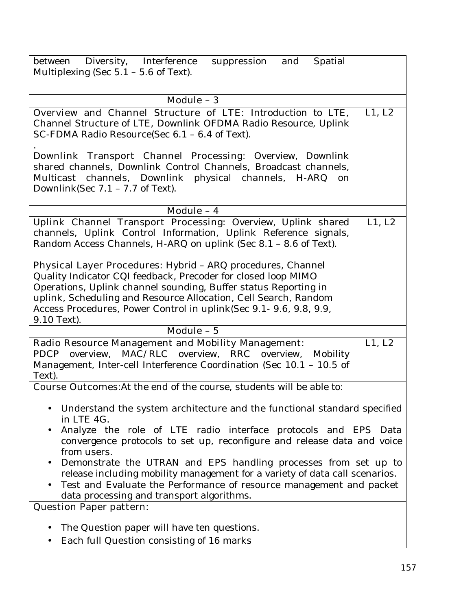| between Diversity, Interference<br>suppression<br>and<br>Spatial<br>Multiplexing (Sec $5.1 - 5.6$ of Text).                                                                                                                                                                                                                                                                                                                                                                                                                                                    |        |
|----------------------------------------------------------------------------------------------------------------------------------------------------------------------------------------------------------------------------------------------------------------------------------------------------------------------------------------------------------------------------------------------------------------------------------------------------------------------------------------------------------------------------------------------------------------|--------|
| Module - 3                                                                                                                                                                                                                                                                                                                                                                                                                                                                                                                                                     |        |
| Overview and Channel Structure of LTE: Introduction to LTE,<br>Channel Structure of LTE, Downlink OFDMA Radio Resource, Uplink<br>SC-FDMA Radio Resource(Sec 6.1 - 6.4 of Text).                                                                                                                                                                                                                                                                                                                                                                               | L1, L2 |
| Downlink Transport Channel Processing: Overview, Downlink<br>shared channels, Downlink Control Channels, Broadcast channels,<br>Multicast channels, Downlink physical channels, H-ARQ<br>on<br>Downlink(Sec $7.1 - 7.7$ of Text).                                                                                                                                                                                                                                                                                                                              |        |
| Module - 4                                                                                                                                                                                                                                                                                                                                                                                                                                                                                                                                                     |        |
| Uplink Channel Transport Processing: Overview, Uplink shared<br>channels, Uplink Control Information, Uplink Reference signals,<br>Random Access Channels, H-ARQ on uplink (Sec 8.1 - 8.6 of Text).<br>Physical Layer Procedures: Hybrid - ARQ procedures, Channel<br>Quality Indicator CQI feedback, Precoder for closed loop MIMO<br>Operations, Uplink channel sounding, Buffer status Reporting in<br>uplink, Scheduling and Resource Allocation, Cell Search, Random<br>Access Procedures, Power Control in uplink(Sec 9.1- 9.6, 9.8, 9.9,<br>9.10 Text). | L1, L2 |
| Module - 5                                                                                                                                                                                                                                                                                                                                                                                                                                                                                                                                                     |        |
| <b>Radio Resource Management and Mobility Management:</b><br>MAC/RLC overview, RRC<br><b>PDCP</b><br>overview,<br>overview,<br>Mobility<br>Management, Inter-cell Interference Coordination (Sec 10.1 - 10.5 of<br>Text).                                                                                                                                                                                                                                                                                                                                      | L1, L2 |
| <b>Course Outcomes:</b> At the end of the course, students will be able to:                                                                                                                                                                                                                                                                                                                                                                                                                                                                                    |        |
| Understand the system architecture and the functional standard specified<br>in LTE 4G.<br>Analyze the role of LTE radio interface protocols and EPS Data<br>convergence protocols to set up, reconfigure and release data and voice<br>from users.<br>Demonstrate the UTRAN and EPS handling processes from set up to<br>release including mobility management for a variety of data call scenarios.<br>Test and Evaluate the Performance of resource management and packet<br>data processing and transport algorithms.<br><b>Question Paper pattern:</b>     |        |
| The Question paper will have ten questions.                                                                                                                                                                                                                                                                                                                                                                                                                                                                                                                    |        |
| Each full Question consisting of 16 marks                                                                                                                                                                                                                                                                                                                                                                                                                                                                                                                      |        |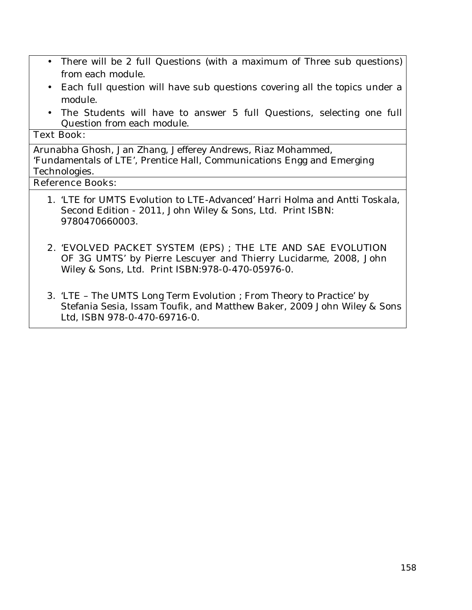- There will be 2 full Questions (with a maximum of Three sub questions) from each module.
- Each full question will have sub questions covering all the topics under a module.
- The Students will have to answer 5 full Questions, selecting one full Question from each module.

#### **Text Book:**

Arunabha Ghosh, Jan Zhang, Jefferey Andrews, Riaz Mohammed, 'Fundamentals of LTE', Prentice Hall, Communications Engg and Emerging Technologies.

# **Reference Books:**

- 1. 'LTE for UMTS Evolution to LTE-Advanced' Harri Holma and Antti Toskala, Second Edition - 2011, John Wiley & Sons, Ltd. Print ISBN: 9780470660003.
- **2.** 'EVOLVED PACKET SYSTEM (EPS) ; THE LTE AND SAE EVOLUTION OF 3G UMTS' by Pierre Lescuyer and Thierry Lucidarme, 2008, John Wiley & Sons, Ltd. Print ISBN:978-0-470-05976-0.
- 3. 'LTE The UMTS Long Term Evolution ; From Theory to Practice' by Stefania Sesia, Issam Toufik, and Matthew Baker, 2009 John Wiley & Sons Ltd, ISBN 978-0-470-69716-0.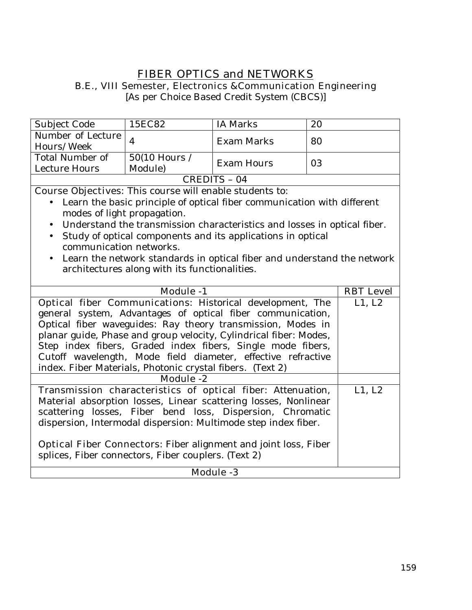# **FIBER OPTICS and NETWORKS**

**B.E., VIII Semester, Electronics &Communication Engineering** 

[As per Choice Based Credit System (CBCS)]

| <b>Subject Code</b>    | 15EC82                       | <b>IA Marks</b>                                                                                                                                                                                                                | 20 |
|------------------------|------------------------------|--------------------------------------------------------------------------------------------------------------------------------------------------------------------------------------------------------------------------------|----|
| Number of Lecture      |                              | Exam Marks                                                                                                                                                                                                                     | 80 |
| Hours/Week             |                              |                                                                                                                                                                                                                                |    |
| <b>Total Number of</b> | $50(10$ Hours /              | <b>Exam Hours</b>                                                                                                                                                                                                              | 03 |
| Lecture Hours          | Module)                      |                                                                                                                                                                                                                                |    |
| CREDITS - 04           |                              |                                                                                                                                                                                                                                |    |
| $\sim$<br>----         | $\cdot$ 1 1<br>$\sim$ $\sim$ | the state of the state of the state of the state of the state of the state of the state of the state of the state of the state of the state of the state of the state of the state of the state of the state of the state of t |    |

**Course Objectives:** This course will enable students to:

- Learn the basic principle of optical fiber communication with different modes of light propagation.
- Understand the transmission characteristics and losses in optical fiber.
- Study of optical components and its applications in optical communication networks.
- Learn the network standards in optical fiber and understand the network architectures along with its functionalities.

| <b>Module -1</b>                                                       | <b>RBT</b> Level |  |
|------------------------------------------------------------------------|------------------|--|
| <b>Optical fiber Communications:</b> Historical development, The       | L1, L2           |  |
| general system, Advantages of optical fiber communication,             |                  |  |
| Optical fiber waveguides: Ray theory transmission, Modes in            |                  |  |
| planar guide, Phase and group velocity, Cylindrical fiber: Modes,      |                  |  |
| Step index fibers, Graded index fibers, Single mode fibers,            |                  |  |
| Cutoff wavelength, Mode field diameter, effective refractive           |                  |  |
| index. Fiber Materials, Photonic crystal fibers. (Text 2)              |                  |  |
| Module -2                                                              |                  |  |
| Transmission characteristics of optical fiber: Attenuation,            | L1, L2           |  |
| Material absorption losses, Linear scattering losses, Nonlinear        |                  |  |
| scattering losses, Fiber bend loss, Dispersion, Chromatic              |                  |  |
| dispersion, Intermodal dispersion: Multimode step index fiber.         |                  |  |
|                                                                        |                  |  |
| <b>Optical Fiber Connectors:</b> Fiber alignment and joint loss, Fiber |                  |  |
| splices, Fiber connectors, Fiber couplers. (Text 2)                    |                  |  |
| <b>Module -3</b>                                                       |                  |  |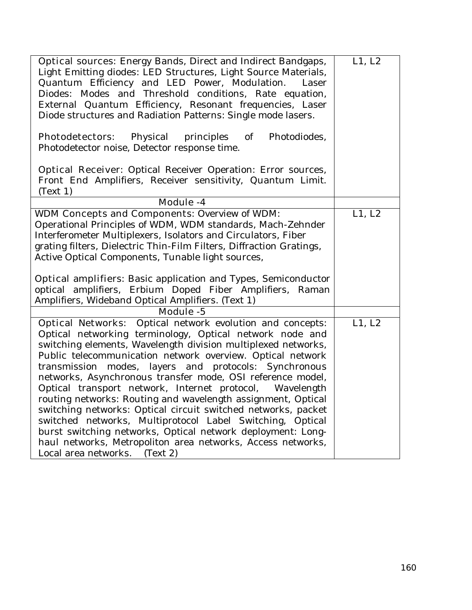| <b>Optical sources:</b> Energy Bands, Direct and Indirect Bandgaps,<br>Light Emitting diodes: LED Structures, Light Source Materials,<br>Quantum Efficiency and LED Power, Modulation.<br>Laser<br>Diodes: Modes and Threshold conditions, Rate equation,<br>External Quantum Efficiency, Resonant frequencies, Laser<br>Diode structures and Radiation Patterns: Single mode lasers.                                                                                                                                                                                                                                                                                                                                                                                                                       | L1, L2 |
|-------------------------------------------------------------------------------------------------------------------------------------------------------------------------------------------------------------------------------------------------------------------------------------------------------------------------------------------------------------------------------------------------------------------------------------------------------------------------------------------------------------------------------------------------------------------------------------------------------------------------------------------------------------------------------------------------------------------------------------------------------------------------------------------------------------|--------|
| <b>Photodetectors:</b> Physical principles<br>of<br>Photodiodes,<br>Photodetector noise, Detector response time.                                                                                                                                                                                                                                                                                                                                                                                                                                                                                                                                                                                                                                                                                            |        |
| <b>Optical Receiver:</b> Optical Receiver Operation: Error sources,<br>Front End Amplifiers, Receiver sensitivity, Quantum Limit.<br>(Text 1)                                                                                                                                                                                                                                                                                                                                                                                                                                                                                                                                                                                                                                                               |        |
| <b>Module -4</b>                                                                                                                                                                                                                                                                                                                                                                                                                                                                                                                                                                                                                                                                                                                                                                                            |        |
| <b>WDM Concepts and Components: Overview of WDM:</b><br>Operational Principles of WDM, WDM standards, Mach-Zehnder<br>Interferometer Multiplexers, Isolators and Circulators, Fiber<br>grating filters, Dielectric Thin-Film Filters, Diffraction Gratings,<br>Active Optical Components, Tunable light sources,<br><b>Optical amplifiers:</b> Basic application and Types, Semiconductor<br>optical amplifiers, Erbium Doped Fiber Amplifiers, Raman<br>Amplifiers, Wideband Optical Amplifiers. (Text 1)                                                                                                                                                                                                                                                                                                  | L1, L2 |
| <b>Module -5</b>                                                                                                                                                                                                                                                                                                                                                                                                                                                                                                                                                                                                                                                                                                                                                                                            |        |
| <b>Optical Networks:</b> Optical network evolution and concepts:<br>Optical networking terminology, Optical network node and<br>switching elements, Wavelength division multiplexed networks,<br>Public telecommunication network overview. Optical network<br>transmission modes, layers and protocols: Synchronous<br>networks, Asynchronous transfer mode, OSI reference model,<br>Optical transport network, Internet protocol, Wavelength<br>routing networks: Routing and wavelength assignment, Optical<br>switching networks: Optical circuit switched networks, packet<br>switched networks, Multiprotocol Label Switching, Optical<br>burst switching networks, Optical network deployment: Long-<br>haul networks, Metropoliton area networks, Access networks,<br>Local area networks. (Text 2) | L1, L2 |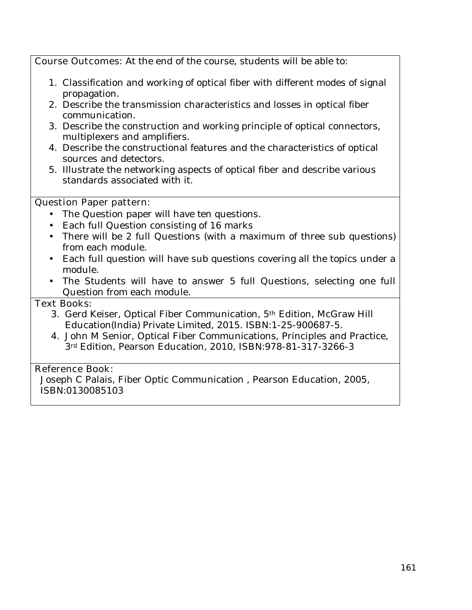**Course Outcomes:** At the end of the course, students will be able to:

- 1. Classification and working of optical fiber with different modes of signal propagation.
- 2. Describe the transmission characteristics and losses in optical fiber communication.
- 3. Describe the construction and working principle of optical connectors, multiplexers and amplifiers.
- 4. Describe the constructional features and the characteristics of optical sources and detectors.
- 5. Illustrate the networking aspects of optical fiber and describe various standards associated with it.

## **Question Paper pattern:**

- The Question paper will have ten questions.
- Each full Question consisting of 16 marks
- There will be 2 full Questions (with a maximum of three sub questions) from each module.
- Each full question will have sub questions covering all the topics under a module.
- The Students will have to answer 5 full Questions, selecting one full Question from each module.

## **Text Books:**

- 3. Gerd Keiser, Optical Fiber Communication, 5th Edition, McGraw Hill Education(India) Private Limited, 2015. ISBN:1-25-900687-5.
- 4. John M Senior, Optical Fiber Communications, Principles and Practice, 3rd Edition, Pearson Education, 2010, ISBN:978-81-317-3266-3

## **Reference Book:**

Joseph C Palais, Fiber Optic Communication , Pearson Education, 2005, ISBN:0130085103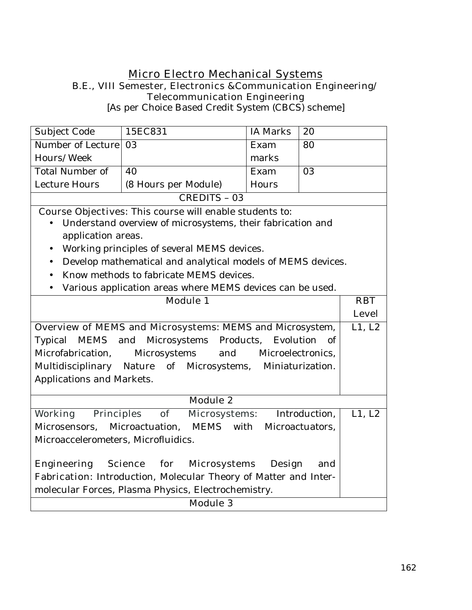# **Micro Electro Mechanical Systems B.E., VIII Semester, Electronics &Communication Engineering/ Telecommunication Engineering**

[As per Choice Based Credit System (CBCS) scheme]

| Subject Code                                                                 | 15EC831                                                        | <b>IA Marks</b> | 20            |        |
|------------------------------------------------------------------------------|----------------------------------------------------------------|-----------------|---------------|--------|
| <b>Number of Lecture</b>                                                     | 03                                                             | Exam            | 80            |        |
| Hours/Week                                                                   |                                                                | marks           |               |        |
| <b>Total Number of</b>                                                       | 40                                                             | Exam            | 03            |        |
| <b>Lecture Hours</b>                                                         | (8 Hours per Module)                                           | Hours           |               |        |
|                                                                              | <b>CREDITS - 03</b>                                            |                 |               |        |
|                                                                              | <b>Course Objectives:</b> This course will enable students to: |                 |               |        |
|                                                                              | Understand overview of microsystems, their fabrication and     |                 |               |        |
| application areas.                                                           |                                                                |                 |               |        |
| $\bullet$                                                                    | Working principles of several MEMS devices.                    |                 |               |        |
| $\bullet$                                                                    | Develop mathematical and analytical models of MEMS devices.    |                 |               |        |
|                                                                              | Know methods to fabricate MEMS devices.                        |                 |               |        |
| $\bullet$                                                                    | Various application areas where MEMS devices can be used.      |                 |               |        |
| <b>Module 1</b>                                                              |                                                                |                 | <b>RBT</b>    |        |
|                                                                              |                                                                |                 | <b>Level</b>  |        |
| Overview of MEMS and Microsystems: MEMS and Microsystem,                     |                                                                |                 | L1, L2        |        |
| MEMS and Microsystems Products,<br>Evolution<br>Typical<br>- of              |                                                                |                 |               |        |
| Microelectronics,<br>Microfabrication,<br>Microsystems<br>and                |                                                                |                 |               |        |
| Multidisciplinary Nature of Microsystems, Miniaturization.                   |                                                                |                 |               |        |
| Applications and Markets.                                                    |                                                                |                 |               |        |
|                                                                              | <b>Module 2</b>                                                |                 |               |        |
| Working<br><b>Principles</b>                                                 | of<br><b>Microsystems:</b>                                     |                 | Introduction, | L1, L2 |
| Microactuation,<br><b>MEMS</b><br>with<br>Microsensors,<br>Microactuators,   |                                                                |                 |               |        |
| Microaccelerometers, Microfluidics.                                          |                                                                |                 |               |        |
|                                                                              |                                                                |                 |               |        |
| for<br>Engineering<br><b>Science</b><br><b>Microsystems</b><br>Design<br>and |                                                                |                 |               |        |
| Fabrication: Introduction, Molecular Theory of Matter and Inter-             |                                                                |                 |               |        |
| molecular Forces, Plasma Physics, Electrochemistry.                          |                                                                |                 |               |        |
| <b>Module 3</b>                                                              |                                                                |                 |               |        |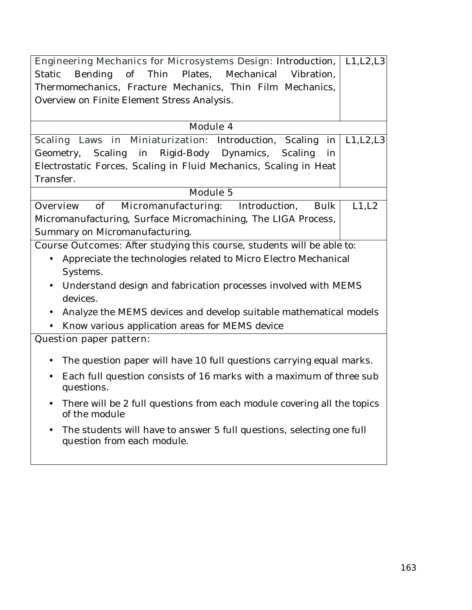| <b>Engineering Mechanics for Microsystems Design: Introduction,</b>                                              | L1, L2, L3 |
|------------------------------------------------------------------------------------------------------------------|------------|
| Thin Plates, Mechanical Vibration,<br><b>Bending</b><br>of<br><b>Static</b>                                      |            |
| Thermomechanics, Fracture Mechanics, Thin Film Mechanics,                                                        |            |
| Overview on Finite Element Stress Analysis.                                                                      |            |
|                                                                                                                  |            |
| <b>Module 4</b>                                                                                                  |            |
| Scaling Laws in Miniaturization: Introduction, Scaling<br>in                                                     | L1, L2, L3 |
| Scaling in Rigid-Body Dynamics, Scaling<br>Geometry,<br>in                                                       |            |
| Electrostatic Forces, Scaling in Fluid Mechanics, Scaling in Heat                                                |            |
| Transfer.                                                                                                        |            |
| <b>Module 5</b>                                                                                                  |            |
| Micromanufacturing:<br><b>Overview</b><br>of<br>Introduction,<br><b>Bulk</b>                                     | L1,L2      |
| Micromanufacturing, Surface Micromachining, The LIGA Process,                                                    |            |
| Summary on Micromanufacturing.                                                                                   |            |
| <b>Course Outcomes:</b> After studying this course, students will be able to:                                    |            |
| Appreciate the technologies related to Micro Electro Mechanical                                                  |            |
| Systems.                                                                                                         |            |
| Understand design and fabrication processes involved with MEMS<br>$\bullet$                                      |            |
| devices.                                                                                                         |            |
| Analyze the MEMS devices and develop suitable mathematical models<br>$\bullet$                                   |            |
| Know various application areas for MEMS device                                                                   |            |
| <b>Question paper pattern:</b>                                                                                   |            |
|                                                                                                                  |            |
| The question paper will have 10 full questions carrying equal marks.<br>$\bullet$                                |            |
| Each full question consists of 16 marks with a maximum of three sub<br>$\bullet$<br>questions.                   |            |
| There will be 2 full questions from each module covering all the topics<br>of the module                         |            |
| The students will have to answer 5 full questions, selecting one full<br>$\bullet$<br>question from each module. |            |
|                                                                                                                  |            |
|                                                                                                                  |            |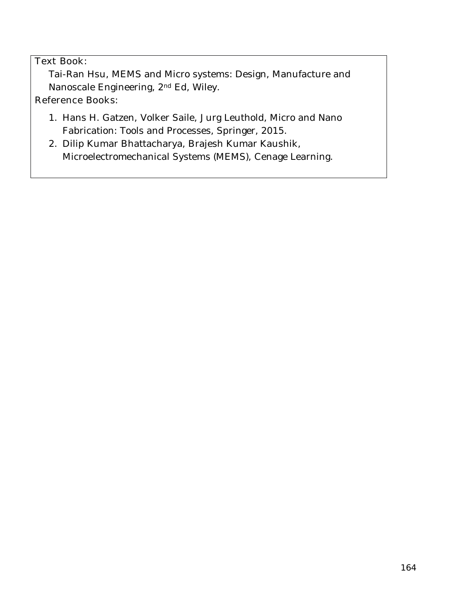# **Text Book**:

Tai-Ran Hsu, MEMS and Micro systems: Design, Manufacture and Nanoscale Engineering, 2nd Ed, Wiley.

## **Reference Books:**

- 1. Hans H. Gatzen, Volker Saile, Jurg Leuthold, Micro and Nano Fabrication: Tools and Processes, Springer, 2015.
- 2. Dilip Kumar Bhattacharya, Brajesh Kumar Kaushik, Microelectromechanical Systems (MEMS), Cenage Learning.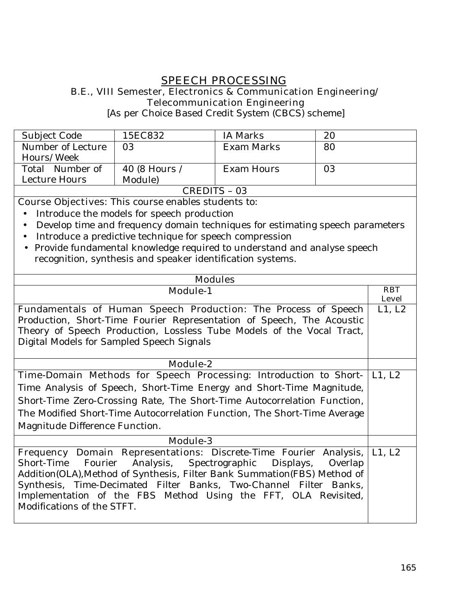# **SPEECH PROCESSING**

## **B.E., VIII Semester, Electronics & Communication Engineering/ Telecommunication Engineering**

[As per Choice Based Credit System (CBCS) scheme]

| Subject Code      | 15EC832       | IA Marks   | 20 |
|-------------------|---------------|------------|----|
| Number of Lecture | 03            | Exam Marks | 80 |
| Hours/Week        |               |            |    |
| Total Number of   | 40 (8 Hours / | Exam Hours | 03 |
| Lecture Hours     | Module)       |            |    |
| CDEDITE           |               |            |    |

CREDITS – 03

**Course Objectives:** This course enables students to:

- Introduce the models for speech production
- Develop time and frequency domain techniques for estimating speech parameters
- Introduce a predictive technique for speech compression
- Provide fundamental knowledge required to understand and analyse speech recognition, synthesis and speaker identification systems.

| <b>Modules</b>                                                                               |                            |  |
|----------------------------------------------------------------------------------------------|----------------------------|--|
| <b>Module-1</b>                                                                              | <b>RBT</b><br><b>Level</b> |  |
| <b>Fundamentals of Human Speech Production:</b> The Process of Speech                        | L1, L2                     |  |
| Production, Short-Time Fourier Representation of Speech, The Acoustic                        |                            |  |
| Theory of Speech Production, Lossless Tube Models of the Vocal Tract,                        |                            |  |
| Digital Models for Sampled Speech Signals                                                    |                            |  |
|                                                                                              |                            |  |
| <b>Module-2</b>                                                                              |                            |  |
| <b>Time-Domain Methods for Speech Processing:</b> Introduction to Short-                     | L1, L2                     |  |
| Time Analysis of Speech, Short-Time Energy and Short-Time Magnitude,                         |                            |  |
| Short-Time Zero-Crossing Rate, The Short-Time Autocorrelation Function,                      |                            |  |
| The Modified Short-Time Autocorrelation Function, The Short-Time Average                     |                            |  |
| Magnitude Difference Function.                                                               |                            |  |
| <b>Module-3</b>                                                                              |                            |  |
| Frequency Domain Representations: Discrete-Time Fourier Analysis,                            | L1, L2                     |  |
| Fourier Analysis, Spectrographic Displays, Overlap<br>Short-Time                             |                            |  |
| Addition(OLA), Method of Synthesis, Filter Bank Summation(FBS) Method of                     |                            |  |
| Synthesis, Time-Decimated Filter Banks, Two-Channel Filter Banks,                            |                            |  |
| Implementation of the FBS Method Using the FFT, OLA Revisited,<br>Modifications of the STFT. |                            |  |
|                                                                                              |                            |  |
|                                                                                              |                            |  |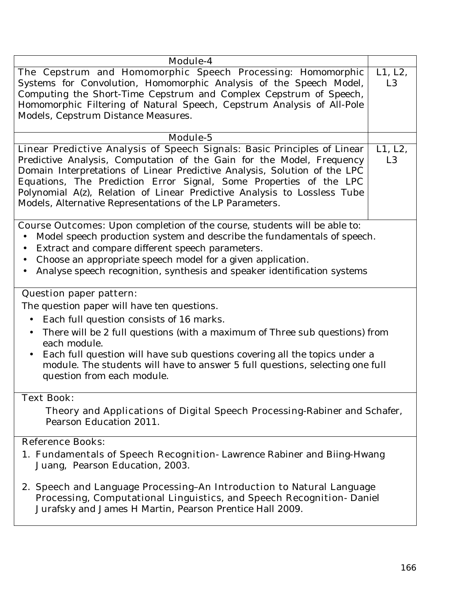| Module-4                                                                                                                                                                                                                                                                                                                                                                                                                                      |                           |
|-----------------------------------------------------------------------------------------------------------------------------------------------------------------------------------------------------------------------------------------------------------------------------------------------------------------------------------------------------------------------------------------------------------------------------------------------|---------------------------|
| The Cepstrum and Homomorphic Speech Processing: Homomorphic<br>Systems for Convolution, Homomorphic Analysis of the Speech Model,<br>Computing the Short-Time Cepstrum and Complex Cepstrum of Speech,<br>Homomorphic Filtering of Natural Speech, Cepstrum Analysis of All-Pole<br>Models, Cepstrum Distance Measures.                                                                                                                       | L1, L2,<br>L <sub>3</sub> |
| Module-5                                                                                                                                                                                                                                                                                                                                                                                                                                      |                           |
| Linear Predictive Analysis of Speech Signals: Basic Principles of Linear<br>Predictive Analysis, Computation of the Gain for the Model, Frequency<br>Domain Interpretations of Linear Predictive Analysis, Solution of the LPC<br>Equations, The Prediction Error Signal, Some Properties of the LPC<br>Polynomial A(z), Relation of Linear Predictive Analysis to Lossless Tube<br>Models, Alternative Representations of the LP Parameters. | L1, L2,<br>L <sub>3</sub> |
| <b>Course Outcomes:</b> Upon completion of the course, students will be able to:<br>Model speech production system and describe the fundamentals of speech.<br>$\bullet$<br>Extract and compare different speech parameters.<br>$\bullet$<br>Choose an appropriate speech model for a given application.<br>$\bullet$<br>Analyse speech recognition, synthesis and speaker identification systems                                             |                           |
| <b>Question paper pattern:</b>                                                                                                                                                                                                                                                                                                                                                                                                                |                           |
| The question paper will have ten questions.                                                                                                                                                                                                                                                                                                                                                                                                   |                           |
| Each full question consists of 16 marks.<br>$\bullet$                                                                                                                                                                                                                                                                                                                                                                                         |                           |
| There will be 2 full questions (with a maximum of Three sub questions) from<br>$\bullet$<br>each module.<br>Each full question will have sub questions covering all the topics under a<br>module. The students will have to answer 5 full questions, selecting one full<br>question from each module.                                                                                                                                         |                           |
| <b>Text Book:</b>                                                                                                                                                                                                                                                                                                                                                                                                                             |                           |
| Theory and Applications of Digital Speech Processing-Rabiner and Schafer,<br>Pearson Education 2011.                                                                                                                                                                                                                                                                                                                                          |                           |
| <b>Reference Books:</b>                                                                                                                                                                                                                                                                                                                                                                                                                       |                           |
| 1. Fundamentals of Speech Recognition-Lawrence Rabiner and Biing-Hwang<br>Juang, Pearson Education, 2003.                                                                                                                                                                                                                                                                                                                                     |                           |
| 2. Speech and Language Processing-An Introduction to Natural Language<br>Processing, Computational Linguistics, and Speech Recognition- Daniel<br>Jurafsky and James H Martin, Pearson Prentice Hall 2009.                                                                                                                                                                                                                                    |                           |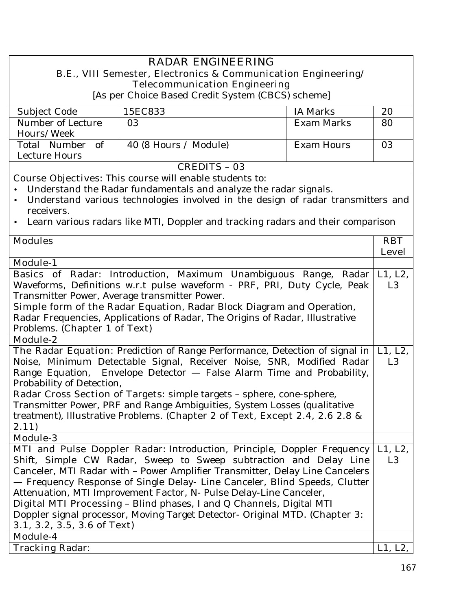#### **RADAR ENGINEERING B.E., VIII Semester, Electronics & Communication Engineering/ Telecommunication Engineering**  [As per Choice Based Credit System (CBCS) scheme] Subject Code 15EC833 | IA Marks | 20 Number of Lecture Hours/Week 03 Exam Marks 80 Total Number of Lecture Hours 40 (8 Hours / Module) Exam Hours | 03 **CREDITS – 03 Course Objectives:** This course will enable students to: • Understand the Radar fundamentals and analyze the radar signals. • Understand various technologies involved in the design of radar transmitters and receivers. • Learn various radars like MTI, Doppler and tracking radars and their comparison **Modules RBT Level Module-1 Basics of Radar**: Introduction, Maximum Unambiguous Range, Radar Waveforms, Definitions w.r.t pulse waveform - PRF, PRI, Duty Cycle, Peak Transmitter Power, Average transmitter Power. **Simple form of the Radar Equation**, Radar Block Diagram and Operation, Radar Frequencies, Applications of Radar, The Origins of Radar, Illustrative Problems. **(Chapter 1 of Text)**  L1, L2, L3 **Module-2 The Radar Equation:** Prediction of Range Performance, Detection of signal in Noise, Minimum Detectable Signal, Receiver Noise, SNR, Modified Radar Range Equation, Envelope Detector — False Alarm Time and Probability, Probability of Detection, **Radar Cross Section of Targets:** simple targets – sphere, cone-sphere, Transmitter Power, PRF and Range Ambiguities, System Losses (qualitative treatment), Illustrative Problems. **(Chapter 2 of Text, Except 2.4, 2.6 2.8 & 2.11)**  L1, L2, L3 **Module-3 MTI and Pulse Doppler Radar:** Introduction, Principle, Doppler Frequency Shift, Simple CW Radar, Sweep to Sweep subtraction and Delay Line Canceler, MTI Radar with – Power Amplifier Transmitter, Delay Line Cancelers — Frequency Response of Single Delay- Line Canceler, Blind Speeds, Clutter Attenuation, MTI Improvement Factor, N- Pulse Delay-Line Canceler, **Digital MTI Processing** – Blind phases, I and Q Channels, Digital MTI Doppler signal processor, Moving Target Detector- Original MTD. **(Chapter 3: 3.1, 3.2, 3.5, 3.6 of Text)**  L1, L2, L3 **Module-4 Tracking Radar:**  $|L1, L2, L2|$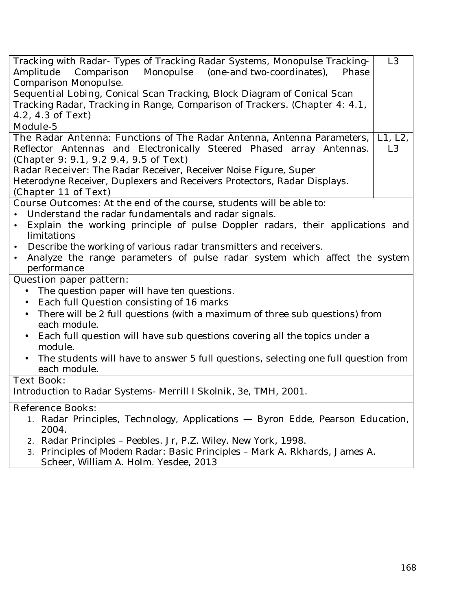| Tracking with Radar- Types of Tracking Radar Systems, Monopulse Tracking-                        | L <sub>3</sub> |
|--------------------------------------------------------------------------------------------------|----------------|
| Monopulse (one-and two-coordinates),<br>Amplitude<br>Comparison<br>Phase                         |                |
| Comparison Monopulse.                                                                            |                |
| <b>Sequential Lobing</b> , Conical Scan Tracking, Block Diagram of Conical Scan                  |                |
| Tracking Radar, Tracking in Range, Comparison of Trackers. (Chapter 4: 4.1,                      |                |
| 4.2, 4.3 of Text)                                                                                |                |
| <b>Module-5</b>                                                                                  |                |
| The Radar Antenna: Functions of The Radar Antenna, Antenna Parameters,                           | L1, L2,        |
| Reflector Antennas and Electronically Steered Phased array Antennas.                             | L <sub>3</sub> |
| (Chapter 9: 9.1, 9.2 9.4, 9.5 of Text)                                                           |                |
| Radar Receiver: The Radar Receiver, Receiver Noise Figure, Super                                 |                |
| Heterodyne Receiver, Duplexers and Receivers Protectors, Radar Displays.                         |                |
| (Chapter 11 of Text)                                                                             |                |
| <b>Course Outcomes:</b> At the end of the course, students will be able to:                      |                |
| Understand the radar fundamentals and radar signals.                                             |                |
| Explain the working principle of pulse Doppler radars, their applications and<br>$\bullet$       |                |
| limitations                                                                                      |                |
| Describe the working of various radar transmitters and receivers.<br>$\bullet$                   |                |
| Analyze the range parameters of pulse radar system which affect the system<br>$\bullet$          |                |
| performance                                                                                      |                |
| <b>Question paper pattern:</b>                                                                   |                |
| The question paper will have ten questions.                                                      |                |
|                                                                                                  |                |
| Each full Question consisting of 16 marks                                                        |                |
| There will be 2 full questions (with a maximum of three sub questions) from<br>$\bullet$         |                |
| each module.                                                                                     |                |
| Each full question will have sub questions covering all the topics under a<br>$\bullet$          |                |
| module.                                                                                          |                |
| The students will have to answer 5 full questions, selecting one full question from<br>$\bullet$ |                |
| each module.                                                                                     |                |
| <b>Text Book:</b>                                                                                |                |
| Introduction to Radar Systems- Merrill I Skolnik, 3e, TMH, 2001.                                 |                |
| <b>Reference Books:</b>                                                                          |                |
| 1. Radar Principles, Technology, Applications - Byron Edde, Pearson Education,                   |                |
| 2004.                                                                                            |                |
| 2. Radar Principles - Peebles. Jr, P.Z. Wiley. New York, 1998.                                   |                |
| 3. Principles of Modem Radar: Basic Principles - Mark A. Rkhards, James A.                       |                |
| Scheer, William A. Holm. Yesdee, 2013                                                            |                |
|                                                                                                  |                |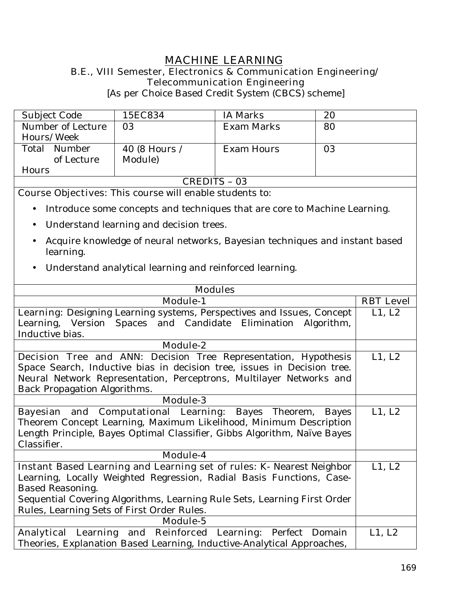# **MACHINE LEARNING**

### **B.E., VIII Semester, Electronics & Communication Engineering/ Telecommunication Engineering**

[As per Choice Based Credit System (CBCS) scheme]

| Subject Code                                                   | 15EC834       | <b>IA Marks</b>   | 20 |  |  |
|----------------------------------------------------------------|---------------|-------------------|----|--|--|
| Number of Lecture                                              | 03            | Exam Marks        | 80 |  |  |
| Hours/Week                                                     |               |                   |    |  |  |
| Total Number                                                   | 40 (8 Hours / | <b>Exam Hours</b> | 03 |  |  |
| of Lecture                                                     | Module)       |                   |    |  |  |
| Hours                                                          |               |                   |    |  |  |
| <b>CREDITS - 03</b>                                            |               |                   |    |  |  |
| <b>Course Objectives:</b> This course will enable students to: |               |                   |    |  |  |

- Introduce some concepts and techniques that are core to Machine Learning.
- Understand learning and decision trees.
- Acquire knowledge of neural networks, Bayesian techniques and instant based learning.
- Understand analytical learning and reinforced learning.

| <b>Modules</b>                                                                |        |  |  |  |
|-------------------------------------------------------------------------------|--------|--|--|--|
| <b>Module-1</b>                                                               |        |  |  |  |
| <b>Learning:</b> Designing Learning systems, Perspectives and Issues, Concept | L1, L2 |  |  |  |
| Learning, Version Spaces and Candidate Elimination Algorithm,                 |        |  |  |  |
| Inductive bias.                                                               |        |  |  |  |
| <b>Module-2</b>                                                               |        |  |  |  |
| Decision Tree and ANN: Decision Tree Representation, Hypothesis               | L1, L2 |  |  |  |
| Space Search, Inductive bias in decision tree, issues in Decision tree.       |        |  |  |  |
| Neural Network Representation, Perceptrons, Multilayer Networks and           |        |  |  |  |
| <b>Back Propagation Algorithms.</b>                                           |        |  |  |  |
| <b>Module-3</b>                                                               |        |  |  |  |
| <b>Bayesian and Computational Learning:</b> Bayes Theorem,<br>Bayes           | L1, L2 |  |  |  |
| Theorem Concept Learning, Maximum Likelihood, Minimum Description             |        |  |  |  |
| Length Principle, Bayes Optimal Classifier, Gibbs Algorithm, Naïve Bayes      |        |  |  |  |
| Classifier.                                                                   |        |  |  |  |
| Module-4                                                                      |        |  |  |  |
| <b>Instant Based Learning and Learning set of rules: K- Nearest Neighbor</b>  | L1, L2 |  |  |  |
| Learning, Locally Weighted Regression, Radial Basis Functions, Case-          |        |  |  |  |
| <b>Based Reasoning.</b>                                                       |        |  |  |  |
| Sequential Covering Algorithms, Learning Rule Sets, Learning First Order      |        |  |  |  |
| Rules, Learning Sets of First Order Rules.                                    |        |  |  |  |
| Module-5                                                                      |        |  |  |  |
| Analytical Learning and Reinforced Learning: Perfect Domain                   | L1, L2 |  |  |  |
| Theories, Explanation Based Learning, Inductive-Analytical Approaches,        |        |  |  |  |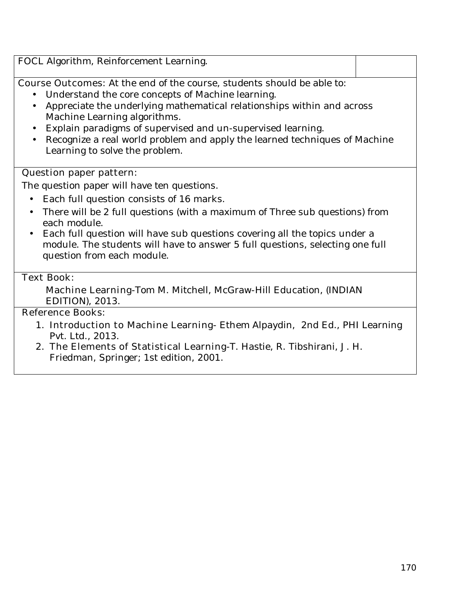FOCL Algorithm, Reinforcement Learning. **Course Outcomes:** At the end of the course, students should be able to: • Understand the core concepts of Machine learning. • Appreciate the underlying mathematical relationships within and across Machine Learning algorithms. • Explain paradigms of supervised and un-supervised learning. • Recognize a real world problem and apply the learned techniques of Machine Learning to solve the problem. **Question paper pattern:** The question paper will have ten questions. • Each full question consists of 16 marks. • There will be 2 full questions (with a maximum of Three sub questions) from each module. • Each full question will have sub questions covering all the topics under a

module. The students will have to answer 5 full questions, selecting one full question from each module.

### **Text Book:**

**Machine Learning-**Tom M. Mitchell, McGraw-Hill Education, (INDIAN EDITION), 2013.

### **Reference Books:**

- 1. **Introduction to Machine Learning-** Ethem Alpaydin, 2nd Ed., PHI Learning Pvt. Ltd., 2013.
- 2. **The Elements of Statistical Learning-**T. Hastie, R. Tibshirani, J. H. Friedman, Springer; 1st edition, 2001.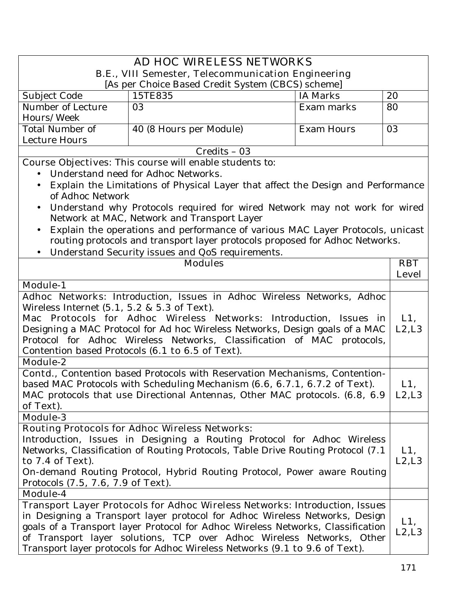| AD HOC WIRELESS NETWORKS                                                                                                                                  |                                                                                  |                   |              |  |  |
|-----------------------------------------------------------------------------------------------------------------------------------------------------------|----------------------------------------------------------------------------------|-------------------|--------------|--|--|
| <b>B.E., VIII Semester, Telecommunication Engineering</b><br>[As per Choice Based Credit System (CBCS) scheme]                                            |                                                                                  |                   |              |  |  |
| Subject Code                                                                                                                                              | 15TE835                                                                          | <b>IA Marks</b>   | 20           |  |  |
| Number of Lecture                                                                                                                                         | 03                                                                               | Exam marks        | 80           |  |  |
| Hours/Week                                                                                                                                                |                                                                                  |                   |              |  |  |
| <b>Total Number of</b>                                                                                                                                    | 40 (8 Hours per Module)                                                          | <b>Exam Hours</b> | 03           |  |  |
| Lecture Hours                                                                                                                                             |                                                                                  |                   |              |  |  |
|                                                                                                                                                           | Credits - 03                                                                     |                   |              |  |  |
|                                                                                                                                                           | <b>Course Objectives:</b> This course will enable students to:                   |                   |              |  |  |
|                                                                                                                                                           | Understand need for Adhoc Networks.                                              |                   |              |  |  |
| $\bullet$                                                                                                                                                 | Explain the Limitations of Physical Layer that affect the Design and Performance |                   |              |  |  |
| of Adhoc Network                                                                                                                                          |                                                                                  |                   |              |  |  |
| Understand why Protocols required for wired Network may not work for wired<br>Network at MAC, Network and Transport Layer                                 |                                                                                  |                   |              |  |  |
|                                                                                                                                                           | Explain the operations and performance of various MAC Layer Protocols, unicast   |                   |              |  |  |
|                                                                                                                                                           | routing protocols and transport layer protocols proposed for Adhoc Networks.     |                   |              |  |  |
|                                                                                                                                                           | Understand Security issues and QoS requirements.                                 |                   |              |  |  |
|                                                                                                                                                           | <b>Modules</b>                                                                   |                   | <b>RBT</b>   |  |  |
|                                                                                                                                                           |                                                                                  |                   | <b>Level</b> |  |  |
| <b>Module-1</b>                                                                                                                                           |                                                                                  |                   |              |  |  |
| Adhoc Networks: Introduction, Issues in Adhoc Wireless Networks, Adhoc                                                                                    |                                                                                  |                   |              |  |  |
| Wireless Internet $(5.1, 5.2 \& 5.3$ of Text).                                                                                                            |                                                                                  |                   |              |  |  |
| Mac Protocols for Adhoc Wireless Networks: Introduction, Issues in                                                                                        |                                                                                  |                   |              |  |  |
|                                                                                                                                                           | Designing a MAC Protocol for Ad hoc Wireless Networks, Design goals of a MAC     |                   | L2, L3       |  |  |
| Protocol for Adhoc Wireless Networks, Classification of MAC protocols,                                                                                    |                                                                                  |                   |              |  |  |
|                                                                                                                                                           | Contention based Protocols (6.1 to 6.5 of Text).                                 |                   |              |  |  |
| <b>Module-2</b>                                                                                                                                           |                                                                                  |                   |              |  |  |
| Contd., Contention based Protocols with Reservation Mechanisms, Contention-                                                                               |                                                                                  |                   |              |  |  |
| based MAC Protocols with Scheduling Mechanism (6.6, 6.7.1, 6.7.2 of Text).<br>MAC protocols that use Directional Antennas, Other MAC protocols. (6.8, 6.9 |                                                                                  |                   |              |  |  |
| of Text).                                                                                                                                                 |                                                                                  |                   | L2, L3       |  |  |
| <b>Module-3</b>                                                                                                                                           |                                                                                  |                   |              |  |  |
|                                                                                                                                                           | <b>Routing Protocols for Adhoc Wireless Networks:</b>                            |                   |              |  |  |
|                                                                                                                                                           | Introduction, Issues in Designing a Routing Protocol for Adhoc Wireless          |                   |              |  |  |
| Networks, Classification of Routing Protocols, Table Drive Routing Protocol (7.1)                                                                         |                                                                                  |                   |              |  |  |
| to 7.4 of Text).                                                                                                                                          |                                                                                  |                   |              |  |  |
| On-demand Routing Protocol, Hybrid Routing Protocol, Power aware Routing                                                                                  |                                                                                  |                   |              |  |  |
|                                                                                                                                                           | Protocols (7.5, 7.6, 7.9 of Text).                                               |                   |              |  |  |
| Module-4                                                                                                                                                  |                                                                                  |                   |              |  |  |
|                                                                                                                                                           | Transport Layer Protocols for Adhoc Wireless Networks: Introduction, Issues      |                   |              |  |  |
| in Designing a Transport layer protocol for Adhoc Wireless Networks, Design                                                                               |                                                                                  |                   | L1,          |  |  |
|                                                                                                                                                           | goals of a Transport layer Protocol for Adhoc Wireless Networks, Classification  |                   | L2, L3       |  |  |
|                                                                                                                                                           | of Transport layer solutions, TCP over Adhoc Wireless Networks, Other            |                   |              |  |  |
|                                                                                                                                                           | Transport layer protocols for Adhoc Wireless Networks (9.1 to 9.6 of Text).      |                   |              |  |  |